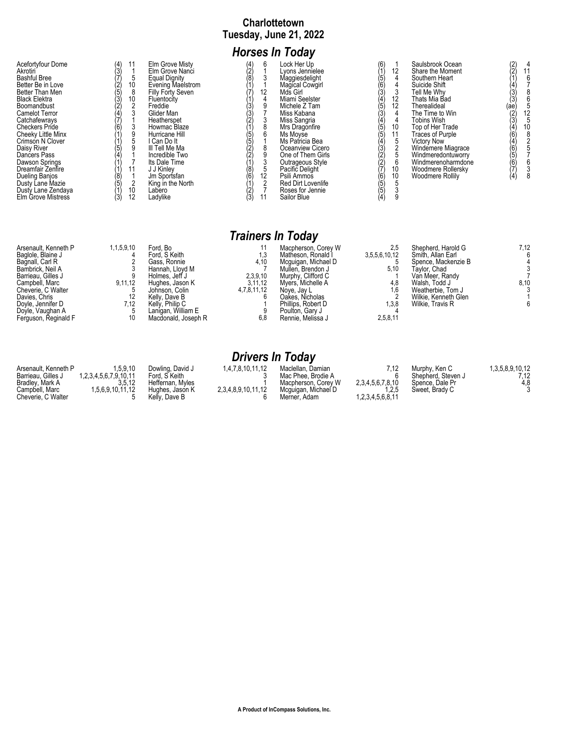### **Charlottetown Tuesday, June 21, 2022**

# *Horses In Today*

| Acefortvfour Dome<br>Akrotiri<br><b>Bashful Bree</b><br>Better Be in Love<br>Better Than Men<br>Black Elektra<br>Boomandbust<br>Camelot Terror<br>Catchafewravs<br>Checkers Pride<br>Cheeky Little Minx<br>Crimson N Clover<br>Daisy River<br>Dancers Pass<br>Dawson Springs<br>Dreamfair Zenfire<br>Dueling Banios<br>Dusty Lane Mazie<br>Dusty Lane Zendaya<br>Elm Grove Mistress | (5)<br>ί3΄<br>(8)<br>(3) | 10<br>10<br>10<br>12 | Elm Grove Misty<br>Elm Grove Nanci<br>Equal Dignity<br>Evening Maelstrom<br>Filly Forty Seven<br>Fluentocity<br>Freddie<br>Glider Man<br>Heatherspet<br>Howmac Blaze<br>Hurricane Hill<br>I Can Do It<br>III Tell Me Ma<br>Incredible Two<br>Its Dale Time<br>J J Kinlev<br>Jm Sportsfan<br>King in the North<br>Labero<br>Ladylike | (4) | 6<br>12<br>12 | Lock Her Up<br>vons Jennielee<br>Maggiesdelight<br>Magical Cowgirl<br>Mds Girl<br>Miami Seelster<br>Michele Z Tam<br>Miss Kabana<br>Miss Sangria<br>Mrs Dragonfire<br>Ms Movse<br>Ms Patricia Bea<br>Oceanview Cicero<br>One of Them Girls<br>Outrageous Style<br>Pacific Delight<br>Psili Ammos<br><b>Red Dirt Lovenlife</b><br>Roses for Jennie<br>Sailor Blue | (6)<br>5 <sup>′</sup><br>Ò6<br>Ϊ4<br>$\frac{5}{3}$<br>(5)<br>(5)<br>(4)<br>(3)<br>(2)<br>(7)<br>(6<br>(5<br>(5 | 12<br>12<br>12<br>10<br>11<br>C<br>6<br>10<br>10 | Saulsbrook Ocean<br>Share the Moment<br>Southern Heart<br>Suicide Shift<br>Tell Me Whv<br>Thats Mia Bad<br>Therealideal<br>The Time to Win<br><b>Tobins Wish</b><br>Top of Her Trade<br>Traces of Purple<br><b>Victory Now</b><br>Windemere Miagrace<br>Windmeredontuworry<br>Windmerenoharmdone<br>Woodmere Rollersky<br>Woodmere Rollily | $\binom{2}{2}$<br>(ae)<br>(2)<br>(4)<br>(6)<br>(5)<br>(7)<br>(4) |  |
|-------------------------------------------------------------------------------------------------------------------------------------------------------------------------------------------------------------------------------------------------------------------------------------------------------------------------------------------------------------------------------------|--------------------------|----------------------|-------------------------------------------------------------------------------------------------------------------------------------------------------------------------------------------------------------------------------------------------------------------------------------------------------------------------------------|-----|---------------|------------------------------------------------------------------------------------------------------------------------------------------------------------------------------------------------------------------------------------------------------------------------------------------------------------------------------------------------------------------|----------------------------------------------------------------------------------------------------------------|--------------------------------------------------|--------------------------------------------------------------------------------------------------------------------------------------------------------------------------------------------------------------------------------------------------------------------------------------------------------------------------------------------|------------------------------------------------------------------|--|
|-------------------------------------------------------------------------------------------------------------------------------------------------------------------------------------------------------------------------------------------------------------------------------------------------------------------------------------------------------------------------------------|--------------------------|----------------------|-------------------------------------------------------------------------------------------------------------------------------------------------------------------------------------------------------------------------------------------------------------------------------------------------------------------------------------|-----|---------------|------------------------------------------------------------------------------------------------------------------------------------------------------------------------------------------------------------------------------------------------------------------------------------------------------------------------------------------------------------------|----------------------------------------------------------------------------------------------------------------|--------------------------------------------------|--------------------------------------------------------------------------------------------------------------------------------------------------------------------------------------------------------------------------------------------------------------------------------------------------------------------------------------------|------------------------------------------------------------------|--|

|                                                                                                                                                                                                                                  |                                           |                                                                                                                                                                                                      |                                                          | <b>Trainers In Today</b>                                                                                                                                                                                                         |                                                                 |                                                                                                                                                                                     |              |
|----------------------------------------------------------------------------------------------------------------------------------------------------------------------------------------------------------------------------------|-------------------------------------------|------------------------------------------------------------------------------------------------------------------------------------------------------------------------------------------------------|----------------------------------------------------------|----------------------------------------------------------------------------------------------------------------------------------------------------------------------------------------------------------------------------------|-----------------------------------------------------------------|-------------------------------------------------------------------------------------------------------------------------------------------------------------------------------------|--------------|
| Arsenault, Kenneth P<br>Baglole, Blaine J<br>Bagnall, Carl R<br>Bambrick, Neil A<br>Barrieau. Gilles J<br>Campbell, Marc<br>Cheverie, C Walter<br>Davies, Chris<br>Doyle, Jennifer D<br>Doyle, Vaughan A<br>Ferguson, Reginald F | 1,1,5,9,10<br>9,11,12<br>12<br>7.12<br>10 | Ford, Bo<br>Ford, S Keith<br>Gass, Ronnie<br>Hannah, Llovd M<br>Holmes. Jeff J<br>Hughes, Jason K<br>Johnson, Colin<br>Kelly, Dave B<br>Kelly, Philip C<br>Laniɑan. William E<br>Macdonald, Joseph R | 1,3<br>4,10<br>2,3,9,10<br>3,11,12<br>4,7,8,11,12<br>6,8 | Macpherson, Corey W<br>Matheson, Ronald I<br>Mcquigan, Michael D<br>Mullen, Brendon J<br>Murphy, Clifford C<br>Myers, Michelle A<br>Nove, Jay L<br>Oakes, Nicholas<br>Phillips. Robert D<br>Poulton, Gary J<br>Rennie, Melissa J | 2.5<br>3,5,5,6,10,12<br>5.10<br>4,8<br>1.6<br>1.3.8<br>2,5,8,11 | Shepherd, Harold G<br>Smith, Allan Earl<br>Spence, Mackenzie B<br>Tavlor. Chad<br>Van Meer, Randy<br>Walsh, Todd J<br>Weatherbie, Tom J<br>Wilkie, Kenneth Glen<br>Wilkie, Travis R | 7,12<br>8,10 |

|                                                                                                       |                                                                 |                                                                                           | <b>Drivers In Today</b>                |                                                                                                       |                                                     |                                                                          |                                |
|-------------------------------------------------------------------------------------------------------|-----------------------------------------------------------------|-------------------------------------------------------------------------------------------|----------------------------------------|-------------------------------------------------------------------------------------------------------|-----------------------------------------------------|--------------------------------------------------------------------------|--------------------------------|
| Arsenault, Kenneth P<br>Barrieau. Gilles J<br>Bradley, Mark A<br>Campbell, Marc<br>Cheverie. C Walter | 1.5.9.10<br>1.2.3.4.5.6.7.9.10.11<br>3.5.12<br>1,5,6,9,10,11,12 | Dowling, David J<br>Ford, S Keith<br>Heffernan, Myles<br>Hughes, Jason K<br>Kelly, Dave B | 1.4.7.8.10.11.12<br>2,3,4,8,9,10,11,12 | Maclellan, Damian<br>Mac Phee, Brodie A<br>Macpherson, Corey W<br>Mcquigan, Michael D<br>Merner. Adam | 7.12<br>2, 3, 4, 5, 6, 7, 8, 10<br>1.2.3.4.5.6.8.11 | Murphy, Ken C<br>Shepherd, Steven J<br>Spence, Dale Pr<br>Sweet, Brady C | 1,3,5,8,9,10,12<br>7,12<br>4,8 |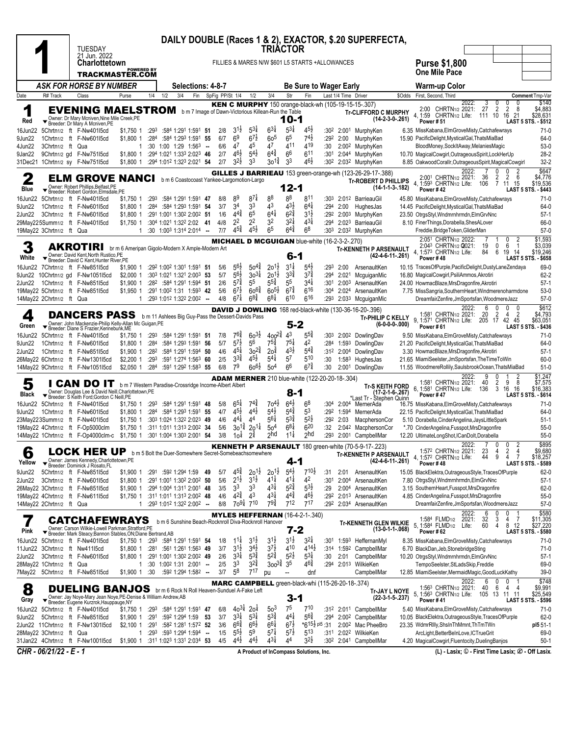|                   |                          | <b>TUESDAY</b>                                                                                                                                                 |                                                        |              |     |                         |                                                                                                 |                                                        |                                                     | <b>TRIACTOR</b>                                       |                                       |                                                          |                               |                        | DAILY DOUBLE (Races 1 & 2), EXACTOR, \$.20 SUPERFECTA,                                                          |        |                                                                                                                                                                                                    |                                |
|-------------------|--------------------------|----------------------------------------------------------------------------------------------------------------------------------------------------------------|--------------------------------------------------------|--------------|-----|-------------------------|-------------------------------------------------------------------------------------------------|--------------------------------------------------------|-----------------------------------------------------|-------------------------------------------------------|---------------------------------------|----------------------------------------------------------|-------------------------------|------------------------|-----------------------------------------------------------------------------------------------------------------|--------|----------------------------------------------------------------------------------------------------------------------------------------------------------------------------------------------------|--------------------------------|
|                   |                          | 21 Jun. 2022<br><b>Charlottetown</b>                                                                                                                           | <b>POWERED BY</b>                                      |              |     |                         |                                                                                                 |                                                        |                                                     |                                                       |                                       | FILLIES & MARES N/W \$601 L5 STARTS +ALLOWANCES          |                               |                        |                                                                                                                 |        | <b>Purse \$1,800</b>                                                                                                                                                                               |                                |
|                   |                          | TRACKMASTER.COM                                                                                                                                                |                                                        |              |     |                         |                                                                                                 |                                                        |                                                     |                                                       |                                       |                                                          |                               |                        |                                                                                                                 |        | <b>One Mile Pace</b>                                                                                                                                                                               |                                |
|                   |                          | ASK FOR HORSE BY NUMBER                                                                                                                                        |                                                        |              |     |                         | <b>Selections: 4-8-7</b>                                                                        |                                                        |                                                     |                                                       |                                       | <b>Be Sure to Wager Early</b>                            |                               |                        |                                                                                                                 |        | Warm-up Color                                                                                                                                                                                      |                                |
| Date              | R# Track                 | Class                                                                                                                                                          | Purse                                                  | 1/4          | 1/2 | 3/4                     | Fin                                                                                             | SpFig PP/St 1/4                                        | 1/2                                                 | 3/4                                                   | Str                                   | Fin                                                      |                               | Last 1/4 Time Driver   |                                                                                                                 | \$Odds | First, Second, Third<br>Comment Tmp-Var<br>2022:<br>3<br>0<br>0                                                                                                                                    | \$140                          |
| 1<br>Red          |                          | <b>EVENING MAELSTROM</b> b m 7 Image of Dawn-Victorious Killean-Run the Table<br>Owner: Dr Mary Mcniven, Nine Mile Creek, PE<br>Breeder: Dr Mary A Mcniven, PE |                                                        |              |     |                         |                                                                                                 |                                                        |                                                     |                                                       | $10 - 1$                              |                                                          |                               |                        | <b>KEN C MURPHY</b> 150 orange-black-wh (105-19-15-15-.307)<br><b>Tr-CLIFFORD C MURPHY</b><br>$(14-2-3-0-.261)$ |        | CHRTN <sub>1/2</sub> 2021:<br>27<br>$\overline{2}$<br>$\overline{2}$<br>2:00<br>8<br>4.<br>1:59<br>CHRTN <sub>1/2</sub> Life: 111 10<br>21<br>16<br><b>LAST 5 STS. - \$512</b><br><b>Power #51</b> | \$4,883<br>\$28,631            |
| 16Jun22           |                          | 5Chrtn1/2 ft F-Nw40115cd                                                                                                                                       | \$1,750 1                                              | :293         |     |                         | :584 1:291 1:591 51                                                                             | $3^{1\frac{1}{2}}$<br>2/8                              | $5^{3\frac{1}{4}}$                                  | $6^{31}$                                              | $5^{3\frac{1}{4}}$                    | $4^{5}\frac{1}{2}$                                       | :30 <sup>2</sup>              |                        | 2:001 MurphyKen                                                                                                 |        | 6.35 MissKabana, Elm Grove Misty, Catchafewrays                                                                                                                                                    | $71-0$                         |
| 9Jun22<br>4Jun22  | 3Chrtn1/2 ft Qua         | 1Chrtn1/2 ft F-Nw60115cd                                                                                                                                       | \$1,800 1<br>1                                         | :284         |     |                         | :584 1:293 1:591 55<br>$:30$ 1:00 1:29 1:56 <sup>3</sup> -                                      | 6 <sup>9</sup><br>6/7<br>6/6<br>47                     | $6^{7\frac{1}{2}}$<br>45                            | 60 <sup>5</sup><br>47                                 | 6 <sup>5</sup><br>411                 | $74\frac{1}{2}$<br>419                                   | :292<br>:30                   | 2:00                   | MurphyKen<br>2:00 <sup>2</sup> MurphyKen                                                                        |        | 15.90 PacificDelight, MysticalGal, ThatsMiaBad<br>BloodMoney, SockItAway, MelaniesMagic                                                                                                            | 64-0<br>$53-0$                 |
| 9Jan22            |                          | 9Chrtn1/2 gd F-Nw751l5cd                                                                                                                                       | \$1,800 1                                              |              |     |                         | :294 1:021 1:333 2:023 46                                                                       | $46\frac{1}{2}$<br>2/7                                 | $5^{4}$                                             | $6^{4^{3}_{4}}$                                       | 6 <sup>6</sup>                        | 6 <sup>11</sup>                                          | :301                          |                        | 2:044 MurphyKen                                                                                                 |        | 10.70 MagicalCowgirl, OutrageousSpirit, LockHerUp                                                                                                                                                  | $28-2$                         |
| 31Dec21           |                          | 1Chrtn1/2 sy F-Nw75115cd                                                                                                                                       | \$1,800 1                                              |              |     |                         | :294 1:012 1:323 2:021 54                                                                       | $3^{2}\frac{1}{2}$<br>2/7                              | 33                                                  | $30^{1\frac{3}{4}}$                                   | 33                                    | $46\frac{1}{2}$                                          |                               |                        | :302 2:032 MurphyKen                                                                                            |        | 8.85 OakwoodCorallr, OutrageousSpirit, MagicalCowgirl<br>0                                                                                                                                         | $32 - 2$<br>\$647              |
| 2<br>Blue         |                          | ELM GROVE NANCI<br>Owner: Robert Phillips, Belfast, PE                                                                                                         |                                                        |              |     |                         |                                                                                                 |                                                        | b m 6 Coastocoast Yankee-Largomotion-Largo          |                                                       | 12-1                                  |                                                          |                               |                        | GILLES J BARRIEAU 153 green-orange-wh (123-26-29-17-.388)<br><b>Tr-ROBERT D PHILLIPS</b><br>$(14-1-1-3-182)$    |        | 2022:<br>0<br>2:001 CHRTN1/2 2021:<br>36<br>2<br>$\overline{2}$<br>6<br>4, 1:593 CHRTN1/2 Life:<br>7 11 15<br>106<br>Power #42<br><b>LAST 5 STS. - \$443</b>                                       | \$4,776<br>\$19,536            |
| 16Jun22           |                          | Breeder: Robert Gordon, Elmsdale, PE<br>5Chrtn1/2 ft F-Nw401l5cd                                                                                               | \$1,750 1                                              | :293         |     |                         | :584 1:291 1:591 47                                                                             | 89<br>8/8                                              | $87\frac{1}{4}$                                     | 88                                                    | 88                                    | 811                                                      | :303                          |                        | 2:012 BarrieauGil                                                                                               |        | 45.80 MissKabana, Elm Grove Misty, Catchafewrays                                                                                                                                                   | $71-0$                         |
| 9Jun22            |                          | 1Chrtn1/2 ft F-Nw601l5cd                                                                                                                                       | \$1,800 1                                              |              |     | $:284$ :584 1:293 1:591 | -54                                                                                             | 34<br>3/7                                              | 33                                                  | 43                                                    | $4^{3}\frac{1}{2}$                    | $6^{4}$                                                  | :294                          | 2:00                   | HughesJas                                                                                                       |        | 14.45 PacificDelight, MysticalGal, ThatsMiaBad                                                                                                                                                     | 64-0                           |
| 2Jun22            |                          | 3Chrtn1/2 ft F-Nw60115cd<br>29May225Summ1/2 ft F-Nw401l5cd                                                                                                     | \$1,800 1<br>\$1,750 1                                 |              |     |                         | :291 1:001 1:302 2:002 51<br>:304 1:021 1:322 2:02 41                                           | $4^{4^{3}_{4}}$<br>1/6<br>2 <sup>2</sup><br>4i/8       | 6 <sup>5</sup><br>2 <sup>2</sup>                    | $6^{4\frac{1}{4}}$<br>32                              | $6^{2\frac{3}{4}}$<br>$3^{21}$        | $3^{1}\frac{1}{2}$<br>$4^{3}\frac{1}{4}$                 | :292                          |                        | 2:00 <sup>3</sup> MurphyKen<br>:294 2:023 BarrieauGil                                                           |        | 23.50 OtrgsStyl, Wndmrnhrmdn, ElmGrvNnc<br>8.10 FinerThings, Dorabella, ShesALover                                                                                                                 | $57-1$<br>66-0                 |
|                   | 19May22 3Chrtn1/2 ft Qua |                                                                                                                                                                | $\mathbf{1}$                                           |              |     |                         | :30 1:00 <sup>3</sup> 1:31 <sup>4</sup> 2:01 <sup>4</sup> --                                    | $4^{5\frac{3}{4}}$<br>7/7                              | $45\frac{1}{2}$                                     | 6 <sup>5</sup>                                        | $6^{4}\frac{3}{4}$                    | 6 <sup>8</sup>                                           | :30 <sup>3</sup>              |                        | 2:03 <sup>2</sup> MurphyKen                                                                                     |        | Freddie, Bridge Token, GliderMan                                                                                                                                                                   | $57-0$                         |
|                   |                          |                                                                                                                                                                |                                                        |              |     |                         |                                                                                                 |                                                        |                                                     |                                                       |                                       | <b>MICHAEL D MCGUIGAN blue-white (16-2-3-2-.270)</b>     |                               |                        |                                                                                                                 |        | 2:051 CHRTN1/2 2022:<br>0<br>2:043 CHRTN <sub>1/2</sub> Q021:<br>19<br>0<br>6<br>-1                                                                                                                | \$1,593<br>\$3,039             |
| 3<br>White        |                          | <b>AKROTIRI</b><br>Owner: David Kent.North Rustico.PE<br>Breeder: David C Kent, Hunter River, PE                                                               | br m 6 Ameripan Gigolo-Modern X Ample-Modern Art       |              |     |                         |                                                                                                 |                                                        |                                                     |                                                       |                                       | 6-1                                                      |                               |                        | Tr-KENNETH P ARSENAULT<br>$(42-4-6-11-261)$                                                                     |        | 4, 1:573 CHRTN1/2 Life:<br>84<br>6<br>19<br>14<br>Power #48<br><b>LAST 5 STS. - \$658</b>                                                                                                          | \$19,246                       |
| 16Jun22           |                          | 7Chrtn1/2 ft F-Nw851l5cd<br>9Jun22 10Chrtn1/2 gd F-Nw1051l5cd                                                                                                  | \$1,900 1<br>$$2,000$ 1                                |              |     |                         | :292 1:002 1:301 1:591 51<br>:303 1:021 1:321 2:003 53                                          | $5^{6}\frac{1}{2}$<br>5/6<br>$5^{6}\frac{1}{2}$<br>5/7 | $50^{44}$<br>$30^{31}$                              | $20^{1\frac{1}{2}}$<br>$20^{11}$                      | $3^{11}$<br>$3^{3}\frac{3}{4}$        | $5^{4}$<br>$3^{7}\frac{3}{4}$                            | :293<br>:294                  | 2:00                   | ArsenaultKen<br>2:021 McguiganMic                                                                               |        | 10.15 TracesOfPurple, PacificDelight, DustyLaneZendaya<br>16.80 MagicalCowgirl, PsiliAmmos, Akrotiri                                                                                               | 69-0<br>$62 - 2$               |
| 2Jun22            |                          | 1Chrtn1/2 ft F-Nw85115cd                                                                                                                                       | \$1,900 1                                              |              |     |                         | :282 :584 1:291 1:594 51                                                                        | $5^{7\frac{3}{4}}$<br>2/6                              | 55                                                  | $55\frac{3}{4}$                                       | 55                                    | $3^{4}$                                                  | :301                          |                        | 2:00 <sup>3</sup> ArsenaultKen                                                                                  |        | 24.00 HowmacBlaze, MrsDragonfire, Akrotiri                                                                                                                                                         | $57-1$                         |
|                   |                          | 19May22 5Chrtn1/2 ft F-Nw851l5cd                                                                                                                               | \$1.950 1                                              |              |     |                         | :291 1:002 1:31 1:593 42                                                                        | $6^{7}\frac{1}{2}$<br>5/6                              | $60^{6\frac{3}{4}}$<br>$6^{8\frac{3}{4}}$           | $60^{51}$<br>$6^{8\frac{1}{4}}$                       | $6^{7\frac{3}{4}}$                    | 616<br>616                                               | :30 <sup>4</sup>              | 2:024                  | ArsenaultKen                                                                                                    |        | 7.75 MissSangria, SouthernHeart, Windmerenoharmdone                                                                                                                                                | $53-0$                         |
|                   | 14May22 2Chrtn1/2 ft Qua |                                                                                                                                                                | 1                                                      |              |     |                         | :293 1:012 1:322 2:002 --                                                                       | $6^{7\frac{1}{4}}$<br>4/8                              |                                                     |                                                       | 610                                   |                                                          | :293                          | 2:033                  | McguiganMic                                                                                                     |        | DreamfairZenfire,JmSportsfan,WoodmereJazz<br>2022:<br>6<br>0<br>0<br>0                                                                                                                             | $57-0$<br>\$612                |
| 4<br>Green        |                          | <b>DANCERS PASS</b><br>Owner: John Mackenzie-Philip Kelly-Allan Mc Guigan, PE<br>▼ Breeder: Diane S Frazier, Kennebunk, ME                                     |                                                        |              |     |                         |                                                                                                 |                                                        | b m 11 Ashlees Big Guy-Pass the Dessert-Davids Pass |                                                       |                                       | $5 - 2$                                                  |                               |                        | <b>DAVID J DOWLING</b> 168 red-black-white (130-36-16-20-.396)<br><b>Tr-PHILIP C KELLY</b><br>$(6-0-0-0-000)$   |        | 1:581 CHRTN1/2 2021:<br>20<br>2<br>$\overline{4}$<br>$\overline{2}$<br>9, 1:571 CHRTN1/2 Life:<br>205 17<br>42 45<br>Power#61<br><b>LAST 5 STS. - \$436</b>                                        | \$4,793<br>\$63,051            |
| 16Jun22           |                          | 5Chrtn1/2 ft F-Nw401l5cd                                                                                                                                       | \$1,750 1 :293 :584 1:291 1:591 51                     |              |     |                         |                                                                                                 | $76\frac{3}{4}$<br>7/8                                 | $60^{31}$                                           | $400^{23}$                                            | 43                                    | $55\frac{3}{4}$                                          | :303                          |                        | 2:002 DowlingDav                                                                                                |        | 9.50 MissKabana, Elm Grove Misty, Catchafewrays                                                                                                                                                    | $71-0$                         |
| 9Jun22<br>2Jun22  |                          | 1Chrtn1/2 ft F-Nw601l5cd<br>1Chrtn1/2 ft F-Nw851l5cd                                                                                                           | \$1,800 1<br>\$1,900 1                                 | :284<br>:282 |     | :584 1:293 1:591        | - 56<br>:584 1:291 1:594 50                                                                     | $5^{7\frac{1}{2}}$<br>5/7<br>$4^{5\frac{1}{4}}$<br>4/6 | 56<br>$30^{24}$                                     | $7^{5^{3}_{4}}$<br>$20^{\frac{3}{4}}$                 | $75\frac{1}{4}$<br>$4^{3}\frac{1}{2}$ | 42<br>$5^{4^{3}_{4}}$                                    | :284                          | 1:593<br>$:31^2$ 2:004 | DowlingDav<br>DowlingDav                                                                                        |        | 21.20 PacificDelight, MysticalGal, ThatsMiaBad<br>3.30 HowmacBlaze, MrsDragonfire, Akrotiri                                                                                                        | 64-0<br>$57-1$                 |
|                   |                          | 26May22 6Chrtn1/2 ft F-Nw1301l5cd                                                                                                                              | $$2,200$ 1                                             | :293         |     |                         | :591 1:274 1:563 60                                                                             | $3^{3}\frac{3}{4}$<br>2/5                              | $4^{5}\frac{1}{2}$                                  | $5^{4}$                                               | 57                                    | 510                                                      | :30                           |                        | 1:583 HughesJas                                                                                                 |        | 21.65 MiamiSeelster, JmSportsfan, The Time To Win                                                                                                                                                  | 60-0                           |
|                   |                          | 14May22 9Chrtn1/2 ft F-Nw1051l5cd                                                                                                                              | $$2,050$ 1                                             | :284         |     |                         | :591 1:292 1:583 55                                                                             | 7 <sup>9</sup><br>6/8                                  | $60^{6}\frac{1}{2}$                                 | 50 <sup>4</sup>                                       | 6 <sup>6</sup>                        | $6^{7\frac{3}{4}}$                                       | :30                           |                        | 2:001 DowlingDav                                                                                                |        | 11.55 WoodmereRollily, SaulsbrookOcean, ThatsMiaBad                                                                                                                                                | $51-0$                         |
| 5                 |                          | <b>CAN DO IT</b>                                                                                                                                               | b m 7 Western Paradise-Crossridge Income-Albert Albert |              |     |                         |                                                                                                 |                                                        |                                                     |                                                       |                                       | <b>ADAM MERNER</b> 210 blue-white (122-20-20-18-.304)    |                               |                        | Tr-S KEITH FORD                                                                                                 |        | 2022:<br>9<br>0<br>1:581 CHRTN1/2 2021:<br>40<br>2<br>9<br>8<br>6. 1:581 CHRTN1/2 Life:<br>3<br>16<br>136<br>16                                                                                    | \$1,247<br>\$7,575<br>\$16,383 |
| Black             |                          | Vorner: Douglas Lee & David Neill, Charlottetown, PE<br>▼ Breeder: S Keith Ford; Gordon C Neill, PE                                                            |                                                        |              |     |                         |                                                                                                 |                                                        |                                                     |                                                       |                                       | 8-1                                                      |                               |                        | (17-2-1-6-.267)<br>*Last Tr - Stephen Quinń                                                                     |        | Power #47<br><b>LAST 5 STS. - \$614</b>                                                                                                                                                            |                                |
| 16Jun22<br>9Jun22 |                          | 5Chrtn1/2 ft F-Nw40115cd<br>1Chrtn1/2 ft F-Nw601l5cd                                                                                                           | \$1,750 1<br>\$1,800 1                                 | :293         |     |                         | :584 1:291 1:591 48<br>:284 :584 1:293 1:591 55                                                 | $6^{5\frac{1}{4}}$<br>5/8<br>$4^{5\frac{1}{2}}$<br>4/7 | $7^{4^3}$<br>$4^{4}\frac{1}{2}$                     | $70^{41}$<br>$5^{4}$                                  | $6^{4}$<br>$5^{4^{3}_{4}}$            | 6 <sup>8</sup><br>5 <sup>3</sup>                         | :30 <sup>4</sup><br>:292      |                        | 2:00 <sup>4</sup> MernerAda<br>1:594 MernerAda                                                                  |        | 16.75 MissKabana, Elm Grove Misty, Catchafewrays<br>22.15 PacificDelight, MysticalGal, ThatsMiaBad                                                                                                 | $71-0$<br>64-0                 |
|                   |                          | 23May223Summ1/2 ft F-Nw401l5cd                                                                                                                                 | \$1,750 1                                              |              |     |                         | :303 1:024 1:322 2:023 49                                                                       | $44\frac{1}{4}$<br>4/6                                 | 44                                                  | $56\frac{1}{4}$                                       | $5^{3}\frac{3}{4}$                    | $5^{2}\frac{1}{2}$                                       | :292                          | 2:03                   | MacphersonCor                                                                                                   |        | 5.10 Dorabella, CinderAngelina, JaysLittleSpark                                                                                                                                                    | $51-1$                         |
|                   |                          | 19May22 4Chrtn1/2 ft F-Op5000clm<br>14May22 1Chrtn1/2 ft F-Op4000clm-c                                                                                         | \$1,750 1<br>\$1,750 1                                 |              |     |                         | :311 1:011 1:313 2:002 34<br>:301 1:004 1:303 2:001 54                                          | 5/6<br>3/8<br>104                                      | $30^{11}$<br>$20^{11}$<br>$2^{3}$                   | 50 <sup>4</sup><br><sub>2</sub> hd                    | $6^{8\frac{1}{4}}$<br>$11\frac{1}{4}$ | $6^{20}$<br>2 <sub>hd</sub>                              | :32<br>:293                   |                        | 2:042 MacphersonCor<br>2:001 CampbellMar                                                                        |        | *.70 CinderAngelina, Fusspot, MrsDragonfire<br>12.20 UltimateLongShot,ICanDolt,Dorabella                                                                                                           | $55-0$<br>$55-0$               |
|                   |                          |                                                                                                                                                                |                                                        |              |     |                         |                                                                                                 |                                                        |                                                     |                                                       |                                       |                                                          |                               |                        | <b>KENNETH P ARSENAULT</b> 180 green-white (70-5-9-17-.223)                                                     |        | 2022:<br>0<br>0<br>2                                                                                                                                                                               | \$895                          |
| 6<br>Yellow       |                          | LOCK HER UP b m 5 Bolt the Duer-Somewhere Secret-Somebeachsomewhere<br>Owner: James Kennedy, Charlottetown, PE<br>▼ Breeder: Dominick J Rosato, FL             |                                                        |              |     |                         |                                                                                                 |                                                        |                                                     |                                                       |                                       | 4-1                                                      |                               |                        | <b>Tr-KENNETH P ARSENAULT</b><br>$(42-4-6-11-.261)$                                                             |        | $\frac{4}{1}$<br>$\overline{2}$<br>1:572 CHRTN1/2 2021:<br>23<br>4<br>$\overline{7}$<br>4, 1:572 CHRTN1/2 Life:<br>44<br>9<br>4<br>Power #48<br>LAST 5 STS. - \$589                                | \$9,680<br>\$18,257            |
| 9Jun22            |                          | 5Chrtn1/2 ft F-Nw85115cd                                                                                                                                       | \$1,900 1                                              |              |     | :291 :592 1:294 1:59    | - 49                                                                                            | $45\frac{3}{4}$<br>5/7                                 | $20^{11}$                                           | $20^{11}$                                             | $5^{4}$                               | $7^{10\frac{1}{2}}$                                      | :31                           | 2:01                   | ArsenaultKen                                                                                                    |        | 15.05 BlackElektra, OutrageousStyle, TracesOfPurple                                                                                                                                                | 62-0                           |
| 2Jun22            |                          | 3Chrtn1/2 ft F-Nw601l5cd<br>26May22 3Chrtn1/2 ft F-Nw851I5cd                                                                                                   | \$1,800 1<br>\$1,900 1                                 |              |     |                         | :291 1:001 1:302 2:002 50<br>:294 1:004 1:311 2:001 48                                          | $2^{1\frac{1}{2}}$<br>5/6<br>3 <sup>3</sup><br>3/5     | $3^{11}$<br>33                                      | $41\frac{1}{4}$<br>$4^{3\frac{1}{4}}$                 | $41\frac{1}{4}$<br>$5^{2\frac{3}{4}}$ | 42<br>$5^{3}\frac{1}{2}$                                 | :301<br>:29                   |                        | 2:004 ArsenaultKen<br>2:004 ArsenaultKen                                                                        |        | 7.80 OtrgsStyl, Wndmrnhrmdn, ElmGrvNnc<br>3.15 SouthernHeart, Fusspot, MrsDragonfire                                                                                                               | $57-1$<br>62-0                 |
|                   |                          | 19May22 4Chrtn1/2 ft F-Nw611l5cd                                                                                                                               | \$1,750 1                                              |              |     |                         | :311 1:011 1:313 2:002 48                                                                       | $4^{2^{3}_{4}}$<br>4/6                                 | 4 <sup>3</sup>                                      | $4^{3\frac{1}{4}}$                                    | $4^{4^{3}_{4}}$                       | $4^{6}\frac{1}{2}$                                       | :292                          |                        | 2:013 ArsenaultKen                                                                                              |        | 4.85 CinderAngelina, Fusspot, MrsDragonfire                                                                                                                                                        | $55-0$                         |
|                   | 14May22 2Chrtn1/2 ft Qua |                                                                                                                                                                | $\mathbf{1}$                                           |              |     |                         | :293 1:012 1:322 2:002 --                                                                       | 8/8                                                    | $70^{9\frac{1}{4}}$ 710                             | $79\frac{3}{4}$                                       | 712                                   | 717                                                      |                               |                        | :292 2:034 ArsenaultKen                                                                                         |        | DreamfairZenfire,JmSportsfan,WoodmereJazz                                                                                                                                                          | $57-0$                         |
| Pink              |                          | CATCHAFEWRAYS<br>Owner: Carson Wilkie-Lowell Parkman, Stratford, PE                                                                                            |                                                        |              |     |                         |                                                                                                 |                                                        |                                                     | b m 6 Sunshine Beach-Rocknroll Diva-Rocknroll Hanover |                                       | <b>MYLES HEFFERNAN</b> (16-4-2-1-.340)<br>7-2            |                               |                        | Tr-KENNETH GLEN WILKIE<br>$(13-0-1-1-068)$                                                                      |        | 2022:<br>6<br>0<br>0<br>1:584 FLMD <sub>1/2</sub> 2021:<br>32<br>3<br>7<br>4<br>5, 1:584 FLMD <sub>1/2</sub><br>Life:<br>60<br>4<br>12<br>8<br>LAST 5 STS. - \$580<br>Power #62                    | \$580<br>\$11,305<br>\$27,220  |
| 16Jun22           |                          | ▼ Breeder: Mark Steacy; Bannon Stables, ON; Diane Bertrand, AB<br>5Chrtn1/2 ft F-Nw401l5cd                                                                     | \$1,750 1 :293 :584 1:291 1:591 54                     |              |     |                         |                                                                                                 | $1^{11}$<br>1/8                                        | $3^{1\frac{1}{2}}$                                  | $3^{1\frac{1}{2}}$                                    | $3^{1\frac{1}{2}}$                    | $3^{21}$                                                 | :301                          |                        | 1:593 HeffernanMyl                                                                                              |        | 8.35 MissKabana, Elm Grove Misty, Catchafewrays                                                                                                                                                    | $71-0$                         |
|                   |                          | 11Jun22 3Chrtn1/2 ft Nw41115cd                                                                                                                                 | \$1,800 1                                              |              |     |                         | :281 :561 1:261 1:563 49                                                                        | $3^{1\frac{1}{2}}$<br>3/7                              | $3^{4}\frac{1}{2}$                                  | $3^{7\frac{1}{2}}$                                    | 410                                   | $4^{14}$                                                 |                               |                        | :314 1:592 CampbellMar                                                                                          |        | 6.70 BlackDan, Jeb, Stonebridge Sting                                                                                                                                                              | $71-0$                         |
| 2Jun22            |                          | 3Chrtn1/2 ft F-Nw601l5cd                                                                                                                                       | \$1,800 1                                              |              |     |                         | :291 1:001 1:302 2:002 49                                                                       | $3^{3}\frac{1}{4}$<br>2/6<br>3 <sup>3</sup>            | $5^{3}\frac{3}{4}$<br>$3^{2^{3}_{4}}$               | $5^{2\frac{3}{4}}$<br>$300^{3}\frac{3}{4}$            | $5^{2}\frac{1}{2}$<br>3 <sup>5</sup>  | $5^{31}$<br>$4^{6}\frac{3}{4}$                           | :30                           | 2:01                   | CampbellMar                                                                                                     |        | 10.20 OtrgsStyl, Wndmrnhrmdn, ElmGrvNnc                                                                                                                                                            | $57-1$                         |
|                   | 28May22 1Chrtn1/2 ft Qua | 7May22 5Chrtn1/2 ft F-Nw851l5cd                                                                                                                                | $$1,900$ 1 :30                                         |              |     |                         | $1:30$ 1:00 <sup>2</sup> 1:31 2:00 <sup>1</sup> -<br>:592 1:294 1:582 -                         | 2/5<br>5 <sup>8</sup><br>3/7                           | 717                                                 | pu                                                    |                                       | dnf                                                      |                               |                        | :294 2:013 WilkieKen<br>CampbellMar                                                                             |        | TempoSeelster, StLadsSkip, Freddie<br>12.85 MiamiSeelster, MermaidMagic, GoodLuckKathy                                                                                                             | 69-0<br>$39-0$                 |
| 8                 |                          | <b>DUELING BANJOS</b> br m 6 Rock N Roll Heaven-Sunduel A-Fake Left<br>Owner: Jay Noye-Mary Jean Noye, PE-Denise & William Andrew, AB                          |                                                        |              |     |                         |                                                                                                 |                                                        |                                                     |                                                       |                                       | MARC CAMPBELL green-black-whi (115-26-20-18-.374)<br>3-1 |                               |                        | Tr-JAY L NOYE<br>$(22-3-1-5-237)$                                                                               |        | 2022:<br>6<br>0<br>0<br>1:563 CHRTN1/2 2021:<br>40<br>6<br>4<br>-4<br>5, 1:563 CHRTN1/2 Life:<br>105 13<br>11 11                                                                                   | \$748<br>\$9,991<br>\$25,549   |
| Gray              |                          | Breeder: Eugene Kurzrok, Hauppauge, NY<br>16Jun22 5Chrtn1/2 ft F-Nw401l5cd                                                                                     | \$1,750 1 :293 :584 1:291 1:591 47                     |              |     |                         |                                                                                                 | 6/8                                                    | $40^{3\frac{1}{4}}$ 20 <sup>1</sup>                 | 503                                                   | 75                                    | 710                                                      |                               |                        | :312 2:011 CampbellMar                                                                                          |        | LAST 5 STS. - \$596<br>Power #41<br>5.40 MissKabana, Elm Grove Misty, Catchafewrays                                                                                                                | $71-0$                         |
| 9Jun22            |                          | 5Chrtn1/2 ft F-Nw85115cd                                                                                                                                       | \$1,900 1                                              | :291         |     | :592 1:294 1:59         | - 53                                                                                            | $3^{3}\frac{1}{4}$<br>3/7                              | $5^{3\frac{1}{4}}$                                  | $5^{3}\frac{3}{4}$                                    | $4^{4}$                               | $56\frac{3}{4}$                                          | :294                          |                        | 2:00 <sup>2</sup> CampbellMar                                                                                   |        | 10.05 BlackElektra, OutrageousStyle, TracesOfPurple                                                                                                                                                | 62-0                           |
|                   |                          | 2Jun22 11Chrtn1/2 ft F-Nw1301l5cd                                                                                                                              | $$2,100$ 1                                             | :291         |     |                         | :582 1:281 1:572 52                                                                             | $6^{6}\frac{3}{4}$<br>3/6                              | $6^{6}\frac{1}{2}$                                  | $6^{6\frac{1}{4}}$                                    | $6^{7\frac{1}{2}}$                    |                                                          | $*6^{15\frac{1}{2}}$ pl5 : 31 |                        | 2:00 <sup>2</sup> Mac PheeBro                                                                                   |        | 23.35 WdmrRilly, ShsInThMmnt, ThTmTWn                                                                                                                                                              | pl5 51-1                       |
|                   | 28May22 3Chrtn1/2 ft Qua | 31Jan22 4Chrtn1/2 ft F-Nw1001l5cd                                                                                                                              | 1<br>\$1,900 1                                         | :293         |     |                         | :593 1:294 1:594 -<br>:31 <sup>1</sup> 1:02 <sup>3</sup> 1:33 <sup>1</sup> 2:03 <sup>4</sup> 53 | $5^{5\frac{1}{2}}$<br>1/5<br>$4^{4}\frac{1}{2}$<br>4/5 | 5 <sup>9</sup><br>$4^{4}\frac{1}{2}$                | $5^{7\frac{1}{4}}$<br>$43\frac{1}{4}$                 | $5^{7}$<br>44                         | $5^{13}$<br>$3^{2}\frac{1}{2}$                           | :311                          |                        | 2:022 WilkieKen<br>:302 2:041 CampbellMar                                                                       |        | ArcLight, BetterBeInLove, ICTrueGrit<br>4.20 MagicalCowgirl, Fluentocity, Dueling Banjos                                                                                                           | 69-0<br>$50-1$                 |
|                   | CHR - 06/21/22 - E - 1   |                                                                                                                                                                |                                                        |              |     |                         |                                                                                                 |                                                        |                                                     |                                                       |                                       | A Product of InCompass Solutions, Inc.                   |                               |                        |                                                                                                                 |        | (L) - Lasix; ① - First Time Lasix; ② - Off Lasix.                                                                                                                                                  |                                |
|                   |                          |                                                                                                                                                                |                                                        |              |     |                         |                                                                                                 |                                                        |                                                     |                                                       |                                       |                                                          |                               |                        |                                                                                                                 |        |                                                                                                                                                                                                    |                                |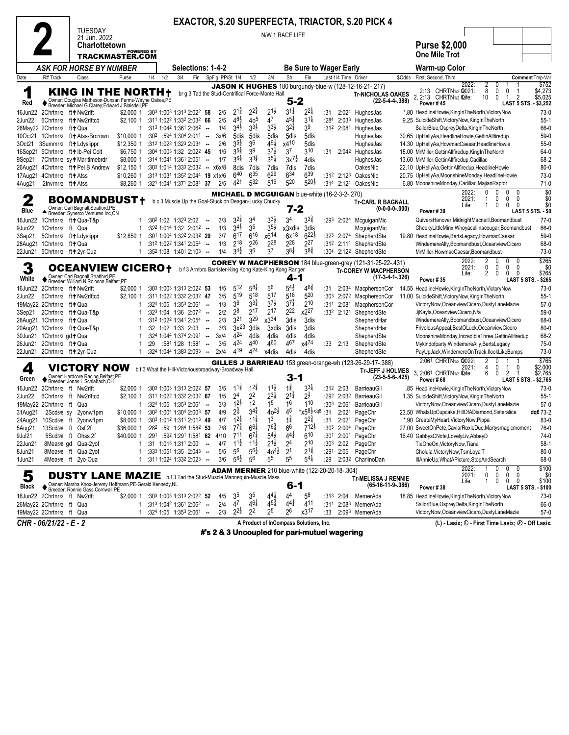|                   |                           |                                                                                   |                                                                                                                                     |                                                                                     |                                                        |                                   |                                   |                             |                      |                                                       |                  |                      | <b>EXACTOR, \$.20 SUPERFECTA, TRIACTOR, \$.20 PICK 4</b>          |        |                                                                                                     |                             |                                                |                                     |
|-------------------|---------------------------|-----------------------------------------------------------------------------------|-------------------------------------------------------------------------------------------------------------------------------------|-------------------------------------------------------------------------------------|--------------------------------------------------------|-----------------------------------|-----------------------------------|-----------------------------|----------------------|-------------------------------------------------------|------------------|----------------------|-------------------------------------------------------------------|--------|-----------------------------------------------------------------------------------------------------|-----------------------------|------------------------------------------------|-------------------------------------|
|                   |                           | <b>TUESDAY</b><br>21 Jun. 2022                                                    |                                                                                                                                     |                                                                                     |                                                        |                                   |                                   | N/W 1 RACE LIFE             |                      |                                                       |                  |                      |                                                                   |        |                                                                                                     |                             |                                                |                                     |
|                   |                           |                                                                                   | <b>Charlottetown</b>                                                                                                                |                                                                                     |                                                        |                                   |                                   |                             |                      |                                                       |                  |                      |                                                                   |        | <b>Purse \$2,000</b>                                                                                |                             |                                                |                                     |
|                   |                           |                                                                                   | <b>POWERED BY</b><br>TRACKMASTER.COM                                                                                                |                                                                                     |                                                        |                                   |                                   |                             |                      |                                                       |                  |                      |                                                                   |        | <b>One Mile Trot</b>                                                                                |                             |                                                |                                     |
|                   |                           |                                                                                   | ASK FOR HORSE BY NUMBER                                                                                                             | Selections: 1-4-2                                                                   |                                                        |                                   |                                   |                             |                      | <b>Be Sure to Wager Early</b>                         |                  |                      |                                                                   |        | <b>Warm-up Color</b>                                                                                |                             |                                                |                                     |
| Date              | R# Track                  | Class                                                                             | Purse                                                                                                                               | 1/4<br>1/2<br>3/4<br>Fin                                                            | SpFig PP/St 1/4                                        |                                   | 1/2                               | 3/4                         | Str                  | Fin                                                   |                  | Last 1/4 Time Driver |                                                                   | \$Odds | First, Second, Third                                                                                |                             |                                                | Comment Tmp-Var                     |
|                   |                           |                                                                                   |                                                                                                                                     |                                                                                     |                                                        |                                   |                                   |                             |                      |                                                       |                  |                      | <b>JASON K HUGHES</b> 180 burgundy-blue-w (128-12-16-21-.217)     |        | 2022:<br>2:13 CHRTN1/2 2021:                                                                        | 0<br>8<br>0                 | 0<br>-1                                        | \$752<br>\$4,273                    |
| 1<br>Red          |                           |                                                                                   | KING IN THE NORTH+<br>◆ Owner: Douglas Matheson-Dunsan Farms-Wayne Oakes, PE<br>◆ Breeder: Michael G Clarey; Edward J Blaisdell, PE |                                                                                     | br g 3 Tad the Stud-Centrifical Force-Monte Hall       |                                   |                                   |                             | $5 - 2$              |                                                       |                  |                      | <b>Tr-NICHOLAS OAKES</b><br>$(22-5-4-4-388)$                      |        | 2:13 CHRTN1/2 Qife:<br><b>Power #45</b>                                                             | 10<br>0                     | $\overline{2}$<br>$\overline{1}$               | \$5,025<br>LAST 5 STS. - \$3,252    |
| 16Jun22           |                           | 2Chrtn1/2 ft + Nw2rlft                                                            |                                                                                                                                     | \$2,000 1 :30 <sup>3</sup> 1:00 <sup>3</sup> 1:31 <sup>3</sup> 2:02 <sup>2</sup> 58 | 2/5                                                    | $2^{1\frac{3}{4}}$                | $2^{2\frac{3}{4}}$                | $2^{1\frac{1}{2}}$          | $3^{11}$             | $2^{2}$                                               | :31              |                      | 2:024 HughesJas                                                   |        | *.80 HeadlineHowie,KingInTheNorth,VictoryNow                                                        |                             |                                                | $73-0$                              |
| 2Jun22            |                           | 6Chrtn1/2 ft+Nw2rlftcd                                                            | \$2.1001                                                                                                                            | :311 1:022 1:332 2:032 66                                                           | 2/5                                                    | $48\frac{1}{2}$                   | 40 <sup>5</sup>                   | 47                          | $4^{51}$             | $3^{11}$                                              | :284             | 2:033                | HughesJas                                                         |        | 9.25 SuicideShift, VictoryNow, KingInTheNorth                                                       |                             |                                                | $55-1$                              |
|                   | 26May22 2Chrtn1/2 ft+ Qua |                                                                                   | 1                                                                                                                                   | $:3131:0421:3612:062$ -                                                             | 1/4                                                    | $3^{4}$                           | $3^{3}\frac{1}{2}$                | 33}                         | $3^{2}\frac{3}{4}$   | 3 <sup>9</sup>                                        |                  | :312 2:081           | HughesJas                                                         |        | SailorBlue, OspreyDelta, KingInTheNorth                                                             |                             |                                                | 66-0                                |
|                   |                           | 10Oct21 1Chrtn1/2 ft+ Atss-Brcrown                                                | \$10,000 1                                                                                                                          | $:30^2$ $:59^4$ 1:30 <sup>4</sup> 2:01 <sup>1</sup> -                               | 3x/6                                                   | 5dis                              | 5dis                              | 5dis                        | 5dis                 | 5dis                                                  |                  |                      | HughesJas                                                         |        | 30.65 UpHellyAa, HeadlineHowie, GettinAllfiredup                                                    |                             |                                                | $59-0$                              |
|                   |                           | 3Oct21 3Summ1/2 ft+Ldyslippr                                                      | \$12,350 1                                                                                                                          | :312 1:022 1:323 2:034 --                                                           | 2/6                                                    | $3^{5}\frac{1}{2}$                | 36                                | 49‡                         | x410                 | 5dis                                                  |                  |                      | HughesJas                                                         |        | 14.30 UpHellyAa, HowmacCaesar, HeadlineHowie                                                        |                             |                                                | $55-0$                              |
|                   |                           | 16Sep21 5Chrtn1/2 ft+Ib-Pei Colt                                                  | \$6,750 1                                                                                                                           | :304 1:003 1:32 2:022 45                                                            | 1/5                                                    | $35\frac{1}{4}$                   | 39                                | $3^{7}\frac{1}{2}$          | 37                   | 310                                                   | :31              |                      | 2:04 <sup>2</sup> HughesJas                                       |        | 18.00 MrMiller, Gettin Allfiredup, King In The North                                                |                             |                                                | 64-0                                |
| 9Sep21            |                           | 7Chrtn1/2 sy+Maritimebrdr                                                         | \$8,000 1                                                                                                                           | $:314$ 1:041 1:361 2:051 --                                                         | 1/7                                                    | $3^{6}\frac{1}{4}$<br>8dis        | $3^{3}\frac{3}{4}$                | $3^{51}$                    | $3x^{7}\frac{1}{2}$  | 4dis                                                  |                  |                      | HughesJas                                                         |        | 13.60 MrMiller, Gettin All firedup, Cadillac                                                        |                             |                                                | 68-2                                |
| 17Aug21           | 4Chrtn1/2 ft+Atss         | 26Aug21 4Chrtn1/2 ft+Pei B Andrew                                                 | \$12,150 1<br>\$10,260 1                                                                                                            | :303 1:014 1:333 2:032 - x6x/8<br>:313 1:031 1:352 2:044 19 x1x/6                   |                                                        | 640                               | 7dis<br>635                       | 7dis<br>629                 | 7dis<br>634          | 7dis<br>639                                           |                  |                      | OakesNic<br>:312 2:123 OakesNic                                   |        | 22.10 UpHellyAa, GettinAllfiredup, HeadlineHowie<br>20.75 UpHellyAa, MoonshineMonday, HeadlineHowie |                             |                                                | $80 - 0$<br>$73-0$                  |
| 4Aug21            | 2Invm1/2 ft+Atss          |                                                                                   | \$8,260 1                                                                                                                           | :321 1:041 1:371 2:084 37                                                           | 2/5                                                    | 421                               | 532                               | 519                         | $5^{20}$             | $5^{20}$                                              |                  |                      | :314 2:124 OakesNic                                               |        | 6.80 MoonshineMonday,Cadillac,MajianRaptor                                                          |                             |                                                | $71-0$                              |
|                   |                           |                                                                                   |                                                                                                                                     |                                                                                     |                                                        |                                   |                                   |                             |                      |                                                       |                  |                      |                                                                   |        | 2022:                                                                                               | 0<br>0                      | 0<br>0                                         | \$0                                 |
| 2                 |                           |                                                                                   | BOOMANDBUST+                                                                                                                        | b c 3 Muscle Up the Goal-Stuck on Deagan-Lucky Chucky                               |                                                        |                                   |                                   |                             |                      | MICHAEL D MCGUIGAN blue-white (16-2-3-2-.270)         |                  |                      | <b>Tr-CARL R BAGNALL</b>                                          |        | 2021:                                                                                               | 0<br>1                      | 0<br>0                                         | \$0                                 |
| Blue              |                           | Owner: Carl Bagnall.Stratford.PE                                                  |                                                                                                                                     |                                                                                     |                                                        |                                   |                                   |                             | 7-2                  |                                                       |                  |                      | $(0-0-0-0-000)$                                                   |        | Life:<br><b>Power #39</b>                                                                           | 0<br>1                      | 0<br>$\mathbf{0}$                              | \$0<br>LAST 5 STS. - \$0            |
|                   |                           | Breeder: Synerco Ventures Inc,ON                                                  |                                                                                                                                     | :30 <sup>2</sup> 1:02 1:32 <sup>3</sup> 2:02                                        | 3/3                                                    | $3^{2*}$                          | 3 <sup>4</sup>                    | $3^{3}\frac{1}{2}$          | 34                   | $3^{34}$                                              | :293             |                      |                                                                   |        | QuiversHanover, MidnightMacneill, Boomandbust                                                       |                             |                                                | $77-0$                              |
| 16Jun22<br>9Jun22 | 1Chrtn1/2 ft Qua          | 1 Chrtn1/2 ft + Qua-T&p                                                           | 1                                                                                                                                   | :322 1:014 1:32 2:012 --                                                            | 1/3                                                    | $3^{4}\frac{1}{2}$                | 35                                | $3^{5}\frac{1}{2}$          | x3xdis               | 3dis                                                  |                  |                      | 2:024 McguiganMic<br>McguiganMic                                  |        | CheekyLittleMinx, Whoyacallinacougar, Boomandbust                                                   |                             |                                                | 66-0                                |
| 3Sep21            |                           | 5Chrtn1/2 ft+Ldyslippr                                                            | \$12,850 1                                                                                                                          | :301 1:004 1:322 2:032 29                                                           | 3/7                                                    | $6^{17}$                          | 616                               | x614                        | $6x^{18}$            | $6^{22}$                                              |                  | $:32^3$ 2:074        | ShepherdSte                                                       |        | 19.80 HeadlineHowie, BertsLegacy, HowmacCaesar                                                      |                             |                                                | $59-0$                              |
|                   | 28Aug21 1Chrtn1/2 ft+Qua  |                                                                                   | $\mathbf{1}$                                                                                                                        | :312 1:022 1:341 2:054 --                                                           | 1/3                                                    | $2^{18}$                          | 226                               | 228                         | 228                  | 227                                                   |                  |                      | :312 2:111 ShepherdSte                                            |        | WindemereAlly,Boomandbust,OceanviewCicero                                                           |                             |                                                | 68-0                                |
|                   |                           | 22Jun21 5Chrtn1/2 ft+2yr-Qua                                                      | $\mathbf{1}$                                                                                                                        | $:352$ 1:08 1:401 2:103 -                                                           | 1/4                                                    | $3^{4}$                           | 36                                | 37                          | 38‡                  | $3^{8}\frac{3}{4}$                                    |                  |                      | :304 2:122 ShepherdSte                                            |        | MrMiller, HowmacCaesar, Boomandbust                                                                 |                             |                                                | $73-0$                              |
|                   |                           |                                                                                   |                                                                                                                                     |                                                                                     |                                                        |                                   |                                   |                             |                      |                                                       |                  |                      | <b>COREY W MACPHERSON</b> 184 blue-green-grey (121-31-25-22-.431) |        | 2022:                                                                                               | 0                           | $\mathbf{0}$<br>0                              | \$265                               |
|                   |                           |                                                                                   | OCEANVIEW CICERO+                                                                                                                   |                                                                                     | b f 3 Armbro Barrister-King Kong Kate-King Kong Ranger |                                   |                                   |                             |                      |                                                       |                  |                      | <b>Tr-COREY W MACPHERSON</b>                                      |        | 2021:                                                                                               | 0<br>0<br>2<br>$\mathbf{0}$ | 0<br>0<br>0<br>0                               | \$0<br>\$265                        |
| White             |                           | ◆ Owner: Carl Bagnall, Stratford, PE<br>◆ Breeder: William N Roloson, Belfast, PE |                                                                                                                                     |                                                                                     |                                                        |                                   |                                   |                             | 4-1                  |                                                       |                  |                      | (17-3-4-1-.326)                                                   |        | Life:<br><b>Power #35</b>                                                                           |                             | LAST 5 STS.                                    | - \$265                             |
| 16Jun22           |                           | 2Chrtn1/2 ft+Nw2rlft                                                              | \$2,000 1                                                                                                                           | :303 1:003 1:313 2:022 53                                                           | 1/5                                                    | 512                               | $5^{8}$                           | 56                          | 54}                  | $46\frac{3}{4}$                                       | :31              | 2:034                | MacphersonCor                                                     |        | 14.55 HeadlineHowie, KingInTheNorth, VictoryNow                                                     |                             |                                                | $73-0$                              |
| 2Jun22            |                           | 6Chrtn1/2 ft + Nw2rlftcd                                                          | $$2,100$ 1                                                                                                                          | :311 1:022 1:332 2:032 47                                                           | 3/5                                                    | 519                               | 518                               | 517                         | 518                  | 520                                                   | :30 <sup>3</sup> | 2:072                | MacphersonCor                                                     |        | 11.00 SuicideShift, VictoryNow, KingInTheNorth                                                      |                             |                                                | $55-1$                              |
|                   | 19May22 2Chrtn1/2 ft+ Qua |                                                                                   | 1                                                                                                                                   | $:324$ 1:05 1:353 2:061 $\ldots$                                                    | 1/3                                                    | 36                                | $3^{3}\frac{3}{4}$                | $3^{7}\frac{1}{2}$          | $3^{7\frac{3}{4}}$   | 210                                                   |                  | :311 2:081           | MacphersonCor                                                     |        | VictoryNow,OceanviewCicero,DustyLaneMazie                                                           |                             |                                                | $57-0$                              |
|                   |                           | 3Sep21 2Chrtn1/2 ft+Qua-T&p                                                       | 1                                                                                                                                   | :323 1:04 1:36 2:072 --                                                             | 2/2                                                    | 28                                | 217                               | $2^{17}$                    | 222                  | x227                                                  |                  | :332 2:124           | ShepherdSte                                                       |        | JjKayla, Oceanview Cicero, N/a                                                                      |                             |                                                | $59-0$                              |
|                   | 28Aug21 1Chrtn1/2 ft+Qua  |                                                                                   | 1                                                                                                                                   | :31 <sup>2</sup> 1:02 <sup>2</sup> 1:34 <sup>1</sup> 2:05 <sup>4</sup> --           | 2/3                                                    | 321                               | 329                               | x3 <sup>34</sup>            | 3dis                 | 3dis                                                  |                  |                      | ShepherdHar                                                       |        | WindemereAlly, Boomandbust, OceanviewCicero                                                         |                             |                                                | 68-0                                |
|                   |                           | 20Aug21 1Chrtn1/2 ft+Qua-T&p                                                      | 1                                                                                                                                   | :32 1:02 1:33 2:03                                                                  | 3/3<br>$\sim$                                          | $3x^{23}$                         | 3dis                              | 3xdis                       | 3dis                 | 3dis                                                  |                  |                      | ShepherdHar                                                       |        | FrivolousAppeal, BestOLuck, OceanviewCicero                                                         |                             |                                                | $80 - 0$                            |
|                   | 30Jun21 1Chrtn1/2 gd+Qua  |                                                                                   | 1                                                                                                                                   | :324 1:044 1:374 2:091                                                              | 3x/4<br>$\sim$                                         | 424                               | 4dis                              | 4dis                        | 4dis                 | 4dis                                                  |                  |                      | ShepherdSte                                                       |        | MoonshineMonday, IncredibleThree, GettinAllfiredup                                                  |                             |                                                | 68-2                                |
|                   | 26Jun21 2Chrtn1/2 ft+Qua  |                                                                                   | $\mathbf{1}$                                                                                                                        | :29<br>$:58^1$ 1:28 1:58 <sup>1</sup> -                                             | 3/5                                                    | 424                               | 440                               | 460                         | 467                  | x4 <sup>74</sup>                                      |                  | $:33$ 2:13           | ShepherdSte                                                       |        | Mykindofparty, WindemereAlly, BertsLegacy                                                           |                             |                                                | $75-0$                              |
|                   |                           | 22Jun21 2Chrtn1/2 ft+2yr-Qua                                                      | $\mathbf{1}$                                                                                                                        | :324 1:044 1:383 2:093 --                                                           | 2x/4                                                   | 419                               | 424                               | x4dis                       | 4dis                 | 4dis                                                  |                  |                      | ShepherdSte                                                       |        | PayUpJack, WindemereOnTrack, IlookLikeBumps                                                         |                             |                                                | $73-0$                              |
|                   |                           | VICTORY NOW                                                                       |                                                                                                                                     |                                                                                     |                                                        |                                   |                                   |                             |                      |                                                       |                  |                      | <b>GILLES J BARRIEAU</b> 153 green-orange-wh (123-26-29-17-.388)  |        | 2:061 CHRTN1/2 2022:<br>2021:                                                                       | 2<br>0<br>4<br>$\mathbf{0}$ | $\mathbf{1}$<br>$\mathbf{0}$<br>$\overline{1}$ | \$765<br>\$2,000                    |
| 4                 |                           | Owner: Hardcore Racing, Belfast, PE                                               |                                                                                                                                     | b f 3 What the Hill-Victoriousbroadway-Broadway Hall                                |                                                        |                                   |                                   |                             | 3-1                  |                                                       |                  |                      | <b>Tr-JEFF J HOLMES</b><br>$(23-5-5-6-425)$                       |        | 3.<br>2:061 CHRTN1/2 Qife:                                                                          | 0<br>6                      | 2<br>$\overline{1}$                            | \$2,765                             |
| Green             |                           | Breeder: Jonas L Schlabach, OH                                                    |                                                                                                                                     |                                                                                     |                                                        |                                   |                                   |                             |                      |                                                       |                  |                      |                                                                   |        | Power #68                                                                                           |                             |                                                | LAST 5 STS. - \$2,765               |
| 16Jun22           |                           | 2Chrtn1/2 ft Nw2rlft                                                              | \$2,000 1                                                                                                                           | :303 1:003 1:313 2:022 57                                                           | 3/5                                                    | $11\frac{3}{4}$                   | $1^{24}$                          | $11\frac{1}{2}$             | $1\frac{3}{4}$       | $3^{3\frac{1}{4}}$                                    |                  | :312 2:03            | BarrieauGil                                                       |        | .85 HeadlineHowie,KingInTheNorth,VictoryNow                                                         |                             |                                                | $73-0$                              |
| 2Jun22            |                           | 6Chrtn1/2 ft Nw2rlftcd                                                            | $$2,100$ 1                                                                                                                          | :311 1:022 1:332 2:032 67                                                           | 1/5                                                    | 2 <sup>4</sup><br>$12\frac{1}{2}$ | 22                                | $2^{3}\frac{1}{4}$          | $2^{1\frac{3}{4}}$   | $2^{\frac{1}{2}}$                                     | :292             | 2:032                | BarrieauGil                                                       |        | 1.35 SuicideShift, VictoryNow, KingInTheNorth                                                       |                             |                                                | $55-1$                              |
|                   | 19May22 2Chrtn1/2 ft      | Qua                                                                               | $\mathbf{1}$<br>\$10.000 1                                                                                                          | $:32^4$ 1:05 1:35 <sup>3</sup> 2:06 <sup>1</sup> -<br>:302 1:004 1:304 2:003 57     | 3/3<br>4/9                                             | 2‡                                | 1 <sup>2</sup><br>$3^{4^{3}_{4}}$ | 1 <sup>5</sup><br>$40^{21}$ | 1 <sup>6</sup><br>45 | 110<br>* $x5^{8\frac{1}{2} \text{ dq6}}$ :31          | :30 <sup>3</sup> | 2:061<br>2:021       | BarrieauGil<br>PageChr                                            |        | VictoryNow,OceanviewCicero,DustyLaneMazie                                                           |                             |                                                | $57-0$                              |
| 31Aug21           |                           | 2Scd5/8 sy 2yonw1pm<br>24Aug21 10Scd5/8 ft 2yonw1pm                               | \$8,000 1                                                                                                                           | :303 1:012 1:311 2:013 49                                                           | 4/7                                                    | $12\frac{1}{4}$                   | $11\frac{3}{4}$                   | 1 <sup>3</sup>              | $1\frac{3}{4}$       | $2^{2\frac{3}{4}}$                                    | :31              |                      | 2:021 PageChr                                                     |        | 23.50 WhatsUpCupcake, HillOfADiamond, Sisteralice<br>*.90 CreateMyHeart, VictoryNow, Pippa          |                             |                                                | dg6 73-2<br>83-0                    |
| 5Aug21            |                           | 13Scd5/8 ft Osf 2f                                                                | \$36,000 1                                                                                                                          | :282 :59 1:284 1:582 53                                                             | 7/8                                                    | $7^{7}_{4}$                       | $66\frac{1}{4}$                   | 76}                         | 6 <sup>6</sup>       | $7^{12}$                                              | :30 <sup>3</sup> |                      | 2:004 PageChr                                                     |        | 27.00 SweetOnPete, CaviarRoxieDue, Martysmagicmoment                                                |                             |                                                | 76-0                                |
| 9Jul21            |                           | 5Scd <sub>5/8</sub> ft Ohss 2f                                                    |                                                                                                                                     | \$40,000 1 :291 :592 1:291 1:581 62 4/10                                            |                                                        | 711                               | $6^{7}$                           | $5^{4}$                     | $4^{4}$              | 610                                                   |                  |                      | :301 2:001 PageChr                                                |        | 16.40 GabbysCNote,LovelyLiv,AbbeyD                                                                  |                             |                                                | 74-0                                |
| 22Jun21           |                           | 8Mea5/8 gd Qua-2yof                                                               | 1                                                                                                                                   | $:31$ 1:01 <sup>3</sup> 1:31 <sup>1</sup> 2:00                                      | 4/7<br>$\sim$                                          | $11\frac{1}{2}$                   | $11\frac{1}{2}$                   | $2^{1\frac{1}{2}}$          | 24                   | 210                                                   |                  | $:30^3$ 2:02         | PageChr                                                           |        | TieOneOn, VictoryNow, Tiana                                                                         |                             |                                                | $58-1$                              |
| 8Jun21            |                           | 8Mea5/8 ft Qua-2yof                                                               | 1                                                                                                                                   | $:333$ 1:051 1:35 2:043 --                                                          | 5/5                                                    | 5 <sup>6</sup>                    | $5^{6}\frac{1}{2}$                | $40^{41}$                   | 2 <sup>1</sup>       | $2^{1\frac{3}{4}}$                                    | :291             | 2:05                 | PageChr                                                           |        | Cholula, VictoryNow, TsmLoyalT                                                                      |                             |                                                | $80 - 0$                            |
| 1Jun21            |                           | 4Mea5/8 ft 2yo-Qua                                                                |                                                                                                                                     | $1$ :311 1:024 1:332 2:023 -                                                        | 3/6                                                    | $5^{6}\frac{1}{2}$                | 56                                | 55                          | 55                   | $5^{4}$                                               | :29              |                      | 2:032 CharlinoDan                                                 |        | IllAnnieUp, WhatAPicture, StopAndSearch                                                             |                             |                                                | 68-0                                |
|                   |                           |                                                                                   |                                                                                                                                     |                                                                                     |                                                        |                                   |                                   |                             |                      | <b>ADAM MERNER</b> 210 blue-white (122-20-20-18-.304) |                  |                      |                                                                   |        | 2022:                                                                                               | 0<br>1                      | 0<br>0                                         | \$100                               |
| 5                 |                           |                                                                                   |                                                                                                                                     | <b>DUSTY LANE MAZIE</b> b f 3 Tad the Stud-Muscle Mannequin-Muscle Mass             |                                                        |                                   |                                   |                             |                      |                                                       |                  |                      | <b>Tr-MELISSA J RENNIE</b>                                        |        | 2021:                                                                                               | 0<br>0                      | $\mathbf 0$<br>0                               | \$0                                 |
| Black             |                           | ♦ Breeder: Ronnie Gass, Cornwall, PE                                              | Owner: Marsha Knox-Jeremy Hoffmann, PE-Gerald Kennedy, NL                                                                           |                                                                                     |                                                        |                                   |                                   |                             | 6-1                  |                                                       |                  |                      | $(65-16-11-9-386)$                                                |        | Life:<br>Power #38                                                                                  | $\mathbf{1}$<br>0           | 0<br>$^{\circ}$                                | \$100<br><b>LAST 5 STS. - \$100</b> |
|                   |                           | 16Jun22 2Chrtn1/2 ft Nw2rlft                                                      |                                                                                                                                     | \$2,000 1 :303 1:003 1:313 2:022 52                                                 | 4/5                                                    | 35                                | 35                                | $4^{4}$                     | 44                   | 58                                                    |                  | $:313$ 2:04          | MernerAda                                                         |        | 18.85 HeadlineHowie, KingInTheNorth, VictoryNow                                                     |                             |                                                | 73-0                                |
|                   | 26May22 2Chrtn1/2 ft Qua  |                                                                                   |                                                                                                                                     | :313 1:042 1:361 2:062 --                                                           | 2/4                                                    | 47                                | $4^{61}$                          | $4^{5\frac{3}{4}}$          | $4^{4\frac{1}{4}}$   | 411                                                   | :311             |                      | 2:083 MernerAda                                                   |        | SailorBlue, OspreyDelta, KingInTheNorth                                                             |                             |                                                | 66-0                                |
|                   | 19May22 2Chrtn1/2 ft Qua  |                                                                                   |                                                                                                                                     | 1 :324 1:05 1:353 2:061 --                                                          | 2/3                                                    | $2^{2}\frac{1}{2}$                | $2^2$                             | 2 <sup>5</sup>              | 2 <sup>6</sup>       | x3 <sup>17</sup>                                      | :33              |                      | 2:093 MernerAda                                                   |        | VictoryNow,OceanviewCicero,DustyLaneMazie                                                           |                             |                                                | $57-0$                              |
|                   | $CHR - 06/21/22 - F - 2$  |                                                                                   |                                                                                                                                     |                                                                                     |                                                        |                                   |                                   |                             |                      | A Product of InCompass Solutions, Inc.                |                  |                      |                                                                   |        | (L) - Lasix: ① - First Time Lasix: Ø - Off Lasix                                                    |                             |                                                |                                     |

**#'s 2 & 3 Uncoupled for pari-mutuel wagering**

*CHR - 06/21/22 - E - 2* **A Product of InCompass Solutions, Inc. (L) - Lasix; v - First Time Lasix; x - Off Lasix<sup>a</sup>**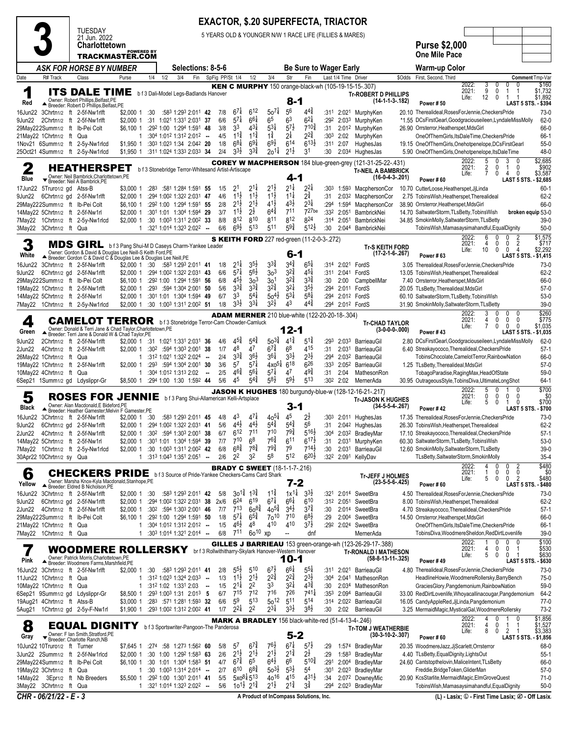### **3** TUESDAY 21 Jun. 2022 **Charlottetown TRACKMASTER.COM EXACTOR, \$.20 SUPERFECTA, TRIACTOR** 5 YEARS OLD & YOUNGER N/W 1 RACE LIFE (FILLIES & MARES) **Purse \$2,000 One Mile Pace** *ASK FOR HORSE BY NUMBER* **Selections: 8-5-6 Be Sure to Wager Early Warm-up Color** Date R# Track Class Purse 1/4 1/2 3/4 Fin SpFig PP/St 1/4 1/2 3/4 Str Fin Last 1/4 Time Driver \$Odds First, Second, Third **Comment**Tmp-Var Red **Red A** Owner: Robert Phillips,Belfast,PE<br>Breeder: Robert D Phillips,Belfast,PE<br>Um22 3Chrtn1/2 ft 2-5f-Nw1rlft ITS DALE TIME b f 3 Dali-Model Legs-Badlands Hanover KEN C MURPHY 150 orange-black-wh (105-19-15-15-.307) 8-1 **Tr-ROBERT D PHILLIPS (14-1-1-3-.182) Power # 50** 2022: 3 0 0 0 \$160 2021: 9 0 1 1 \$1,732<br>Life: 12 0 1 1 \$1,892  $$1<sub>892</sub>$ **LAST 5 STS. - \$394** 16Jun22 3Chrtn1/2 ft 2-5f-Nw1rlft \$2,000 1 :30 :58<sup>3</sup> 1:29<sup>3</sup> 2:01<sup>1</sup> **42** 7/8 6  $6^{7\frac{1}{4}}$   $6^{12}$  $12 \t 50^{7\frac{1}{4}}$  5  $5^6$   $4^{4^3}$ 4£ :31<sup>1</sup> 2:02<sup>1</sup> MurphyKen 20.10 Therealideal,RosesForJennie,CheckersPride 73-0  $\frac{1}{2}$ ,000 1 :31 1:02<sup>1</sup> 1:33<sup>1</sup> 2:03<sup>1</sup> **37** 6/6 5<sup>7</sup><br> $\frac{1}{2}$ 6,100 1 :29<sup>2</sup> 1:00 1:29<sup>4</sup> 1:59<sup>1</sup> **48** 3/8 3<sup>3</sup>  $5^{7}$ <sup>1</sup>  $6^{6\frac{1}{4}}$   $6^5$ 63  $6^{2\frac{1}{4}}$ <br>710 $\frac{3}{4}$ 2¢ :29<sup>2</sup> 2:03<sup>3</sup> MurphyKen \*1.55 DCsFirstGearl,Goodgraciouseileen,LyndaleMissMolly 62-0 29May222Summ1/2 ft Ib-Pei Colt \$6,100 1 :29<sup>2</sup> 1:00 1:29<sup>4</sup> 1:59<sup>1</sup> **48** 3/8 3  $4^{3}\frac{1}{4}$  $3\frac{1}{4}$   $5\frac{3}{4}$  5  $5^{7}$ 26.90 Orrsterror, Heatherspet, MdsGirl 66-0 21May22 1Chrtn1/2 ft Qua 1 :30<sup>4</sup> 1:01<sup>2</sup> 1:31<sup>2</sup> 2:01<sup>2</sup> **--** 4/5 1  $1^{1^{\frac{3}{4}}}_{6^{8^{\frac{1}{4}}}_{4}}$   $1^{1^{\frac{3}{4}}}_{6^{9^{\frac{1}{4}}}}$  $11\frac{3}{4}$   $1\frac{3}{4}$  $2\frac{1}{4}$  $2^{2^{3}_{4}}_{6^{13^{1}_{2}}}$ 2£ :30<sup>3</sup> 2:02 MurphyKen OneOfThemGirls,ItsDaleTime,CheckersPride 66-1 1Nov21 6Summ1/2 ft 2-5y-Nw1rlcd \$1,950 1 :30<sup>3</sup> 1:02<sup>3</sup> 1:34 2:04<sup>2</sup> **20** 1/8 6  $6^{8\frac{1}{4}}$   $6^{9\frac{1}{4}}$ <br>3<sup>3</sup>/<sub>2</sub> 3<sup>3</sup>/<sub>4</sub>  $9\frac{1}{4}$  6<sup>9</sup>/<sub>2</sub> 6  $6^{14}$   $6^{13}$ <br> $2^{11}$   $3^{1}$ 13¡ :31<sup>1</sup> 2:07 HughesJas 19.15 OneOfThemGirls,Onehotpenelope,DCsFirstGearl 55-0 25Oct21 4Summ1/2 ft 2-5y-Nw1rlcd  $3^{31}$  $3\frac{3}{4}$  2o<sup>11</sup>/<sub>4</sub> 2  $2^{1\frac{1}{2}}$ 1 :30 2:03<sup>4</sup> HughesJas 5.90 OneOfThemGirls,Onehotpenelope,ItsDaleTime 48-0  $\frac{2}{\text{Blue}}$ 17Jun22 5Truro1/2 gd Atss-B HEATHERSPET b f 3 Stonebridge Terror-Whitesand Artist-Artiscape Owner: Neil Bambrick,Charlottetown,PE Breeder: Neil A Bambrick,PE COREY W MACPHERSON 184 blue-green-grey (121-31-25-22-.431) 4-1 **Tr-NEIL A BAMBRICK (16-0-4-3-.201) Power # 60** 2022: 5 0 3 0 \$2,685<br>2021: 2 0 1 0 \$902 2021: 2 0<br>Life: 7 0 Life: 7 0 4 0 \$3,587 **LAST 5 STS. - \$2,685** \$3,000 1 :28<sup>3</sup> :58<sup>1</sup> 1:28<sup>4</sup> 1:59<sup>1</sup> 55 1/5 2<sup>1</sup><br>\$2,000 1 :29<sup>4</sup> 1:00<sup>2</sup> 1:32<sup>2</sup> 2:03<sup>1</sup> **47** 4/6 1<sup>1</sup>  $1$   $2^{1\frac{1}{4}}$  2  $2^{1\frac{1}{2}}$   $2^{1\frac{1}{4}}$ <br>11, 11, 11,  $2^{1\frac{1}{4}}$   $2^{2\frac{1}{4}}$ 2¢ :30<sup>3</sup> 1:59<sup>3</sup> MacphersonCor 10.70 CutterLoose,Heatherspet,JjLinda 60-1 9Jun22 6Chrtn1/2 gd 2-5f-Nw1rlft \$2,000 1 :29<sup>4</sup> 1:00<sup>2</sup> 1:32<sup>2</sup> 2:031 **47** 4/6 1<sup>11</sup>2<br>29Mav222Summ1/2 ft Ib-Pei Colt \$6.100 1 :29<sup>2</sup> 1:00 1:294 1:591 **55** 2/8 21<sup>1</sup>2  $1<sup>1</sup>$  $1<sup>1</sup>$  $1<sup>1</sup>⁄<sub>2</sub>$  $2^{\frac{3}{4}}$ <br> $2^{\frac{3}{4}}$ :31 2:03<sup>2</sup> MacphersonCor 2.75 TobinsWish, Heatherspet, Therealideal <br>:294 1:594 MacphersonCor 38.90 Orrsterror. Heatherspet. MdsGirl 29May222Summ1/2 ft Ib-Pei Colt \$6,100 1 :29<sup>2</sup> 1:00 1:29<sup>4</sup> 1:59<sup>1</sup> **55** 2/8 2  $1\frac{1}{2}$   $2\frac{1}{2}$  4  $4^{1}\frac{1}{2}$  $43\frac{1}{2}$   $23\frac{1}{4}$ <br>  $711$   $727$ be 38.90 Orrsterror, Heatherspet, MdsGirl 66-0 14May 2000 1 :30<sup>1</sup> 1:01 1:30<sup>4</sup> 1:59<sup>4</sup> **29** 3/7<br>1/30 1:00<sup>3</sup> 1:31<sup>1</sup> 2:00<sup>2</sup> **33** 8/8  $\overline{11}$   $\overline{2}$   $\overline{2}$   $\overline{2}$  $\frac{1}{2}$  6<sup>4</sup> $\frac{3}{4}$  7 7<sup>11</sup> 7<sup>27b</sup><br>8<sup>12</sup> 8<sup>24</sup> 27be :33<sup>2</sup> 2:05<sup>1</sup> BambrickNei 14.70 SaltwaterStorm,TLsBetty,TobinsWish **broken equip** 53-0 7May22 1Chrtn1/2 ft 2-5y-Nw1rlcd \$2,000 1 :30 1:00<sup>3</sup> 1:31<sup>1</sup> 2:00<sup>2</sup> **33** 8/8 8 812 810 811  $8^{12}$   $8^{24}$ <br> $5^{9\frac{3}{4}}$   $5^{12\frac{1}{2}}$ 24 :31<sup>4</sup> 2:05<sup>1</sup> BambrickNei 34.85 SmokinMolly,SaltwaterStorm,TLsBetty 39-0 1 :321 1:014 1:323 2:022 - $6^{9}\frac{1}{2}$ 513 511  $5^{9\frac{3}{4}}$ TobinsWish,Mamasaysimahandful,EqualDignity  $3$ <br>White **White ▲** Breeder: Gordon & David & Douglas Lee Neill-Skeith Ford,PL<br>16Jun22 3Chrtn1/2 ft 2-5f-Nw1rlft \$2,000 1 :30 :58<sup>3</sup> 1:29<sup>3</sup> 2:011 **41** 1/8 2 MDS GIRL b f 3 Pang Shui-M D Caseys Charm-Yankee Leader Owner: Gordon & David & Douglas Lee Neill-S Keith Ford,PE Breeder: Gordon C & David C & Douglas Lee & Douglas Lee Neill,PE S KEITH FORD 227 red-green (11-2-0-3-.272) 6-1 **Tr-S KEITH FORD (17-2-1-6-.267) Power # 63** 2022: 6 0 0 2 \$1,575 2021: 4 0 0 2<br>Life: 10 0 0 4 \$2.292 **LAST 5 STS. - \$1,415**  $2^{1\frac{1}{4}}$   $3^{5\frac{1}{2}}$ <br>5<sup>7</sup>  $4^{56\frac{1}{2}}$  $5\frac{1}{2}$   $3\frac{3}{4}$  3  $3^{4\frac{3}{4}}$   $6^{5\frac{1}{4}}$ <br> $3^{2\frac{3}{4}}$   $4^{5\frac{1}{4}}$ 5¢ :31<sup>4</sup> 2:02<sup>1</sup> FordS 3.05 Therealideal,RosesForJennie,CheckersPride 73-0 9Jun22 6Chrtn1/2 gd 2-5f-Nw1rlft \$2,000 1 :29<sup>4</sup> 1:00<sup>2</sup> 1:322 2:031 **43** 6/6 5<sup>71</sup><br>29Mav222Summ1/2 ft Ib-Pei Colt \$6.100 1 :292 1:00 1:294 1:591 56 6/8 4<sup>51</sup>  $5^{7}$ <sup>1</sup>  $3<sup>3</sup>$ 3  $3^{2\frac{3}{4}}$  4 5¢ :31<sup>1</sup> 2:04<sup>1</sup> FordS 13.05 TobinsWish,Heatherspet,Therealideal 62-2 29May222Summ1/2 ft Ib-Pei Colt \$6,100 1 :29<sup>2</sup> 1:00 1:29<sup>4</sup> 1:59<sup>1</sup> **56** 6/8 4  $30^3$ <br> $33^3$  $\frac{3}{2}$  30<sup>1</sup> 3  $3^{2\frac{3}{4}}$   $3^{3\frac{3}{4}}$ <br>32<sup>1</sup> 3<sup>5</sup><sup>1</sup> 3£ :30 2:00 CampbellMar 7.40 Orrsterror,Heatherspet,MdsGirl 66-0 19May22 1Chrtn1/2 ft 2-5f-Nw1rlft \$2,000 1 :29<sup>3</sup> :59<sup>4</sup> 1:30<sup>4</sup> 2:00<sup>1</sup> **50** 5/6 3  $3^{3}_{4}$  $3\frac{3}{4}$   $32\frac{3}{4}$  3  $35\frac{1}{2}$ <br> $58\frac{1}{4}$ 5¡ :29<sup>4</sup> 2:01<sup>1</sup> FordS 20.05 TLsBetty,Therealideal,MdsGirl 57-0 14May 22,000 1 :30<sup>1</sup> 1:01 1:30<sup>4</sup> 1:594 **49** 6/7<br>1/8 **52,000 1 :30 1:003 1:311 2:002 51 1/8**  $5^{4}$  $4\frac{1}{4}$  50 $\frac{4\frac{1}{2}}{5}$  5  $\frac{5^{3}\cancel{4}}{4^{3}}$ 8¢ :29<sup>4</sup> 2:01<sup>2</sup> FordS 60.10 SaltwaterStorm,TLsBetty,TobinsWish 53-0 7May22 1Chrtn1/2 ft 2-5y-Nw1rlcd  $3^{31}$  $3^{3}$  $3^{2}\frac{1}{2}$  $4^{4}$ 31.90 SmokinMolly,SaltwaterStorm,TLsBetty  $\frac{4}{9}$ **Green ▲** Owner: Donald & Terri Jane & Chad Taylor,Charlottetown,PE<br>Breeder: Terri Jane & Donald W & Chad Taylor,PE<br>.lun22 2Chrtn∢i? ft 2-5f-Nw1rlft \$2.000\_1 31 1·021. CAMELOT TERROR b f 3 Stonebridge Terror-Cam Chowder-Camluck ADAM MERNER 210 blue-white (122-20-20-18-.304) **12-1**<br> $41\frac{3}{4}$  51 **Tr-CHAD TAYLOR (3-0-0-0-.000) Power # 43** 2022: 3 0 0 0 \$260 2021: 4 0<br>Life: 7 0 Life: 7 0 0 0 \$1,035 **LAST 5 STS. - \$1,035** 9Jun22 2Chrtn1/2 ft 2-5f-Nw1rlft \$2,000 1 :31 1:02<sup>1</sup> 1:33<sup>1</sup> 2:03<sup>1</sup> **36** 4/6 4  $45\frac{3}{4}$   $54\frac{3}{4}$  $4\frac{3}{4}$  50 $\frac{3\frac{3}{4}}{4}$  4  $4^{1\frac{3}{4}}$   $5^{1\frac{3}{4}}$ <br>6<sup>8</sup> 4<sup>15</sup> 1£ :29<sup>3</sup> 2:03<sup>3</sup> BarrieauGil 2.80 DCsFirstGearl,Goodgraciouseileen,LyndaleMissMolly 62-0 2Jun22 4Chrtn1/2 ft 2-5f-Nw1rlft \$2,000 1 :30<sup>2</sup> :59<sup>4</sup> 1:30<sup>3</sup> 2:00<sup>1</sup> **38** 1/7 4  $4^7\,$  $6^{7\frac{3}{4}}$  $^{7\frac{3}{4}}$  6<sup>8</sup> 4  $15$   $131$   $2.031$  BarrieauGil  $16.40$  Streakayococo,Therealideal,CheckersPride  $2^{3}\frac{1}{2}$   $12^{3}$   $12^{3}$   $12^{3}$   $12^{3}$   $12^{3}$   $12^{3}$   $12^{3}$   $12^{3}$   $12^{3}$   $12^{3}$   $12^{3}$   $12^{3}$   $12^{3}$   $12^{3}$   $12^{3}$   $12^{3}$  26May22 1Chrtn1/2 ft Qua 1 :31<sup>2</sup> 1:02<sup>1</sup> 1:32<sup>2</sup> 2:02<sup>4</sup> **--** 2/4 3  $3^{3}_{4}$  $3^{6}\frac{1}{2}$  $3^{64}$  $3^{3\frac{1}{2}}$   $2^{3\frac{1}{2}}$ <br>618 626 3¡ :29<sup>4</sup> 2:03<sup>2</sup> BarrieauGil TobinsChocolate,CamelotTerror,RainbowNation 66-0 19May22 1Chrtn1/2 ft 2-5f-Nw1rlft \$2,000 1 :29<sup>3</sup> :59<sup>4</sup> 1:30<sup>4</sup> 2:00<sup>1</sup> **30** 3/6 5  $57\frac{1}{4}$  $4x0^{5\frac{1}{4}}$  6<sup>18</sup><br>5<sup>7</sup> 4<sup>7</sup> 618 26 :33<sup>3</sup> 2:05<sup>2</sup> BarrieauGil 1.25 TLsBetty,Therealideal,MdsGirl 57-0 10May22 4Chrtn1/2 ft Qua 1 :30<sup>4</sup> 1:01<sup>2</sup> 1:31<sup>3</sup> 2:02 **--** 2/5 4<sup>6</sup><br>6Sep21 1Summ1/2 ad Ldvslippr-Gr \$8.500 1 :29<sup>4</sup> 1:00 1:30 1:59<sup>2</sup> 44 5/6 4<sup>5</sup>  $4^{6}\frac{3}{4}$  $5^{6}$  $5^{7\frac{1}{4}}$  $49\frac{3}{4}$ <br>513 TobagoParadise,RagingMax,HeadOfState 6Sep21 1Summ1/2 gd Ldyslippr-Gr 5  $5^{4\frac{3}{4}}$  5  $5^{8}\frac{1}{2}$  $59\frac{1}{2}$ 13 :30<sup>2</sup> 2:02 MernerAda 30.95 OutrageousStyle,TobinsDiva,UltimateLongShot 64-1  $5<sub>Black</sub>$ 16.lun22 3Chrtn1/2 ft 2-5f-Nw1rlft ROSES FOR JENNIE b f 3 Pang Shui-Allamerican Kelli-Artsplace Owner: Alan Macdonald,E Bideford,PE Breeder: Heather Gamester;Melvin F Gamester,PE JASON K HUGHES 180 burgundy-blue-w (128-12-16-21-.217) 3-1 **Tr-JASON K HUGHES (34-5-5-4-.267) Power # 42** 2022: 5 0 1 0 \$700<br>2021: 0 0 0 0 \$0 2021: 0 0 0 0 \$0 Life: 5 0 1 0 \$700 **LAST 5 STS.** \$2,000 1 :30 :583 1:293 2:011 **45** 4/8 4<sup>3</sup>  $47\frac{1}{4}$  $7\frac{1}{4}$  40<sup>51</sup> 4  $4^5$   $2^1$ <br>54<sup>3</sup> 56 ¡ :30<sup>3</sup> 2:01<sup>1</sup> HughesJas 17.35 Therealideal,RosesForJennie,CheckersPride 73-0 9Jun22 6Chrtn1/2 gd 2-5f-Nw1rlft \$2,000 1 :29<sup>4</sup> 1:00<sup>2</sup> 1:32<sup>2</sup> 2:03<sup>1</sup> **41** 5/6 4  $44\frac{1}{2}$  $4^{4}$  $5^{4\frac{3}{4}}$   $5^{4\frac{3}{4}}$ <br>710 793  $5^{4}$ 6 :31 2:04<sup>2</sup> HughesJas 26.30 TobinsWish,Heatherspet,Therealideal 62-2 2,000 1 :30<sup>2</sup> :59<sup>4</sup> 1:30<sup>3</sup> 2:00<sup>1</sup> 38 6/7<br>2000 1 :30<sup>1</sup> 1:01 1:30<sup>4</sup> 1:59<sup>4</sup> 39 7/7  $6^{12}$  7<sup>1</sup><br>7<sup>10</sup> 6<sup>8</sup> 711 710  $5^{16\frac{1}{2}}$ <br>6<sup>17</sup> $\frac{1}{2}$ 19° 2:032 BradleyMar 17.10 Streakayococo,Therealideal,CheckersPride 57-1<br>2:031 MurphyKen 60.30 SaltwaterStorm,TLsBetty,TobinsWish 53-0 14May22 5Chrtn<sub>1/2</sub> ft 2-5f-Nw1rl 710  $8 \t 76\frac{3}{4} \t 6$  $611$ <br> $79$ :31 2:031 MurphyKen 60.30 SaltwaterStorm,TLsBetty,TobinsWish 53-0 7May22 1Chrtn1/2 ft 2-5y-Nw1rlcd \$2,000 1 :30 1:00<sup>3</sup> 1:31<sup>1</sup> 2:00<sup>2</sup> **42** 6/8 6  $68\frac{3}{4}$  $78\frac{3}{4}$  $79\frac{3}{4}$  $7^{14}$ <br>6<sup>20</sup><sup>1</sup> 14¡ :30 2:03<sup>1</sup> BarrieauGil 12.60 SmokinMolly,SaltwaterStorm,TLsBetty 39-0 30Apr22 10Chrtn<sub>1/2</sub> sy Qua 1:043 1:043 1:043 1:043 1:043 1:051 2:051 2:051 2:051 2:051 2:051 2:05 32 2 5 8 5 512 TLsBetty,SaltwaterStorm,SmokinMolly 35-4  $6<sub>Yellow</sub>$ 16Jun22 3Chrtn<sub>1/2</sub> ft 2-5f-Nw1rlft CHECKERS PRIDE **bf3** Source of Pride-Yankee Checkers-Cams Card Sha Owner: Marsha Knox-Kyla Macdonald,Stanhope,PE Breeder: Eldred B Nicholson,PE **BRADY C SWEET** (18-1-1-7-216) 7-2 **Tr-JEFF J HOLMES (23-5-5-6-.425) Power # 60** 2022: 4 0 0 2 \$480<br>2021: 1 0 0 0 \$0<br>Life: 5 0 0 2 \$480 2021: 1 0 0 0 \$0 Life: 5 0 0 2 \$480 **LAST 5 STS. - \$480** 16Jun22 3Chrtn1/2 ft 2-5f-Nw1rlft \$2,000 1 :30 :58<sup>3</sup> 1:29<sup>3</sup> 2:01<sup>1</sup> **42** 5/8 3o  $1\frac{3}{4}$  1 $3\frac{3}{4}$  1  $1\frac{3}{4}$   $1 \times 1\frac{1}{4}$  3  $3^{3\frac{1}{2}}$  :321 2:014 SweetBra 4.50 Therealideal, RosesForJennie, CheckersPride 73-0 9Jun22 6Chrtn1/2 gd 2-5f-Nw1rlft \$2,000 1 :29<sup>4</sup> 1:00<sup>2</sup> 1:32<sup>2</sup> 2:03<sup>1</sup> **38** 2x/6 6 24 6 619  $6^{7\frac{1}{4}}$  $6^{6\frac{1}{4}}$  6<sup>10</sup><br>3<sup>4</sup>/<sub>2</sub> 3<sup>7</sup>/<sub>4</sub> 10 :31<sup>2</sup> 2:05<sup>1</sup> SweetBra 8.00 TobinsWish,Heatherspet,Therealideal 62-2 2Jun22 4Chrtn1/2 ft 2-5f-Nw1rlft \$2,000 1 :30<sup>2</sup> :59<sup>4</sup> 1:30<sup>3</sup> 2:00<sup>1</sup> **46** 7/7 7  $60\frac{83}{4}$ <br> $65\frac{3}{4}$  $\frac{8\frac{3}{4}}{4}$  40<sup>5 $\frac{3}{4}$ </sup> 3  $3^{4\frac{1}{2}}$   $3^{7\frac{3}{4}}$ <br>7<sup>10</sup> 6<sup>8</sup> 7£ :30 2:01<sup>4</sup> SweetBra 4.70 Streakayococo,Therealideal,CheckersPride 57-1 29May222Summ1/2 ft Ib-Pei Colt \$6,100 1 :29<sup>2</sup> 1:00 1:29<sup>4</sup> 1:59<sup>1</sup> **50** 1/8 5  $5^{7\frac{1}{4}}$  6<sup>5</sup><br>4<sup>6</sup> $\frac{1}{2}$  4<sup>8</sup>  $5\frac{3}{4}$  70<sup>10</sup> 7  $7^{10}$   $6^{8\frac{1}{2}}$ <br>4<sup>10</sup> 3<sup>71</sup>/<sub>2</sub> 8¡ :29 2:00<sup>4</sup> SweetBra 14.50 Orrsterror,Heatherspet,MdsGirl 66-0 21 **121may** 121012 1:312 1:012 **--** 1/5 4<sup>6<sub>1</sub><br>1 :30<sup>3</sup> 1:014 1:321 2:014 -- 6/8 711</sup>  $46\frac{1}{2}$ 8 4  $410$  $410$ 7¡ :29<sup>2</sup> 2:02<sup>4</sup> SweetBra OneOfThemGirls,ItsDaleTime,CheckersPride 66-1 7May22 1Chrtn1/2 ft Qua 1 :30<sup>3</sup> 1:01<sup>4</sup> 1:32<sup>1</sup> 2:01<sup>4</sup> **--** 6/8 7 11 6o 10 xp -- dnf MernerAda TobinsDiva,WoodmereSheldon,RedDirtLovenlife 39-0  $\sum_{\text{pink}}$ **Pink ▲** Breeder: Wormstrand Mems, Charlotterlown, PLE<br>16Jun22 3Chrtn1/2 ft 2-5f-Nw1rlft \$2,000 1 :30 :58<sup>3</sup> 1:29<sup>3</sup> 2:01<sup>1</sup> 41 2/8 5 WOODMERE ROLLERSKY br f 3 Rollwithitharry-Skylark Hanover-Western Hanover Owner: Patrick Morris, Charlottetown, PI ■ Breeder: Woodmere Farms,Marshfield,PE<br>3Chrtn1/2 ft 2-5f-Nw1rlft \$2,000,1 GILLES J BARRIEAU 153 green-orange-wh (123-26-29-17-.388) 10-1 **Tr-RONALD I MATHESON (58-8-13-11-.325) Power # 49** 2022: 1 0 0 0 \$100 2021: 4 0 0 1 \$530 Life: 5 0 0 1 \$630 **LAST 5 STS. - \$630**  $5^{51}$ 510  $6^{7\frac{1}{2}}$  $6^{6\frac{1}{4}}$   $5^{5\frac{1}{4}}$ <br>2<sup>2</sup> 2<sup>3</sup> 5¢ :31<sup>1</sup> 2:02<sup>1</sup> BarrieauGil 4.80 Therealideal,RosesForJennie,CheckersPride 73-0 11Jun22 1Chrtn1/2 ft Qua 1 :31<sup>2</sup> 1:02<sup>3</sup> 1:32<sup>4</sup> 2:03<sup>3</sup> **--** 1/3 1  $1^{11/2}$   $2^{11/2}$ <br> $2^{11/2}$   $2^{2}$  $2^{1\frac{1}{2}}$  $2^{2^{\frac{3}{4}}}$  $2^{2\frac{3}{4}}$   $2^{3\frac{1}{2}}$ <br>32 $\frac{1}{4}$  43 $\frac{3}{4}$ 3¡ :30<sup>4</sup> 2:04<sup>1</sup> MathesonRon HeadlineHowie,WoodmereRollersky,BarryBench 75-0 10May22 1Chrtn1/2 ft Qua 1 :31<sup>2</sup> 1:02 1:33<sup>1</sup> 2:03 **--** 1/5 2  $2^{1\frac{1}{4}}$ 33 3  $3^{2\frac{1}{4}}$  4 43 $^{34}_{4}$  :30 2:034 MathesonRon GraciesGlory,Pangdemonium,RainbowNation 741 $^{41}_{4}$  :353 2:094 BarrieauGil 33.00 RedDirtLovenlife,Whoyacallinacougar,Pangde  $$8,500$  1 :29<sup>3</sup> 1:00<sup>3</sup> 1:31 2:01<sup>3</sup> 5 6/7 7<sup>13</sup><br>\$3,000 1 :283 :571 1:281 1:593 **32** 6/6 5<sup>9</sup>  $715$  $7^{12}$  $716$  $7^{26}$   $7^{41}$ <br>511 514 41¢ :35<sup>3</sup> 2:09<sup>4</sup> BarrieauGil 33.00 RedDirtLovenlife,Whoyacallinacougar,Pangdemonium 64-2 19Aug21 4Chrtn1/2 ft Atss-B \$3,000 1 :28<sup>3</sup> :57<sup>1</sup> 1:28<sup>1</sup> 1:59<sup>3</sup> **32** 6/6 5  $\frac{5^{13}}{2^2}$  $13 \t 50^{12} \t 5$  $5^{11}$   $5^{14}$ <br> $3^{3}\frac{1}{2}$   $3^{8}\frac{1}{2}$ 16 05 CandyAppleRed,JiLinda,Pangdemonium 77-0 5Aug21 1Chrtn1/2 gd 2-5y-F-Nw1rl \$1,900 1  $2^{21}$ 2  $2^{3\frac{1}{4}}$  3  $3^{31}$ 8¡ :30 2:02 BarrieauGil 3.25 MermaidMagic,MysticalGal,WoodmereRollersky 73-2  $\mathbf{g}_{\text{grav}}$ 10Jun22 10Truro1/2 ft Turner EQUAL DIGNITY b f 3 Sportswriter-Pangoon-The Panderosa Owner: F Ian Smith,Stratford,PE Breeder: Charlotte Ranch,NB MARK A BRADLEY 156 black-white-red (51-4-13-4-.246) 5-2 **Tr-TOM J WEATHERBIE (30-3-10-2-.307) Power # 60** 2022: 4 0 1 0 \$1,856 2021: 4 0 1 1 \$1,527<br>Life: 8 0 2 1 \$3,383 Life: 8 0 2 1 \$3,383 **LAST 5 STS. - \$1,856** 10Jun22 10Truro1/2 ft Turner \$7,645 1 :27<sup>4</sup> :58 1:27<sup>3</sup> 1:56<sup>2</sup> **60** 5/8 5  $67$  $7\frac{3}{4}$   $76\frac{1}{2}$  6  $67\frac{1}{4}$   $57\frac{1}{2}$ <br>21 $\frac{3}{4}$  2 $\frac{1}{2}$ 7¡ :29 1:57<sup>4</sup> BradleyMar 20.35 WoodmereJazz,JjScarlett,Orrsterror 68-0 \$2,000 1 :30 1:00 1:29<sup>2</sup> 1:58<sup>3</sup> **63** 2/6<br>\$6,100 1 :30 1:01 1:304 1:58<sup>3</sup> 51 4/7  $2^{1\frac{1}{2}}$   $2^{1}$ <br>6<sup>7</sup> $\frac{3}{4}$  6<sup>5</sup>  $2^{1\frac{1}{2}}$  $\begin{array}{r} 2^{11} & 2^{1} \\ 6^{41} & 6^6 \end{array}$  $2^{1\frac{3}{4}}$ ¡ :29 1:58<sup>3</sup> BradleyMar 4.40 TLsBetty,EqualDignity,LightsOut 55-1 29May224Summ1/2 ft Ib-Pei Colt \$6,100 1 :30 1:01 1:30<sup>4</sup> 1:58<sup>3</sup> **51** 4/7 6  $6^{7\frac{3}{4}}$   $6^{5}$ <br> $6^{10}$   $6^{8\frac{3}{4}}$  $5 \t 6^{4\frac{1}{2}} \t 6$  $5^{10\frac{3}{4}}$ 2:004 BradleyMar 24.60 Cantstopthelovin,MaliceIntent,TLsBetty<br>2:023 BradleyMar Freddie.BridgeToken.GliderMan 19May22 3Chrtn1/2 ft Qua 1 :30 1:00<sup>3</sup> 1:31<sup>4</sup> 2:01<sup>4</sup> **--** 2/7 6  $5x0^{8\frac{1}{4}}5^{13}$  $8\frac{3}{4}$  50<sup>31</sup>/<sub>2</sub> 5  $\frac{53\frac{1}{2}}{4^{15}}$   $\frac{54}{4^{31\frac{1}{2}}}$ 4 :30<sup>1</sup> 2:02<sup>3</sup> BradleyMar Freddie,BridgeToken,GliderMan 57-0 14May22 3Epr1/2 ft Nb Breeders  $13 \t 40^{16} \t 4$  $4^{15}$   $4^3$ <br> $2^{1^3}$   $3^{\frac{3}{4}}$ :34 2:072 DowneyMic 20.90 KcsStarlite,MermaidMagic,ElmGroveQuest 71-0 3May22 3Chrtn1/2 ft Qua 1 :32<sup>1</sup> 1:01<sup>4</sup> 1:32<sup>3</sup> 2:02<sup>2</sup> **--** 5/6 1o  $1\frac{1}{2}$  2 $1\frac{3}{4}$  2  $2^{1\frac{1}{2}}$  $2^{1\frac{3}{4}}$ £ :29<sup>4</sup> 2:02<sup>3</sup> BradleyMar TobinsWish,Mamasaysimahandful,EqualDignity 50-0

*CHR - 06/21/22 - E - 3* **A Product of InCompass Solutions, Inc. (L) - Lasix; v - First Time Lasix; x - Off Lasix<sup>a</sup>**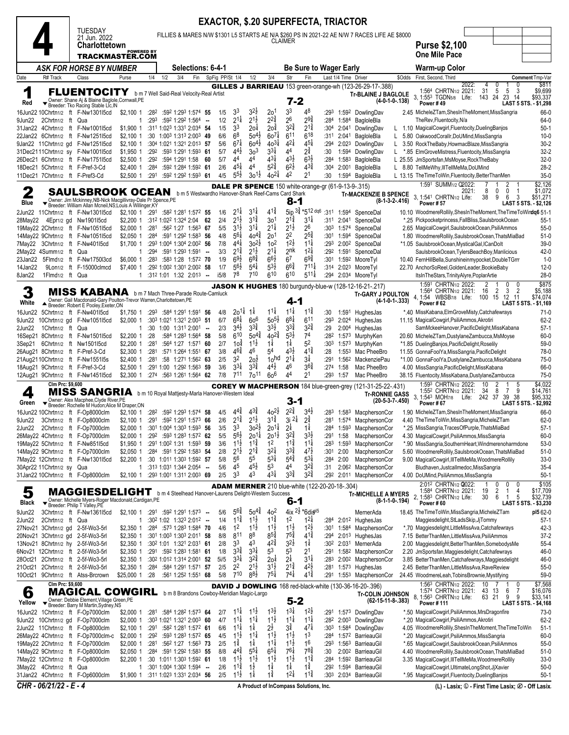|                    |                                                   | <b>EXACTOR, \$.20 SUPERFECTA, TRIACTOR</b><br>TUESDAY<br>FILLIES & MARES N/W \$1301 L5 STARTS AE N/A \$260 PS IN 2021-22 AE N/W 7 RACES LIFE AE \$8000<br>21 Jun. 2022<br>CLAIMER<br>Charlottetown<br><b>POWERED BY</b><br>TRACKMASTER.COM<br>Be Sure to Wager Early<br>ASK FOR HORSE BY NUMBER<br><b>Selections: 6-4-1</b> |                                                                                                                                                                           |                                     |              |     |                                                                                                                                          |                          |                 |                                          |                                          |                                           |                                          |                                                       |              |                      |                                                                                                          |        |                                                                                                       |                  |                                           |                                                          |
|--------------------|---------------------------------------------------|-----------------------------------------------------------------------------------------------------------------------------------------------------------------------------------------------------------------------------------------------------------------------------------------------------------------------------|---------------------------------------------------------------------------------------------------------------------------------------------------------------------------|-------------------------------------|--------------|-----|------------------------------------------------------------------------------------------------------------------------------------------|--------------------------|-----------------|------------------------------------------|------------------------------------------|-------------------------------------------|------------------------------------------|-------------------------------------------------------|--------------|----------------------|----------------------------------------------------------------------------------------------------------|--------|-------------------------------------------------------------------------------------------------------|------------------|-------------------------------------------|----------------------------------------------------------|
|                    |                                                   |                                                                                                                                                                                                                                                                                                                             |                                                                                                                                                                           |                                     |              |     |                                                                                                                                          |                          |                 |                                          |                                          |                                           |                                          |                                                       |              |                      |                                                                                                          |        |                                                                                                       |                  |                                           |                                                          |
|                    |                                                   |                                                                                                                                                                                                                                                                                                                             |                                                                                                                                                                           |                                     |              |     |                                                                                                                                          |                          |                 |                                          |                                          |                                           |                                          |                                                       |              |                      |                                                                                                          |        | <b>Purse \$2,100</b><br><b>One Mile Pace</b>                                                          |                  |                                           |                                                          |
|                    |                                                   |                                                                                                                                                                                                                                                                                                                             |                                                                                                                                                                           |                                     |              |     |                                                                                                                                          |                          |                 |                                          |                                          |                                           |                                          |                                                       |              |                      |                                                                                                          |        | Warm-up Color                                                                                         |                  |                                           |                                                          |
| Date               | R# Track                                          |                                                                                                                                                                                                                                                                                                                             | Class                                                                                                                                                                     | Purse                               | 1/4          | 1/2 | 3/4<br>Fin                                                                                                                               |                          | SpFig PP/St 1/4 |                                          | 1/2                                      | 3/4                                       | Str                                      | Fin                                                   |              | Last 1/4 Time Driver |                                                                                                          | \$Odds | First, Second, Third                                                                                  |                  |                                           | Comment Tmp-Va                                           |
| 1                  |                                                   |                                                                                                                                                                                                                                                                                                                             | <b>FLUENTOCITY</b>                                                                                                                                                        |                                     |              |     | b m 7 Well Said-Real Velocity-Real Artist                                                                                                |                          |                 |                                          |                                          |                                           |                                          |                                                       |              |                      | <b>GILLES J BARRIEAU</b> 153 green-orange-wh (123-26-29-17-.388)                                         |        | 1:564 CHRTN1/2 2021:                                                                                  | 2022:<br>4<br>31 | 0<br>0<br>5<br>5<br>3                     | \$811<br>\$9,699                                         |
| Red                |                                                   |                                                                                                                                                                                                                                                                                                                             | Vener: Shane Aj & Blaine Baglole, Cornwall, PE<br>Feeder: Tko Racing Stable Llc, IN                                                                                       |                                     |              |     |                                                                                                                                          |                          |                 |                                          |                                          |                                           | $7 - 2$                                  |                                                       |              |                      | <b>Tr-BLAINE J BAGLOLE</b><br>$(4-0-1-0-138)$                                                            |        | 3, 1:553 TGDN5/8 Life:<br>Power #49                                                                   | 143 24           | 23<br>14                                  | \$93,337<br>LAST 5 STS. - \$1,298                        |
|                    | 16Jun22 10Chrtn1/2 ft                             |                                                                                                                                                                                                                                                                                                                             | F-Nw1301l5cd                                                                                                                                                              | \$2,100 1                           | :282         |     | :592 1:293 1:574 55                                                                                                                      |                          | 1/5             | 33                                       | $3^{2}z$                                 | 20 <sup>1</sup>                           | 33                                       | 48                                                    | :293         |                      | 1:592 DowlingDav                                                                                         |        | 2.45 MicheleZTam, ShesInTheMoment, MissSangria                                                        |                  |                                           | 66-0                                                     |
| 9Jun22             | 2Chrtn <sub>1/2</sub> ft                          |                                                                                                                                                                                                                                                                                                                             | Qua<br>31Jan22 4Chrtn1/2 ft F-Nw100115cd                                                                                                                                  | 1<br>\$1,900 1                      | :293         |     | :592 1:292 1:564 -<br>:311 1:023 1:331 2:034 54                                                                                          |                          | 1/2<br>1/5      | $2^{1\frac{1}{4}}$<br>33                 | $2^{1\frac{1}{2}}$<br>20 <sup>†</sup>    | $2^{2^{3}_{4}}$<br>$2$ o $\frac{3}{4}$    | 26<br>$3^{24}$                           | $2^{9\frac{3}{4}}$<br>$2^{1\frac{3}{4}}$              | :284<br>:304 | 1:584<br>2:041       | BagloleBla<br>DowlingDav                                                                                 | L.     | TheRev, Fluentocity, N/a<br>1.10 MagicalCowgirl, Fluentocity, Dueling Banjos                          |                  |                                           | 64-0<br>$50-1$                                           |
|                    | 22Jan22 6Chrtn1/2 ft                              |                                                                                                                                                                                                                                                                                                                             | F-Nw1251l5cd                                                                                                                                                              | \$2.1001                            | :30          |     | 1:003 1:313 2:003 49                                                                                                                     |                          | 6/6             | 6 <sup>8</sup>                           | $50^{4}$                                 | $60^{7}$                                  | 6 <sup>11</sup>                          | $6^{18}$                                              | :311         | 2:041                | BagloleBla                                                                                               | L      | 5.80 OakwoodCorallr,DoUMind,MissSangria                                                               |                  |                                           | $10 - 0$                                                 |
|                    |                                                   |                                                                                                                                                                                                                                                                                                                             | 9Jan22 11Chrtn1/2 gd F-Nw1251l5cd<br>31Dec2111Chrtn1/2 sy F-Nw1001l5cd                                                                                                    | \$2,100 1<br>\$1,950 1              | :292         |     | :304 1:021 1:321 2:013 57<br>:593 1:291 1:593 61                                                                                         |                          | 5/6<br>5/7      | $6^{7}$<br>$44\frac{1}{2}$               | $60^{4}$<br>3 <sup>3</sup>               | $40^{31}$<br>$3^{3}\frac{1}{4}$           | $4^{21}$<br>44                           | $4^{5}$<br>$2^{\frac{3}{4}}$                          | :294<br>:30  | 1:594                | 2:023 DowlingDav<br>DowlingDav                                                                           | L<br>L | 3.50 RockTheBaby,HowmacBlaze,MissSangria<br>*.85 ElmGroveMistress, Fluentocity, MissSangria           |                  |                                           | $30 - 2$<br>$32 - 2$                                     |
|                    |                                                   |                                                                                                                                                                                                                                                                                                                             | 26Dec21 6Chrtn1/2 ft F-Nw1751l5cd                                                                                                                                         | \$2.5001                            | :292         |     | :594 1:291 1:58 60                                                                                                                       |                          | 5/7             | 44                                       | 44                                       | $4^{3}\frac{1}{4}$                        | $4^{3}\frac{1}{2}$                       | $6^{3}\frac{1}{2}$                                    | :284         | 1:583                | BagloleBla                                                                                               |        | L 25.55 JmSportsfan, MsMoyse, RockTheBaby                                                             |                  |                                           | $32-0$                                                   |
|                    |                                                   |                                                                                                                                                                                                                                                                                                                             | 18Dec21 5Chrtn1/2 ft F-Pref-3-Cd<br>11Dec21 7Chrtn1/2 ft F-Pref3-Cd                                                                                                       | \$2,400 1<br>\$2,500 1              | :284         |     | :592 1:284 1:592 61<br>:291 :592 1:292 1:593 61                                                                                          |                          | 2/6<br>4/5      | $4^{51}$<br>$5^{5\frac{1}{2}}$           | 44<br>$30^{11}$                          | $5^{2^{3}_{4}}$<br>$40^{21}$              | $6^{21}$<br>42                           | $4^{3}\frac{3}{4}$<br>21                              | :304<br>:30  | 2:001<br>1:594       | BagloleBla<br>BagloleBla                                                                                 | L.     | 8.80 TellMeWhy, IllTellMeMa, DoUMind<br>L 13.15 The Time To Win, Fluentocity, Better Than Men         |                  |                                           | $28-2$<br>$35-0$                                         |
|                    |                                                   |                                                                                                                                                                                                                                                                                                                             |                                                                                                                                                                           |                                     |              |     |                                                                                                                                          |                          |                 |                                          |                                          |                                           |                                          | DALE PR SPENCE 150 white-orange-gr (61-9-13-9-.315)   |              |                      |                                                                                                          |        | 1:591 SUMM <sub>1/2</sub> Q2022:                                                                      |                  | 2                                         | $$2,126$<br>\$1,072                                      |
| 2                  |                                                   |                                                                                                                                                                                                                                                                                                                             | <b>SAULSBROOK OCEAN</b>                                                                                                                                                   |                                     |              |     | b m 5 Westwardho Hanover-Shark Reef-Cams Card Shark                                                                                      |                          |                 |                                          |                                          |                                           | $8 - 1$                                  |                                                       |              |                      | <b>Tr-MACKENZIE B SPENCE</b><br>$(8-1-3-2-416)$                                                          |        | 3.<br>1:541 CHRTN1/2 Life:                                                                            | 2021:<br>8<br>38 | 0<br>0<br>1<br>9<br>6<br>3                | \$51,271                                                 |
| Blue               |                                                   |                                                                                                                                                                                                                                                                                                                             | Owner: Jim Mckinney, NB-Nick Macgillivray-Dale Pr Spence, PE<br>▼ Breeder: William Allan Mcneil, NS;Louis A Willinger, KY<br>2Jun22 11Chrtn1/2 ft F-Nw1301l5cd            | \$2,100 1                           | :291         |     | :58 <sup>2</sup> 1:28 <sup>1</sup> 1:57 <sup>2</sup> 55                                                                                  |                          | 1/6             | $2^{1\frac{1}{4}}$                       | $3^{11}$                                 | $4^{12}$                                  |                                          | $5ip$ $3\frac{3}{4} * 512$ dq6 :311                   |              |                      | 1:594 SpenceDal                                                                                          |        | Power#57<br>10.10 WoodmereRollily, ShesInTheMoment, TheTimeToWindq6 51-1                              |                  |                                           | LAST 5 STS. - \$2,126                                    |
| 28May22            |                                                   |                                                                                                                                                                                                                                                                                                                             | 4Epr1/2 gd Nw1901l5cd                                                                                                                                                     | \$2,200 1                           |              |     | :312 1:022 1:324 2:04 62                                                                                                                 |                          | 2/4             | $2^{1}\frac{1}{2}$                       | $3^{1\frac{3}{4}}$                       | 30 <sup>1</sup>                           | $2^{1\frac{3}{4}}$                       | $3^{11}$                                              | :311         |                      | 2:041 SpenceDal                                                                                          |        | *.25 Pickpocketprincess, FallBliss, SaulsbrookOcean                                                   |                  |                                           | $55-1$                                                   |
|                    |                                                   |                                                                                                                                                                                                                                                                                                                             | 19May22 2Chrtn1/2 ft F-Nw1051l5cd                                                                                                                                         | \$2,000 1                           | :281         |     | :562 1:27 1:563 67                                                                                                                       |                          | 5/5             | $3^{1}\frac{1}{2}$<br>$5^{6}$            | $3^{11}$                                 | $2^{11}$                                  | $2^{1\frac{1}{2}}$<br>22                 | 26<br>$2^{5^3}$                                       | :303         |                      | 1:574 SpenceDal                                                                                          |        | 2.65 MagicalCowgirl, SaulsbrookOcean, PsiliAmmos                                                      |                  |                                           | $55-0$                                                   |
|                    |                                                   |                                                                                                                                                                                                                                                                                                                             | 14May22 9Chrtn1/2 ft F-Nw1051l5cd<br>7May22 3Chrtn1/2 ft F-Nw401l5cd                                                                                                      | $$2,050$ 1<br>\$1,700 1             | :284         |     | :591 1:292 1:583 56<br>:293 1:004 1:304 2:002 56                                                                                         |                          | 4/8<br>7/8      | $4^{4}$                                  | $40^{4}$<br>$30^{21}$                    | 2 <sup>0</sup><br>10 <sup>2</sup>         | $12\frac{1}{2}$                          | $11\frac{1}{4}$                                       | :301<br>:293 |                      | 1:594 SpenceDal<br>2:00 <sup>2</sup> SpenceDal                                                           |        | 1.80 WoodmereRollily, SaulsbrookOcean, ThatsMiaBad<br>*1.05 SaulsbrookOcean, MysticalGal, ICanDolt    |                  |                                           | $51-0$<br>$39-0$                                         |
|                    | 2May22 4Summ1/2 ft                                |                                                                                                                                                                                                                                                                                                                             | Qua                                                                                                                                                                       | 1                                   | :294         |     | :591 1:293 1:591                                                                                                                         | $\overline{\phantom{a}}$ | 3/3             | $2^{1\frac{3}{4}}$                       | $2^{1\frac{1}{2}}$                       | $2^{11}$                                  | 2nk                                      | $12\frac{1}{4}$                                       | :292         |                      | 1:591 SpenceDal                                                                                          |        | SaulsbrookOcean, TylersBeachBoy, Manlicious                                                           |                  |                                           | $42 - 0$                                                 |
| 23Jan22<br>14Jan22 | 5Flmd <sub>1/2</sub> ft<br>9Lon <sub>1/2</sub> ft |                                                                                                                                                                                                                                                                                                                             | F-Nw1750l3cd<br>F-15000clmcd                                                                                                                                              | \$6,000 1<br>\$7,400 1              | :283         |     | :583 1:28 1:572 70<br>:292 1:002 1:301 2:002 58                                                                                          |                          | 1/9<br>1/7      | $69\frac{1}{2}$<br>$56\frac{1}{2}$       | $6^{8}\frac{3}{4}$<br>$5^{4}$            | $66\frac{1}{2}$<br>$5^{3}\frac{1}{2}$     | $6^7$<br>$6^{64}$                        | $69\frac{3}{4}$<br>$7^{11\frac{1}{4}}$                | :301<br>:314 |                      | 1:592 MooreTyl<br>2:023 MooreTvl                                                                         |        | 10.40 FernHillBella, Sunshineinmypocket, DoubleTGrrr<br>22.70 AnchorSoReel, GoldenLeader, BookieBaby  |                  |                                           | 1-0<br>$12-0$                                            |
| 8Jan22             | 1Flmd1/2 ft Qua                                   |                                                                                                                                                                                                                                                                                                                             |                                                                                                                                                                           |                                     |              |     | :312 1:01 1:32 2:013 --                                                                                                                  |                          | i5/8            | 78                                       | 710                                      | 610                                       | 610                                      | $5^{11}$                                              | :294         |                      | 2:034 MooreTyl                                                                                           |        | ItsInTheStars, TrinityAlyre, PoplarArtie                                                              |                  |                                           | $28-0$                                                   |
|                    |                                                   |                                                                                                                                                                                                                                                                                                                             |                                                                                                                                                                           |                                     |              |     |                                                                                                                                          |                          |                 |                                          |                                          |                                           |                                          |                                                       |              |                      | <b>JASON K HUGHES</b> 180 burgundy-blue-w (128-12-16-21-.217)                                            |        | 1:591 CHRTN1/2 2022:<br>1:564 CHRTN1/2 2021:                                                          | 2<br>16          | 0<br>0<br>2<br>3                          | \$875<br>\$5,188                                         |
| 3<br>White         |                                                   |                                                                                                                                                                                                                                                                                                                             | <b>MISS KABANA</b> b m 7 Mach Three-Parade Route-Camluck<br>Owner: Gail Macdonald-Gary Poulton-Trevor Warren, Charlottetown, PE<br>▲ Breeder: Robert E Pooley, Exeter, ON |                                     |              |     |                                                                                                                                          |                          |                 |                                          |                                          |                                           | 4-1                                      |                                                       |              |                      | <b>Tr-GARY J POULTON</b><br>$(4-1-0-1-333)$                                                              |        | 4, 1:54 WBSB <sub>7/8</sub> Life:<br>Power #62                                                        | 100              | $\frac{2}{15}$<br>12 11                   | \$74,074<br>LAST 5 STS. - \$1,169                        |
| 16Jun22            |                                                   |                                                                                                                                                                                                                                                                                                                             | 5Chrtn1/2 ft F-Nw401l5cd                                                                                                                                                  | \$1,750 1                           |              |     | :293 :584 1:291 1:591 56                                                                                                                 |                          | 4/8             | $20^{11}$                                | 1‡                                       | $11\frac{1}{4}$                           | $11\frac{1}{4}$                          | $11\frac{3}{4}$                                       | :30          | 1:591                | HughesJas                                                                                                |        | *.40 MissKabana, Elm Grove Misty, Catchafewrays                                                       |                  |                                           | $71-0$                                                   |
| 9Jun22             | 10Chrtn <sub>1/2</sub> gd                         |                                                                                                                                                                                                                                                                                                                             | F-Nw1051l5cd                                                                                                                                                              | $$2,000$ 1                          |              |     | :303 1:021 1:321 2:003 51                                                                                                                |                          | 6/7             | $6^{8\frac{1}{4}}$                       | 60 <sup>6</sup>                          | $50^{51}$                                 | $6^{8\frac{1}{4}}$                       | $6^{11}$                                              | :293         | 2:024                | HughesJas                                                                                                |        | 11.15 MagicalCowgirl, PsiliAmmos, Akrotiri                                                            |                  |                                           | $62 - 2$                                                 |
| 2Jun22<br>16Sep21  | 1Chrtn1/2 ft Qua                                  |                                                                                                                                                                                                                                                                                                                             | 8Chrtn1/2 ft F-Nw1501l5cd                                                                                                                                                 | 1<br>\$2,200 1                      | :30<br>:28   |     | $1:00$ $1:311$ $2:001$ $-$<br>:584 1:283 1:564 58                                                                                        |                          | 2/3<br>5/8      | $3^{4}$<br>610                           | $3^{3}\frac{3}{4}$<br>$50^{44}$          | $3^{3}\frac{1}{2}$<br>$40^{2\frac{3}{4}}$ | $3^{3}\frac{3}{4}$<br>$5^{3}\frac{1}{2}$ | $3^{2^{3}}$<br>7 <sup>4</sup>                         | :29<br>:282  | 2:004                | HughesJas<br>1:573 MurphyKen                                                                             |        | SamMckeeHanover, PacificDelight, MissKabana<br>20.60 MicheleZTam,DustylaneZambucca,MsMoyse            |                  |                                           | $57-1$<br>$60 - 0$                                       |
| 3Sep21             |                                                   |                                                                                                                                                                                                                                                                                                                             | 6Chrtn1/2 ft Nw1501l5cd                                                                                                                                                   | $$2,200$ 1                          | :281         |     | :564 1:27 1:571 60                                                                                                                       |                          | 2/7             | $10^{\frac{3}{4}}$                       | $11\frac{1}{2}$                          | 1‡                                        | $1\frac{1}{4}$                           | 52                                                    | :303         |                      | 1:573 MurphyKen                                                                                          |        | *1.85 DuelingBanjos, PacificDelight, Roselily                                                         |                  |                                           | 59-0                                                     |
|                    |                                                   |                                                                                                                                                                                                                                                                                                                             | 26Aug21 8Chrtn1/2 ft F-Pref-3-Cd                                                                                                                                          | \$2,300 1                           | :281         |     | :571 1:264 1:551 67                                                                                                                      |                          | 3/8             | $46\frac{3}{4}$                          | 46                                       | 54                                        | 43}                                      | $4^{1\frac{3}{4}}$                                    | :28          | 1:55 <sup>3</sup>    | Mac PheeBro                                                                                              |        | 11.55 GonnaFoolYa, MissSangria, PacificDelight                                                        |                  |                                           | 78-0                                                     |
|                    |                                                   |                                                                                                                                                                                                                                                                                                                             | 21Aug2110Chrtn1/2 ft F-Nw1551l5s<br>18Aug21 9Chrtn1/2 ft F-Pref-3-Cd                                                                                                      | \$2,400 1<br>\$2,500 1              | :281         |     | :58 1:271 1:562 63<br>:291 1:00 1:292 1:563 59                                                                                           |                          | 2/5<br>3/6      | 32<br>$3^{31}$                           | $20\overline{2}$<br>$3^{3*}$             | 1 <sub>o</sub> hd<br>4 <sup>4</sup> ż     | $2^{1\frac{1}{4}}$<br>46                 | $3\frac{1}{4}$<br>36i                                 | :291<br>:274 | 1:58                 | 1:562 MackenziePau<br>Mac PheeBro                                                                        |        | *1.00 GonnaFoolYa,DustylaneZambucca,MissKabana<br>4.00 MissSangria, PacificDelight, MissKabana        |                  |                                           | $75-0$<br>66-0                                           |
|                    |                                                   |                                                                                                                                                                                                                                                                                                                             | 12Aug21 9Chrtn1/2 ft F-Nw1451l5cd                                                                                                                                         | \$2,300 1                           |              |     | :274 :563 1:261 1:564 62                                                                                                                 |                          | 7/8             | 711                                      | 70 <sup>11</sup>                         | 60 <sup>6</sup>                           | 44                                       | 21                                                    | :293         | 1:57                 | Mac PheeBro                                                                                              |        | 38.15 Fluentocity, MissKabana, DustylaneZambucca                                                      |                  |                                           | $75-0$                                                   |
|                    | Clm Prc: \$9,600                                  |                                                                                                                                                                                                                                                                                                                             | MISS SANGRIA b m 10 Royal Mattjesty-Marla Hanover-Western Ideal                                                                                                           |                                     |              |     |                                                                                                                                          |                          |                 |                                          |                                          |                                           |                                          |                                                       |              |                      | <b>COREY W MACPHERSON</b> 184 blue-green-grey (121-31-25-22-.431)                                        |        | 1:593 CHRTN1/2 2022:<br>1:552 CHRTN1/2 2021:                                                          | 10<br>34         | 2<br>5<br>8<br>9<br>7                     | \$4,022<br>\$14,761                                      |
| 4<br>Green         |                                                   |                                                                                                                                                                                                                                                                                                                             | Verner: Alex Macphee, Clyde River, PE<br>Verneder: Rochelle M Hudon; Alice M Draper, ON                                                                                   |                                     |              |     |                                                                                                                                          |                          |                 |                                          |                                          |                                           | 3-1                                      |                                                       |              |                      | <b>Tr-RONNIE GASS</b><br>$(20-5-3-7-.450)$                                                               |        | 3, 1:54 <sup>3</sup> MOH <sub>7/8</sub><br>Power #67                                                  | Life: 242 37     | 39 38                                     | \$95,332<br>LAST 5 STS. - \$2,992                        |
|                    |                                                   |                                                                                                                                                                                                                                                                                                                             | 16Jun22 10Chrtn1/2 ft F-Op8000clm                                                                                                                                         | \$2,100 1                           | :282         |     | :592 1:293 1:574 58                                                                                                                      |                          | 4/5             | $4^{4}\frac{3}{4}$                       | $4^{3\frac{3}{4}}$                       | $40^{21}$                                 | $2^{2^{3}_{4}}$                          | $3^{4}$                                               | :283         |                      | 1:583 MacphersonCor                                                                                      |        | 1.90 MicheleZTam, ShesIn TheMoment, MissSangria                                                       |                  |                                           | 66-0                                                     |
| 9Jun22             |                                                   |                                                                                                                                                                                                                                                                                                                             | 3Chrtn1/2 ft F-Op8000clm                                                                                                                                                  | $$2,100$ 1                          |              |     | :291 :592 1:291 1:573 66                                                                                                                 |                          | 2/6             | $2^{1\frac{3}{4}}$                       | $2^{1\frac{1}{2}}$                       | $3^{1\frac{3}{4}}$                        | $3i^{21}$                                | $2^{3}$<br>11                                         |              |                      | :281 1:574 MacphersonCor                                                                                 |        | 4.40 TheTimeToWin, MissSangria, MicheleZTam                                                           |                  |                                           | $62 - 0$                                                 |
| 2Jun22             |                                                   |                                                                                                                                                                                                                                                                                                                             | 2Chrtn1/2 ft F-Op7000clm<br>26May22 4Chrtn1/2 ft F-Op7000clm                                                                                                              | \$2,000 1<br>\$2,000 1              |              |     | :30 <sup>1</sup> 1:00 <sup>4</sup> 1:30 <sup>3</sup> 1:59 <sup>3</sup> 56<br>:292 :593 1:283 1:572 62                                    |                          | 3/5<br>5/5      | 33<br>$5^{6}\frac{1}{2}$                 | $30^{21}$<br>$20^{11}$                   | $20^{11}$<br>$20^{1\frac{1}{2}}$          | 2 <sup>1</sup><br>$3^{2}\frac{3}{4}$     | $3^{3}\frac{1}{2}$                                    | :284         | :291 1:58            | 1:593 MacphersonCor<br>MacphersonCor                                                                     |        | *.25 MissSangria, TracesOfPurple, ThatsMiaBad<br>4.30 MagicalCowgirl, PsiliAmmos, MissSangria         |                  |                                           | $57-1$<br>$60 - 0$                                       |
|                    |                                                   |                                                                                                                                                                                                                                                                                                                             | 19May22 5Chrtn1/2 ft F-Nw851l5cd                                                                                                                                          | \$1,950 1                           |              |     | :291 1:002 1:31 1:593 59                                                                                                                 |                          | 3/6             | $11\frac{1}{2}$                          | $11\frac{3}{4}$                          | 1 <sup>2</sup>                            | $11\frac{3}{4}$                          | $11\frac{1}{4}$                                       | :283         | 1:593                | MacphersonCor                                                                                            |        | *.90 MissSangria,SouthernHeart,Windmerenoharmdone                                                     |                  |                                           | $53-0$                                                   |
|                    |                                                   |                                                                                                                                                                                                                                                                                                                             | 14May22 9Chrtn1/2 ft F-Op7000clm<br>7May22 12Chrtn1/2 ft F-Nw1301l5cd                                                                                                     | \$2,050 1<br>\$2,200 1              | :284         |     | :591 1:292 1:583 54<br>:30 1:011 1:303 1:592 57                                                                                          |                          | 2/8<br>5/8      | $2^{1\frac{1}{2}}$<br>56                 | $2^{1\frac{3}{4}}$<br>55                 | $3^{2}\frac{1}{4}$<br>$5^{31}$            | $3^{3}\frac{3}{4}$<br>$5^{4^{3}_{4}}$    | $4^{7}\frac{1}{2}$<br>$5^{31}$                        | :301<br>:284 | 2:00<br>2:00         | MacphersonCor<br>MacphersonCor                                                                           |        | 5.60 WoodmereRollily,SaulsbrookOcean,ThatsMiaBad<br>9.00 MagicalCowgirl, IllTellMeMa, WoodmereRollily |                  |                                           | $51-0$<br>$33-0$                                         |
|                    | 30Apr22 11Chrtn1/2 sy Qua                         |                                                                                                                                                                                                                                                                                                                             |                                                                                                                                                                           | 1                                   |              |     | :313 1:031 1:344 2:054 --                                                                                                                |                          | 5/6             | 45                                       | $45\frac{1}{2}$                          | 53                                        | 44                                       | $3^{2^{3}}_{4}$                                       | :31          |                      | 2:06 <sup>2</sup> MacphersonCor                                                                          |        | Bludhaven, Justcallmedoc, MissSangria                                                                 |                  |                                           | $35 - 4$                                                 |
|                    |                                                   |                                                                                                                                                                                                                                                                                                                             | 31Jan22 10Chrtn1/2 ft F-Op8000clm                                                                                                                                         | \$2,100 1                           |              |     | :293 1:001 1:311 2:003 69                                                                                                                |                          | 2/5             | 3 <sup>3</sup>                           | 43                                       | $4^{3\frac{1}{4}}$                        | $3^{3}\frac{3}{4}$                       | $3^{2^{3}_{4}}$                                       |              | :292 2:011           | MacphersonCor                                                                                            |        | 4.00 DoUMind, PsiliAmmos, MissSangria                                                                 |                  |                                           | $50-1$                                                   |
| 5<br>Black         |                                                   |                                                                                                                                                                                                                                                                                                                             | MAGGIESDELIGHT b m 4 Steelhead Hanover-Laurens Delight-Western Success<br>Owner: Michelle Myers-Roger Macdonald, Cardigan, PE<br>Breeder: Philip T Valley, PE             |                                     |              |     |                                                                                                                                          |                          |                 |                                          |                                          |                                           | ნ-1                                      | <b>ADAM MERNER</b> 210 blue-white (122-20-20-18-.304) |              |                      | <b>Tr-MICHELLE A MYERS</b><br>$(8-1-1-0-194)$                                                            |        | 2:012 CHRTN1/2 2022:<br>1:584 CHRTN1/2 2021:<br>2, 1:583 CHRTN1/2 Life:<br>Power #60                  | 19<br>30         | 0<br>0<br>0<br>2<br>4<br>1<br>5<br>6<br>1 | \$105<br>\$17,709<br>\$32,739<br>LAST 5 STS. - \$3,230   |
| 9Jun22             |                                                   |                                                                                                                                                                                                                                                                                                                             | 3Chrtn1/2 ft F-Nw1361I5cd                                                                                                                                                 | \$2,100 1                           |              |     | :291 :592 1:291 1:573 --                                                                                                                 |                          | 5/6             | $5^{6*}$                                 | $50^{4}$                                 | 4 <sup>o</sup>                            |                                          | 4ix $2\frac{1}{2}$ *6dig <sup>15</sup>                |              |                      | MernerAda                                                                                                |        | 18.45 The Time To Win, Miss Sangria, Michele ZTam                                                     |                  |                                           | pl5 62-0                                                 |
| 2Jun22             | 2Chrtn1/2 ft Qua                                  |                                                                                                                                                                                                                                                                                                                             |                                                                                                                                                                           | $\mathbf{1}$                        |              |     | :302 1:02 1:323 2:012 --                                                                                                                 |                          | 1/4             | $11\frac{3}{4}$<br>1 <sup>2</sup>        | $11\frac{1}{2}$<br>$1^{1\frac{1}{2}}$    | $11\frac{3}{4}$<br>$1^{1\frac{1}{2}}$     | 1 <sup>2</sup><br>$1^{1\frac{1}{2}}$     | $1^{2}$<br>$1^{2}\frac{1}{2}$                         |              |                      | :284 2:012 HughesJas                                                                                     |        | Maggiesdelight, StLadsSkip, JjTommy                                                                   |                  |                                           | $57-1$                                                   |
|                    |                                                   |                                                                                                                                                                                                                                                                                                                             | 27Nov21 3Chrtn1/2 gd 2-5f-Wo3-5rl<br>20Nov21 3Chrtn1/2 gd 2-5f-Wo3-5rl                                                                                                    | \$2,350 1<br>$$2,350$ 1             |              |     | $:284$ $:573$ 1:283 1:584 70<br>:301 1:003 1:303 2:011 58                                                                                |                          | 4/6<br>8/8      | 811                                      | 88                                       | $8^{5}\frac{3}{4}$                        | $7^{5^{3}_{4}}$                          | $4^{1\frac{3}{4}}$                                    | :294         |                      | :301 1:584 MacphersonCor<br>2:013 HughesJas                                                              |        | *.70 Maggiesdelight, LittleMissAva, Catchafewrays<br>7.15 BetterThanMen, LittleMissAva, PsiliAmmos    |                  |                                           | $42 - 3$<br>$37-2$                                       |
|                    |                                                   |                                                                                                                                                                                                                                                                                                                             | 13Nov21 8Chrtn1/2 hy 2-5f-Wo3-5rl                                                                                                                                         | \$2,350 1                           |              |     | :302 1:01 1:321 2:031 61                                                                                                                 |                          | 2/8             | 33                                       | 43                                       | $42\frac{3}{4}$                           | $3^{2}\frac{1}{2}$                       | $1\frac{1}{4}$                                        |              |                      | :302 2:031 MernerAda                                                                                     |        | 2.00 Maggiesdelight, Better ThanMen, SomebodysMe                                                      |                  |                                           | $55 - 4$                                                 |
|                    |                                                   |                                                                                                                                                                                                                                                                                                                             | 6Nov21 12Chrtn1/2 ft 2-5f-Wo3-5rl<br>28Oct21 2Chrtn1/2 ft 2-5f-Wo3-5rl                                                                                                    | \$2,350 1<br>\$2,350 1              |              |     | $:291$ $:592$ 1:28 <sup>3</sup> 1:58 <sup>1</sup> <b>61</b><br>:30 <sup>2</sup> 1:01 <sup>2</sup> 1:31 <sup>4</sup> 2:00 <sup>1</sup> 52 |                          | 1/8<br>5i/5     | $3^{3}\frac{3}{4}$<br>$3^{3}\frac{1}{4}$ | $3^{3}\frac{1}{4}$<br>$3^{2}\frac{3}{4}$ | 53<br>2o‡                                 | 53<br>$2^{\frac{1}{4}}$                  | 2 <sup>1</sup><br>$3^{11}$                            | :291<br>:283 |                      | 1:582 MacphersonCor<br>2:00 <sup>2</sup> MacphersonCor                                                   |        | 2.20 JmSportsfan, Maggiesdelight, Catchafewrays<br>3.85 BetterThanMen, Catchafewrays, Maggiesdelight  |                  |                                           | 46-0<br>46-0                                             |
|                    |                                                   |                                                                                                                                                                                                                                                                                                                             | 21Oct21 2Chrtn1/2 ft 2-5f-Wo3-5rl                                                                                                                                         | \$2,350 1                           |              |     | :284 :584 1:291 1:571 57                                                                                                                 |                          | 2/5             | 2 <sup>2</sup>                           | $2^{1\frac{1}{2}}$                       | $3^{1}\frac{1}{2}$                        | $2^{1\frac{3}{4}}$                       | $4^{2}\frac{1}{2}$                                    | :281         |                      | 1:573 HughesJas                                                                                          |        | 2.45 BetterThanMen, LittleMissAva, RaveReview                                                         |                  |                                           | $55-0$                                                   |
|                    |                                                   |                                                                                                                                                                                                                                                                                                                             | 10Oct21 9Chrtn1/2 ft Atss-Brcrown                                                                                                                                         | \$25,000 1 :28                      |              |     | :561 1:252 1:551 68                                                                                                                      |                          | 5/8             | 710                                      | $8^{8}\frac{1}{2}$                       | $7^{51}$                                  | $7^{4}$                                  | $4^{1\frac{3}{4}}$                                    | :291         |                      | 1:553 MacphersonCor                                                                                      |        | 24.45 WoodmereLeah, TobinsBrownie, Mystifying                                                         |                  |                                           | 59-0                                                     |
| 6<br>Yellow        | Clm Prc: \$9,600                                  |                                                                                                                                                                                                                                                                                                                             | <b>MAGICAL COWGIRL</b><br>Ver Owner: Debbie Element, Village Green, PE<br>Fereder: Barry M Martin, Sydney, NS                                                             |                                     |              |     | b m 8 Brandons Cowboy-Meridian Magic-Largo                                                                                               |                          |                 |                                          |                                          |                                           | $5 - 2$                                  |                                                       |              |                      | DAVID J DOWLING 168 red-black-white (130-36-16-20-.396)<br><b>Tr-COLIN JOHNSON</b><br>$(62-15-11-8-383)$ |        | 1:563 CHRTN1/2 2022:<br>1:574 CHRTN1/2 2021:<br>8, 1:563 CHRTN1/2 Life:<br>Power #111                 | 10<br>43<br>63   | 0<br>13<br>6<br>7<br>21<br>9<br>9         | \$7,568<br>\$16,076<br>\$33,141<br>LAST 5 STS. - \$4,168 |
|                    |                                                   |                                                                                                                                                                                                                                                                                                                             | 16Jun22 1Chrtn1/2 ft F-Op7000clm                                                                                                                                          | \$2,000 1                           | :281         |     | :584 1:282 1:573 64                                                                                                                      |                          | 2/7             | $11\frac{1}{4}$                          | $1^{1\frac{1}{2}}$                       | $1^{3}\frac{1}{2}$                        | $1^{3\frac{1}{4}}$                       | $1^{2}\frac{1}{2}$                                    | :291         |                      | 1:573 DowlingDav                                                                                         |        | *.50 MagicalCowgirl, PsiliAmmos, MrsDragonfire                                                        |                  |                                           | $73-0$                                                   |
|                    |                                                   |                                                                                                                                                                                                                                                                                                                             | 9Jun22 10Chrtn1/2 gd F-Op7000clm                                                                                                                                          | \$2,000 1                           |              |     | :303 1:021 1:321 2:003 60                                                                                                                |                          | 4/7             | $11\frac{1}{4}$                          | $1^{11}$                                 | $1^{1\frac{1}{2}}$                        | $11\frac{1}{4}$                          | $11\frac{1}{4}$                                       |              |                      | :282 2:003 DowlingDav                                                                                    |        | *.20 MagicalCowgirl, PsiliAmmos, Akrotiri                                                             |                  |                                           | $62 - 2$                                                 |
|                    |                                                   |                                                                                                                                                                                                                                                                                                                             | 2Jun22 11Chrtn1/2 ft F-Op8000clm<br>26May22 4Chrtn1/2 ft F-Op7000clm-c                                                                                                    | \$2,100 1<br>\$2,000 1              | :291<br>:292 |     | :582 1:281 1:572 61<br>:593 1:283 1:572 65                                                                                               |                          | 6/6<br>4/5      | $11\frac{1}{4}$<br>$1^{1}\frac{1}{2}$    | $1\frac{1}{4}$<br>$11\frac{1}{4}$        | 2ż<br>$11\frac{1}{2}$                     | 3‡<br>$11\frac{1}{2}$                    | $47\frac{1}{4}$<br>1 <sup>3</sup>                     | :284         |                      | :303 1:584 DowlingDav<br>1:572 BarrieauGil                                                               |        | 4.05 WoodmereRollily, ShesInTheMoment, TheTimeToWin<br>*.20 MagicalCowgirl, PsiliAmmos, MissSangria   |                  |                                           | $51-1$<br>$60 - 0$                                       |
|                    |                                                   |                                                                                                                                                                                                                                                                                                                             | 19May22 2Chrtn1/2 ft F-Op7000clm                                                                                                                                          | \$2,000 1                           | :281         |     | :562 1:27 1:563 73                                                                                                                       |                          | 2/5             | $1\frac{3}{4}$                           | $1\frac{1}{4}$                           | $11\frac{1}{4}$                           | $1^{1\frac{1}{2}}$                       | 1 <sup>6</sup>                                        | :293         |                      | 1:563 BarrieauGil                                                                                        |        | *.65 MagicalCowgirl,SaulsbrookOcean,PsiliAmmos                                                        |                  |                                           | $55-0$                                                   |
|                    |                                                   |                                                                                                                                                                                                                                                                                                                             | 14May22 9Chrtn1/2 ft F-Op8000clm                                                                                                                                          | \$2,050 1                           | :284         |     | :591 1:292 1:583 55                                                                                                                      |                          | 8/8             | $4^{44}$                                 | $5^{5\frac{1}{4}}$                       | $65\frac{1}{4}$<br>$11\frac{1}{2}$        | 76‡<br>$1^{1\frac{1}{2}}$                | $78\frac{3}{4}$<br>$1^{1\frac{3}{4}}$                 | :30          |                      | 2:002 BarrieauGil                                                                                        |        | 4.40 WoodmereRollily,SaulsbrookOcean,ThatsMiaBad                                                      |                  |                                           | $51-0$                                                   |
|                    | 3May22 4Chrtn1/2 ft Qua                           |                                                                                                                                                                                                                                                                                                                             | 7May22 12Chrtn1/2 ft F-Op8000clm                                                                                                                                          | \$2,200 1<br>$\mathbf{1}$           |              |     | :30 1:01 <sup>1</sup> 1:30 <sup>3</sup> 1:59 <sup>2</sup> 61<br>$:30^1$ 1:004 1:30 <sup>2</sup> 1:594 -                                  |                          | 1/8<br>2/6      | $11\frac{1}{2}$<br>$1^{1\frac{3}{4}}$    | $11\frac{1}{2}$<br>$1\overline{2}$       | $1\frac{1}{4}$                            | $1\frac{1}{4}$                           | 1ءٌ                                                   | :284<br>:292 | 1:594                | 1:59 <sup>2</sup> BarrieauGil<br>BarrieauGil                                                             |        | 3.35 MagicalCowgirl, IIITellMeMa, WoodmereRollily<br>MagicalCowgirl, UltimateLongShot, JjXavier       |                  |                                           | $33-0$<br>$50-0$                                         |
|                    |                                                   |                                                                                                                                                                                                                                                                                                                             | 31Jan22 4Chrtn1/2 ft F-Op6000clm                                                                                                                                          | \$1,900 1 :311 1:023 1:331 2:034 56 |              |     |                                                                                                                                          |                          | 2/5             | $11\frac{1}{2}$                          | $1\frac{1}{4}$                           | 1ដំ                                       | $12\frac{1}{4}$                          | $11\frac{3}{4}$                                       | :303         |                      | 2:034 BarrieauGil                                                                                        |        | *.95 MagicalCowgirl, Fluentocity, Dueling Banjos                                                      |                  |                                           | $50-1$                                                   |
|                    | CHR - 06/21/22 - E - 4                            |                                                                                                                                                                                                                                                                                                                             |                                                                                                                                                                           |                                     |              |     |                                                                                                                                          |                          |                 |                                          |                                          |                                           |                                          | A Product of InCompass Solutions, Inc.                |              |                      |                                                                                                          |        |                                                                                                       |                  |                                           | (L) - Lasix; ① - First Time Lasix; ② - Off Lasix.        |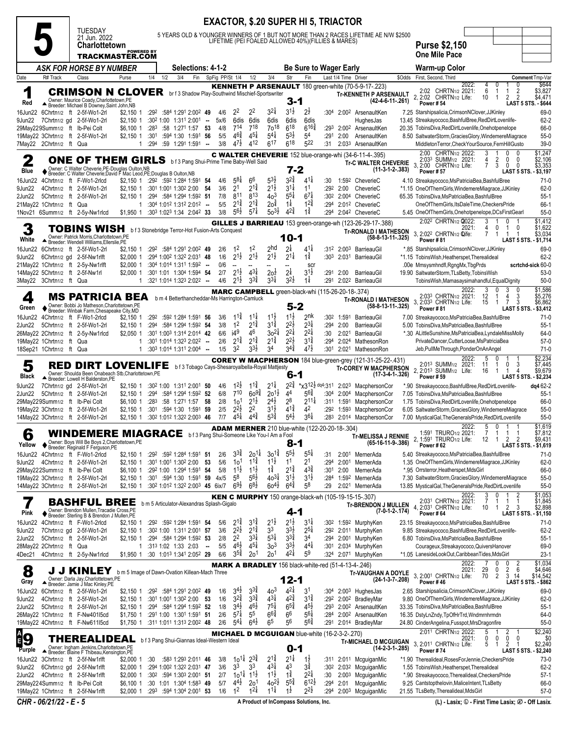|                   |                                                                                                |                                                        |                                                                                                                                                                                                   |                                                   |     |                       |                                                                                    |                                                                                         |                                                                     |                                                     | <b>EXACTOR, \$.20 SUPER HI 5, TRIACTOR</b>                                  |                                                        |                                                                      |                         |                                 |                                                                                                              |        |                                                                                                                                                                             |                                                           |
|-------------------|------------------------------------------------------------------------------------------------|--------------------------------------------------------|---------------------------------------------------------------------------------------------------------------------------------------------------------------------------------------------------|---------------------------------------------------|-----|-----------------------|------------------------------------------------------------------------------------|-----------------------------------------------------------------------------------------|---------------------------------------------------------------------|-----------------------------------------------------|-----------------------------------------------------------------------------|--------------------------------------------------------|----------------------------------------------------------------------|-------------------------|---------------------------------|--------------------------------------------------------------------------------------------------------------|--------|-----------------------------------------------------------------------------------------------------------------------------------------------------------------------------|-----------------------------------------------------------|
|                   |                                                                                                | <b>TUESDAY</b>                                         | 21 Jun. 2022                                                                                                                                                                                      |                                                   |     |                       |                                                                                    |                                                                                         |                                                                     |                                                     | LIFETIME (PEI FOALED ALLOWED 40%) (FILLIES & MARES)                         |                                                        |                                                                      |                         |                                 | 5 YEARS OLD & YOUNGER WINNERS OF 1 BUT NOT MORE THAN 2 RACES LIFETIME AE N/W \$2500                          |        |                                                                                                                                                                             |                                                           |
|                   |                                                                                                |                                                        | Charlottetown<br>TRACKMASTER.COM                                                                                                                                                                  | <b>POWERED BY</b>                                 |     |                       |                                                                                    |                                                                                         |                                                                     |                                                     |                                                                             |                                                        |                                                                      |                         |                                 |                                                                                                              |        | <b>Purse \$2,150</b><br>One Mile Pace                                                                                                                                       |                                                           |
|                   |                                                                                                |                                                        | ASK FOR HORSE BY NUMBER                                                                                                                                                                           |                                                   |     |                       |                                                                                    | Selections: 4-1-2                                                                       |                                                                     |                                                     |                                                                             |                                                        | <b>Be Sure to Wager Early</b>                                        |                         |                                 |                                                                                                              |        | Warm-up Color                                                                                                                                                               |                                                           |
| Date              | R# Track                                                                                       | Class                                                  | Purse                                                                                                                                                                                             | 1/4                                               | 1/2 | 3/4                   | Fin                                                                                |                                                                                         | SpFig PP/St 1/4                                                     | 1/2                                                 | 3/4                                                                         | Str                                                    | Fin                                                                  |                         | Last 1/4 Time Driver            |                                                                                                              | \$Odds | First, Second, Third                                                                                                                                                        | Comment Tmp-Var                                           |
| 1<br>Red          |                                                                                                |                                                        | <b>CRIMSON N CLOVER</b> brf3 Shadow Play-Southwind Mischief-Sportswriter<br>Owner: Maurice Coady, Charlottetown, PE<br>Breeder: Michael B Downey, Saint John, NB                                  |                                                   |     |                       |                                                                                    |                                                                                         |                                                                     |                                                     |                                                                             | 3-1                                                    |                                                                      |                         |                                 | KENNETH P ARSENAULT 180 green-white (70-5-9-17-.223)<br><b>Tr-KENNETH P ARSENAULT</b><br>(42-4-6-11-.261)    |        | 2022:<br>4<br>0<br>2:02 CHRTN1/2 2021:<br>6<br>-1<br>-1<br>2<br>$\overline{2}$<br>2:02<br>CHRTN <sub>1/2</sub> Life:<br>2<br>$\overline{2}$<br>10<br>-1<br><b>Power #54</b> | \$644<br>\$3,827<br>\$4,471<br><b>LAST 5 STS. - \$644</b> |
| 9Jun22            | 16Jun22 6Chrtn1/2 ft 2-5f-Wo1-2rl                                                              | 7Chrtn1/2 gd 2-5f-Wo1-2rl                              | $$2,150$ 1<br>\$2,150 1                                                                                                                                                                           |                                                   |     | :302 1:00 1:311 2:001 | :292 :584 1:291 2:002 49                                                           | $\sim$                                                                                  | 22<br>4/6<br>5x/6                                                   | 22<br>6dis<br>6dis                                  | $3^{2}$<br>6dis                                                             | $3^{1}\frac{1}{2}$<br>6dis                             | 2ż<br>6dis                                                           |                         |                                 | :304 2:002 ArsenaultKen<br>HughesJas                                                                         |        | 7.25 Starshipsalicia, CrimsonNClover, JJKinley<br>13.45 Streakayococo, BashfulBree, RedDirtLovenlife-                                                                       | 69-0<br>$62 - 2$                                          |
|                   | 29May229Summ1/2 ft Ib-Pei Colt<br>19May22 3Chrtn1/2 ft 2-5f-Wo1-2rl<br>7May22 2Chrtn1/2 ft Qua |                                                        | \$6,100 1<br>$$2.150$ 1                                                                                                                                                                           | :301<br>:294<br>1                                 |     | :594 1:30 1:591       | :283 :58 1:271 1:57 53<br>:59 1:291 1:591 -                                        | 56                                                                                      | 4/8<br>714<br>$46\frac{3}{4}$<br>5/5<br>$47\frac{1}{2}$<br>3/8      | 718<br>$4^{5\frac{1}{4}}$<br>412                    | $70^{18}$<br>$5^{4}$<br>617                                                 | 618<br>$5^{3}\frac{1}{2}$<br>$6^{18}$                  | $6^{16}$<br>54<br>522                                                | :293<br>:291<br>:31     | 2:00                            | 2:00 <sup>2</sup> ArsenaultKen<br>ArsenaultKen<br>2:033 ArsenaultKen                                         |        | 20.35 TobinsDiva, RedDirtLovenlife, Onehotpenelope<br>8.50 SaltwaterStorm, GraciesGlory, WindemereMiagrace<br>MiddletonTerror,CheckYourSource,FernHillGusto                 | 66-0<br>$55-0$<br>$39-0$                                  |
|                   |                                                                                                |                                                        |                                                                                                                                                                                                   |                                                   |     |                       |                                                                                    |                                                                                         |                                                                     |                                                     |                                                                             |                                                        |                                                                      |                         |                                 | <b>C WALTER CHEVERIE</b> 152 blue-orange-whi (34-6-11-4-.395)                                                |        | 2:00 CHRTN1/2 2022:<br>3<br>0<br>2:033 SUMM <sub>1/2</sub> 2021:<br>2<br>4<br>0<br>0                                                                                        | \$1,247<br>\$2,106                                        |
| 2<br>Blue         |                                                                                                |                                                        | <b>ONE OF THEM GIRLS bf3 Pang Shui-Prime Time Baby-Well Said</b><br>◆ Owner: C Walter Cheverie, PE-Douglas Oulton, NB<br>◆ Breeder: C Walter Cheverie; David F Mac Leod, PE; Douglas B Oulton, NB |                                                   |     |                       |                                                                                    |                                                                                         |                                                                     |                                                     |                                                                             | $7 - 2$                                                |                                                                      |                         |                                 | <b>Tr-C WALTER CHEVERIE</b><br>$(11-3-1-2-383)$                                                              |        | 3, 2:00 CHRTN1/2 Life:<br>3<br>$\mathbf 0$<br>$\mathbf 0$<br>7<br><b>Power #57</b><br>LAST 5 STS. - \$3,197                                                                 | \$3,353                                                   |
| 16Jun22           |                                                                                                | 4Chrtn1/2 ft F-Wo1-2rlcd                               | \$2,150 1                                                                                                                                                                                         |                                                   |     | :292 :592 1:284 1:591 |                                                                                    | 54                                                                                      | $5^{8}$<br>4/6                                                      | 66<br>$2^{1\frac{3}{4}}$                            | $5^{3}\frac{1}{2}$<br>$2^{1\frac{1}{2}}$                                    | $3^{2}\frac{3}{4}$<br>$3^{11}$                         | $41\frac{1}{4}$                                                      | :30                     |                                 | 1:592 CheverieC                                                                                              |        | 4.10 Streakayococo, MsPatricia Bea, Bashful Bree                                                                                                                            | $71-0$                                                    |
| 9Jun22<br>2Jun22  |                                                                                                | 4Chrtn1/2 ft 2-5f-Wo1-2rl<br>5Chrtn1/2 ft 2-5f-Wo1-2rl | \$2,150 1<br>\$2,150 1                                                                                                                                                                            |                                                   |     | :301 1:001 1:302 2:00 | :29 <sup>4</sup> :58 <sup>4</sup> 1:29 <sup>4</sup> 1:59 <sup>2</sup> <b>51</b>    | 54                                                                                      | 2 <sup>1</sup><br>3/6<br>811<br>7/8                                 | 813                                                 | 40 <sup>3</sup>                                                             | $5^{5\frac{1}{4}}$                                     | 1 <sup>1</sup><br>$6^{7}$                                            | :292<br>:302            | 2:00<br>2:004                   | CheverieC<br>CheverieC                                                                                       |        | *1.15 OneOfThemGirls, WindemereMiagrace, JJKinley<br>65.35 TobinsDiva, MsPatriciaBea, BashfulBree                                                                           | $62-0$<br>$55-1$                                          |
|                   | 21May22 1Chrtn1/2 ft Qua                                                                       |                                                        |                                                                                                                                                                                                   | 1                                                 |     |                       | :304 1:012 1:312 2:012 --<br>:303 1:023 1:34 2:042 33                              |                                                                                         | $2^{1\frac{3}{4}}$<br>5/5<br>$56\frac{1}{2}$<br>3/8                 | $2^{1\frac{3}{4}}$<br>$5^{7}$                       | $20^{\frac{3}{4}}$<br>$50^{31}$                                             | $1\frac{1}{4}$<br>$4^{24}$                             | $12\frac{3}{4}$<br>$1\frac{3}{4}$                                    | :294                    |                                 | 2:012 CheverieC<br>:294 2:042 CheverieC                                                                      |        | OneOfThemGirls, ItsDaleTime, CheckersPride                                                                                                                                  | 66-1<br>$55-0$                                            |
|                   | 1Nov21 6Summ1/2 ft 2-5y-Nw1rlcd                                                                |                                                        | \$1,950 1                                                                                                                                                                                         |                                                   |     |                       |                                                                                    |                                                                                         |                                                                     |                                                     |                                                                             |                                                        |                                                                      |                         |                                 | GILLES J BARRIEAU 153 green-orange-wh (123-26-29-17-.388)                                                    |        | 5.45 OneOfThemGirls, Onehotpenelope, DCsFirstGearl<br>2:022 CHRTN1/2 2022:<br>3<br>0                                                                                        | \$1,412                                                   |
| White             |                                                                                                |                                                        | TOBINS WISH<br>Owner: Patrick Morris, Charlottetown, PE<br>Breeder: Wendell Williams, Ellerslie, PE                                                                                               | b f 3 Stonebridge Terror-Hot Fusion-Arts Conquest |     |                       |                                                                                    |                                                                                         | 1 <sup>2</sup>                                                      |                                                     | 2 <sub>hd</sub>                                                             | 10-1                                                   | $4^{11}$                                                             |                         |                                 | <b>Tr-RONALD I MATHESON</b><br>$(58-8-13-11-325)$                                                            |        | 2021:<br>0<br>0<br>4<br>1<br>3. 2:022 CHRTN1/2 Qife:<br>7<br>$\mathbf{1}$<br>-1<br>-1<br>Power #81                                                                          | \$1,622<br>\$3.034<br>LAST 5 STS. - \$1,714               |
| 16Jun22<br>9Jun22 | 21May22 1Chrtn1/2 ft 2-5y-Nw1rlft                                                              | 6Chrtn1/2 ft 2-5f-Wo1-2rl<br>6Chrtn1/2 gd 2-5f-Nw1rlft | \$2,150 1<br>$$2,000$ 1<br>\$2,000 1                                                                                                                                                              |                                                   |     |                       | :292 :584 1:291 2:002 49<br>:294 1:002 1:322 2:031 48<br>:304 1:014 1:311 1:592 -- |                                                                                         | 2/6<br>1/6<br>$2^{1}\frac{1}{2}$<br>0/6<br>$\overline{\phantom{a}}$ | $1^2$<br>$2^{1\frac{1}{2}}$                         | $2^{1\frac{1}{2}}$                                                          | 2 <sup>1</sup><br>$2^{11}$                             | $1\frac{3}{4}$<br>sci                                                | :303                    | 2:031                           | :312 2:003 BarrieauGil<br>BarrieauGil                                                                        |        | *.85 Starshipsalicia, CrimsonNClover, JJKinley<br>*1.15 TobinsWish, Heatherspet, Therealideal<br>.00e Mmsysmhndfl, RgngMx, TbgPrds                                          | 69-0<br>$62 - 2$<br>scrtchd-sick 60-0                     |
|                   | 14May22 5Chrtn1/2 ft 2-5f-Nw1rl<br>3May22 3Chrtn1/2 ft Qua                                     |                                                        | \$2,000 1                                                                                                                                                                                         |                                                   |     |                       | :301 1:01 1:304 1:594 54<br>:321 1:014 1:323 2:022 --                              |                                                                                         | 2/7<br>4/6<br>$2^{1}\frac{1}{2}$                                    | $2^{1}\frac{1}{2}$<br>$4^{3}$<br>$3^{3}\frac{3}{4}$ | $20\frac{1}{2}$<br>$3^{3\frac{1}{4}}$                                       | $2\frac{1}{4}$<br>$3^{2}$                              | 31ż<br>$1\frac{1}{4}$                                                | :291                    | 2:00                            | BarrieauGil<br>:291 2:022 BarrieauGil                                                                        |        | 19.90 SaltwaterStorm, TLsBetty, TobinsWish<br>TobinsWish, Mamasaysimahandful, EqualDignity                                                                                  | $53-0$<br>$50-0$                                          |
|                   |                                                                                                |                                                        |                                                                                                                                                                                                   |                                                   |     |                       |                                                                                    |                                                                                         |                                                                     |                                                     | <b>MARC CAMPBELL</b> green-black-whi (115-26-20-18-.374)                    |                                                        |                                                                      |                         |                                 |                                                                                                              |        | 2022:<br>3<br>0<br>3                                                                                                                                                        | \$1,586                                                   |
| 4<br>Green        |                                                                                                |                                                        | <b>MS PATRICIA BEA</b><br>Owner: Bobbi Jo Matheson, Charlottetown.PE<br>♦ Breeder: Winbak Farm, Chesapeake City, MD                                                                               |                                                   |     |                       |                                                                                    |                                                                                         |                                                                     | b m 4 Betterthancheddar-Ms Harrington-Camluck       |                                                                             | $5 - 2$                                                |                                                                      |                         |                                 | <b>Tr-RONALD I MATHESON</b><br>$(58-8-13-11-325)$                                                            |        | 2:033 CHRTN1/2 2021:<br>3<br>12<br>4<br>-1<br>3,<br>2:03 <sup>3</sup> CHRTN <sub>1/2</sub> Life:<br>3<br>15<br>7<br>-1<br>Power #81<br><b>LAST 5 STS.</b>                   | \$5,276<br>\$6,862<br>\$3,412                             |
| 16Jun22           |                                                                                                | 4Chrtn1/2 ft F-Wo1-2rlcd                               | \$2,150 1                                                                                                                                                                                         | :292                                              |     |                       | :592 1:284 1:591 56                                                                |                                                                                         | $11\frac{3}{4}$<br>3/6<br>1 <sup>2</sup>                            | $11\frac{1}{4}$<br>$2^{1\frac{3}{4}}$               | $11\frac{1}{2}$<br>$3^{1\frac{3}{4}}$                                       | $11\frac{1}{2}$<br>$2^{2\frac{1}{2}}$                  | 2nk<br>$2^{3\frac{1}{4}}$                                            | :302                    | 1:591                           | BarrieauGil                                                                                                  |        | 7.00 Streakayococo, MsPatriciaBea, BashfulBree                                                                                                                              | $71-0$                                                    |
| 2Jun22            | 26May22 2Chrtn1/2 ft 2-5y-Nw1rlcd                                                              | 5Chrtn1/2 ft 2-5f-Wo1-2rl                              | \$2,150 1<br>\$2,050 1                                                                                                                                                                            | :294                                              |     |                       | :584 1:294 1:592 54<br>:301 1:003 1:314 2:014 42                                   |                                                                                         | 3/8<br>i4 <sup>9</sup><br>6/6                                       | 46                                                  | $30^{21}$                                                                   | $2^{2}\frac{1}{4}$                                     | $2^{21}$                                                             | :294<br>:30             | 2:00<br>2:021                   | BarrieauGil<br>BarrieauGil                                                                                   |        | 5.00 TobinsDiva, MsPatriciaBea, BashfulBree<br>*.30 ALittleSunshine, MsPatriciaBea, LyndaleMissMolly                                                                        | $55-1$<br>64-0                                            |
|                   | 19May22 1Chrtn1/2 ft<br>18Sep21 1Chrtn1/2 ft Qua                                               | Qua                                                    |                                                                                                                                                                                                   | 1<br>$\mathbf{1}$                                 |     |                       | :301 1:014 1:323 2:022 --<br>$:30^3$ 1:014 1:311 2:004 -                           |                                                                                         | $2^{1\frac{3}{4}}$<br>2/6<br>32<br>1/5                              | $2^{1\frac{3}{4}}$<br>$3^{3}\frac{1}{2}$            | $2^{1\frac{3}{4}}$<br>34                                                    | $2^{2\frac{1}{2}}$<br>$3^{44}$                         | $3^{1\frac{3}{4}}$<br>$4^{7\frac{1}{2}}$                             | :294<br>:301            | 2:024<br>2:021                  | MathesonRon<br>MathesonRon                                                                                   |        | PrivateDancer,CutterLoose,MsPatriciaBea<br>Jeb, PullMeThrough, PonderOnAnAngel                                                                                              | $57-0$<br>$71-0$                                          |
|                   |                                                                                                |                                                        |                                                                                                                                                                                                   |                                                   |     |                       |                                                                                    |                                                                                         |                                                                     |                                                     |                                                                             |                                                        |                                                                      |                         |                                 | COREY W MACPHERSON 184 blue-green-grey (121-31-25-22-.431)                                                   |        | 2022:<br>5<br>0                                                                                                                                                             | \$2,234                                                   |
|                   |                                                                                                |                                                        |                                                                                                                                                                                                   |                                                   |     |                       |                                                                                    |                                                                                         |                                                                     |                                                     |                                                                             |                                                        |                                                                      |                         |                                 |                                                                                                              |        |                                                                                                                                                                             |                                                           |
| 5<br>Black        |                                                                                                | Breeder: Lowell H Balderston, PE                       | RED DIRT LOVENLIFE<br>Owner: Shoulda Been Onabeach Stb, Charlottetown, PE                                                                                                                         |                                                   |     |                       |                                                                                    |                                                                                         |                                                                     |                                                     | b f 3 Tobago Cays-Shesaroyalbella-Royal Mattjesty                           | 6-1                                                    |                                                                      |                         |                                 | <b>Tr-COREY W MACPHERSON</b><br>$(17-3-4-1-.326)$                                                            |        | 2:013 SUMM1/2 2021:<br>0<br>3<br>11<br>1<br>2,<br>2:013 SUMM <sub>1/2</sub> Life:<br>$\mathbf{1}$<br>$\overline{4}$<br>16<br>-1<br><b>Power #59</b><br>LAST 5 STS.          | \$7,445<br>\$9,679<br>- \$2,234                           |
| 9Jun22<br>2Jun22  |                                                                                                | 7Chrtn1/2 gd 2-5f-Wo1-2rl<br>5Chrtn1/2 ft 2-5f-Wo1-2rl | $$2,150$ 1<br>\$2,150 1                                                                                                                                                                           | :294                                              |     | :302 1:00 1:311 2:001 | :584 1:294 1:592 52                                                                | -50                                                                                     | $12\frac{1}{2}$<br>4/6<br>$7^{10}$<br>6/8                           | $1^{1\frac{3}{4}}$<br>$60^{9\frac{3}{4}}$           | $2^{11}$<br>$20^{11}$                                                       | $2^{2\frac{3}{4}}$<br>44                               | $*$ <sub>X</sub> 312 <sup>1</sup> / <sub>2</sub> dq4:311<br>$5^{64}$ |                         | 2:02 <sup>3</sup><br>:304 2:004 | MacphersonCor<br>MacphersonCor                                                                               |        | *.90 Streakayococo, BashfulBree, RedDirtLovenlife-<br>7.05 TobinsDiva, MsPatriciaBea, BashfulBree                                                                           | dq4 62-2<br>$55-1$                                        |
|                   | 29May229Summ1/2 ft Ib-Pei Colt<br>19May22 3Chrtn1/2 ft 2-5f-Wo1-2rl                            |                                                        | \$6,100 1<br>$$2,150$ 1                                                                                                                                                                           | :283<br>:301                                      |     | :594 1:30 1:591       | :58 1:271 1:57 58                                                                  | - 59                                                                                    | 10 <sup>1</sup><br>2/8<br>$2^{2\frac{1}{2}}$<br>2/5                 | $2^{1\frac{1}{2}}$<br>2 <sup>2</sup>                | $2^{4}\frac{1}{2}$<br>$3^{1\frac{1}{2}}$                                    | 28<br>$4^{1\frac{3}{4}}$                               | $2^{11}$<br>42                                                       | :292                    | :311 1:591<br>1:593             | MacphersonCor<br>MacphersonCor                                                                               |        | 1.75 TobinsDiva, RedDirtLovenlife, Onehotpenelope<br>6.05 SaltwaterStorm, GraciesGlory, WindemereMiagrace                                                                   | 66-0<br>$55-0$                                            |
|                   | 14May22 3Chrtn1/2 ft 2-5f-Wo1-2rl                                                              |                                                        | $$2,150$ 1                                                                                                                                                                                        |                                                   |     |                       | :302 1:012 1:322 2:003 46                                                          |                                                                                         | $4^{51}$<br>7/7                                                     | $4^{4^{3}_{4}}$                                     | $5^{3\frac{3}{4}}$<br><b>ADAM MERNER</b> 210 blue-white (122-20-20-18-.304) | $5^{4}$                                                | $3^{6}\frac{1}{4}$                                                   | :283                    |                                 | 2:014 MacphersonCor                                                                                          |        | 7.00 MysticalGal, The Generals Pride, Red DirtLovenlife<br>2022:<br>5 0 1<br>-1                                                                                             | $55-0$<br>\$1,619                                         |
| b<br>Yellow       |                                                                                                |                                                        | <b>WINDEMERE MIAGRACE</b> bf3 Pang Shui-Someone Like You-I Am a Fool                                                                                                                              |                                                   |     |                       |                                                                                    |                                                                                         |                                                                     |                                                     |                                                                             | $8 - 1$                                                |                                                                      |                         |                                 | <b>Tr-MELISSA J RENNIE</b><br>$(65-16-11-9-.386)$                                                            |        | 1:591 TRURO1/2 2021:<br>2, 1:591 TRURO1/2 Life:<br>2<br>$\overline{2}$<br>12<br>$\overline{1}$<br>Power #62                                                                 | \$7,812<br>\$9,431<br>LAST 5 STS. - \$1,619               |
|                   | 16Jun22 4Chrtn1/2 ft F-Wo1-2rlcd                                                               |                                                        | ◆ Owner: Boys Will Be Boys 2, Charlottetown, PE<br>◆ Breeder: Reginald F Ferguson, PE<br>\$2.150 1                                                                                                |                                                   |     |                       | :292 :592 1:284 1:591 51                                                           |                                                                                         | $3^{3}\frac{3}{4}$<br>2/6                                           | $20^{11}$                                           | $30^{1\frac{3}{4}}$                                                         | $5^{5\frac{1}{2}}$                                     | $55\frac{1}{4}$                                                      | :31                     |                                 | 2:001 MernerAda                                                                                              |        | 5.40 Streakayococo, MsPatriciaBea, BashfulBree                                                                                                                              | $71-0$                                                    |
|                   | 9Jun22 4Chrtn1/2 ft 2-5f-Wo1-2rl<br>29May222Summ1/2 ft Ib-Pei Colt                             |                                                        | \$2,150 1<br>\$6,100 1                                                                                                                                                                            |                                                   |     | :301 1:001 1:302 2:00 | :292 1:00 1:294 1:591                                                              | 53<br>-54                                                                               | 5/6<br>10 <sup>1</sup><br>$11\frac{1}{2}$<br>5/8                    | $1^{1\frac{3}{4}}$<br>$11\frac{1}{2}$               | $11\frac{1}{2}$<br>$1\frac{3}{4}$                                           | 1 <sup>1</sup><br>$2^{1\frac{3}{4}}$                   | 21<br>$4^{3}\frac{3}{4}$                                             | :294<br>:301            | 2:00                            | 2:001 MernerAda<br>MernerAda                                                                                 |        | 1.35 OneOfThemGirls, WindemereMiagrace, JJKinley<br>*.95 Orrsterror, Heatherspet, MdsGirl                                                                                   | $62-0$<br>66-0                                            |
|                   | 19May22 3Chrtn1/2 ft 2-5f-Wo1-2rl<br>14May22 3Chrtn1/2 ft 2-5f-Wo1-2rl                         |                                                        | \$2,150 1<br>$$2,150$ 1                                                                                                                                                                           |                                                   |     |                       | :301 :594 1:30 1:591 59                                                            | 4x/5<br>:30 <sup>2</sup> 1:01 <sup>2</sup> 1:32 <sup>2</sup> 2:00 <sup>3</sup> 45 6ix/7 | 58<br>$69\frac{1}{2}$                                               | $56\frac{1}{2}$<br>$68\frac{1}{2}$                  | $40^{3\frac{1}{4}}$<br>$60^{41}$                                            | $3^{1}\frac{1}{2}$<br>$6^{4}\frac{3}{4}$               | $3^{1\frac{1}{2}}$<br>58                                             | :284<br>:29             |                                 | 1:592 MernerAda<br>2:021 MernerAda                                                                           |        | 7.30 SaltwaterStorm, GraciesGlory, WindemereMiagrace<br>13.85 MysticalGal, TheGeneralsPride, RedDirtLovenlife                                                               | $55-0$<br>$55-0$                                          |
|                   |                                                                                                |                                                        | <b>BASHFUL BREE</b><br>Owner: Brendon Mullen, Tracadie Cross, PE                                                                                                                                  |                                                   |     |                       |                                                                                    | b m 5 Articulator-Alexandras Splash-Gigalo                                              |                                                                     |                                                     |                                                                             |                                                        |                                                                      |                         |                                 | <b>KEN C MURPHY</b> 150 orange-black-wh (105-19-15-15-.307)<br><b>Tr-BRENDON J MULLEN</b><br>$(7-0-1-2-174)$ |        | 2022:<br>3<br>0<br>2:031 CHRTN1/2 2021:<br>7<br>1<br>1<br>1<br>4, 2:031 CHRTN1/2 Life:<br>$\overline{2}$<br>10<br>3<br>$\mathbf{1}$                                         | \$1,053<br>\$1,845<br>\$2,898                             |
| Pink<br>16Jun22   |                                                                                                | 4Chrtn1/2 ft F-Wo1-2rlcd                               | ♦ Breeder: Sterling B & Brendon J Mullen, PE<br>\$2,150 1                                                                                                                                         |                                                   |     |                       | :292 :592 1:284 1:591 54                                                           |                                                                                         | $2^{1\frac{3}{4}}$<br>5/6                                           | $3^{1\frac{3}{4}}$                                  | $2^{1\frac{1}{2}}$                                                          | 4-1<br>$2^{1\frac{1}{2}}$                              | $3^{11}$                                                             |                         |                                 | :30 <sup>2</sup> 1:59 <sup>2</sup> MurphyKen                                                                 |        | Power #64<br>23.15 Streakayococo, MsPatriciaBea, BashfulBree                                                                                                                | LAST 5 STS. - \$1,150<br>$71-0$                           |
| 9Jun22            |                                                                                                | 7Chrtn1/2 gd 2-5f-Wo1-2rl                              | \$2,150 1                                                                                                                                                                                         |                                                   |     |                       | :302 1:00 1:311 2:001 57                                                           |                                                                                         | $2^{2}\frac{1}{2}$<br>3/6                                           | $2^{1\frac{3}{4}}$                                  | 33                                                                          | $3^{3}\frac{1}{2}$                                     | $2^{5\frac{1}{4}}$                                                   |                         |                                 | :292 2:011 MurphyKen                                                                                         |        | 9.85 Streakayococo, BashfulBree, RedDirtLovenlife-                                                                                                                          | $62 - 2$                                                  |
| 2Jun22            | 28May22 2Chrtn1/2 ft Qua                                                                       | 5Chrtn1/2 ft 2-5f-Wo1-2rl                              | $$2,150$ 1                                                                                                                                                                                        | 1                                                 |     | :313 1:02 1:33 2:03   | :294 :584 1:294 1:592 53                                                           | $\overline{\phantom{a}}$                                                                | 2 <sup>2</sup><br>2/8<br>$4^{6}\frac{1}{2}$<br>5/5                  | $3^{31}$<br>$4^{51}$                                | $5^{31}$<br>3 <sup>3</sup>                                                  | $3^{3}\frac{3}{4}$<br>$3^{3}\frac{1}{2}$               | 34<br>$4^{4}$                                                        | :301                    |                                 | :294 2:001 MurphyKen<br>2:034 MurphyKen                                                                      |        | 6.80 TobinsDiva, MsPatriciaBea, BashfulBree<br>Courageux, Streakayococo, Quivers Hanover                                                                                    | $55-1$<br>69-0                                            |
| 4Dec21            |                                                                                                | 4Chrtn1/2 ft 2-5y-Nw1rlcd                              | \$1,950 1                                                                                                                                                                                         |                                                   |     |                       | :30 1:013 1:341 2:052 29                                                           |                                                                                         | $3^{5\frac{3}{4}}$<br>6/6                                           | 20 <sup>1</sup>                                     | 20 <sup>1</sup>                                                             | $4^{21}$                                               | 5 <sup>9</sup>                                                       | :324                    |                                 | 2:071 MurphyKen                                                                                              |        | *1.05 LanesideLookOut,CaribbeanTides,MdsGirl<br>0<br>0                                                                                                                      | $23-1$                                                    |
| 8<br>Gray         |                                                                                                | J J KINLEY                                             | b m 5 Image of Dawn-Ovation Killean-Mach Three                                                                                                                                                    |                                                   |     |                       |                                                                                    |                                                                                         |                                                                     |                                                     | <b>MARK A BRADLEY</b> 156 black-white-red (51-4-13-4-.246)                  | $12 - 1$                                               |                                                                      |                         |                                 | Tr-VAUGHAN A DOYLE<br>(24-1-3-7-.208)                                                                        |        | 2022:<br>2<br>$\overline{2}$<br>6<br>2021:<br>29<br>0<br>3.<br>70<br>$\overline{2}$<br>2:001 CHRTN1/2 Life:<br>3<br>14<br>Power #46                                         | \$1,034<br>\$4,646<br>\$14,542<br>LAST 5 STS. - \$862     |
| 16Jun22           |                                                                                                | 6Chrtn1/2 ft 2-5f-Wo1-2rl                              | Owner: Darla Jay,Charlottetown,PE<br>▲ Breeder: Jamie J Mac Kinley,PE<br>\$2,150 1                                                                                                                |                                                   |     |                       | :292 :584 1:291 2:002 49                                                           |                                                                                         | $3^{4}$<br>1/6                                                      | $3^{34}$                                            | 40 <sup>3</sup>                                                             | $4^{21}$                                               | 31                                                                   | :304                    |                                 | 2:003 HughesJas                                                                                              |        | 2.65 Starshipsalicia, CrimsonNClover, JJKinley                                                                                                                              | 69-0                                                      |
| 9Jun22<br>2Jun22  |                                                                                                | 4Chrtn1/2 ft 2-5f-Wo1-2rl<br>5Chrtn1/2 ft 2-5f-Wo1-2rl | $$2,150$ 1<br>$$2,150$ 1                                                                                                                                                                          |                                                   |     | :301 1:001 1:302 2:00 | :294 :584 1:294 1:592 52                                                           | - 53                                                                                    | $3^{2}\frac{3}{4}$<br>1/6<br>$3^{4}$<br>1/8                         | $3^{3}\frac{3}{4}$<br>$46\frac{1}{2}$               | $43\frac{1}{4}$<br>$7^{51}$                                                 | $42\frac{3}{4}$<br>$6^{5\frac{3}{4}}$                  | $3^{14}$<br>$4^{5}\frac{1}{2}$                                       | :292<br>:293            |                                 | 2:00 <sup>2</sup> BradleyMar<br>2:00 <sup>2</sup> ArsenaultKen                                               |        | 9.80 OneOfThemGirls, WindemereMiagrace, JJKinley<br>33.35 TobinsDiva, MsPatriciaBea, BashfulBree                                                                            | 62-0<br>$55-1$                                            |
|                   | 26May22 1Chrtn1/2 ft F-Nw401l5cd                                                               |                                                        | \$1,750 1                                                                                                                                                                                         |                                                   |     |                       | :291 1:00 1:301 1:591 51                                                           |                                                                                         | $5^{7\frac{1}{4}}$<br>2/6                                           | 5 <sup>5</sup>                                      | $6^{6}\frac{3}{4}$                                                          | 66                                                     | $5^{61}$                                                             | :284                    |                                 | 2:002 ArsenaultKen                                                                                           |        | 16.35 DstyLnZndy,TpOfHrTrd,Wndmrnhrmdn                                                                                                                                      | 64-0                                                      |
|                   | 19May22 4Chrtn1/2 ft F-Nw611l5cd                                                               |                                                        | \$1,750 1                                                                                                                                                                                         |                                                   |     |                       | :311 1:011 1:313 2:002 48                                                          |                                                                                         | $5^{4}$<br>2/6                                                      | $6^{4}\frac{1}{2}$                                  | 6 <sup>5</sup><br><b>MICHAEL D MCGUIGAN blue-white (16-2-3-2-.270)</b>      | 56                                                     | $56\frac{3}{4}$                                                      | :291                    |                                 | 2:014 BradleyMar                                                                                             |        | 24.80 CinderAngelina, Fusspot, MrsDragonfire<br>2:011 CHRTN1/2 2022:<br>5<br>-1                                                                                             | $55-0$<br>\$2,240                                         |
| ੰ9                |                                                                                                |                                                        | THEREALIDEAL                                                                                                                                                                                      | b f 3 Pang Shui-Giannas Ideal-Western Ideal       |     |                       |                                                                                    |                                                                                         |                                                                     |                                                     |                                                                             |                                                        |                                                                      |                         |                                 | <b>Tr-MICHAEL D MCGUIGAN</b><br>$(14-2-3-1-.285)$                                                            |        | $\frac{2}{0}$<br>2021:<br>0<br>0<br>0<br>3.<br>2:011 CHRTN1/2 Life:<br>5<br>2<br>$\overline{1}$<br>-1                                                                       | \$0<br>\$2,240                                            |
| Purple<br>16Jun22 |                                                                                                | 3Chrtn1/2 ft 2-5f-Nw1rlft                              | Owner: Ingham Jenkins, Charlottetown, PE<br>▲ Breeder: Blaine F Thibeau, Kensington, PE<br>\$2,000 1                                                                                              | :30                                               |     |                       | :583 1:293 2:011 46                                                                |                                                                                         | 3/8                                                                 | $10^{11}$<br>$2^{3}\frac{3}{4}$                     | $2^{1\frac{3}{4}}$                                                          | $0 - 1$<br>$2^{11}$                                    | $1\overline{2}$                                                      | :311                    |                                 | 2:011 McguiganMic                                                                                            |        | Power #74<br>*1.90 Therealideal, Roses For Jennie, Checkers Pride                                                                                                           | LAST 5 STS. - \$2,240<br>$73-0$                           |
| 9Jun22<br>2Jun22  |                                                                                                | 6Chrtn1/2 gd 2-5f-Nw1rlft<br>4Chrtn1/2 ft 2-5f-Nw1rlft | $$2,000$ 1                                                                                                                                                                                        |                                                   |     |                       | :294 1:002 1:322 2:031 47                                                          |                                                                                         | 3 <sup>3</sup><br>3/6<br>2/7                                        | 33                                                  | $4^{31}$                                                                    | 4 <sup>3</sup>                                         | $3\frac{3}{4}$                                                       | :30 <sup>2</sup><br>:30 |                                 | 2:03 <sup>2</sup> McguiganMic                                                                                |        | 1.55 TobinsWish, Heatherspet, Therealideal                                                                                                                                  | $62 - 2$<br>$57-1$                                        |
|                   | 29May224Summ1/2 ft Ib-Pei Colt<br>19May22 1Chrtn1/2 ft 2-5f-Nw1rlft                            |                                                        | \$2,000 1<br>\$6,100 1<br>\$2,000 1                                                                                                                                                               |                                                   |     |                       | :302 :594 1:303 2:001 51<br>:30 1:01 1:304 1:583 49<br>:293 :594 1:304 2:001 53    |                                                                                         | $4^{4}$ <sub>2</sub><br>5/7<br>1 <sup>2</sup><br>1/6                | $10^{11}$ $11^{1}$<br>20 <sup>1</sup><br>$1^{21}$   | $11\frac{1}{2}$<br>$40^{21}$<br>$11\frac{1}{4}$                             | $1\frac{3}{4}$<br>$5^{5\frac{3}{4}}$<br>$1\frac{1}{2}$ | $2^{2}$<br>$6^{12\frac{1}{2}}$<br>$2^{2}\frac{1}{2}$                 | :294                    | 2:01                            | 2:003 McguiganMic<br>McguiganMic<br>:294 $2:003$ McguiganMic                                                 |        | *.90 Streakayococo, Therealideal, Checkers Pride<br>9.25 Cantstopthelovin, MaliceIntent, TLsBetty<br>21.55 TLsBetty, Therealideal, MdsGirl                                  | 66-0<br>$57-0$                                            |

CHR -  $06/21/22 - E - 5$ 

A Product of InCompass Solutions, Inc.

(L) - Lasix;  $\mathbb O$  - First Time Lasix;  $\mathcal D$  - Off Lasix.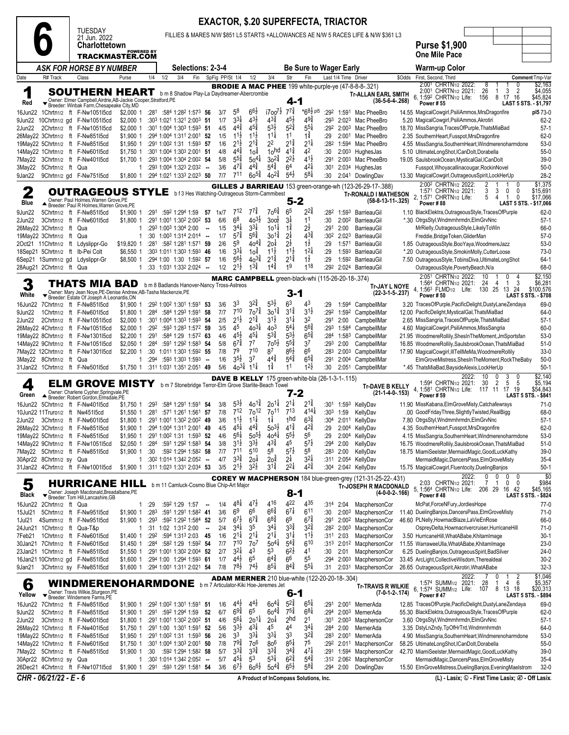|                  |                          |                                                                                                                                             |                            |      |                                                                                            |        |                 |                                       |                                          |                                          |                                          | <b>EXACTOR, \$.20 SUPERFECTA, TRIACTOR</b>              |              |                      |                                                                                                               |        |                                                                                                                                                                      |                                                              |
|------------------|--------------------------|---------------------------------------------------------------------------------------------------------------------------------------------|----------------------------|------|--------------------------------------------------------------------------------------------|--------|-----------------|---------------------------------------|------------------------------------------|------------------------------------------|------------------------------------------|---------------------------------------------------------|--------------|----------------------|---------------------------------------------------------------------------------------------------------------|--------|----------------------------------------------------------------------------------------------------------------------------------------------------------------------|--------------------------------------------------------------|
|                  |                          | <b>TUESDAY</b><br>21 Jun. 2022                                                                                                              |                            |      |                                                                                            |        |                 |                                       |                                          |                                          |                                          |                                                         |              |                      | FILLIES & MARES N/W \$851 L5 STARTS +ALLOWANCES AE N/W 5 RACES LIFE & N/W \$361 L3                            |        |                                                                                                                                                                      |                                                              |
|                  |                          | Charlottetown<br>TRACKMASTER.COM                                                                                                            | <b>POWERED BY</b>          |      |                                                                                            |        |                 |                                       |                                          |                                          |                                          |                                                         |              |                      |                                                                                                               |        | <b>Purse \$1,900</b><br><b>One Mile Pace</b>                                                                                                                         |                                                              |
|                  |                          | <b>ASK FOR HORSE BY NUMBER</b>                                                                                                              |                            |      | Selections: 2-3-4                                                                          |        |                 |                                       |                                          |                                          |                                          | <b>Be Sure to Wager Early</b>                           |              |                      |                                                                                                               |        | <b>Warm-up Color</b>                                                                                                                                                 |                                                              |
| Date             | R# Track                 | Class                                                                                                                                       | Purse                      | 1/4  | 1/2<br>3/4<br>Fin                                                                          |        | SpFig PP/St 1/4 |                                       | 1/2                                      | 3/4                                      | Str                                      | Fin                                                     |              | Last 1/4 Time Driver |                                                                                                               | \$Odds | First, Second, Third<br>2:001 CHRTN <sub>1/2</sub> 2022:<br>8                                                                                                        | Comment Tmp-Var<br>\$2,163                                   |
| ┑                |                          | <b>SOUTHERN HEART</b> b m 8 Shadow Play-La Daydreamer-Abercrombie                                                                           |                            |      |                                                                                            |        |                 |                                       |                                          |                                          |                                          |                                                         |              |                      | <b>BRODIE A MAC PHEE</b> 199 white-purple-ye (47-8-8-8-.321)<br><b>Tr-ALLAN EARL SMITH</b>                    |        | 26<br>2<br>2:001 CHRTN <sub>1/2</sub> 2021:<br>3<br>-1<br>6, 1:592 CHRTN1/2 Life:<br>156<br>8 17<br>16                                                               | \$4,055<br>\$45,824                                          |
| Red<br>16Jun22   |                          | Owner: Elmer Campbell, Airdrie, AB-Jackie Cooper, Stratford, PE<br>▼ Breeder: Winbak Farm, Chesapeake City, MD<br>1Chrtn1/2 ft F-Nw1051l5cd | \$2,000 1                  |      | $:28^1$ $:58^4$ 1:28 <sup>2</sup> 1:57 <sup>3</sup> <b>56</b>                              |        | 3/7             | 58                                    | $66\frac{1}{2}$                          | i700 <sup>7</sup>                        | 4-1<br>$7^{7\frac{3}{4}}$                | *68} pl5                                                |              |                      | $(36-5-6-4-268)$<br>:292 1:591 Mac PheeBro                                                                    |        | <b>Power #55</b><br>14.55 MagicalCowgirl, PsiliAmmos, MrsDragonfire                                                                                                  | LAST 5 STS. - \$1,797<br>pl5 73-0                            |
|                  |                          | 9Jun22 10Chrtn1/2 gd F-Nw1051l5cd                                                                                                           | \$2,000 1                  |      | :303 1:021 1:321 2:003 51                                                                  |        | 1/7             | $3^{3}\frac{1}{4}$                    | $4^{3}\frac{1}{2}$                       | $4^{3\frac{3}{4}}$                       | $4^{5}\frac{1}{2}$                       | 49‡                                                     | :293         |                      | 2:023 Mac PheeBro                                                                                             |        | 5.20 MagicalCowgirl, PsiliAmmos, Akrotiri                                                                                                                            | $62 - 2$                                                     |
| 2Jun22           |                          | 2Chrtn1/2 ft F-Nw1051l5cd<br>26May22 3Chrtn1/2 ft F-Nw851l5cd                                                                               | \$2,000 1<br>\$1,900 1     |      | :301 1:004 1:303 1:593 51<br>:294 1:004 1:311 2:001 52                                     |        | 4/5<br>1/5      | $44\frac{3}{4}$<br>$11\frac{1}{2}$    | $45\frac{3}{4}$<br>$11\frac{1}{2}$       | $5^{3}\frac{1}{2}$<br>$11\frac{1}{4}$    | $5^{2\frac{3}{4}}$<br>1 <sup>1</sup>     | $55\frac{1}{4}$<br>$1\frac{3}{4}$                       | :29          |                      | :292 2:003 Mac PheeBro<br>2:001 Mac PheeBro                                                                   |        | 18.70 MissSangria, TracesOfPurple, ThatsMiaBad<br>2.35 SouthernHeart, Fusspot, MrsDragonfire                                                                         | $57-1$<br>$62-0$                                             |
|                  |                          | 19May22 5Chrtn1/2 ft F-Nw851l5cd                                                                                                            | \$1,950 1                  |      | :291 1:002 1:31 1:593 57                                                                   |        | 1/6             | $2^{1}\frac{1}{2}$                    | $2^{1\frac{3}{4}}$                       | 22                                       | $2^{1\frac{3}{4}}$                       | $2^{11}$                                                | :282         |                      | 1:594 Mac PheeBro                                                                                             |        | 4.55 MissSangria, SouthernHeart, Windmerenoharmdone                                                                                                                  | $53-0$                                                       |
|                  |                          | 14May22 1Chrtn1/2 ft F-Nw601l5cd<br>7May22 3Chrtn1/2 ft F-Nw401l5cd                                                                         | \$1,750 1<br>\$1,700 1     |      | :301 1:004 1:303 2:001 51<br>:293 1:004 1:304 2:002 54                                     |        | 4/8<br>5/8      | $4^{4^{3}_{4}}$<br>$5^{5\frac{3}{4}}$ | 1оวี<br>$50^{4}$                         | 10 <sub>nd</sub><br>$30^{24}$            | $4^{1\frac{3}{4}}$<br>$2^{2\frac{1}{2}}$ | 42<br>$4^{1\frac{1}{2}}$                                | :30<br>:291  |                      | $2:003$ HughesJas<br>2:003 Mac PheeBro                                                                        |        | 5.10 UltimateLongShot,ICanDolt,Dorabella<br>19.05 SaulsbrookOcean, MysticalGal, ICanDolt                                                                             | $55-0$<br>$39-0$                                             |
| 3May22           | 5Chrtn1/2 ft Qua         |                                                                                                                                             | 1                          |      | :293 1:004 1:323 2:032 --                                                                  |        | 3/6             | $47\frac{3}{4}$                       | $4^{4^{3}_{4}}$                          | $5^{4}\frac{3}{4}$                       | 64                                       | $4^{21}$                                                | :301         |                      | 2:034 HughesJas                                                                                               |        | Fusspot, Whoyacallinacougar, RockinNovel                                                                                                                             | $50-0$                                                       |
| 9Jan22           |                          | 9Chrtn1/2 gd F-Nw75115cd                                                                                                                    | \$1,800 1                  |      | :294 1:021 1:333 2:023 50                                                                  |        | 7/7             | 711                                   | $60^{51}$                                | $40^{2\frac{3}{4}}$                      | $5^{4}$                                  | $58\frac{1}{4}$                                         | :30          |                      | 2:041 DowlingDav                                                                                              |        | 13.30 MagicalCowgirl, OutrageousSpirit, LockHerUp<br>2:00 <sup>2</sup> CHRTN <sub>1/2</sub> 2022:                                                                    | $28-2$<br>\$1,375                                            |
| 2                |                          | <b>OUTRAGEOUS STYLE</b> bf3 Hes Watching-Outrageous Storm-Cammibest                                                                         |                            |      |                                                                                            |        |                 |                                       |                                          |                                          |                                          |                                                         |              |                      | GILLES J BARRIEAU 153 green-orange-wh (123-26-29-17-.388)<br><b>Tr-RONALD I MATHESON</b>                      |        | 1:571 CHRTN <sub>1/2</sub> 2021:<br>3<br>0<br>0<br>3<br>2, 1:571 CHRTN1/2 Life:<br>5<br>0<br>4<br>1                                                                  | \$15,691<br>\$17,066                                         |
| Blue             |                          | Owner: Paul Holmes, Warren Grove, PE<br>Breeder: Paul R Holmes, Warren Grove, PE                                                            |                            |      |                                                                                            |        |                 |                                       |                                          |                                          | 5-2                                      |                                                         |              |                      | $(58-8-13-11-325)$                                                                                            |        | Power#88<br>LAST 5 STS. - \$17,066                                                                                                                                   |                                                              |
| 9Jun22<br>2Jun22 |                          | 5Chrtn1/2 ft F-Nw85115cd<br>3Chrtn1/2 ft F-Nw601l5cd                                                                                        | \$1,900 1<br>\$1,800 1     |      | :291 :592 1:294 1:59 57 1x/7<br>:291 1:001 1:302 2:002 53                                  |        | 6/6             | $7^{12}$<br>6 <sup>8</sup>            | $7^{7\frac{3}{4}}$<br>$40^{31/2}$        | $70^{6}\frac{3}{4}$<br>300 <sub>2</sub>  | 6 <sup>5</sup><br>3‡                     | 22‡<br>11                                               | :282<br>:30  |                      | 1:593 BarrieauGil<br>2:00 <sup>2</sup> BarrieauGil                                                            |        | 1.10 BlackElektra, Outrageous Style, Traces Of Purple<br>*.30 OtrgsStyl, Wndmrnhrmdn, ElmGrvNnc                                                                      | $62-0$<br>$57-1$                                             |
|                  | 26May22 3Chrtn1/2 ft Qua |                                                                                                                                             | 1                          |      | :293 1:003 1:304 2:00                                                                      | $\sim$ | 1/5             | $3^{4}$                               | $3^{3}$                                  | $10^{11}$                                | $1\frac{3}{4}$                           | $2\frac{1}{2}$                                          | :291         | 2:00                 | BarrieauGil                                                                                                   |        | MrRielly, OutrageousStyle, LikelyToWin                                                                                                                               | 66-0                                                         |
|                  | 19May22 3Chrtn1/2 ft Qua | 2Oct21 11Chrtn1/2 ft Ldyslippr-Go                                                                                                           | $\mathbf{1}$<br>\$19,820 1 |      | $:30$ 1:00 <sup>3</sup> 1:31 <sup>4</sup> 2:01 <sup>4</sup> -<br>:281 :582 1:281 1:571 59  |        | 1/7<br>2/6      | $5^{7\frac{3}{4}}$<br>5 <sup>9</sup>  | $5^{6}\frac{3}{4}$<br>$40^{4}$           | 14'30<br>2о‡                             | 2‡<br>2ż                                 | $4^{3\frac{3}{4}}$<br>$1\frac{1}{2}$                    | :302<br>:29  | 1:571                | 2:023 BarrieauGil<br>BarrieauGil                                                                              |        | Freddie, Bridge Token, GliderMan<br>1.85 OutrageousStyle, BooYaya, WoodmereJazz                                                                                      | $57-0$<br>$53-0$                                             |
|                  |                          | 18Sep21 5Chrtn1/2 ft Ib-Pei Colt                                                                                                            | \$6,550 1                  |      | :303 1:011 1:303 1:593 46                                                                  |        | 1/6             | $3^{3}\frac{1}{4}$                    | $10^{\frac{3}{4}}$                       | $11\frac{1}{2}$                          | $11\frac{1}{2}$                          | $12\frac{1}{4}$                                         | :29          |                      | 1:593 BarrieauGil                                                                                             |        | *.20 OutrageousStyle,SmokinMolly,CutterLoose                                                                                                                         | $73-0$                                                       |
|                  |                          | 6Sep21 1Summ1/2 gd Ldyslippr-Gr                                                                                                             | \$8,500 1                  |      | :294 1:00 1:30 1:592 57                                                                    |        | 1/6             | $5^{6}\frac{1}{2}$                    | $40^{3\frac{3}{4}}$                      | $2^{1\frac{3}{4}}$                       | $2^{1\frac{3}{4}}$                       | $1\frac{1}{2}$                                          | :29          |                      | 1:592 BarrieauGil                                                                                             |        | 7.50 OutrageousStyle, TobinsDiva, UltimateLongShot                                                                                                                   | $64-1$                                                       |
|                  | 28Aug21 2Chrtn1/2 ft Qua |                                                                                                                                             |                            |      | $:33$ 1:03 <sup>1</sup> 1:33 <sup>2</sup> 2:02 <sup>4</sup> -                              |        | 1/2             | $2^{1}\frac{1}{2}$                    | $13\frac{3}{4}$                          | $14\frac{3}{4}$                          | 19                                       | $1^{18}$                                                | :292         |                      | 2:024 BarrieauGil                                                                                             |        | OutrageousStyle, PovertyBeach, N/a<br>2:051 CHRTN1/2 2022:<br>10<br>0                                                                                                | 68-0<br>\$2,150                                              |
| 3<br>White       |                          | THATS MIA BAD<br>Owner: Mary Jean Noye, PE-Denise Andrew, AB-Tasha Mackenzie, PE                                                            |                            |      | b m 8 Badlands Hanover-Nancy Tross-Astreos                                                 |        |                 |                                       |                                          |                                          | 3-1                                      | MARC CAMPBELL green-black-whi (115-26-20-18-.374)       |              |                      | Tr-JAY L NOYE<br>$(22-3-1-5-237)$                                                                             |        | 1:564 CHRTN <sub>1/2</sub> 2021:<br>24<br>3<br>4<br>1<br>4, 1:563 FLMD <sub>1/2</sub> Life: 130 25 13 24<br><b>Power #50</b>                                         | \$6,281<br>\$100,576<br><b>LAST 5 STS. - \$708</b>           |
| 16Jun22          |                          | Breeder: Estate Of Joseph A Leonardis, ON<br>7Chrtn1/2 ft F-Nw851l5cd                                                                       | \$1,900 1                  |      | :292 1:002 1:301 1:591 53                                                                  |        | 3/6             | 33                                    | $3^{2^{3}_{4}}$                          | $5^{31}$                                 | 63                                       | 43                                                      | :29          |                      | 1:594 CampbellMar                                                                                             |        | 3.20 TracesOfPurple, PacificDelight, DustyLaneZendaya                                                                                                                | 69-0                                                         |
| 9Jun22           |                          | 1Chrtn1/2 ft F-Nw601l5cd                                                                                                                    | \$1,800 1                  |      | :284 :584 1:293 1:591 58                                                                   |        | 7/7             | 710                                   | $70^{7\frac{3}{4}}$                      | $30^{14}$                                | $3^{1\frac{3}{4}}$                       | $3^{1}\frac{1}{2}$                                      | :292         |                      | 1:592 CampbellMar                                                                                             |        | 12.00 PacificDelight, MysticalGal, ThatsMiaBad                                                                                                                       | 64-0                                                         |
| 2Jun22           |                          | 2Chrtn1/2 ft F-Nw1051l5cd<br>26May22 4Chrtn1/2 ft F-Nw105115cd                                                                              | \$2,000 1<br>$$2,000$ 1    | :292 | :301 1:004 1:303 1:593 54<br>:593 1:283 1:572 59                                           |        | 2/5<br>3/5      | $2^{1\frac{1}{2}}$<br>45              | $2^{1\frac{3}{4}}$<br>$40^{3}$           | $3^{1}\frac{1}{2}$<br>40 <sup>3</sup>    | $3^{11}$<br>$5^{4}$                      | 32<br>$5^{6}\frac{3}{4}$                                | :291<br>:293 | 2:00                 | CampbellMar<br>1:584 CampbellMar                                                                              |        | 2.65 MissSangria, TracesOfPurple, ThatsMiaBad<br>4.60 MagicalCowgirl, PsiliAmmos, MissSangria                                                                        | $57-1$<br>$60 - 0$                                           |
|                  |                          | 19May22 8Chrtn1/2 ft F-Nw1301l5cd                                                                                                           | $$2,200$ 1                 | :291 | :584 1:29 1:572 63                                                                         |        | 4/6             | $45\frac{1}{2}$                       | $45\frac{1}{4}$                          | $5^{3}\frac{3}{4}$                       | $5^{3}\frac{1}{2}$                       | $6^{5\frac{3}{4}}$                                      |              |                      | :284 1:583 CampbellMar                                                                                        |        | 21.95 WoodmereRollily, ShesInTheMoment, JmSportsfan                                                                                                                  | $53-0$                                                       |
|                  |                          | 14May22 9Chrtn1/2 ft F-Nw105115cd                                                                                                           | \$2,050 1                  | :284 | :591 1:292 1:583 54                                                                        |        | 5/8             | $6^{7\frac{3}{4}}$<br>7 <sup>9</sup>  | 7 <sup>7</sup><br>710                    | $70^{51}$<br>87                          | $5^{5\frac{3}{4}}$<br>86}                | 3 <sup>7</sup><br>6 <sup>6</sup>                        | :293         | 2:00                 | CampbellMar                                                                                                   |        | 16.85 WoodmereRollily, SaulsbrookOcean, ThatsMiaBad                                                                                                                  | $51-0$                                                       |
|                  | 3May22 8Chrtn1/2 ft Qua  | 7May22 12Chrtn1/2 ft F-Nw1301I5cd                                                                                                           | \$2,200 1                  | :294 | :30 1:011 1:303 1:592 55<br>:593 1:303 1:593                                               | $\sim$ | 7/8<br>1/6      | $3^{5\frac{1}{2}}$                    | 37                                       | 44                                       | $5^{4}$                                  | $6^{5\frac{3}{4}}$                                      | :283<br>:291 |                      | 2:003 CampbellMar<br>2:004 CampbellMar                                                                        |        | 17.90 MagicalCowgirl, IllTellMeMa, WoodmereRollily<br>ElmGroveMistress, ShesInTheMoment, RockTheBaby                                                                 | $33-0$<br>$50-0$                                             |
|                  |                          | 31Jan22 1Chrtn1/2 ft F-Nw501l5cd                                                                                                            | \$1,750 1                  |      | :311 1:031 1:351 2:051 49                                                                  |        | 5/6             | $40^{3}$                              | $11\frac{1}{4}$                          | $1\frac{3}{4}$                           | 11                                       | $12\frac{1}{2}$                                         | :30          | 2:05 <sup>1</sup>    | CampbellMar                                                                                                   |        | *.45 ThatsMiaBad,BaysideAlexis,LockHerUp                                                                                                                             | $50-1$                                                       |
| 4<br>Green       |                          | <b>ELM GROVE MISTY</b><br>Owner: Charlene Cypher, Springvale, PE                                                                            |                            |      | b m 7 Stonebridge Terror-Elm Grove Starlite-Beach Towel                                    |        |                 |                                       |                                          |                                          | 7-2                                      | <b>DAVE B KELLY</b> 175 green-white-bla (26-1-3-1-.115) |              |                      | <b>Tr-DAVE B KELLY</b><br>$(21-1-4-0-153)$                                                                    |        | 10<br>$\Omega$<br>3<br>2022:<br>0<br>2<br>1:594 CHRTN <sub>1/2</sub> 2021:<br>30<br>5<br>- 5<br>4. 1:581 CHRTN <sub>1/2</sub> Life: 117 11 17 19<br><b>Power #59</b> | \$2,140<br>\$5,194<br>\$54,843<br><b>LAST 5 STS. - \$841</b> |
|                  |                          | Breeder: Robert Gordon, Elmsdale, PE<br>16Jun22 5Chrtn1/2 ft F-Nw401l5cd                                                                    | \$1,750 1                  | :293 | :584 1:291 1:591 54                                                                        |        | 3/8             | $5^{3}\frac{1}{2}$                    | $40^{1\frac{3}{4}}$                      | $20^{11}$                                | $2^{11}$                                 | 21¥                                                     |              |                      | :301 1:593 KellyDav                                                                                           |        | 11.90 MissKabana, Elm Grove Misty, Catchafewrays                                                                                                                     | $71-0$                                                       |
|                  |                          | 10Jun22 11Truro1/2 ft Nw45115cd                                                                                                             | \$1,550 1                  |      | :281 :571 1:261 1:561 57                                                                   |        | 7/8             | $7^{12}$                              | 70 <sup>12</sup>                         | 70 <sup>11</sup>                         | $7^{13}$                                 | $4^{14}$                                                |              | $:303$ 1:59          | KellyDav                                                                                                      |        | .00 GoodFridayThree,SlightlyTwisted,RealBigg                                                                                                                         | 68-0                                                         |
|                  |                          | 2Jun22 3Chrtn1/2 ft F-Nw601l5cd<br>26May22 3Chrtn1/2 ft F-Nw851l5cd                                                                         |                            |      | \$1.800 1 :291 1:001 1:302 2:002 49<br>\$1,900 1 :294 1:004 1:311 2:001 49                 |        | 3/6<br>4/5      | $11\frac{1}{2}$<br>$4^{5}$            | $11\frac{1}{4}$<br>$4^{4\frac{3}{4}}$    | $1\frac{1}{4}$<br>$50^{31}$              | 1hd<br>$4^{1\frac{3}{4}}$                | $63\frac{3}{4}$<br>$4^{2^{3}_{4}}$                      |              |                      | :304 2:011 KellyDav<br>:29 2:004 KellyDav                                                                     |        | 7.80 OtrgsStyl, Wndmrnhrmdn, ElmGrvNnc<br>4.35 SouthernHeart, Fusspot, MrsDragonfire                                                                                 | $57-1$<br>$62-0$                                             |
|                  |                          | 19May22 5Chrtn1/2 ft F-Nw85115cd                                                                                                            |                            |      | \$1,950 1 :291 1:002 1:31 1:593 52                                                         |        | 4/6             | $5^{6}$                               | $50^{5}$                                 | $40^{4}$                                 | $5^{5}\frac{1}{2}$                       | 56                                                      | :29          |                      | 2:004 KellyDav                                                                                                |        | 4.15 MissSangria, SouthernHeart, Windmerenoharmdone                                                                                                                  | $53-0$                                                       |
|                  |                          | 14May22 9Chrtn1/2 ft F-Nw1051l5cd                                                                                                           | \$2,050 1                  |      | :284 :591 1:292 1:583 54                                                                   |        | 3/8             | $3^{1}\frac{1}{2}$                    | $3^{3}\frac{1}{2}$                       | $4^{3}\frac{3}{4}$                       | 45                                       | $5^{7}$                                                 | :294         | 2:00                 | KellyDav                                                                                                      |        | 16.75 WoodmereRollily,SaulsbrookOcean,ThatsMiaBad                                                                                                                    | $51-0$                                                       |
|                  | 30Apr22 8Chrtn1/2 sy Qua | 7May22 5Chrtn1/2 ft F-Nw851I5cd                                                                                                             | \$1,900 1<br>1             | :30  | :592 1:294 1:582 58<br>:302 1:014 1:342 2:052 --                                           |        | 7/7<br>4/7      | 711<br>$3^{3}\frac{3}{4}$             | 510<br>20 <sup>1</sup>                   | 5 <sup>8</sup><br>20 <sup>3</sup>        | $5^{7\frac{1}{2}}$<br>$2\frac{1}{4}$     | $5^8$<br>$3^{2}\frac{1}{4}$                             | :283         | 2:00                 | KellyDav<br>:311 2:054 KellyDav                                                                               |        | 18.75 MiamiSeelster, MermaidMagic, GoodLuckKathy<br>MermaidMagic,DancersPass,ElmGroveMisty                                                                           | $39-0$<br>$35-4$                                             |
|                  |                          | 31Jan22 4Chrtn1/2 ft F-Nw100115cd                                                                                                           |                            |      | \$1,900 1 :31 <sup>1</sup> 1:02 <sup>3</sup> 1:33 <sup>1</sup> 2:03 <sup>4</sup> 53        |        | 3/5             | $2^{1}\frac{1}{2}$                    | $3^{2}$                                  | $3^{14}$                                 | $2^{2}$                                  | $42\frac{3}{4}$                                         |              |                      | :304 2:042 KellyDav                                                                                           |        | 15.75 MagicalCowgirl, Fluentocity, Dueling Banjos                                                                                                                    | $50-1$                                                       |
| 5<br>Black       |                          | <b>HURRICANE HILL</b> b m 11 Camluck-Cosmo Blue Chip-Art Major<br>Owner: Joseph Macdonald, Breadalbane, PE                                  |                            |      |                                                                                            |        |                 |                                       |                                          |                                          | $8 - 1$                                  |                                                         |              |                      | COREY W MACPHERSON 184 blue-green-grey (121-31-25-22-.431)<br><b>Tr-JOSEPH R MACDONALD</b><br>$(4-0-0-2-166)$ |        | 2022:<br>0<br>0<br>0<br>0<br>2:03 CHRTN <sub>1/2</sub> 2021:<br>$\overline{1}$<br>0<br>0<br>5, 1:564 CHRTN1/2 Life:<br>206 29 16 42<br>Power #48                     | \$0<br>\$984<br>\$45,165<br><b>LAST 5 STS. - \$824</b>       |
| 16Jun22          | 2Chrtn1/2 ft Qua         | Breeder: Tom Hill, Lancashire, GB                                                                                                           | 1                          | :29  | $:59^2$ 1:29 1:57 -                                                                        |        | 1/4             | 48#                                   | $47\frac{1}{2}$                          | 416                                      | 422                                      | 435                                                     |              | $:314$ 2:04          | MacphersonCor                                                                                                 |        | McPat,ForceNFury,JordiesHope                                                                                                                                         | $77-0$                                                       |
| 15Jul21          |                          | 5Chrtn1/2 ft F-Nw95115cd                                                                                                                    | \$1,900 1                  | :283 | :591 1:291 1:582 41                                                                        |        | 3/6             | 6 <sup>9</sup>                        | 66                                       | $6^{6}\frac{3}{4}$                       | $6^{7\frac{1}{4}}$                       | $6^{11}$                                                | :30          |                      | 2:003 MacphersonCor                                                                                           |        | 11.40 DuelingBanjos,DancersPass,ElmGroveMisty                                                                                                                        | $71-0$                                                       |
| 1Jul21           |                          | 4Summ1/2 ft F-Nw95115cd<br>24Jun21 1Chrtn1/2 ft Qua-T&p                                                                                     | \$1,900 1 :293<br>1        |      | :592 1:292 1:584 52<br>:31 1:02 1:31 <sup>2</sup> 2:00                                     | $\sim$ | 5/7<br>2/4      | $67\frac{1}{2}$<br>$3^{4}$            | $67\frac{3}{4}$<br>35                    | $68\frac{3}{4}$<br>$3^{41}$              | 69<br>$3^{3}\frac{3}{4}$                 | $6^{7}\frac{3}{4}$<br>$3^{24}$                          | :291<br>:282 |                      | 2:002 MacphersonCor<br>2:003 MacphersonCor                                                                    |        | 46.60 PLNelly, HowmacBlaze, LaVieEnRose<br>OspreyDelta, Howmacrivercruiser, HurricaneHill                                                                            | 66-0<br>71-0                                                 |
| 7Feb21           |                          | 1Chrtn1/2 ft F-Nw601l5cd                                                                                                                    | \$1,400 1                  |      | :292 :594 1:313 2:03 45                                                                    |        | 1/6             | $2^{11}$                              | $2^{11}$                                 | $2^{1\frac{1}{4}}$                       | $3^{11}$                                 | $1^{11}$                                                | :311         | 2:03                 | MacphersonCor                                                                                                 |        | 3.50 HurricaneHill, WhatABabe, KhitamImage                                                                                                                           | $30-1$                                                       |
|                  |                          | 30Jan21 7Chrtn1/2 ft F-Nw60115cd                                                                                                            | \$1,450 1                  |      | :284 :582 1:29 1:592 54                                                                    |        | 7/7             | 710<br>$3^{2}\frac{1}{4}$             | 7o <sup>7</sup>                          | $50^{4}$<br>53                           | $5^{4}$<br>$6^{2}\frac{1}{2}$            | 610<br>41                                               |              |                      | :313 2:012 MacphersonCor                                                                                      |        | 11.55 WarraweeUlla, WhatABabe, Khitam Image                                                                                                                          | $23-0$                                                       |
|                  |                          | 23Jan21 1Chrtn1/2 ft F-Nw851l5cd<br>16Jan21 10Chrtn1/2 gd F-Nw851l5cd                                                                       | \$1,550 1<br>\$1,600 1     |      | :291 1:001 1:302 2:004 52<br>:294 1:00 1:294 1:593 61                                      |        | 2/7<br>1/7      | $4^{4}$                               | 43<br>65                                 | $6^{4^{3}_{4}}$                          | 66                                       | 55                                                      | :30<br>:294  | 2:01                 | MacphersonCor<br>2:003 MacphersonCor                                                                          |        | 6.25 DuelingBanjos, OutrageousSpirit, BadSilver<br>33.45 ArcLight, Collective Wisdom, Therealdeal                                                                    | $24-0$<br>$30 - 2$                                           |
| 9Jan21           |                          | 3Chrtn1/2 sy F-Nw851l5cd                                                                                                                    |                            |      | \$1,600 1 :294 1:001 1:311 2:021 54                                                        |        | 7/8             | $78\frac{1}{2}$                       | $74\frac{1}{2}$                          | $8^{5\frac{1}{4}}$                       | $8^{4^{3}_{4}}$                          | $5^{5\frac{1}{4}}$                                      | :31          | 2:031                | MacphersonCor                                                                                                 |        | 26.65 OutrageousSpirit, Akrotiri, WhatABabe                                                                                                                          | $32 - 3$                                                     |
| 6                |                          | <b>WINDMERENOHARMDONE</b> b m 7 Articulator-Kiki Hoe-Jeremes Jet<br>Owner: Travis Wilkie, Sturgeon, PE                                      |                            |      |                                                                                            |        |                 |                                       |                                          |                                          | 6-1                                      | <b>ADAM MERNER</b> 210 blue-white (122-20-20-18-.304)   |              |                      | Tr-TRAVIS R WILKIE<br>$(7-0-1-2-174)$                                                                         |        | 2022:<br>0<br>2<br>1:574 SUMM <sub>1/2</sub> 2021:<br>28<br>1<br>4<br>6<br>6.<br>1:574 SUMM <sub>1/2</sub> Life:<br>8 13 18<br>107                                   | \$1,046<br>\$5,357<br>\$20,313                               |
| Yellow           |                          | Breeder: Windemere Farms, PÉ<br>16Jun22 7Chrtn1/2 ft F-Nw85115cd                                                                            | \$1,900 1                  |      | :292 1:002 1:301 1:591 51                                                                  |        | 1/6             | $4^{4}$                               | $4^{4}$                                  | $60^{4}$                                 | $5^{2*}$                                 | $65\frac{1}{4}$                                         | :291         |                      | 2:001 MernerAda                                                                                               |        | Power #47<br>12.85 TracesOfPurple, PacificDelight, DustyLaneZendaya                                                                                                  | LAST 5 STS. - \$894<br>69-0                                  |
| 9Jun22           |                          | 5Chrtn1/2 ft F-Nw85115cd                                                                                                                    | \$1,900 1                  |      | :291 :592 1:294 1:59                                                                       | 52     | 6/7             | $69\frac{3}{4}$                       | 65                                       | $60^{4\frac{3}{4}}$                      | $7^{5\frac{3}{4}}$                       | $6^{8}$                                                 | :294         |                      | 2:003 MernerAda                                                                                               |        | 55.30 BlackElektra, OutrageousStyle, TracesOfPurple                                                                                                                  | 62-0                                                         |
| 2Jun22           |                          | 3Chrtn1/2 ft F-Nw601l5cd                                                                                                                    |                            |      | \$1,800 1 :291 1:001 1:302 2:002 51                                                        |        | 4/6             | $5^{6}$                               | $20^{11}$                                | 20 <sup>1</sup>                          | 2 <sub>hd</sub>                          | 2 <sup>1</sup>                                          | :301         |                      | 2:003 MacphersonCor                                                                                           |        | 3.60 OtrgsStyl, Wndmrnhrmdn, ElmGrvNnc                                                                                                                               | $57-1$                                                       |
|                  |                          | 26May22 1Chrtn1/2 ft F-Nw401l5cd<br>19May22 5Chrtn1/2 ft F-Nw851l5cd                                                                        | \$1,750 1<br>\$1,950 1     |      | :291 1:00 1:301 1:591 52<br>:291 1:002 1:31 1:593 56                                       |        | 5/6<br>2/6      | $3^{3}\frac{1}{2}$<br>33              | $4^{3}\frac{1}{4}$<br>$3^{3}\frac{1}{4}$ | 45<br>$3^{31}$                           | 44<br>33                                 | 34<br>$3^{2^{3}_{4}}$                                   | :284<br>:283 | 2:00<br>2:001        | MernerAda<br>MernerAda                                                                                        |        | 3.35 DstyLnZndy,TpOfHrTrd,Wndmrnhrmdn<br>4.90 MissSangria, SouthernHeart, Windmerenoharmdone                                                                         | 64-0<br>$53-0$                                               |
|                  |                          | 14May22 1Chrtn1/2 ft F-Nw601l5cd                                                                                                            | \$1,750 1                  |      | :301 1:004 1:303 2:001 50                                                                  |        | 7/8             | $79\frac{3}{4}$                       | 70 <sup>6</sup>                          | 80 <sup>6</sup>                          | $8^{5\frac{1}{4}}$                       | 75                                                      |              |                      | :29 <sup>2</sup> 2:01 <sup>1</sup> MacphersonCor                                                              |        | 58.25 UltimateLongShot,ICanDolt,Dorabella                                                                                                                            | $55-0$                                                       |
|                  |                          | 7May22 5Chrtn1/2 ft F-Nw85115cd                                                                                                             | \$1,900 1                  |      | :30 :592 1:294 1:582 58                                                                    |        | 5/7             | $3^{3}\frac{3}{4}$<br>$4^{5}$         | $3^{3}\frac{3}{4}$<br>53                 | $3^{3}\frac{3}{4}$<br>$5^{3\frac{1}{4}}$ | $3^{44}$<br>$6^{24}$                     | $47\frac{1}{4}$<br>$5^{4}$                              | :291         |                      | 1:594 MacphersonCor                                                                                           |        | 42.70 MiamiSeelster, Mermaid Magic, Good Luck Kathy                                                                                                                  | $39-0$                                                       |
|                  | 30Apr22 8Chrtn1/2 sy Qua | 26Dec21 4Chrtn1/2 ft F-Nw1071l5cd                                                                                                           |                            |      | $1:30^2$ 1:014 1:34 <sup>2</sup> 2:05 <sup>2</sup> -<br>\$1,900 1 :291 :593 1:291 1:581 54 |        | 5/7<br>3/6      | $6^{7}$                               | $60^{6}\frac{1}{2}$                      | $50^{4}$                                 | $6^{5}\frac{1}{2}$                       | $5^{8\frac{3}{4}}$                                      |              | $:294$ 2:00          | :312 2:062 MacphersonCor<br>DowlingDav                                                                        |        | MermaidMagic,DancersPass,ElmGroveMisty<br>15.50 ElmGroveMistress, DuelingBanjos, EveningMaelstrom                                                                    | $35-4$<br>$32-0$                                             |

*CHR - 06/21/22 - E - 6* **A Product of InCompass Solutions, Inc. (L) - Lasix; v - First Time Lasix; x - Off Lasix<sup>a</sup>**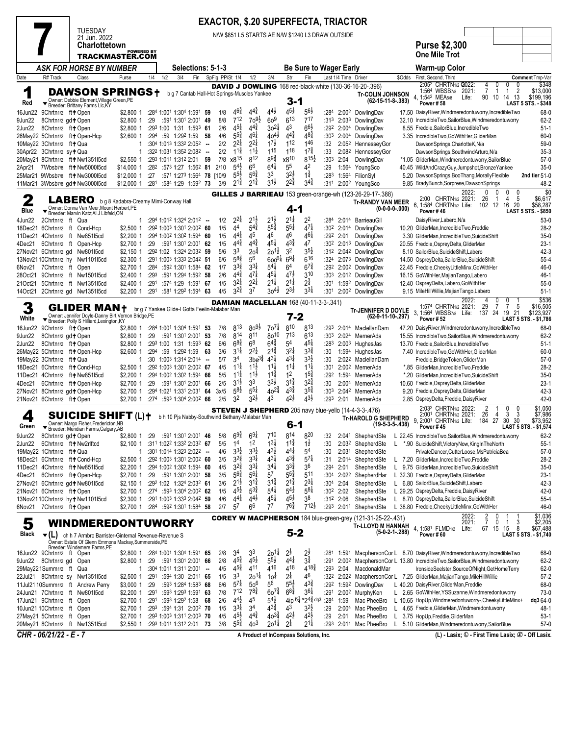## **EXACTOR, \$.20 SUPERFECTA, TRIACTOR**

|                   |                                                                    |        |                                                                                  |                          |              |                                                                                       |     |                  |                                          |                                    |                                       |                                          | <b>EXACTOR, \$.20 SUPERFECTA, TRIACTOR</b>        |                          |                           |                                                                   |        |                                                                                                                         |                    |
|-------------------|--------------------------------------------------------------------|--------|----------------------------------------------------------------------------------|--------------------------|--------------|---------------------------------------------------------------------------------------|-----|------------------|------------------------------------------|------------------------------------|---------------------------------------|------------------------------------------|---------------------------------------------------|--------------------------|---------------------------|-------------------------------------------------------------------|--------|-------------------------------------------------------------------------------------------------------------------------|--------------------|
|                   |                                                                    |        | TUESDAY<br>21 Jun. 2022                                                          |                          |              |                                                                                       |     |                  |                                          |                                    |                                       |                                          | N/W \$851 L5 STARTS AE N/W \$1240 L3 DRAW OUTSIDE |                          |                           |                                                                   |        |                                                                                                                         |                    |
|                   |                                                                    |        | Charlottetown                                                                    |                          |              |                                                                                       |     |                  |                                          |                                    |                                       |                                          |                                                   |                          |                           |                                                                   |        | <b>Purse \$2,300</b>                                                                                                    |                    |
|                   |                                                                    |        | TRACKMASTER.COM                                                                  | <b>POWERED BY</b>        |              |                                                                                       |     |                  |                                          |                                    |                                       |                                          |                                                   |                          |                           |                                                                   |        | <b>One Mile Trot</b>                                                                                                    |                    |
|                   |                                                                    |        | <b>ASK FOR HORSE BY NUMBER</b>                                                   |                          |              | Selections: 5-1-3                                                                     |     |                  |                                          |                                    |                                       |                                          | <b>Be Sure to Wager Early</b>                     |                          |                           |                                                                   |        | Warm-up Color                                                                                                           |                    |
| Date              | R# Track                                                           | Class  |                                                                                  | Purse                    | 1/4          | 1/2<br>3/4                                                                            | Fin |                  | SpFig PP/St 1/4                          | 1/2                                | 3/4                                   | Str                                      | Fin                                               |                          | Last 1/4 Time Driver      |                                                                   | \$Odds | First, Second, Third<br>Comment Tmp-Var                                                                                 |                    |
|                   |                                                                    |        |                                                                                  |                          |              |                                                                                       |     |                  |                                          |                                    |                                       |                                          |                                                   |                          |                           | <b>DAVID J DOWLING</b> 168 red-black-white (130-36-16-20-.396)    |        | 2:05 <sup>2</sup> CHRTN <sub>1/2</sub> Q022:<br>4<br>0<br>0<br>0                                                        | \$348              |
| 1                 |                                                                    |        | <b>DAWSON SPRINGS+</b>                                                           |                          |              | b g 7 Cantab Hall-Hot Springs-Muscles Yankee                                          |     |                  |                                          |                                    |                                       |                                          |                                                   |                          |                           | <b>Tr-COLIN JOHNSON</b>                                           |        | 2021:<br>7<br>$\overline{2}$<br>1:564 WBSB7/8<br>-1<br>-1<br>10<br>4, 1:542 MEA5/8<br>90<br>14 13<br>Life:<br>\$199,196 | \$13,000           |
| Red               |                                                                    |        | Verner: Debbie Element, Village Green, PE<br>Fereder: Brittany Farms Llc, KY     |                          |              |                                                                                       |     |                  |                                          |                                    |                                       | 3-1                                      |                                                   |                          |                           | $(62-15-11-8-383)$                                                |        | <b>Power #58</b><br><b>LAST 5 STS. - \$348</b>                                                                          |                    |
| 16Jun22           | 9Chrtn1/2 ft+Open                                                  |        |                                                                                  | \$2,800 1                |              | :284 1:001 1:304 1:591 59                                                             |     | 1/8              | $4^{6}\frac{3}{4}$                       | $4^{4}$                            | $4^{4}\frac{1}{2}$                    | $4^{5}\frac{1}{2}$                       | $5^{6}\frac{1}{2}$                                | :284                     |                           | 2:00 <sup>2</sup> DowlingDav                                      |        | 17.50 DaisyRiver, Windmeredontuworry, IncredibleTwo                                                                     | 68-0               |
| 9Jun22            | 8Chrtn1/2 gd + Open                                                |        |                                                                                  | \$2,800 1                | :29          | :591 1:301 2:001 49                                                                   |     | 8/8              | $7^{12}$<br>$45\frac{1}{4}$              | $70^{91}$<br>$4^{4}$               | 60 <sup>9</sup><br>$30^{21}$          | $6^{13}$<br>43                           | 717<br>$66\frac{1}{2}$                            | :313                     |                           | 2:033 DowlingDav                                                  |        | 32.10 IncredibleTwo,SailorBlue,Windmeredontuworry<br>8.55 Freddie, SailorBlue, IncredibleTwo                            | $62 - 2$           |
| 2Jun22            | 8Chrtn1/2 ft+Open<br>26May22 5Chrtn1/2 ft+Open-Hcp                 |        |                                                                                  | \$2,800 1<br>\$2,600 1   |              | :293 1:00 1:31 1:593 61<br>:294 :59 1:292 1:59 58                                     |     | 2/6<br>4/6       | $5^{5\frac{3}{4}}$                       | $4^{6}\frac{1}{4}$                 | $40^{41}$                             | $4^{4^{3}_{4}}$                          | 48‡                                               | :292<br>:30 <sup>3</sup> | 2:00 <sup>4</sup>         | 2:004 DowlingDav<br>DowlingDav                                    |        | 3.35 IncredibleTwo, GoWithHer, GliderMan                                                                                | $51-1$<br>60-0     |
|                   | 10May22 3Chrtn1/2 ft+Qua                                           |        |                                                                                  |                          |              | :304 1:013 1:332 2:052 --                                                             |     | 2/2              | $2^{2\frac{1}{4}}$                       | $2^{2\frac{1}{4}}$                 | $1^{7\frac{1}{2}}$                    | 112                                      | 146                                               | :32                      |                           | 2:052 HennesseyGor                                                |        | DawsonSprings, CharlotteK, N/a                                                                                          | 59-0               |
|                   | 30Apr22 3Chrtn1/2 sy+Qua                                           |        |                                                                                  | 1                        |              | :322 1:031 1:352 2:082 --                                                             |     | 2/2              | $11\frac{3}{4}$                          | $11\frac{1}{2}$                    | 115                                   | 118                                      | $17\frac{3}{4}$                                   | :33                      |                           | 2:082 HennessevGor                                                |        | DawsonSprings,SouthwindArturo,N/a                                                                                       | $35-3$             |
|                   | 20May21 8Chrtn1/2 ft + Nw135115cd                                  |        |                                                                                  | $$2,550$ 1               |              | :293 1:011 1:312 2:01                                                                 |     | 7/8<br>59        | x8 <sup>15</sup><br>$5^{4}$              | 812<br>6 <sup>6</sup>              | $89\frac{3}{4}$<br>$6^{4}$            | x810<br>55                               | $8^{15}\frac{1}{2}$<br>42                         | :30 <sup>3</sup>         | 2:04                      | DowlingDav                                                        |        | *1.05 GliderMan, Windmeredontuworry, SailorBlue                                                                         | $57-0$             |
| 2Apr21            | 7Wbsb7/8 ft+Nw5000l5cd<br>25Mar21 9Wbsb7/8 ft+Nw3000l5cd           |        |                                                                                  | \$14,000 1<br>\$12,000 1 | :282<br>:27  | :573 1:27 1:562 81<br>:571 1:273 1:564 78 [10/9                                       |     | 2/10             | $5^{5}\frac{1}{2}$                       | $56\frac{3}{4}$                    | 33                                    | $3^{2}$                                  | $1\frac{3}{4}$                                    | :29<br>:283              |                           | 1:564 YoungSco<br>1:564 FilionSyl                                 |        | 40.45 WildAndCrazyGuy,Jumpshot,BronzeYankee<br>5.20 DawsonSprings, BooThang, MorallyFlexible<br>2nd tier 51-0           | $35-0$             |
|                   | 11Mar21 3Wbsb7/8 gd + Nw300015cd                                   |        |                                                                                  | \$12,000 1               | :281         | :584 1:29 1:592 73                                                                    |     | 3/9              | $2^{1\frac{3}{4}}$                       | $2^{1\frac{3}{4}}$                 | $3^{1}\frac{1}{2}$                    | $2^{2^{3}_{4}}$                          | $3^{4}$                                           | :311                     |                           | 2:00 <sup>2</sup> YoungSco                                        |        | 9.85 BradyBunch, Sorprese, Dawson Springs                                                                               | 48-2               |
|                   |                                                                    |        |                                                                                  |                          |              |                                                                                       |     |                  |                                          |                                    |                                       |                                          |                                                   |                          |                           | <b>GILLES J BARRIEAU</b> 153 green-orange-wh (123-26-29-17-.388)  |        | 2022:<br>0                                                                                                              | \$0                |
| 2                 |                                                                    | LABERO |                                                                                  |                          |              | b g 8 Kadabra-Creamy Mimi-Conway Hall                                                 |     |                  |                                          |                                    |                                       |                                          |                                                   |                          |                           | <b>Tr-RANDY VAN MEER</b>                                          |        | 5<br>2:00 CHRTN1/2 2021:<br>26<br>4<br>-1<br>6.<br>1:584 CHRTN <sub>1/2</sub> Life:<br>102 12<br>16<br>20<br>\$58,287   | \$6,617            |
| Blue              |                                                                    |        | Owner: Donna Van Meer, Mount Herbert, PE<br>Breeder: Marvin Katz;Al J Libfeld,ON |                          |              |                                                                                       |     |                  |                                          |                                    |                                       | 4-1                                      |                                                   |                          |                           | $(0-0-0-0-000)$                                                   |        | Power #46<br><b>LAST 5 STS. - \$850</b>                                                                                 |                    |
| 4Jun22            | 2Chrtn1/2 ft Qua                                                   |        |                                                                                  | 1                        |              | $:294$ 1:01 <sup>2</sup> 1:32 <sup>4</sup> 2:01 <sup>2</sup> -                        |     | 1/2              | $2^{2\frac{1}{4}}$                       | $2^{1}\frac{1}{2}$                 | $2^{1\frac{1}{2}}$                    | $2^{1\frac{1}{4}}$                       | 2 <sup>2</sup>                                    | :284                     |                           | 2:014 BarrieauGil                                                 |        | DaisyRiver,Labero,N/a                                                                                                   | $53-0$             |
|                   | 18Dec21 6Chrtn1/2 ft Cond-Hcp<br>11Dec21 4Chrtn1/2 ft Nw851l5cd    |        |                                                                                  | \$2,500 1<br>\$2,200 1   |              | :292 1:003 1:301 2:002 60<br>:294 1:002 1:302 1:594 60                                |     | 1/5<br>1/5       | 44<br>$4^{4}$                            | $5^{4}$<br>45                      | $5^{5\frac{3}{4}}$<br>46              | $5^{51}$<br>46                           | $47\frac{1}{4}$<br>$4^{61}$                       | :302<br>:292             | 2:01                      | 2:014 DowlingDav<br>DowlingDav                                    |        | 10.20 GliderMan, IncredibleTwo, Freddie<br>3.30 GliderMan, IncredibleTwo, SuicideShift                                  | $28-2$<br>$35-0$   |
| 4Dec21            | 6Chrtn1/2 ft Open-Hcp                                              |        |                                                                                  | \$2,700 1                | :29          | :591 1:301 2:001 62                                                                   |     | 1/5              | $4^{4^{3}_{4}}$                          | $4^{4}$                            | $4^{51}$                              | $4^{3}\frac{3}{4}$                       | 47                                                | :30 <sup>2</sup>         |                           | 2:013 DowlingDav                                                  |        | 20.55 Freddie, Osprey Delta, Glider Man                                                                                 | $23-1$             |
|                   | 27Nov21 6Chrtn1/2 gd Nw801l5cd                                     |        |                                                                                  | \$2,150 1                |              | :292 1:02 1:324 2:032 59                                                              |     | 5/6              | 33                                       | $20^{\frac{3}{4}}$                 | $20^{11}$                             | 3 <sup>2</sup>                           | $3^{5\frac{1}{2}}$                                | :312                     |                           | 2:042 DowlingDav                                                  |        | 8.10 SailorBlue, Suicide Shift, Labero                                                                                  | 42-3               |
|                   | 13Nov2110Chrtn1/2 hy Nw1101l5cd                                    |        |                                                                                  | \$2,300 1                |              | :291 1:003 1:333 2:042 51                                                             |     | 6/6              | $5^{8\frac{3}{4}}$                       | 56                                 | $600^{61}$                            | $69\frac{1}{4}$                          | 616                                               | :324                     |                           | 2:073 DowlingDav                                                  |        | 14.50 OspreyDelta, SailorBlue, SuicideShift                                                                             | $55-4$             |
| 6Nov21<br>28Oct21 | 7Chrtn1/2 ft Open<br>9Chrtn1/2 ft Nw1501l5cd                       |        |                                                                                  | \$2,700 1<br>\$2,400 1   | :284<br>:293 | :592 1:301 1:584 62<br>:591 1:294 1:592 58                                            |     | 1/7<br>2/6       | $3^{34}$<br>$4^{4}\frac{3}{4}$           | $3^{31}$<br>$47\frac{1}{4}$        | $5^{4}$<br>$45\frac{1}{4}$            | 6 <sup>4</sup><br>$47\frac{1}{2}$        | $67\frac{3}{4}$<br>310                            | :292<br>:303             |                           | 2:00 <sup>2</sup> DowlingDav<br>2:012 DowlingDav                  |        | 22.45 Freddie, Cheeky LittleMinx, GoWithHer<br>16.15 GoWithHer, Majian Tango, Labero                                    | 46-0<br>46-1       |
| 21Oct21           | 5Chrtn1/2 ft Nw1351l5cd                                            |        |                                                                                  | \$2,400 1                | :291         | :574 1:29 1:591 67                                                                    |     | 1/5              | $3^{21}$                                 | $2^{21}$                           | $2^{1\frac{1}{4}}$                    | $2^{1\frac{1}{4}}$                       | $2^{\frac{3}{4}}$                                 | :301                     |                           | 1:592 DowlingDav                                                  |        | 12.40 OspreyDelta,Labero,GoWithHer                                                                                      | $55-0$             |
| 14Oct21           | 2Chrtn1/2 gd Nw1351l5cd                                            |        |                                                                                  | \$2,200 1                | :291         | :581 1:292 1:594 63                                                                   |     | 4/5              | $3^{2^{3}_{4}}$                          | 37                                 | $30^{41}$                             | $2^{3\frac{1}{2}}$                       | $3^{3}\frac{1}{4}$                                | :301                     |                           | 2:00 <sup>2</sup> DowlingDav                                      |        | 9.15 MileHillWillie, Majian Tango, Labero                                                                               | $51-1$             |
|                   |                                                                    |        |                                                                                  |                          |              |                                                                                       |     |                  |                                          |                                    |                                       |                                          | <b>DAMIAN MACLELLAN 168 (40-11-3-3-.341)</b>      |                          |                           |                                                                   |        | 2022:<br>0<br>4<br>0                                                                                                    | \$536              |
| 3                 |                                                                    |        | GLIDER MAN+<br>Owner: Jennifer Doyle-Danny Birt, Vernon Bridge, PE               |                          |              | br g 7 Yankee Glide-I Gotta Feelin-Malabar Man                                        |     |                  |                                          |                                    |                                       |                                          |                                                   |                          |                           | <b>Tr-JENNIFER D DOYLE</b>                                        |        | 29<br>1:574 CHRTN1/2 2021:<br>$\overline{7}$<br>7<br>5<br>19 21<br>1:564 WBSB7/8 Life:<br>137<br>\$123,927<br>24        | \$16,505           |
| White             | ▼                                                                  |        | Breeder: Polly S Hilliard, Lexington, KY                                         |                          |              |                                                                                       |     |                  |                                          |                                    |                                       | $7 - 2$                                  |                                                   |                          |                           | $(62-9-11-10-.297)$                                               |        | <b>Power #52</b><br>LAST 5 STS. - \$1,786                                                                               |                    |
| 16Jun22<br>9Jun22 | 9Chrtn1/2 ft+Open<br>8Chrtn1/2 gd + Open                           |        |                                                                                  | \$2,800 1<br>\$2,800 1   | :29          | :284 1:001 1:304 1:591 53<br>:591 1:301 2:001 53                                      |     | 7/8<br>7/8       | 813<br>814                               | $80^{91}$<br>811                   | $70^{7}$<br>$80^{10}$                 | 810<br>713                               | 813<br>$6^{13}$                                   | :293<br>:303             |                           | 2:014 MaclellanDam<br>2:024 MernerAda                             |        | 47.20 DaisyRiver, Windmeredontuworry, IncredibleTwo<br>15.55 IncredibleTwo,SailorBlue,Windmeredontuworry                | 68-0<br>$62 - 2$   |
| 2Jun22            | 8Chrtn1/2 ft+Open                                                  |        |                                                                                  | \$2,800 1                |              | :293 1:00 1:31 1:593 62                                                               |     | 6/6              | $6^{8\frac{3}{4}}$                       | 6 <sup>8</sup>                     | $6^{4}\frac{3}{4}$                    | 5 <sup>4</sup>                           | $4^{5}$                                           | :283                     |                           | 2:00 <sup>3</sup> HughesJas                                       |        | 13.70 Freddie, SailorBlue, IncredibleTwo                                                                                | $51-1$             |
|                   | 26May22 5Chrtn1/2 ft+Open-Hcp                                      |        |                                                                                  | \$2,600 1                | :294         | :59 1:292 1:59                                                                        |     | 3/6<br>63        | $3^{11}$                                 | $2^{2}\frac{1}{2}$                 | $2^{1\frac{3}{4}}$                    | $3^{21}$                                 | $3^{3}\frac{3}{4}$                                | :30                      |                           | 1:594 HughesJas                                                   |        | 7.40 IncredibleTwo, GoWithHer, GliderMan                                                                                | $60 - 0$           |
|                   | 19May22 3Chrtn1/2 ft+ Qua                                          |        |                                                                                  | 1                        |              | $:30$ 1:003 1:314 2:014 -                                                             |     | 5/7              | 34                                       | 3be <sup>3</sup>                   | $4^{3}$                               | $4^{3}\frac{1}{4}$                       | $3^{3}\frac{1}{2}$                                | :30                      |                           | 2:022 MaclellanDam                                                |        | Freddie, Bridge Token, GliderMan                                                                                        | $57-0$             |
|                   | 18Dec21 6Chrtn1/2 ft+ Cond-Hcp<br>11Dec21 4Chrtn1/2 ft + Nw851l5cd |        |                                                                                  | \$2,500 1<br>\$2,200 1   |              | :292 1:003 1:301 2:002 67<br>:294 1:002 1:302 1:594                                   |     | 4/5<br>5/5<br>66 | $11\frac{1}{4}$<br>$11\frac{1}{4}$       | $11\frac{1}{2}$<br>$11\frac{1}{2}$ | $11\frac{1}{4}$<br>$1^{1\frac{3}{4}}$ | $11\frac{1}{4}$<br>1 <sup>2</sup>        | $11\frac{1}{4}$<br>$1^{5\frac{3}{4}}$             | :301<br>:292             | 1:594                     | 2:00 <sup>2</sup> MernerAda<br>MernerAda                          |        | *.85 GliderMan, IncredibleTwo, Freddie<br>*.20 GliderMan, IncredibleTwo, SuicideShift                                   | $28-2$<br>$35-0$   |
| 4Dec21            | 6Chrtn1/2 ft+Open-Hcp                                              |        |                                                                                  | \$2,700 1                | :29          | :591 1:301 2:001 66                                                                   |     | 2/5              | $3^{1\frac{1}{2}}$                       | 33                                 | $3^{3}\frac{1}{2}$                    | $3^{1\frac{3}{4}}$                       | $3^{2^{3}_{4}}$                                   | :30                      |                           | 2:004 MernerAda                                                   |        | 10.60 Freddie, Osprey Delta, Glider Man                                                                                 | $23-1$             |
|                   | 27Nov21 8Chrtn1/2 gd+Open-Hcp                                      |        |                                                                                  | \$2,700 1                |              | :294 1:021 1:331 2:031 64                                                             |     | 3x/5             | $5^{8}$                                  | $5^{5\frac{1}{4}}$                 | $40^{24}$                             | $4^{3\frac{3}{4}}$                       | $3^{5\frac{3}{4}}$                                | :30 <sup>3</sup>         |                           | 2:042 MernerAda                                                   |        | 9.20 Freddie, Osprey Delta, Glider Man                                                                                  | 42-3               |
|                   | 21Nov21 6Chrtn1/2 ft+Open                                          |        |                                                                                  |                          |              | \$2.700 1 :274 :593 1:304 2:002 66                                                    |     | 2/5              | 32                                       | $3^{21}$                           | 43                                    | $4^{2}\frac{1}{2}$                       | $4^{3\frac{1}{2}}$                                | :293                     | 2:01                      | MernerAda                                                         |        | 2.85 OspreyDelta, Freddie, Daisy River                                                                                  | $42 - 0$           |
|                   |                                                                    |        | SUICIDE SHIFT (L)†                                                               |                          |              |                                                                                       |     |                  |                                          |                                    |                                       |                                          |                                                   |                          |                           | <b>STEVEN J SHEPHERD</b> 205 navy blue-yello (14-4-3-3-.476)      |        | 2:032 CHRTN1/2 2022:<br>2<br>0<br>0<br>26<br>3<br>3<br>2:001 CHRTN1/2 2021:<br>4                                        | \$1,050<br>\$7,986 |
| 4<br>Green        |                                                                    |        | Owner: Margo Fisher, Fredericton, NB                                             |                          |              | b h 10 Pis Nabby-Southwind Bethany-Malabar Man                                        |     |                  |                                          |                                    |                                       | $6 - 1$                                  |                                                   |                          |                           | <b>Tr-HAROLD G SHEPHERD</b><br>$(19-5-3-5-438)$                   |        | 9.<br>184 27<br>2:001 CHRTN1/2 Life:<br>30<br>30                                                                        | \$73,952           |
|                   | 9Jun22 8Chrtn1/2 gd+Open                                           |        | ▼ Breeder: Meridian Farms, Calgary, AB                                           |                          |              | \$2,800 1 :29 :591 1:301 2:001 46 5/8 $69\frac{3}{4}$ $69\frac{1}{4}$ 7 <sup>10</sup> |     |                  |                                          |                                    |                                       | 814                                      | 820                                               | :32                      |                           | 2:041 ShepherdSte                                                 |        | <b>Power #45</b><br><b>LAST 5 STS. - \$1.574</b><br>L 22.45 IncredibleTwo,SailorBlue,Windmeredontuworry                 | 62-2               |
|                   | 2Jun22 6Chrtn1/2 ft + Nw2rlftcd                                    |        |                                                                                  | \$2,100 1                |              | :311 1:022 1:332 2:032 67                                                             |     | 5/5              | 1 <sup>4</sup>                           | 1 <sup>2</sup>                     | $1^{31}$                              | $11\frac{3}{4}$                          | $1\frac{1}{2}$                                    | :30                      |                           | 2:03 <sup>2</sup> ShepherdSte<br>$\mathsf{L}$                     |        | *.90 SuicideShift, VictoryNow, KingInTheNorth                                                                           | $55-1$             |
|                   | 19May22 1Chrtn1/2 ft+Qua                                           |        |                                                                                  | 1                        |              | :301 1:014 1:323 2:022                                                                |     | 4/6<br>$\sim$    | $3^{3}\frac{1}{2}$                       | $3^{3}\frac{1}{2}$                 | $4^{3}\frac{1}{2}$                    | $4^{41}$                                 | 54                                                | :30                      | 2:031                     | ShepherdSte                                                       |        | PrivateDancer,CutterLoose,MsPatriciaBea                                                                                 | $57-0$             |
|                   | 18Dec21 6Chrtn1/2 ft+ Cond-Hcp                                     |        |                                                                                  | \$2,500 1                |              | :292 1:003 1:301 2:002 60                                                             |     | 3/5              | $3^{2}\frac{3}{4}$                       | $3^{3}\frac{1}{4}$                 | $4^{3}\frac{1}{4}$                    | $4^{3\frac{3}{4}}$                       | $5^{7\frac{1}{4}}$                                | :31                      | 2:014                     | ShepherdSte                                                       |        | L 7.20 GliderMan, IncredibleTwo, Freddie                                                                                | 28-2               |
| 4Dec21            | 11Dec21 4Chrtn1/2 ft+Nw851l5cd<br>6Chrtn1/2 ft+Open-Hcp            |        |                                                                                  | \$2,200 1<br>\$2.700 1   | :29          | :294 1:002 1:302 1:594 60<br>:591 1:301 2:001 58                                      |     | 4/5<br>3/5       | $3^{2}\frac{3}{4}$<br>$5^{6}\frac{3}{4}$ | $3^{3}\frac{1}{4}$<br>$5^{6}$      | $3^{41}$<br>5 <sup>7</sup>            | $3^{3}\frac{3}{4}$<br>$5^{5\frac{3}{4}}$ | 36<br>511                                         | :294<br>:304             | 2:01<br>2:02 <sup>2</sup> | ShepherdSte<br>ShepherdHar                                        |        | L 9.75 GliderMan, IncredibleTwo, SuicideShift<br>L 32.30 Freddie, Osprey Delta, Glider Man                              | $35-0$<br>$23-1$   |
|                   | 27Nov21 6Chrtn1/2 gd+Nw801l5cd                                     |        |                                                                                  |                          |              | \$2,150 1 :292 1:02 1:324 2:032 61                                                    |     | 3/6              | $2^{1\frac{1}{2}}$                       | $3^{12}$                           | $3^{1\frac{3}{4}}$                    | $2^{1\frac{3}{4}}$                       | $2^{3\frac{1}{4}}$                                | :304                     | 2:04                      | ShepherdSte                                                       |        | L 6.80 SailorBlue, Suicide Shift, Labero                                                                                | 42-3               |
|                   | 21Nov21 6Chrtn1/2 ft+Open                                          |        |                                                                                  | \$2,700 1                |              | $:274$ :593 1:304 2:002 62                                                            |     | 1/5              | $45\frac{1}{2}$                          | $5^{3}\frac{3}{4}$                 | $5^{4}$                               | $5^{4}$                                  | $5^{8\frac{1}{4}}$                                | :30 <sup>2</sup>         | 2:02                      | ShepherdSte                                                       |        | L 29.25 OspreyDelta, Freddie, Daisy River                                                                               | 42-0               |
|                   | 13Nov2110Chrtn1/2 hyt Nw1101l5cd                                   |        |                                                                                  | \$2,300 1                |              | :291 1:003 1:333 2:042 59                                                             |     | 4/6              | $4^{4}$                                  | $4^{4}$                            | $4^{51}$                              | $4^{5}\frac{1}{2}$                       | 38                                                | :312 2:06                |                           | ShepherdSte                                                       |        | L 8.70 OspreyDelta, SailorBlue, SuicideShift                                                                            | $55-4$             |
| 6Nov21            | 7Chrtn1/2 ft+Open                                                  |        |                                                                                  | \$2,700 1                |              | :284 :592 1:301 1:584 58                                                              |     | 2/7              | $5^7$                                    | 66                                 | 77                                    | $76\frac{3}{4}$                          | $7^{12}$                                          |                          | :293 2:011                | ShepherdSte                                                       |        | L 38.80 Freddie, Cheeky Little Minx, Go With Her                                                                        | 46-0               |
| 5                 |                                                                    |        |                                                                                  |                          |              | WINDMEREDONTUWORRY                                                                    |     |                  |                                          |                                    |                                       |                                          |                                                   |                          |                           | <b>COREY W MACPHERSON</b> 184 blue-green-grey (121-31-25-22-.431) |        | 2022:<br>$\frac{2}{7}$<br>0<br>0<br>3<br>2021:<br>1                                                                     | \$1,036<br>\$2,205 |
| Black             |                                                                    |        | $\blacktriangledown(L)$ ch h 7 Armbro Barrister-Ginternal Revenue-Revenue S      |                          |              |                                                                                       |     |                  |                                          |                                    |                                       | $5 - 2$                                  |                                                   |                          |                           | Tr-LLOYD M HANNAH<br>$(5-0-2-1-.288)$                             |        | 4, 1:581 FLMD1/2<br>Life:<br>67 15<br>15<br>8<br>Power #60<br>LAST 5 STS. - \$1,740                                     | \$67,488           |
|                   |                                                                    |        | Owner: Estate Of Glenn Emmons Mackay, Summerside, PE                             |                          |              |                                                                                       |     |                  |                                          |                                    |                                       |                                          |                                                   |                          |                           |                                                                   |        |                                                                                                                         |                    |
|                   | 16Jun22 9Chrtn1/2 ft Open                                          |        | Breeder: Windemere Farms, PE                                                     |                          |              | \$2,800 1 :284 1:001 1:304 1:591 65                                                   |     | 2/8              | 34                                       | 33                                 | $20^{11}$                             | $2\frac{1}{2}$                           | $2\frac{1}{2}$                                    | :281                     | 1:591                     |                                                                   |        | MacphersonCor L 8.70 DaisyRiver, Windmeredontuworry, IncredibleTwo                                                      | 68-0               |
|                   | 9Jun22 8Chrtn1/2 gd Open                                           |        |                                                                                  | \$2,800 1                | :29          | :591 1:301 2:001 66                                                                   |     | 2/8              | $4^{5\frac{3}{4}}$                       | $4^{5}\frac{1}{2}$                 | $5^{5}\frac{1}{2}$                    | $4^{41}$                                 | $3^{3}$                                           | :291                     |                           |                                                                   |        | 2:00 <sup>2</sup> MacphersonCor L 13.80 IncredibleTwo, SailorBlue, Windmeredontuworry                                   | 62-2               |
|                   | 29May221Summ1/2 ft Qua                                             |        |                                                                                  | 1                        |              | $:304$ 1:011 1:311 2:001 -                                                            |     | 4/5              | $4^{5}\frac{3}{4}$                       | 411                                | 416                                   | 418                                      | $4^{18}\frac{3}{4}$                               | :293                     | 2:04                      | MacdonaldMar                                                      |        | IronsideSeelster,SourceOfNight,GetHomeTerry                                                                             | 62-0               |
|                   | 22Jul21 8Chrtn1/2 sy Nw1351l5cd                                    |        |                                                                                  | \$2,500 1                | :291         | :594 1:30 2:011 65<br>:593 1:284 1:583 68                                             |     | 1/5<br>6/6       | 33<br>$5^{7\frac{1}{4}}$                 | $20^{14}$<br>50 <sup>6</sup>       | 10 <sup>1</sup><br>56                 | $2\frac{1}{4}$<br>$5^{5}\frac{1}{2}$     | 46<br>$4^{3}\frac{3}{4}$                          | :322<br>:292             | 2:022<br>1:592            | DowlingDav                                                        |        | MacphersonCor L 7.25 GliderMan, Majian Tango, MileHillWillie<br>L 40.20 DaisyRiver, GliderMan, Freddie                  | $57-2$<br>68-0     |
|                   | 11Jul2110Summ1/2 ft Andrew Perry<br>24Jun21 7Chrtn1/2 ft Nw80115cd |        |                                                                                  | \$3,000 1<br>\$2,200 1   | :29<br>:291  | :593 1:293 1:591 63                                                                   |     | 7/8              | $7^{12}$                                 | $7^{8\frac{3}{4}}$                 | $60^{7\frac{3}{4}}$                   | $6^{8\frac{3}{4}}$                       | $3^{6}\frac{1}{4}$                                | :291                     | 2:00 <sup>2</sup>         | MurphyKen                                                         |        | L 2.65 GoWithHer, YSSuzanne, Windmeredontuworry                                                                         | $73-0$             |
|                   | 17Jun21 9Chrtn1/2 ft Open                                          |        |                                                                                  | \$2,700 1 :291           |              | :593 1:292 1:58 68                                                                    |     | 2/6              | $4^{4}\frac{1}{2}$                       | 45                                 | $5^{4}$                               | 4ip <sup>6</sup>                         | $*24\frac{3}{4}$ dq3                              | :284                     | 1:59                      | Mac PheeBro                                                       |        | dq3 64-0<br>L 10.65 HopUp, Windmeredontuworry-, Cheeky Little Minx+                                                     |                    |
|                   | 10Jun21 10Chrtn1/2 ft Open                                         |        |                                                                                  |                          |              | \$2,700 1 :293 :594 1:31 2:002 70                                                     |     | 1/5              | $3^{3}\frac{1}{4}$                       | 34                                 | $4^{3\frac{3}{4}}$                    | 4 <sup>3</sup>                           | $3^{2}\frac{1}{2}$                                | :29                      | 2:004                     | Mac PheeBro                                                       |        | L 4.65 Freddie, GliderMan, Windmeredontuworry                                                                           | 48-1               |
|                   | 27May21 5Chrtn1/2 ft Open                                          |        |                                                                                  | \$2,700 1<br>\$2,550 1   |              | :293 1:003 1:311 2:003 70<br>:293 1:011 1:312 2:01 73                                 |     | 4/5<br>3/8       | $4^{5}\frac{1}{2}$<br>$5^{5\frac{3}{4}}$ | $4^{4}$<br>40 <sup>3</sup>         | $40^{3}\frac{3}{4}$<br>$20^{11}$      | $4^{2\frac{1}{2}}$<br>$2\frac{1}{4}$     | $4^{2}\frac{1}{2}$<br>$2^{11}$                    | :29<br>:293              | 2:01                      | Mac PheeBro<br>2:011 Mac PheeBro<br>L.                            |        | L 3.75 HopUp, Freddie, GliderMan<br>5.10 GliderMan, Windmeredontuworry, SailorBlue                                      | $53-1$<br>$57-0$   |
|                   | 20May21 8Chrtn1/2 ft Nw135115cd<br>CHR - 06/21/22 - E - 7          |        |                                                                                  |                          |              |                                                                                       |     |                  |                                          |                                    |                                       |                                          |                                                   |                          |                           |                                                                   |        |                                                                                                                         |                    |
|                   |                                                                    |        |                                                                                  |                          |              |                                                                                       |     |                  |                                          |                                    |                                       |                                          | A Product of InCompass Solutions, Inc.            |                          |                           |                                                                   |        | (L) - Lasix; ① - First Time Lasix; ② - Off Lasix.                                                                       |                    |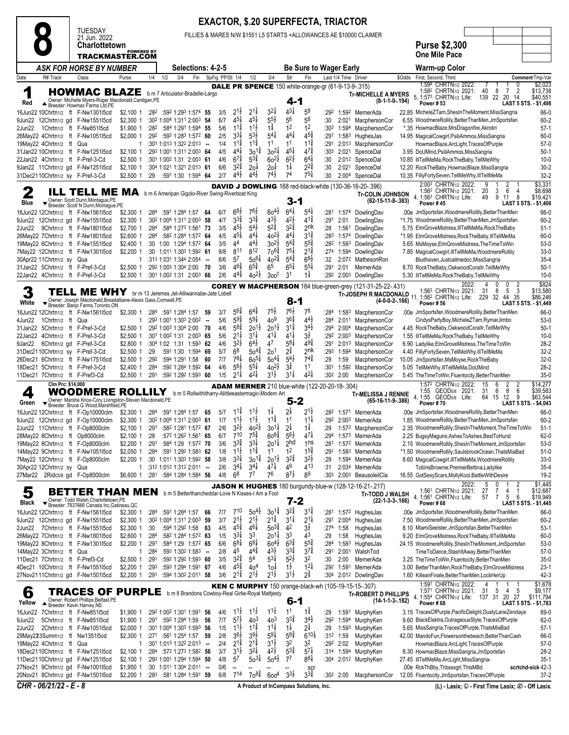### **8** TUESDAY 21 Jun. 2022 **Charlottetown TRACKMASTER.COM EXACTOR, \$.20 SUPERFECTA, TRIACTOR** FILLIES & MARES N/W \$1551 L5 STARTS +ALLOWANCES AE \$10000 CLAIMER **Purse \$2,300 One Mile Pace** *ASK FOR HORSE BY NUMBER* **Selections: 4-2-5 Be Sure to Wager Early Warm-up Color** R# Track Class Purse 1/4 1/2 3/4 Fin SpFig PP/St 1/4 1/2 3/4 Str Fin Last 1/4 Time Driver \$Odds First, Second, Third **Comment** Tmp-Var **Red ▲** Breeder: Michelle Myers-Roger Macconald,Cardigan,PE<br>16Jun22 10Chrtn1/2 ft F-Nw1301l5cd \$2,100 1 :28<sup>2</sup> :59<sup>2</sup> 1:29<sup>3</sup> 1:57<sup>4</sup> **55** 3/5 2 HOWMAC BLAZE b m 7 Articulator-Bradelle-Largo Owner: Michelle Myers-Roger Macdonald,Cardigan,PE Breeder: Howmac Farms Ltd,PE DALE PR SPENCE 150 white-orange-gr (61-9-13-9-.315) 4-1 **Tr-MICHELLE A MYERS (8-1-1-0-.194)** 1:594 CHRTN1/2 1:582 CHRTN1/2 5, 1:573 CHRTN1/2 **Power # 53** 2022: 7 1 1 0 \$2,023  $\frac{2}{14}$  \$13,738 139 22 20 **LAST 5 STS. - \$1,498**  $2^{1\frac{1}{2}}$  $2^{1\frac{1}{4}}$  $3^{2\frac{1}{4}}$  4<sup>3</sup><br>5<sup>5</sup>/<sub>2</sub> 56  $4^{3}\frac{1}{4}$  5<sup>8</sup> 8 :29<sup>2</sup> 1:59<sup>2</sup> MernerAda 22.85 MicheleZTam,ShesInTheMoment,MissSangria 66-0 9Jun22 12Chrtn1/2 gd F-Nw1551l5cd \$2,300 1 :30<sup>2</sup> 1:00<sup>4</sup> 1:31<sup>1</sup> 2:00<sup>3</sup> **54** 6/7 4  $4^{5\frac{1}{4}}$  $4^{5}\frac{1}{4}$  $\frac{5^{5}_{2}}{1^{3}_{4}}$  5<sup>6</sup><br>1<sup>3</sup>/<sub>4</sub> 58 6.55 WoodmereRollily,BetterThanMen,JmSportsfan 60-2 2Jun22 1Chrtn1/2 ft F-Nw851l5cd \$1,900 1 :28<sup>2</sup> :58<sup>4</sup> 1:29<sup>1</sup> 1:59<sup>4</sup> **55** 5/6 1  $11\frac{3}{4}$  $1<sup>1</sup>$  $1\frac{3}{4}$  $\frac{12}{452}$ 2 :30<sup>3</sup> 1:59<sup>4</sup> MacphersonCor \*.35 HowmacBlaze,MrsDragonfire,Akrotiri 57-1 26May 128<sup>2</sup> 128<sup>3</sup> 128<sup>3</sup> 1:57<sup>2</sup> **60** 2/5<br>1/4 **1:301** 1:013 1:322 2:013 - 1/4  $3^{31}$  $5^{3}$  $5^{4\frac{1}{4}}$   $4^{4}$ <br> $1^{1}$   $1^{1}$  $4^{4}$ 14.95 MagicalCowgirl,PsiliAmmos,MissSangria 60-0 19May22 4Chrtn1/2 ft Qua 1 :30<sup>1</sup> 1:01<sup>3</sup> 1:32<sup>2</sup> 2:01<sup>3</sup> **--** 1/4 1  $1^{1\frac{3}{4}}$  $1^{1\frac{3}{4}}$  $11$  $\frac{113}{473}$ 1£ :29<sup>1</sup> 2:01<sup>3</sup> MacphersonCor HowmacBlaze,ArcLight,TracesOfPurple 57-0 31Jan22 10Chrtn1/2 ft F-Nw1251l5cd \$2,100 1 :29<sup>3</sup> 1:00<sup>1</sup> 1:31<sup>1</sup> 2:00<sup>3</sup> **64** 4/5 4  $30^{1\frac{3}{4}}$ <br> $5^{3\frac{3}{4}}$  $1\frac{3}{4}$  3o<sup>2</sup> $\frac{1}{4}$  4  $4^{5\frac{1}{4}}$   $4^{7\frac{3}{4}}$ <br>6<sup>2</sup>/<sub>6</sub>4<sup>1</sup> 7£ :30<sup>3</sup> 2:02<sup>1</sup> SpenceDal 3.95 DoUMind,PsiliAmmos,MissSangria 50-1  $$2,500$  1 :30<sup>1</sup> 1:00<sup>2</sup> 1:31 2:00<sup>3</sup> **61** 4/6 6<sup>7 $\frac{3}{4}$ </sup><br> $$2.100$  1 :304 1:021 1:321 2:013 **61** 6/6 32 $\frac{3}{4}$  $6^{7\frac{3}{4}}$  $60^{21}$  $^{2\frac{1}{2}}$  6<sup>2</sup>/<sub>2</sub> 6 14 10.85 IllTellMeMa,RockTheBaby,TellMeWhy 10-0<br>14 12.20 RockTheBaby,HowmacBlaze,MissSangria 10-0

 $2^{2}$ 

 $75<sup>1</sup>$ 

DAVID J DOWLING 168 red-black-white (130-36-16-20-.396) 3-1

 $20<sup>1</sup>$ 

 $44\frac{1}{2}$   $44\frac{1}{2}$ 

 $20<sup>1</sup>$  $\frac{1}{74}$ 

 $4\frac{1}{2}$  7 $4\frac{1}{2}$  7

| Blue    |                               | Owner: Scott Dunn, Montague, PE<br>Breeder: Scott N Dunn, Montague, PE                                                                                                                                                                                                                                                                                                                                                                                                                                                                                                                                                                     |              |      |                                              |        |     |                    |                    |                                                     | 3-1                |                                                       |                  |                       | (62-15-11-8-.383)                                                            | Power #45                                                                            |                                           | LAST 5 STS. - \$1,406              |
|---------|-------------------------------|--------------------------------------------------------------------------------------------------------------------------------------------------------------------------------------------------------------------------------------------------------------------------------------------------------------------------------------------------------------------------------------------------------------------------------------------------------------------------------------------------------------------------------------------------------------------------------------------------------------------------------------------|--------------|------|----------------------------------------------|--------|-----|--------------------|--------------------|-----------------------------------------------------|--------------------|-------------------------------------------------------|------------------|-----------------------|------------------------------------------------------------------------------|--------------------------------------------------------------------------------------|-------------------------------------------|------------------------------------|
|         |                               | 16Jun22 12Chrtn1/2 ft F-Nw1561l5cd                                                                                                                                                                                                                                                                                                                                                                                                                                                                                                                                                                                                         | \$2,300 1    |      | $:284$ $:591$ 1:284 1:57 64                  |        | 6/7 | $68\frac{1}{2}$    | $76\frac{1}{2}$    | $60^{41}$                                           | $6^{4\frac{1}{4}}$ | $5^{4}$                                               | :281             |                       | 1:574 DowlingDav                                                             | .00e JmSportsfan, WoodmereRollily, Better ThanMen                                    |                                           | 66-0                               |
|         |                               | 9Jun22 12Chrtn1/2 gd F-Nw1551l5cd                                                                                                                                                                                                                                                                                                                                                                                                                                                                                                                                                                                                          | \$2.3001     |      | :302 1:004 1:311 2:003 58                    |        | 4/7 | $3^{3}\frac{3}{4}$ | $3^{3}$            | $4^{3}\frac{1}{2}$                                  | $4^{2}\frac{1}{2}$ | $4^{1\frac{3}{4}}$                                    | :291             | 2:01                  | DowlingDav                                                                   | *1.75 WoodmereRollily, BetterThanMen, JmSportsfan                                    |                                           | 60-2                               |
| 2Jun22  |                               | 9Chrtn1/2 ft F-Nw1801l5cd                                                                                                                                                                                                                                                                                                                                                                                                                                                                                                                                                                                                                  | \$2,700 1    | :284 | :584 1:273 1:561 73                          |        | 3/5 | $45\frac{1}{2}$    | $5^{4}$            | $5^{2^{3}_{4}}$                                     | $3^{2^{3}}$        | 2nk                                                   | :28              |                       | 1:561 DowlingDav                                                             | 5.75 ElmGroveMistress, IIITellMeMa, RockTheBaby                                      |                                           | $51-1$                             |
|         |                               | 26May22 7Chrtn1/2 ft F-Nw1801l5cd                                                                                                                                                                                                                                                                                                                                                                                                                                                                                                                                                                                                          | $$2,600$ 1   |      | :284 :582 1:284 1:572 64                     |        | 4/5 | $4^{5\frac{1}{4}}$ | $4^{4}$            | $40^{21}$                                           | $4^{41}$           | $3^{1\frac{3}{4}}$                                    | :283             |                       | 1:574 DowlingDav                                                             | *1.95 ElmGroveMistress, RockTheBaby, IllTellMeMa                                     |                                           | $60 - 0$                           |
|         |                               | 19May22 6Chrtn1/2 ft F-Nw1551l5cd                                                                                                                                                                                                                                                                                                                                                                                                                                                                                                                                                                                                          | \$2,400 1    |      | :30 1:00 1:294 1:572 64                      |        | 3/5 | 4 <sup>4</sup>     | $4^{4}$            | $30^{21}$                                           | $5^{4}$            | $5^{5\frac{3}{4}}$                                    |                  |                       | :282 1:583 DowlingDav                                                        | 5.65 MsMoyse, ElmGroveMistress, The Time To Win                                      |                                           | $53-0$                             |
|         |                               | 7May22 12Chrtn1/2 ft F-Nw1301l5cd                                                                                                                                                                                                                                                                                                                                                                                                                                                                                                                                                                                                          | \$2,200 1    |      | :30 1:011 1:303 1:592 61                     |        | 8/8 | 811                | 812                | $70^{6}\frac{3}{4}$                                 | $75\frac{1}{4}$    | $2^{1\frac{3}{4}}$                                    |                  |                       | :274 1:594 DowlingDav                                                        | 7.85 MagicalCowgirl, IIITellMeMa, WoodmereRollily                                    |                                           | $33-0$                             |
|         | 30Apr22 11Chrtn1/2 sy Qua     |                                                                                                                                                                                                                                                                                                                                                                                                                                                                                                                                                                                                                                            | $\mathbf{1}$ |      | :313 1:031 1:344 2:054 --                    |        | 6/6 | $5^7$              | $50^{61}$          | $40^{24}$                                           | $5^{4}\frac{3}{4}$ | $6^{8\frac{1}{2}}$                                    | :32              |                       | 2:072 MathesonRon                                                            | Bludhaven, Justcallmedoc, MissSangria                                                |                                           | $35 - 4$                           |
|         |                               | 31Jan22 5Chrtn1/2 ft F-Pref-3-Cd                                                                                                                                                                                                                                                                                                                                                                                                                                                                                                                                                                                                           | \$2,500 1    |      | :292 1:003 1:304 2:00 70                     |        | 3/6 | $46\frac{3}{4}$    | $6^{5\frac{3}{4}}$ | $6^5\,$                                             | $6^{51}$           | $5^{51}$                                              | :291             | 2:01                  | MernerAda                                                                    | 8.70 RockTheBaby,OakwoodCorallr,TellMeWhy                                            |                                           | $50-1$                             |
|         |                               | 22Jan22 4Chrtn1/2 ft F-Pref-3-Cd                                                                                                                                                                                                                                                                                                                                                                                                                                                                                                                                                                                                           | \$2,500 1    |      | :301 1:002 1:31 2:003 66                     |        | 2/6 | $44\frac{3}{4}$    | $40^{21}$          | 300 <sup>1</sup>                                    | 31                 | 1‡                                                    | :292             |                       | 2:003 DowlingDav                                                             | 5.30 IIITellMeMa, RockTheBaby, TellMeWhy                                             |                                           | $10-0$                             |
|         |                               |                                                                                                                                                                                                                                                                                                                                                                                                                                                                                                                                                                                                                                            |              |      |                                              |        |     |                    |                    |                                                     |                    |                                                       |                  |                       | COREY W MACPHERSON 184 blue-green-grey (121-31-25-22-.431)                   | 2022:                                                                                | 0<br>0                                    | \$824                              |
| 3       |                               | TELL ME WHY brm 13 Jeremes Jet-Alliwannabe-Jate Lobell                                                                                                                                                                                                                                                                                                                                                                                                                                                                                                                                                                                     |              |      |                                              |        |     |                    |                    |                                                     |                    |                                                       |                  |                       | <b>Tr-JOSEPH R MACDONALD</b>                                                 | 1:56 <sup>3</sup> CHRTN1/2 2021:<br>11, 1:56 <sup>2</sup> CHRTN <sub>1/2</sub> Life: | 5<br>3<br>31<br>8<br>44 35<br>229<br>32   | \$13,580<br>\$86,246               |
| White   |                               | Owner: Joseph Macdonald, Breadalbane-Alexis Gass, Cornwall, PE<br>Breeder: Banjo Farms, Toronto, ON                                                                                                                                                                                                                                                                                                                                                                                                                                                                                                                                        |              |      |                                              |        |     |                    |                    |                                                     | 8-1                |                                                       |                  |                       | $(4-0-0-2-166)$                                                              | <b>Power #56</b>                                                                     |                                           | LAST 5 STS. - \$1,449              |
|         |                               | 16Jun22 12Chrtn1/2 ft F-Nw1561l5cd                                                                                                                                                                                                                                                                                                                                                                                                                                                                                                                                                                                                         | \$2,300 1    |      | :284 :591 1:284 1:57 59                      |        | 3/7 | $56\frac{3}{4}$    | $6^{4}\frac{3}{4}$ | 75}                                                 | 76}                | 78                                                    | :284             | 1:583                 | MacphersonCor                                                                | .00e JmSportsfan, WoodmereRollily, BetterThanMen                                     |                                           | 66-0                               |
| 4Jun22  | 1 Chrtn <sub>1/2</sub> ft Qua |                                                                                                                                                                                                                                                                                                                                                                                                                                                                                                                                                                                                                                            | 1            |      | :293 1:001 1:303 2:002                       | $\sim$ | 5/6 | $59\frac{3}{4}$    | $59\frac{1}{4}$    | 40 <sup>9</sup>                                     | 36‡                | $4^{4}$                                               | :284             | 2:011                 | MacphersonCor                                                                | CindysPartyBoy,MicheleZTam,RymarJimbo                                                |                                           | $53-0$                             |
|         |                               | 31Jan22 5Chrtn1/2 ft F-Pref-3-Cd                                                                                                                                                                                                                                                                                                                                                                                                                                                                                                                                                                                                           | \$2,500 1    |      | :292 1:003 1:304 2:00 70                     |        | 4/6 | $5^{8\frac{3}{4}}$ | $20^{11}$          | $20^{11}$                                           | $3^{1\frac{3}{4}}$ | $3^{4}$                                               | :294             | 2:004                 | MacphersonCor                                                                | 4.45 RockTheBaby,OakwoodCorallr,TellMeWhy                                            |                                           | $50-1$                             |
|         |                               | 22Jan22 4Chrtn1/2 ft F-Pref-3-Cd                                                                                                                                                                                                                                                                                                                                                                                                                                                                                                                                                                                                           | $$2,500$ 1   |      | :301 1:002 1:31 2:003 65                     |        | 5/6 | $2^{1\frac{1}{4}}$ | $3^{11}$           | $41\frac{1}{4}$                                     | $41\frac{1}{4}$    | 3½                                                    |                  | :292 2:003            | MacphersonCor                                                                | 1.55 IIITellMeMa, RockTheBaby, TellMeWhy                                             |                                           | $10-0$                             |
| 9Jan22  |                               | 6Chrtn1/2 gd F-Pref-3-Cd                                                                                                                                                                                                                                                                                                                                                                                                                                                                                                                                                                                                                   | \$2,800 1    |      | :304 1:02 1:31 1:593 62                      |        | 4/6 | $3^{2}\frac{1}{2}$ | $6^{4}\frac{1}{2}$ | 47                                                  | $5^{8\frac{1}{4}}$ | $49\frac{3}{4}$                                       | :291             | 2:013                 | MacphersonCor                                                                | 6.90 Ladylike, Elm Grove Mistress, The Time To Win                                   |                                           | $28-2$                             |
|         |                               | 31Dec2110Chrtn1/2 sy F-Pref-3-Cd                                                                                                                                                                                                                                                                                                                                                                                                                                                                                                                                                                                                           | \$2.5001     | :29  | :591 1:30 1:594 69                           |        | 5/7 | 6 <sup>8</sup>     | $50^{4}$           | 2o <sup>1</sup>                                     | $2^{3}$            | 2nk                                                   | :293             | 1:594                 | MacphersonCor                                                                | 4.40 FillyFortySeven,TellMeWhy,IIITellMeMa                                           |                                           | $32 - 2$                           |
|         |                               | 26Dec21 6Chrtn1/2 ft F-Nw1751l5cd                                                                                                                                                                                                                                                                                                                                                                                                                                                                                                                                                                                                          | $$2,500$ 1   | :292 | :594 1:291 1:58                              | 60     | 7/7 | $78\frac{1}{4}$    | $60^{51}$          | $50^{41}$                                           | $5^{4}$            | $74\frac{3}{4}$                                       | :29              | 1:59                  | MacphersonCor                                                                | 10.05 JmSportsfan, MsMoyse, RockTheBaby                                              |                                           | $32-0$                             |
|         |                               | 18Dec21 5Chrtn1/2 ft F-Pref-3-Cd                                                                                                                                                                                                                                                                                                                                                                                                                                                                                                                                                                                                           | \$2,400 1    |      | :284 :592 1:284 1:592 64                     |        | 4/6 | $5^{6}\frac{1}{2}$ | $5^{5\frac{1}{4}}$ | $40^{21}$                                           | $3^{3}$            | 11                                                    | :301             | 1:592                 | MacphersonCor                                                                | 5.05 TellMeWhy, IllTellMeMa, DoUMind                                                 |                                           | $28-2$                             |
|         |                               | 11Dec21 7Chrtn1/2 ft F-Pref3-Cd                                                                                                                                                                                                                                                                                                                                                                                                                                                                                                                                                                                                            |              |      | \$2,500 1 :291 :592 1:292 1:593 60           |        | 1/5 | $2^{1\frac{1}{4}}$ | $4^{21}$           | $3^{1\frac{1}{2}}$                                  | $3^{11}$           | $4^{21}$                                              |                  | :30 <sup>2</sup> 2:00 | MacphersonCor                                                                | 5.45 TheTimeToWin,Fluentocity,BetterThanMen                                          |                                           | $35-0$                             |
|         | Clm Prc: \$14,000             |                                                                                                                                                                                                                                                                                                                                                                                                                                                                                                                                                                                                                                            |              |      |                                              |        |     |                    |                    |                                                     |                    | <b>ADAM MERNER</b> 210 blue-white (122-20-20-18-.304) |                  |                       |                                                                              | 1:572 CHRTN1/2 2022:                                                                 | 15<br>6<br>2<br>2                         | \$14,277                           |
| 4       |                               | WOODMERE ROLLILY                                                                                                                                                                                                                                                                                                                                                                                                                                                                                                                                                                                                                           |              |      |                                              |        |     |                    |                    | b m 5 Rollwithitharry-Alittleeastermagic-Modern Art |                    |                                                       |                  |                       | <b>Tr-MELISSA J RENNIE</b>                                                   | 1:55 GEOD <sub>5/8</sub> 2021:                                                       | 31<br>6<br>8<br>6                         | \$39,583                           |
| Green   |                               | $\begin{array}{ll} \hspace{-3mm} {\bf \large \bf \end{array} {\rm \bf \large \begin{array} {l} {\bf \large \color{green} {\bf \large \color{green} {\bf \large \color{green} {\bf \large \color{green} {\bf \large \color{green} {\bf \large \color{green} {\bf \large \color{green} {\bf \large \color{green} {\bf \large \color{green} {\bf \large \color{green} {\bf \large \color{green} {\bf \large \color{green} {\bf \large \color{green} {\bf \large \color{green} {\bf \large \color{green} {\bf \large \color{green} {\bf \large \color{green} {\bf \large \color{green} {\bf \large \color{green} {\bf \large \color{green} {\$ |              |      |                                              |        |     |                    |                    |                                                     | 5-2                |                                                       |                  |                       | $(65-16-11-9-386)$                                                           | 4, 1:55 GEOD5/8 Life:<br>Power #70                                                   | 64<br>15<br>12<br>9                       | \$63,544<br>LAST 5 STS. - \$4,043  |
|         |                               | 16Jun22 12Chrtn1/2 ft F-Op10000clm                                                                                                                                                                                                                                                                                                                                                                                                                                                                                                                                                                                                         | \$2,300 1    |      | :284 :591 1:284 1:57 65                      |        | 5/7 | $11\frac{3}{4}$    | $11\frac{1}{2}$    | $1\frac{1}{4}$                                      | 2 <sup>1</sup>     | 21초                                                   |                  |                       | :282 1:571 MernerAda                                                         | .00e JmSportsfan, WoodmereRollily, Better ThanMen                                    |                                           | 66-0                               |
|         |                               | 9Jun22 12Chrtn1/2 gd F-Op10000clm                                                                                                                                                                                                                                                                                                                                                                                                                                                                                                                                                                                                          | $$2,300$ 1   |      | :302 1:004 1:311 2:003 61                    |        | 1/7 | $11\frac{1}{2}$    | $11\frac{1}{2}$    | $11\frac{3}{4}$                                     | 11                 | $11\frac{1}{4}$                                       |                  |                       | :292 2:003 MernerAda                                                         | 1.85 WoodmereRollily, BetterThanMen, JmSportsfan                                     |                                           | $60 - 2$                           |
|         |                               | 2Jun22 11Chrtn1/2 ft F-Op8000clm                                                                                                                                                                                                                                                                                                                                                                                                                                                                                                                                                                                                           | $$2,100$ 1   | :291 | :582 1:281 1:572 67                          |        | 2/6 | $3^{2\frac{1}{2}}$ | $40^{21}$          | $30^{11}$                                           | $2^{1}$            | $1\frac{1}{4}$                                        | :29              |                       | 1:572 MacphersonCor                                                          | 2.35 WoodmereRollily, ShesInTheMoment, TheTimeToWin                                  |                                           | $51-1$                             |
|         | 28May22 8Chrtn1/2 ft          | Op8000clm                                                                                                                                                                                                                                                                                                                                                                                                                                                                                                                                                                                                                                  | $$2,100$ 1   | : 28 | :572 1:262 1:561 65                          |        | 6/7 | $7^{10}$           | $7^{5}_{4}$        | $60^{64}$                                           | $5^{6}$            | $47\frac{1}{4}$                                       | :294             |                       | 1:573 MernerAda                                                              | 2.25 BugsyMaguire, Ashes To Ashes, Best To Hurst                                     |                                           | $62-0$                             |
|         |                               | 19May22 8Chrtn1/2 ft F-Op8000clm                                                                                                                                                                                                                                                                                                                                                                                                                                                                                                                                                                                                           | $$2,200$ 1   | :291 | :584 1:29 1:572 70                           |        | 3/6 | $3^{3}\frac{3}{4}$ | $3^{31}$           | 201#                                                | <sub>2</sub> hd    | 1 <sub>ns</sub>                                       | :281             |                       | 1:572 MernerAda                                                              | 2.15 WoodmereRollily, ShesInTheMoment, JmSportsfan                                   |                                           | $53-0$                             |
|         |                               | 14May22 9Chrtn1/2 ft F-Nw1051l5cd                                                                                                                                                                                                                                                                                                                                                                                                                                                                                                                                                                                                          | $$2,050$ 1   | :284 | :591 1:292 1:583 62                          |        | 1/8 | $11\frac{1}{2}$    | $11\frac{3}{4}$    | 11                                                  | 1 <sup>2</sup>     | $1^{5\frac{3}{4}}$                                    | :291             | 1:583                 | MernerAda                                                                    | *1.50 WoodmereRollily,SaulsbrookOcean,ThatsMiaBad                                    |                                           | $51-0$                             |
|         |                               | 7May22 12Chrtn1/2 ft F-Op8000clm                                                                                                                                                                                                                                                                                                                                                                                                                                                                                                                                                                                                           | \$2,200 1    |      | :30 1:011 1:303 1:592 58                     |        | 3/8 | $3^{3}\frac{1}{4}$ | $30^{14}$          | $20^{11}$                                           | $3^{24}$           | $3^{2}\frac{1}{2}$                                    | :29              |                       | 1:594 MernerAda                                                              | 8.60 MagicalCowgirl, IIITellMeMa, WoodmereRollily                                    |                                           | $33-0$                             |
|         | 30Apr22 12Chrtn1/2 sy Qua     |                                                                                                                                                                                                                                                                                                                                                                                                                                                                                                                                                                                                                                            | $\mathbf{1}$ |      | :312 1:012 1:312 2:011 -                     |        | 2/6 | $3^{4}$            | $3^{4}$            | 47‡                                                 | 49                 | 413                                                   | :31              | 2:03 <sup>4</sup>     | MernerAda                                                                    | TobinsBrownie,PremierBettina,Ladylike                                                |                                           | $35 - 4$                           |
|         |                               | 27Mar22 2Ridc5/8 gd F-Op8000clm                                                                                                                                                                                                                                                                                                                                                                                                                                                                                                                                                                                                            | \$6,600 1    | :281 | :584 1:284 1:584 56                          |        | 4/8 | 6 <sup>8</sup>     | 77                 | 76                                                  | $8^{7}\frac{1}{2}$ | 89                                                    | :30 <sup>3</sup> |                       | 2:003 BeausoleilCla                                                          | 16.55 GotSexyScars, MollyKool, BattleWithDesire                                      |                                           | $19-2$                             |
|         |                               |                                                                                                                                                                                                                                                                                                                                                                                                                                                                                                                                                                                                                                            |              |      |                                              |        |     |                    |                    |                                                     |                    |                                                       |                  |                       | <b>JASON K HUGHES</b> 180 burgundy-blue-w (128-12-16-21-.217)                | 2022:                                                                                | 0<br>2<br>5                               | \$1.445                            |
| 5       |                               | <b>BETTER THAN MEN</b> b m 5 Betterthancheddar-Love N Kisses-I Am a Fool                                                                                                                                                                                                                                                                                                                                                                                                                                                                                                                                                                   |              |      |                                              |        |     |                    |                    |                                                     |                    |                                                       |                  |                       | <b>Tr-TODD J WALSH</b>                                                       | 1:561 CHRTN1/2 2021:                                                                 | 27<br>7<br>4<br>-1<br>5<br>$\overline{7}$ | \$12,687<br>\$19,949               |
| Black   |                               | Owner: Todd Walsh, Charlottetown, PE<br>Breeder: 7837666 Canada Inc, Gatineau, QC                                                                                                                                                                                                                                                                                                                                                                                                                                                                                                                                                          |              |      |                                              |        |     |                    |                    |                                                     | 7-2                |                                                       |                  |                       | $(22-1-3-3-166)$                                                             | 4, 1:561 CHRTN1/2 Life:<br>Power#68                                                  | 57<br>6                                   | LAST 5 STS. - \$1,445              |
|         |                               | 16Jun22 12Chrtn1/2 ft F-Nw1561l5cd                                                                                                                                                                                                                                                                                                                                                                                                                                                                                                                                                                                                         | \$2,300 1    | :284 | :591 1:284 1:57                              | 66     | 7/7 | $7^{10}$           | $50^{4}$           | $30^{1\frac{3}{4}}$                                 | $3^{24}$           | $3^{14}$                                              | :281             |                       | 1:57 <sup>2</sup> HughesJas                                                  | .00e JmSportsfan, WoodmereRollily, Better ThanMen                                    |                                           | 66-0                               |
|         |                               | 9Jun22 12Chrtn1/2 gd F-Nw1551l5cd                                                                                                                                                                                                                                                                                                                                                                                                                                                                                                                                                                                                          | \$2,300 1    |      | :302 1:004 1:311 2:003 59                    |        | 3/7 | $2^{1\frac{1}{2}}$ | $2^{1\frac{1}{2}}$ | $2^{1\frac{3}{4}}$                                  | $3^{11}$           | $2^{11}$                                              | :291             | 2:004                 | HughesJas                                                                    | 7.50 WoodmereRollilv.BetterThanMen.JmSportsfan                                       |                                           | $60 - 2$                           |
| 2Jun22  |                               | 7Chrtn1/2 ft F-Nw1551l5cd                                                                                                                                                                                                                                                                                                                                                                                                                                                                                                                                                                                                                  | $$2,300$ 1   | :30  | :594 1:292 1:58                              | - 63   | 4/5 | $4^{5\frac{3}{4}}$ | $4^{6}\frac{1}{4}$ | $50^{3\frac{3}{4}}$                                 | 42                 | $3\overline{2}$                                       | :274             | 1:58                  | HughesJas                                                                    | 8.10 MiamiSeelster, JmSportsfan, Better ThanMen                                      |                                           | $53-1$                             |
|         |                               | 26May22 7Chrtn1/2 ft F-Nw1801l5cd                                                                                                                                                                                                                                                                                                                                                                                                                                                                                                                                                                                                          | $$2,600$ 1   | :284 | :582 1:284 1:572 63                          |        | 1/5 | $3^{31}$           | 3 <sup>3</sup>     | $20^{11}$                                           | 3 <sup>3</sup>     | 43                                                    | :29              | 1:58                  | HughesJas                                                                    | 9.20 ElmGroveMistress, RockTheBaby, IllTellMeMa                                      |                                           | 60-0                               |
|         |                               | 19May22 8Chrtn1/2 ft F-Nw1301l5cd                                                                                                                                                                                                                                                                                                                                                                                                                                                                                                                                                                                                          | \$2,200 1    | :291 | :584 1:29 1:572 65                           |        | 6/6 | $68\frac{1}{4}$    | $68\frac{1}{4}$    | $60^{4}$                                            | $63\frac{3}{4}$    | $5^{5}_{4}$                                           | :284             |                       | 1:583 HughesJas                                                              | 24.15 WoodmereRollily, ShesInTheMoment, JmSportsfan                                  |                                           | $53-0$                             |
|         | 14May22 3Chrtn1/2 ft Qua      |                                                                                                                                                                                                                                                                                                                                                                                                                                                                                                                                                                                                                                            | $\mathbf{1}$ | :284 | $:593$ 1:30 <sup>2</sup> 1:58 <sup>3</sup> - |        | 2/8 | 45                 | $4^{4}$            | $43\frac{1}{2}$                                     | $3^{3}\frac{3}{4}$ | $3^{7}\frac{3}{4}$                                    | :291             | 2:001                 | WalshTod                                                                     | TimeToDance,StashItAway,BetterThanMen                                                |                                           | $57-0$                             |
|         |                               | 11Dec21 7Chrtn1/2 ft F-Pref3-Cd                                                                                                                                                                                                                                                                                                                                                                                                                                                                                                                                                                                                            | \$2,500 1    | :291 | :592 1:292 1:593 60                          |        | 3/5 | $3^{2^{3}_{4}}$    | 5 <sup>4</sup>     | $5^{3\frac{1}{4}}$                                  | $5^{2}\frac{1}{2}$ | 32                                                    | :30              | 2:00                  | MernerAda                                                                    | 3.25 TheTimeToWin,Fluentocity,BetterThanMen                                          |                                           | $35-0$                             |
|         |                               | 4Dec21 10Chrtn1/2 ft F-Nw1551l5cd                                                                                                                                                                                                                                                                                                                                                                                                                                                                                                                                                                                                          | $$2,200$ 1   | :293 | :593 1:294 1:591 67                          |        | 4/6 | $45\frac{3}{4}$    | 40 <sup>4</sup>    | 10‡                                                 | $1\frac{1}{2}$     | $12\frac{1}{4}$                                       | :292             |                       | 1:591 MernerAda                                                              | 3.00 BetterThanMen, RockTheBaby, ElmGroveMistress                                    |                                           | $23-1$                             |
|         |                               | 27Nov2111Chrtn1/2 gd F-Nw1501l5cd                                                                                                                                                                                                                                                                                                                                                                                                                                                                                                                                                                                                          | \$2,200 1    | :291 | :594 1:302 2:011 58                          |        | 3/6 | $2^{1\frac{3}{4}}$ | $2^{1}\frac{1}{2}$ | $2^{1\frac{1}{2}}$                                  | $3^{1}\frac{1}{2}$ | $2^{3}$                                               | :30 <sup>4</sup> |                       | 2:01 <sup>2</sup> DowlingDav                                                 | 1.60 KilleanFinale, BetterThanMen, LockHerUp                                         |                                           | $42 - 3$                           |
|         |                               |                                                                                                                                                                                                                                                                                                                                                                                                                                                                                                                                                                                                                                            |              |      |                                              |        |     |                    |                    |                                                     |                    |                                                       |                  |                       |                                                                              | 1:591 CHRTN1/2 2022:                                                                 |                                           | \$1,678                            |
| 6       |                               | <b>TRACES OF PURPLE</b> b m 8 Brandons Cowboy-Real Girlie-Royal Mattjesty                                                                                                                                                                                                                                                                                                                                                                                                                                                                                                                                                                  |              |      |                                              |        |     |                    |                    |                                                     |                    |                                                       |                  |                       | KEN C MURPHY 150 orange-black-wh (105-19-15-15-.307)<br>Tr-ROBERT D PHILLIPS | 1:571 CHRTN1/2 2021:                                                                 | 31<br>5<br>$\overline{4}$<br>.5           | \$9,177                            |
| Yellow  |                               | Owner: Robert Phillips, Belfast, PE<br>Breeder: Kevin Harvey, NS                                                                                                                                                                                                                                                                                                                                                                                                                                                                                                                                                                           |              |      |                                              |        |     |                    |                    |                                                     | 6-1                |                                                       |                  |                       | (14-1-1-3-.182)                                                              | 4, 1:554 CHRTN1/2 Life: 137 31<br>Power #68                                          | 20<br>27                                  | \$111,794<br>LAST 5 STS. - \$1,783 |
| 16Jun22 |                               | 7Chrtn1/2 ft F-Nw851l5cd                                                                                                                                                                                                                                                                                                                                                                                                                                                                                                                                                                                                                   | \$1,900 1    |      | :292 1:002 1:301 1:591 56                    |        | 4/6 | $11\frac{1}{2}$    | $11\frac{1}{2}$    | $11\frac{1}{2}$                                     | 11                 | $1^{\frac{3}{4}}$                                     | :29              | 1:591                 | MurphyKen                                                                    | 3.15 TracesOfPurple, PacificDelight, DustyLaneZendaya                                |                                           | 69-0                               |
| 9Jun22  |                               | 5Chrtn1/2 ft F-Nw851l5cd                                                                                                                                                                                                                                                                                                                                                                                                                                                                                                                                                                                                                   | \$1,900 1    | :291 | :592 1:294 1:59                              | 56     | 7/7 | $5^{7\frac{1}{2}}$ | 40 <sup>3</sup>    | 40 <sup>3</sup>                                     | $3^{3}\frac{3}{4}$ | $3^{4}$                                               | :292             | 1:594                 | MurphyKen                                                                    | 9.60 BlackElektra, Outrageous Style, Traces Of Purple                                |                                           | $62-0$                             |
| 2Jun22  |                               | 2Chrtn1/2 ft F-Nw1051l5cd                                                                                                                                                                                                                                                                                                                                                                                                                                                                                                                                                                                                                  | \$2,000 1    |      | :301 1:004 1:303 1:593 56                    |        | 1/5 | $11\frac{1}{2}$    | $11\frac{3}{4}$    | $11\frac{1}{4}$                                     | $1\frac{1}{4}$     | $2\frac{1}{4}$                                        | :29              | 1:593                 | MurphyKen                                                                    | 5.65 MissSangria, TracesOfPurple, ThatsMiaBad                                        |                                           | $57-1$                             |
|         |                               | 29May223Summ1/2 ft Nw1351I5cd                                                                                                                                                                                                                                                                                                                                                                                                                                                                                                                                                                                                              | \$2,300 1    |      | $:27^1$ $:56^1$ 1:254 1:57                   | -59    | 2/8 | $36\frac{1}{2}$    | $3^{9}\frac{1}{2}$ | $59\frac{1}{4}$                                     | $5^{94}$           | $6^{10}$                                              |                  | :31 <sup>2</sup> 1:59 | MurphyKen                                                                    | 42.00 MandoFun, Flowersonthebeach, Better ThanCash                                   |                                           | 66-0                               |
|         | 19May22 4Chrtn1/2 ft Qua      |                                                                                                                                                                                                                                                                                                                                                                                                                                                                                                                                                                                                                                            | 1            |      | :301 1:013 1:322 2:013                       | - -    | 2/4 | $2^{1\frac{3}{4}}$ | $2^{1\frac{3}{4}}$ | $3^{1\frac{1}{2}}$                                  | 32                 | 3 <sup>2</sup>                                        | :292             | 2:02                  | MurphyKen                                                                    | HowmacBlaze, ArcLight, TracesOfPurple                                                |                                           | $57-0$                             |
|         |                               | 18Dec2110Chrtn1/2 ft F-Nw1251l5cd                                                                                                                                                                                                                                                                                                                                                                                                                                                                                                                                                                                                          | \$2,100 1    |      | :284 :572 1:273 1:582 56                     |        | 3/7 | $3^{1}\frac{1}{2}$ | $3^{2}$            | 42}                                                 | $5^{3}\frac{3}{4}$ | $5^{7}$                                               |                  |                       | :314 1:594 MurphyKen                                                         | 8.30 HowmacBlaze, MissSangria, JmSportsfan                                           |                                           | $28-2$                             |
|         |                               | 11Dec2110Chrtn1/2 ad F-Nw1251l5cd                                                                                                                                                                                                                                                                                                                                                                                                                                                                                                                                                                                                          | \$2.1001     |      | :293 1:001 1:294 1:594 50                    |        | 4/8 | 57                 | $50^{31}$          | $50^{4}$                                            | 77                 | $8^{8}$                                               | :304             |                       | 2:012 MurphyKen                                                              | 27.45 IIITellMeMa, ArcLight, MissSangria-                                            |                                           | $35-1$                             |

 $\frac{1}{\text{Red}}$ 

 $2<sub>R</sub>$ 

9Jan22 11Chrtn1/2 gd F-Nw1251l5cd \$2,100 1 :304 1:021 1:321 2:013 **61** 

Owner: Scott Dunn,Montague,PE Breeder: Scott N Dunn,Montague,PE

31Dec2110Chrtn1/2 sy F-Pref-3-Cd \$2,500 1 :29 :59<sup>1</sup> 1:30 1:59<sup>4</sup> **64** 2/7 4

ILL TELL ME MA b m 6 Ameripan Gigolo-River Swing-Riverboat King

\$2,100 1 :29<sup>3</sup> 1:00<sup>1</sup> 1:29<sup>4</sup> 1:59<sup>4</sup> **50** 4/8<br>\$1.950 1 :30 1:01<sup>1</sup> 1:30<sup>4</sup> 2:01<sup>1</sup> -- 0/6

20Nov21 8Chrtn1/2 gd F-Nw1501l5cd \$2,200 1 :28<sup>3</sup> :58<sup>1</sup> 1:28<sup>4</sup> 1:59<sup>1</sup> **59** 6/8 7

 $7 \t 50^{3\frac{1}{4}} \t 50^{4\frac{1}{2}} \t 7$ 

 $14$   $70^{8\frac{3}{4}}$  600<sup>4</sup>  $3^{3\frac{1}{2}}$  3

27.45 IllTellMeMa,ArcLight,MissSangria-<br>.00e RckThBby,Thbsssgrl,ThtsMBd

3£ :30<sup>2</sup> 2:00 MacphersonCor 12.05 Fluentocity,JmSportsfan,TracesOfPurple 37-2

12.20 RockTheBaby,HowmacBlaze,MissSangria

9 1 2 1 \$3,331<br>20 3 6 4 \$8,698  $\begin{array}{cccc} 20 & 3 & \overline{6} & 4 & \overline{3}8,698 \\ 49 & 9 & 11 & 8 & 319.421 \end{array}$ 

**LAST 5 STS.** 

 $$19,421$ <br> $. 51,406$ 

2:00<sup>3</sup> CHRTN<sub>1/2</sub> 2022: 1:563 CHRTN<sub>1/2</sub> 2021: 4, 1:56<sup>3</sup> CHRTN<sub>1/2</sub> Life: **Power # 45**

5¢ :30 2:00<sup>4</sup> SpenceDal 10.35 FillyFortySeven,TellMeWhy,IllTellMeMa 32-2

**Tr-COLIN JOHNSON (62-15-11-8-.383)**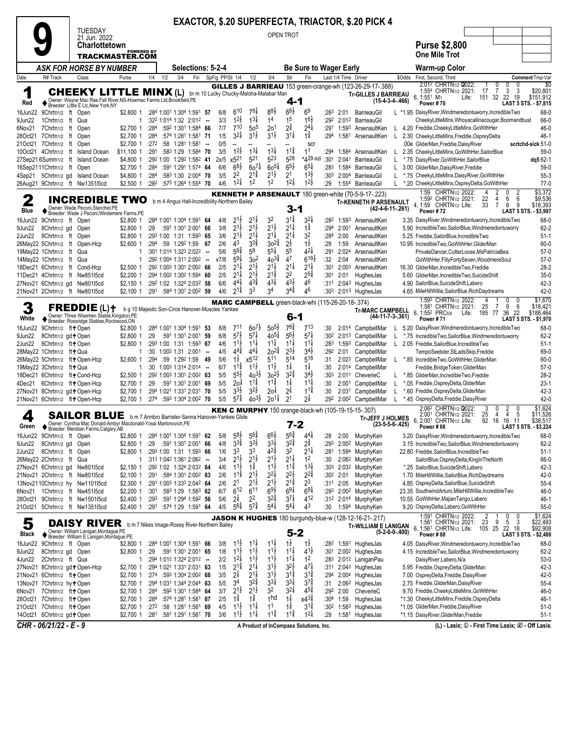|                                                                       |                                                                                                        |                          |              |                                                                           |      |                                                        |                                            |                                          |                                          |                                          |                                                                     | <b>EXACTOR, \$.20 SUPERFECTA, TRIACTOR, \$.20 PICK 4</b>                         |                   |                                                                                                                                    |                       |
|-----------------------------------------------------------------------|--------------------------------------------------------------------------------------------------------|--------------------------|--------------|---------------------------------------------------------------------------|------|--------------------------------------------------------|--------------------------------------------|------------------------------------------|------------------------------------------|------------------------------------------|---------------------------------------------------------------------|----------------------------------------------------------------------------------|-------------------|------------------------------------------------------------------------------------------------------------------------------------|-----------------------|
|                                                                       | <b>TUESDAY</b><br>21 Jun. 2022                                                                         |                          |              |                                                                           |      |                                                        |                                            |                                          | OPEN TROT                                |                                          |                                                                     |                                                                                  |                   |                                                                                                                                    |                       |
|                                                                       | <b>Charlottetown</b>                                                                                   | <b>POWERED BY</b>        |              |                                                                           |      |                                                        |                                            |                                          |                                          |                                          |                                                                     |                                                                                  |                   | <b>Purse \$2,800</b>                                                                                                               |                       |
|                                                                       | TRACKMASTER.COM                                                                                        |                          |              |                                                                           |      |                                                        |                                            |                                          |                                          |                                          |                                                                     |                                                                                  |                   | <b>One Mile Trot</b>                                                                                                               |                       |
| Date<br>R# Track                                                      | ASK FOR HORSE BY NUMBER<br>Class                                                                       | Purse                    | 1/4<br>1/2   | Selections: 5-2-4<br>3/4<br>Fin                                           |      | SpFig PP/St 1/4                                        | 1/2                                        | 3/4                                      | Str                                      | Fin                                      | Be Sure to Wager Early<br>Last 1/4 Time Driver                      |                                                                                  | \$Odds            | Warm-up Color<br>First, Second, Third                                                                                              | Comment Tmp-Var       |
|                                                                       |                                                                                                        |                          |              |                                                                           |      |                                                        |                                            |                                          |                                          |                                          |                                                                     | GILLES J BARRIEAU 153 green-orange-wh (123-26-29-17-.388)                        |                   | 2:012 CHRTN1/2 2022:<br>0<br>0                                                                                                     | \$0                   |
| 1                                                                     | <b>CHEEKY LITTLE MINX (L)</b><br>Owner: Wayne Mac Rae, Fall River, NS-Howmac Farms Ltd, Brookfield, PE |                          |              |                                                                           |      |                                                        |                                            | br m 10 Lucky Chucky-Maloha-Malabar Man  | 4-1                                      |                                          |                                                                     | <b>Tr-GILLES J BARRIEAU</b><br>$(15-4-3-4-466)$                                  |                   | 3<br>17<br>$\overline{7}$<br>3<br>1:554 CHRTN <sub>1/2</sub> 2021:<br>151 32 22 19<br>6, 1:55 <sup>1</sup> M <sub>1</sub><br>Life: | \$20,801<br>\$151,912 |
| Red<br>16Jun22<br>9Chrtn1/2 ft Open                                   | Breeder: Little E Lic, New York, NY                                                                    | \$2,800 1                |              | :284 1:001 1:304 1:591 57                                                 |      | 610<br>6/8                                             | $78\frac{1}{4}$                            | $8^{8}\frac{1}{2}$                       | $6^{8}$                                  | 6 <sup>9</sup>                           | :283<br>2:01                                                        | BarrieauGil                                                                      |                   | Power #70<br>LAST 5 STS. - \$7,815<br>L *1.95 DaisyRiver, Windmeredontuworry, IncredibleTwo                                        | 68-0                  |
| 9Jun22<br>1Chrtn <sub>1/2</sub> ft                                    | Qua                                                                                                    | 1                        |              | $:32^2$ 1:014 1:32 2:012 -                                                |      | $1^{2}\frac{1}{2}$<br>3/3                              | $13\frac{1}{4}$                            | 14                                       | 15                                       | 16}                                      | :292                                                                | 2:012 BarrieauGil                                                                |                   | CheekyLittleMinx, Whoyacallinacougar, Boomandbust                                                                                  | 66-0                  |
| 6Nov21<br>7Chrtn1/2 ft<br>7Chrtn <sub>1/2</sub> ft<br>28Oct21         | Open<br>Open                                                                                           | \$2,700 1<br>\$2,700 1   | :284<br>:284 | :592 1:301 1:584 66<br>:574 1:281 1:581 71                                |      | 710<br>7/7<br>$3^{2}\frac{1}{4}$<br>1/5                | 50 <sup>5</sup><br>$3^{1\frac{1}{2}}$      | 2 <sup>0</sup><br>$3^{1\frac{1}{2}}$     | $2^{\frac{3}{4}}$<br>$3^{11}$            | $2^{4}$<br>$1^{\frac{3}{4}}$             | :291<br>:294<br>1:581                                               | 1:593 ArsenaultKen<br>ArsenaultKen                                               | L.                | L 4.20 Freddie, Cheeky Little Minx, Go With Her<br>2.30 CheekyLittleMinx,Freddie,OspreyDelta                                       | 46-0<br>46-1          |
| 21Oct21 7Chrtn1/2 ft Open                                             |                                                                                                        | \$2,700 1                | :272         | :58 1:281 1:581 -                                                         |      | 0/5<br>$\overline{\phantom{a}}$                        |                                            |                                          |                                          | scr                                      |                                                                     |                                                                                  |                   | .00e GliderMan, Freddie, Daisy River                                                                                               | scrtchd-sick 51-0     |
| 10Oct21 4Chrtn1/2 ft Island Ocean<br>27Sep21 6Summ1/2 ft Island Ocean |                                                                                                        | $$11,100$ 1<br>\$4,800 1 | :291         | :583 1:29 1:584 70<br>:292 1:00 1:292 1:582 41                            |      | $12\frac{1}{2}$<br>3/5<br>x5 <sup>21</sup><br>2x/5     | $13\frac{1}{4}$<br>521                     | $13\frac{1}{4}$<br>523                   | $11\frac{3}{4}$<br>528                   | 11<br>*429 dq5                           | :294<br>:301<br>2:041                                               | 1:584 ArsenaultKen<br>BarrieauGil                                                | L                 | 2.35 CheekyLittleMinx, GoWithHer, SailorBlue<br>*.75 DaisyRiver, GoWithHer, SailorBlue                                             | $59-0$<br>dq5 62-1    |
| 16Sep2111Chrtn1/2 ft Open                                             |                                                                                                        | \$2,700 1                | :284         | :591 1:291 1:574 64                                                       |      | $6^{8}\frac{1}{2}$<br>6/6                              | $60^{7\frac{1}{4}}$                        | $60^{51}$                                | $6^{5}\frac{1}{2}$                       | $6^{51}$                                 | :283<br>1:584                                                       | BarrieauGil                                                                      | L                 | 3.00 GliderMan, DaisyRiver, Freddie                                                                                                | $59-0$                |
| 4Sep21                                                                | 5Chrtn1/2 gd Island Ocean                                                                              | \$4,800 1                | :284         | :583 1:30 2:004 70                                                        |      | 2 <sup>2</sup><br>3/5<br>$1^{2\frac{1}{4}}$<br>4/6     | $2^{1\frac{3}{4}}$<br>1 <sup>2</sup>       | $2^{1\frac{1}{2}}$<br>1 <sup>2</sup>     | 21<br>$1^{21}$                           | $13\frac{1}{2}$<br>$1^{2}\frac{1}{2}$    | :30 <sup>3</sup><br>2:00 <sup>4</sup>                               | BarrieauGil                                                                      | L                 | *.75 CheekyLittleMinx,DaisyRiver,GoWithHer                                                                                         | $55-3$                |
| 26Aug21 9Chrtn1/2 ft Nw1351l5cd                                       |                                                                                                        | $$2,500$ 1               |              | :282 :573 1:264 1:554 70                                                  |      |                                                        |                                            |                                          |                                          |                                          | :29                                                                 | 1:554 BarrieauGil<br><b>KENNETH P ARSENAULT</b> 180 green-white (70-5-9-17-.223) |                   | L *.20 CheekyLittleMinx,OspreyDelta,GoWithHer<br>1:59 CHRTN1/2 2022:<br>2<br>0<br>2                                                | $77-0$<br>\$3,372     |
| 2                                                                     | <b>INCREDIBLE</b>                                                                                      | TWO                      |              | b m 4 Angus Hall-Incredibility-Northern Bailey                            |      |                                                        |                                            |                                          |                                          |                                          |                                                                     | <b>Tr-KENNETH P ARSENAULT</b>                                                    |                   | 1:592 CHRTN1/2 2021:<br>22<br>4<br>6<br>6<br>33<br>$\overline{7}$<br>6<br>9<br>4. 1:59 CHRTN1/2 Life:                              | \$9,536<br>\$18,393   |
| Blue                                                                  | Owner: Wade Peconi, Stanchel, PE<br>Breeder: Wade J Peconi; Windemere Farms, PE                        |                          |              |                                                                           |      |                                                        |                                            |                                          | $3 - 1$                                  |                                          |                                                                     | $(42-4-6-11-261)$                                                                |                   | Power #72<br>LAST 5 STS. - \$3,997                                                                                                 |                       |
| 9Chrtn1/2 ft Open<br>16Jun22<br>9Jun22<br>8Chrtn <sub>1/2</sub> gd    | Open                                                                                                   | \$2,800 1<br>\$2,800 1   | :29          | :284 1:001 1:304 1:591 64<br>:591 1:301 2:001 66                          |      | $2^{1}\frac{1}{2}$<br>4/8<br>$2^{1\frac{1}{2}}$<br>3/8 | $2^{11}$<br>$2^{1\frac{1}{2}}$             | 3 <sup>2</sup><br>$2^{1\frac{1}{2}}$     | $3^{1\frac{3}{4}}$<br>$2^{1\frac{1}{4}}$ | $3^{21}$<br>$1\frac{3}{4}$               | :282<br>1:593<br>:294                                               | ArsenaultKen<br>2:001 ArsenaultKen                                               |                   | 3.35 DaisyRiver, Windmeredontuworry, IncredibleTwo<br>5.90 IncredibleTwo,SailorBlue,Windmeredontuworry                             | 68-0<br>$62 - 2$      |
| 8Chrtn1/2 ft Open<br>2Jun22                                           |                                                                                                        | \$2,800 1                |              | :293 1:00 1:31 1:593 65                                                   |      | $2^{1\frac{1}{2}}$<br>3/6                              | $2^{1\frac{1}{4}}$                         | $2^{1\frac{1}{4}}$                       | $2^{1\frac{1}{4}}$                       | 32                                       | :284<br>2:00                                                        | ArsenaultKen                                                                     |                   | 5.25 Freddie, SailorBlue, IncredibleTwo                                                                                            | $51-1$                |
| 26May22 5Chrtn1/2 ft Open-Hcp<br>19May22 1Chrtn1/2 ft Qua             |                                                                                                        | \$2,600 1<br>1           |              | :294 :59 1:292 1:59 67<br>:301 1:014 1:323 2:022 --                       |      | 43<br>2/6<br>$56\frac{3}{4}$<br>5/6                    | $3^{3}\frac{3}{4}$<br>58                   | $30^{24}$<br>$5^{5\frac{1}{4}}$          | $2^{\frac{1}{2}}$<br>55                  | $1\frac{1}{2}$<br>$42\frac{1}{4}$        | :29<br>1:59<br>:291                                                 | ArsenaultKen<br>2:024 ArsenaultKen                                               |                   | 10.95 IncredibleTwo, GoWithHer, GliderMan<br>PrivateDancer,CutterLoose,MsPatriciaBea                                               | $60 - 0$<br>$57-0$    |
| 14May22 1Chrtn1/2 ft Qua                                              |                                                                                                        | 1                        |              | :292 1:004 1:311 2:002 --                                                 |      | $5^{9\frac{1}{4}}$<br>x7/8                             | 3 <sup>2</sup>                             | $40^{3\frac{3}{4}}$                      | 4 <sup>7</sup>                           | $6^{18}$                                 | :32<br>2:04                                                         | ArsenaultKen                                                                     |                   | GoWithHer, FillyFortySeven, WoodmereSoul                                                                                           | $57-0$                |
| 18Dec21 6Chrtn1/2 ft Cond-Hcp                                         |                                                                                                        | $$2,500$ 1               |              | :292 1:003 1:301 2:002 66                                                 |      | $2^{1\frac{1}{4}}$<br>2/5                              | $2^{1\frac{1}{2}}$                         | $2^{1\frac{1}{4}}$                       | $2^{1\frac{1}{4}}$                       | $2^{1\frac{1}{4}}$                       | :301<br>2:00 <sup>3</sup>                                           | ArsenaultKen                                                                     |                   | 16.30 GliderMan, IncredibleTwo, Freddie                                                                                            | $28-2$                |
| 11Dec21 4Chrtn1/2 ft Nw851l5cd<br>27Nov21 6Chrtn1/2 gd Nw801l5cd      |                                                                                                        | $$2,200$ 1<br>\$2,150 1  |              | :294 1:002 1:302 1:594 60<br>:292 1:02 1:324 2:032 58                     |      | $2^{1\frac{1}{4}}$<br>2/5<br>$4^{4}$<br>6/6            | $2^{1\frac{1}{2}}$<br>$4^{3}$              | $2^{1\frac{3}{4}}$<br>$4^{3\frac{1}{4}}$ | 2 <sup>2</sup><br>$4^{3}\frac{1}{2}$     | $2^{5^{\frac{3}{4}}}$<br>46              | :301<br>2:01<br>:311                                                | HughesJas<br>2:043 HughesJas                                                     |                   | 5.60 GliderMan, IncredibleTwo, SuicideShift<br>4.90 SailorBlue, Suicide Shift, Labero                                              | $35-0$<br>$42 - 3$    |
| 21Nov21 2Chrtn1/2 ft Nw801l5cd                                        |                                                                                                        | $$2,100$ 1               | :291         | :584 1:301 2:002 59                                                       |      | $2^{1\frac{3}{4}}$<br>4/6                              | 33                                         | 34                                       | $3^{4^{3}_{4}}$                          | 46                                       | :30 <sup>3</sup><br>2:013                                           | HughesJas                                                                        |                   | 4.65 MileHillWillie, SailorBlue, RichDaydreams                                                                                     | $42 - 0$              |
|                                                                       | $FREDDIE(L)+$                                                                                          |                          |              |                                                                           |      |                                                        |                                            |                                          |                                          |                                          | MARC CAMPBELL green-black-whi (115-26-20-18-.374)                   |                                                                                  |                   | 1:593 CHRTN1/2 2022:<br>0<br>4<br>$\Omega$<br>9<br>6<br>1:581 CHRTN1/2 2021:<br>- 7<br>25                                          | \$1,670<br>\$18,421   |
| White                                                                 | Owner: Three Wisemen Stable, Kingston, PE<br>♦ Breeder: Rossridge Stables, Rockwood, ON                |                          |              | b g 10 Majestic Son-Circe Hanover-Muscles Yankee                          |      |                                                        |                                            |                                          | 6-1                                      |                                          |                                                                     | <b>Tr-MARC CAMPBELL</b><br>(44-11-7-3-.361)                                      |                   | 6, 1:552 PRC <sub>5/8</sub><br>185 77<br>36 22<br>Life:<br>Power #71<br>LAST 5 STS. - \$1,970                                      | \$188,464             |
| 9Chrtn1/2 ft+Open<br>16Jun22                                          |                                                                                                        | \$2,800 1                |              | :284 1:001 1:304 1:591 53                                                 |      | 8/8<br>711                                             | $60^{7\frac{1}{2}}$                        | $50^{51}$                                | 781                                      | $7^{13}$                                 | :30                                                                 | 2:014 CampbellMar                                                                | L.                | 5.20 DaisyRiver, Windmeredontuworry, IncredibleTwo                                                                                 | 68-0                  |
| 9Jun22<br>8Chrtn1/2 gd + Open                                         |                                                                                                        | \$2,800 1                | :29          | :591 1:301 2:001 59                                                       |      | $5^{7\frac{1}{2}}$<br>6/8<br>$11\frac{1}{2}$<br>4/6    | $57\frac{1}{4}$<br>$11\frac{1}{4}$         | $40^{51}$<br>$11\frac{1}{4}$             | $56\frac{1}{2}$<br>$11\frac{1}{4}$       | $5^{7}$<br>$11\frac{1}{4}$               | :302<br>2:013<br>:283                                               | CampbellMar                                                                      |                   | *.75 IncredibleTwo,SailorBlue,Windmeredontuworry                                                                                   | $62 - 2$              |
| 2Jun22<br>8Chrtn1/2 ft+Open<br>28May22 1Chrtn1/2 ft+Qua               |                                                                                                        | \$2,800 1<br>1           | :30          | :293 1:00 1:31 1:593 67<br>$1:00^2$ 1:31 $2:00^1$ -                       |      | $4^{44}$<br>4/5                                        | $4^{4}$                                    | $20^{2\frac{3}{4}}$                      | $2^{3}\frac{1}{2}$                       | $3^{4}{}_{2}$                            | 1:593<br>:292<br>2:01                                               | CampbellMar<br>CampbellMar                                                       | L                 | 2.05 Freddie, SailorBlue, IncredibleTwo<br>TempoSeelster, StLadsSkip, Freddie                                                      | $51-1$<br>69-0        |
| 26May22 5Chrtn1/2 ft+Open-Hcp                                         |                                                                                                        | \$2,600 1                | :294         | :59 1:292 1:59                                                            | - 49 | $1\frac{1}{2}$<br>5/6                                  | x512                                       | 511                                      | 514                                      | 518                                      | :31                                                                 | 2:023 CampbellMar                                                                | L.                | *.85 IncredibleTwo,GoWithHer,GliderMan                                                                                             | $60 - 0$              |
| 19May22 3Chrtn1/2 ft+ Qua<br>18Dec21 6Chrtn1/2 ft+ Cond-Hcp           |                                                                                                        | 1<br>$$2,500$ 1          | :30          | 1:003 1:314 2:014 --<br>:292 1:003 1:301 2:002 63                         |      | $1^{1\frac{3}{4}}$<br>6/7<br>$5^{5}\frac{1}{2}$<br>5/5 | $11\frac{1}{2}$<br>$40^{3}\frac{1}{2}$     | $11\frac{1}{2}$<br>$30^{21}$             | $1\frac{1}{4}$<br>$3^{2}\frac{3}{4}$     | $1\frac{1}{4}$<br>$3^{41}$               | :30<br>:30 <sup>3</sup>                                             | 2:014 CampbellMar<br>2:011 CheverieC                                             |                   | Freddie, Bridge Token, GliderMan<br>*.85 GliderMan, IncredibleTwo, Freddie                                                         | $57-0$<br>$28-2$      |
| 4Dec21                                                                | 6Chrtn1/2 ft+Open-Hcp                                                                                  | \$2,700 1                | :29          | :591 1:301 2:001 69                                                       |      | 5/5<br>20 <sup>1</sup>                                 | $11\frac{3}{4}$                            | $11\frac{3}{4}$                          | $1\frac{1}{4}$                           | $11\frac{1}{4}$                          | :30<br>2:001                                                        | CampbellMar                                                                      | L                 | *.05 Freddie, Osprey Delta, Glider Man                                                                                             | $23-1$                |
| 27Nov21 8Chrtn1/2 gd+Open-Hcp                                         |                                                                                                        | \$2,700 1                |              | :294 1:021 1:331 2:031 70                                                 |      | $3^{3}\frac{1}{2}$<br>5/5<br>$5^{7\frac{3}{4}}$        | $3^{2}\frac{1}{2}$<br>$40^{31}$            | 20 <sup>1</sup><br>$20^{11}$             | 2 <sup>1</sup><br>2 <sup>1</sup>         | $11\frac{3}{4}$<br>$2^{\frac{1}{4}}$     | :30<br>2:031                                                        | CampbellMar                                                                      | L                 | *.60 Freddie, Osprey Delta, Glider Man                                                                                             | $42-3$                |
| 21Nov21 6Chrtn1/2 ft+Open-Hcp                                         |                                                                                                        | \$2,700 1                |              | $:274$ :593 1:304 2:002 70                                                |      | 5/5                                                    |                                            |                                          |                                          |                                          | :292<br><b>KEN C MURPHY</b> 150 orange-black-wh (105-19-15-15-.307) | 2:00 <sup>2</sup> CampbellMar                                                    | L.                | *.45 OspreyDelta, Freddie, Daisy River<br>2:062 CHRTN1/2 2022:<br>2<br>3<br>0<br>0                                                 | $42 - 0$<br>\$1,624   |
| 4                                                                     | <b>SAILOR BLUE</b><br>Owner: Cynthia Mac Donald-Ambyr Macdonald-Yossi Martonovich.PE                   |                          |              | b m 7 Armbro Barrister-Sanna Hanover-Yankee Glide                         |      |                                                        |                                            |                                          | $7 - 2$                                  |                                          |                                                                     | <b>Tr-JEFF J HOLMES</b>                                                          |                   | 2:001 CHRTN1/2 2021:<br>25<br>$\overline{4}$<br>4<br>5<br>6. 2:001 CHRTN1/2 Life:<br>92 16<br>16 11                                | \$11,526<br>\$38,517  |
| Green<br>16Jun22 9Chrtn1/2 ft Open                                    | Breeder: Meridian Farms.Calgary.AB                                                                     | \$2,800 1                |              |                                                                           |      |                                                        |                                            |                                          |                                          |                                          |                                                                     |                                                                                  |                   |                                                                                                                                    |                       |
| 9Jun22<br>8Chrtn1/2 gd Open                                           |                                                                                                        |                          |              |                                                                           |      |                                                        |                                            |                                          |                                          |                                          |                                                                     | $(23-5-5-6-425)$                                                                 |                   | LAST 5 STS. - \$3,224<br>Power#66                                                                                                  |                       |
| 8Chrtn1/2 ft Open<br>2Jun22                                           |                                                                                                        | \$2,800 1                | :29          | :284 1:001 1:304 1:591 62<br>:591 1:301 2:001 66                          |      | $5^{8}$<br>5/8<br>$3^{3}\frac{3}{4}$<br>4/8            | $5^{6}$ <sup>2</sup><br>$3^{3}\frac{1}{2}$ | $6^{61}$<br>$3^{3}\frac{1}{4}$           | $5^{6}\frac{3}{4}$                       | $4^{41}$                                 | :28<br>2:00<br>:293                                                 | MurphyKen<br>2:00 <sup>2</sup> MurphyKen                                         |                   | 3.20 DaisyRiver, Windmeredontuworry, IncredibleTwo<br>3.15 IncredibleTwo,SailorBlue,Windmeredontuworry                             | 68-0<br>62-2          |
| 26May22 2Chrtn1/2 ft Qua                                              |                                                                                                        | \$2,800 1                |              | :293 1:00 1:31 1:593 66                                                   |      | 3 <sup>3</sup><br>1/6                                  | 33                                         | $4^{2^{3}_{4}}$                          | $3^{2}\frac{3}{4}$<br>3 <sup>2</sup>     | $2^{\frac{3}{4}}$<br>$2^{1\frac{1}{4}}$  | :281                                                                | 1:594 MurphyKen                                                                  |                   | 22.80 Freddie, SailorBlue, IncredibleTwo                                                                                           | $51-1$                |
|                                                                       |                                                                                                        | $\mathbf{1}$             |              | :313 1:042 1:361 2:062 --                                                 |      | $2^{1\frac{1}{2}}$<br>3/4                              | $2^{1\frac{1}{2}}$                         | $2^{1\frac{1}{2}}$                       | $2^{1\frac{1}{4}}$                       | 1 <sup>2</sup>                           | :30                                                                 | 2:062 MurphyKen                                                                  |                   | SailorBlue, OspreyDelta, KingInTheNorth                                                                                            | 66-0                  |
| 27Nov21 6Chrtn1/2 gd Nw801l5cd<br>21Nov21 2Chrtn1/2 ft Nw801l5cd      |                                                                                                        | $$2.150$ 1<br>$$2,100$ 1 | :291         | :292 1:02 1:324 2:032 64<br>:584 1:301 2:002 63                           |      | $11\frac{1}{2}$<br>4/6<br>$1^{12}$<br>2/6              | $1\frac{3}{4}$<br>$2^{1\frac{1}{2}}$       | $11\frac{1}{2}$<br>$2^{2}\frac{1}{4}$    | $11\frac{3}{4}$<br>$2^{2\frac{1}{2}}$    | $1^{3}\frac{1}{4}$<br>$2^{2\frac{3}{4}}$ | :30 <sup>3</sup><br>:30 <sup>2</sup><br>2:01                        | 2:032 MurphyKen<br>MurphyKen                                                     |                   | *.25 SailorBlue, Suicide Shift, Labero<br>1.70 MileHillWillie,SailorBlue,RichDaydreams                                             | 42-3<br>42-0          |
| 13Nov2110Chrtn1/2 hy Nw1101l5cd                                       |                                                                                                        | \$2,300 1                |              | :291 1:003 1:333 2:042 64                                                 |      | 2 <sup>1</sup><br>2/6                                  | $2^{1\frac{1}{2}}$                         | $2^{1\frac{1}{2}}$                       | $2^{1\frac{3}{4}}$                       | $2^3$                                    | $:311$ 2:05                                                         | MurphyKen                                                                        |                   | 4.85 OspreyDelta, SailorBlue, SuicideShift                                                                                         | 55-4                  |
| 6Nov21 1Chrtn1/2 ft Nw451l5cd                                         |                                                                                                        | \$2,200 1                | :301         | :583 1:29 1:583 62                                                        |      | 6/7<br>612                                             | 611                                        | $69\frac{1}{2}$                          | $69\frac{1}{4}$                          | $69\frac{1}{4}$                          | :293                                                                | 2:00 <sup>2</sup> MurphyKen                                                      |                   | 23.35 SouthwindArturo, MileHillWillie, IncredibleTwo                                                                               | 46-0                  |
| 28Oct21<br>21Oct21                                                    | 9Chrtn1/2 ft Nw150115cd<br>5Chrtn1/2 ft Nw1351l5cd                                                     | \$2,400 1                | :293         | :591 1:294 1:592 56<br>\$2,400 1 :291 :574 1:29 1:591 64                  |      | $2^{1}$<br>5/6<br>$5^{6}\frac{3}{4}$<br>4/5            | 2 <sup>2</sup><br>$5^{7\frac{3}{4}}$       | $3^{2^{3}_{4}}$<br>$5^{41}$              | $3^{7\frac{1}{4}}$<br>$5^{41}$           | 412<br>43                                | :30                                                                 | :312 2:014 MurphyKen<br>1:594 MurphyKen                                          |                   | 10.55 GoWithHer, Majian Tango, Labero<br>9.20 OspreyDelta,Labero,GoWithHer                                                         | 46-1<br>$55-0$        |
|                                                                       |                                                                                                        |                          |              |                                                                           |      |                                                        |                                            |                                          |                                          |                                          |                                                                     | <b>JASON K HUGHES</b> 180 burgundy-blue-w (128-12-16-21-.217)                    |                   | 1:591 CHRTN1/2 2022:<br>2<br>0<br>0<br>23<br>9<br>5<br>3<br>1:561 CHRTN1/2 2021:                                                   | \$1,624               |
| 5<br>Black                                                            | DAISY RIVER b m 7 Nikes Image-Rosey River-Northern Bailey                                              |                          |              |                                                                           |      |                                                        |                                            |                                          | $5 - 2$                                  |                                          |                                                                     | <b>Tr-WILLIAM E LANIGAN</b>                                                      | $(5-2-0-0-0.400)$ | 6, 1:561 CHRTN1/2 Life:<br>105 25<br>22 18<br>Power #88<br>LAST 5 STS. - \$2,488                                                   | \$22,493<br>\$92,908  |
| 16Jun22 9Chrtn1/2 ft Open                                             | ◆ Owner: William Lanigan, Montague, PE<br>◆ Breeder: William E Lanigan, Montague, PE                   | \$2,800 1                |              | :284 1:001 1:304 1:591 66                                                 |      | $11\frac{1}{2}$<br>3/8                                 | $11\frac{1}{4}$                            | $11\frac{1}{4}$                          | $1\frac{1}{2}$                           | $1\frac{1}{2}$                           |                                                                     | :282 1:591 HughesJas                                                             |                   | 4.05 DaisyRiver, Windmeredontuworry, IncredibleTwo                                                                                 | 68-0                  |
| 8Chrtn1/2 gd Open<br>9Jun22                                           |                                                                                                        | \$2,800 1<br>1           | :29          | :591 1:301 2:001 65                                                       |      | $1^{1\frac{1}{2}}$<br>1/8                              | $11\frac{1}{2}$                            | $1^{1\frac{1}{2}}$                       | $11\frac{1}{4}$                          | $4^{1}\frac{1}{2}$<br>1 <sup>2</sup>     |                                                                     | :301 2:00 <sup>2</sup> HughesJas                                                 |                   | 4.15 IncredibleTwo,SailorBlue,Windmeredontuworry                                                                                   | $62 - 2$              |
| 4Jun22<br>2Chrtn1/2 ft Qua<br>27Nov21 8Chrtn1/2 gd+Open-Hcp           |                                                                                                        | \$2,700 1                |              | :294 1:012 1:324 2:012 --<br>:294 1:021 1:331 2:031 63                    |      | $1^{2\frac{1}{4}}$<br>2/2<br>$2^{1\frac{3}{4}}$<br>1/5 | $1^{1}\frac{1}{2}$<br>$2^{1\frac{1}{4}}$   | $1^{1\frac{1}{2}}$<br>$3^{1\frac{1}{2}}$ | $11\frac{1}{4}$<br>$3^{2}\frac{1}{2}$    | $47\frac{1}{4}$                          |                                                                     | :283 2:012 LaniganPau<br>:311 2:043 HughesJas                                    |                   | DaisyRiver,Labero,N/a<br>5.95 Freddie, Osprey Delta, Glider Man                                                                    | $53-0$<br>42-3        |
| 21Nov21 6Chrtn1/2 ft+Open                                             |                                                                                                        | \$2,700 1                |              | :274 :593 1:304 2:002 68                                                  |      | $2^{1/2}$<br>3/5                                       | $2^{1\frac{1}{4}}$                         | $3^{1\frac{1}{2}}$                       | $3^{1\frac{3}{4}}$                       | $3^{1\frac{3}{4}}$                       | :294                                                                | 2:00 <sup>4</sup> HughesJas                                                      |                   | 7.00 OspreyDelta, Freddie, Daisy River                                                                                             | 42-0                  |
| 13Nov21 7Chrtn1/2 hytOpen<br>6Nov21 7Chrtn1/2 ft+Open                 |                                                                                                        | \$2,700 1<br>\$2,700 1   |              | :294 1:031 1:344 2:044 63<br>:284 :592 1:301 1:584 64                     |      | 34<br>5/5<br>$2^{1}\frac{1}{2}$<br>3/7                 | 32‡<br>$2^{1\frac{1}{2}}$                  | $3^{3}\frac{1}{4}$<br>3 <sup>2</sup>     | $3^{31}$<br>$3^{21}$                     | $3^{7}\frac{3}{4}$<br>$4^{5^{3}_{4}}$    | :31<br>:292 2:00                                                    | 2:06 <sup>2</sup> HughesJas<br>CheverieC                                         |                   | 2.75 Freddie, GliderMan, Daisy River<br>9.70 Freddie, Cheeky Little Minx, Go With Her                                              | $55-4$<br>46-0        |
| 28Oct21 7Chrtn1/2 ft+ Open                                            |                                                                                                        | \$2,700 1                |              | $:284$ $:574$ 1:28 <sup>1</sup> 1:58 <sup>1</sup> 67                      |      | 2/5<br>$1\overline{4}$                                 | $1\frac{3}{4}$                             | 1 <sub>hd</sub>                          | $1\frac{1}{4}$                           | $x4^{3\frac{3}{4}}$                      | :304 1:59                                                           | HughesJas                                                                        |                   | *1.30 CheekyLittleMinx,Freddie,OspreyDelta                                                                                         | 46-1                  |
| 21Oct21 7Chrtn1/2 ft+Open<br>14Oct21 6Chrtn1/2 gd+Open                |                                                                                                        | \$2,700 1<br>\$2,700 1   | :281         | $:27^2$ :58 1:28 <sup>1</sup> 1:58 <sup>1</sup> 69<br>:581 1:291 1:581 70 |      | $1^{1}\frac{1}{2}$<br>4/5<br>$1^{1\frac{1}{2}}$<br>3/6 | $1^{11}$<br>$11\frac{1}{4}$                | 1 <sup>1</sup><br>$1^{1\frac{3}{4}}$     | $1\frac{3}{4}$<br>$11\frac{3}{4}$        | $3^{1\frac{3}{4}}$<br>$1^{21}$           | :302<br>:29                                                         | 1:583 HughesJas<br>1:581 HughesJas                                               |                   | *1.05 GliderMan, Freddie, Daisy River<br>*1.15 DaisyRiver, GliderMan, Freddie                                                      | $51-0$<br>$51-1$      |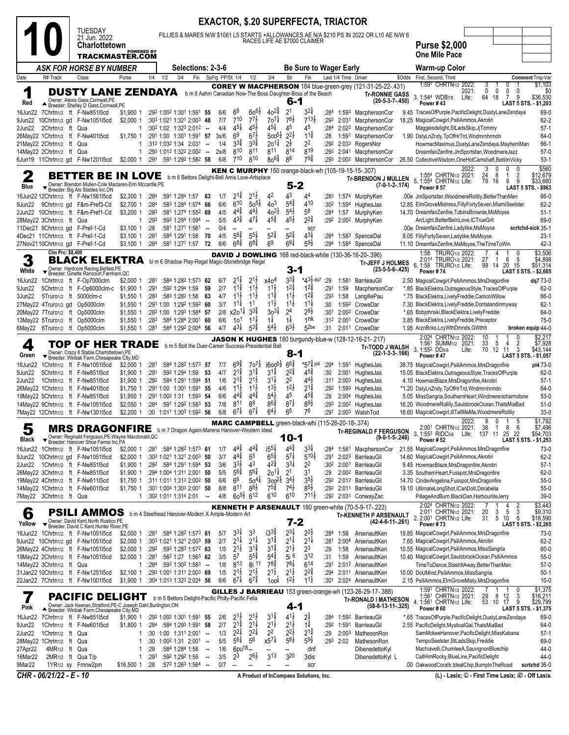| FILLIES & MARES N/W \$1061 L5 STARTS +ALLOWANCES AE N/A \$210 PS IN 2022 OR L10 AE N/W 6<br>21 Jun. 2022<br>RACES LIFE AE \$7000 CLAIMER<br><b>Purse \$2,000</b><br><b>Charlottetown</b><br><b>POWERED BY</b><br><b>One Mile Pace</b><br>TRACKMASTER.COM<br>ASK FOR HORSE BY NUMBER<br>Selections: 2-3-6<br><b>Be Sure to Wager Early</b><br><b>Warm-up Color</b><br>3/4<br>Last 1/4 Time Driver<br>Date<br>R# Track<br>Class<br>1/4<br>1/2<br>3/4<br>Fin<br>SpFig PP/St 1/4<br>Str<br>Fin<br>\$Odds<br>First, Second, Third<br>Comment Tmp-Var<br>Purse<br>1/2<br>\$1,103<br>1:591 CHRTN1/2 2022:<br>3<br>0<br>COREY W MACPHERSON 184 blue-green-grey (121-31-25-22-.431)<br>1<br>$\mathbf 0$<br>0<br>0<br>\$0<br><b>DUSTY LANE ZENDAYA</b><br>2021:<br>0<br>b m 8 Aahm Canadian Now-The Boss Daughter-Boss of the Beach<br><b>Tr-RONNIE GASS</b><br>3, 1:544 WDB7/8<br>64<br>18<br>$\overline{7}$<br>9<br>\$36,530<br>Life:<br>Owner: Alexis Gass, Cornwall, PE<br>$(20-5-3-7-.450)$<br>6-1<br>Red<br>Power #43<br>LAST 5 STS. - \$1,203<br>Breeder: Shelley D Gass, Cornwall, PE<br>2 <sup>1</sup><br>$3^{2}\frac{1}{4}$<br>$40^{2\frac{3}{4}}$<br>$6^8$<br>60 <sup>6</sup> ż<br>:292 1:002 1:301 1:591 55<br>:284 1:593 MacphersonCor<br>9.45 TracesOfPurple, PacificDelight, DustyLaneZendaya<br>69-0<br>7Chrtn1/2 ft F-Nw85115cd<br>\$1,900 1<br>6/6<br>16Jun22<br>$70^{7\frac{1}{4}}$<br>$7^{7\frac{1}{2}}$<br>$7^{10}$<br>$78\frac{1}{2}$<br>$7^{13}\frac{1}{2}$<br>7/7<br>$62 - 2$<br>9Jun22 10Chrtn1/2 gd F-Nw1051l5cd<br>:303 1:021 1:321 2:003 48<br>:293<br>2:031 MacphersonCor<br>18.25 MagicalCowgirl, PsiliAmmos, Akrotiri<br>\$2.0001<br>$45\frac{1}{2}$<br>$45\frac{1}{4}$<br>45‡<br>45<br>45<br>:302 1:02 1:323 2:012 --<br>4/4<br>2Jun22<br>2Chrtn1/2 ft Qua<br>:284<br>2:02 <sup>2</sup> MacphersonCor<br>Maggiesdelight, StLadsSkip, JjTommy<br>$57-1$<br>1<br>$6^{7\frac{1}{2}}$<br>$1^{1\frac{3}{4}}$<br>6 <sup>9</sup><br>$500^{51}$<br>$2^{2}\frac{1}{2}$<br>1:591<br>26May22 1Chrtn1/2 ft F-Nw401l5cd<br>:291 1:00 1:301 1:591 57 3x/6<br>:28<br>MacphersonCor<br>1.90 DstyLnZndy,TpOfHrTrd,Wndmrnhrmdn<br>64-0<br>\$1,750 1<br>$3^{3}\frac{3}{4}$<br>$2^2$<br>1/4<br>$3^{3}\frac{3}{4}$<br>201#<br>$2\frac{1}{2}$<br>:292<br>2:033<br>21May22 2Chrtn1/2 ft Qua<br>:312 1:032 1:34 2:031 --<br>RogersNor<br>66-1<br>HowmacMaximus, DustyLaneZendaya, MayhemMan<br>1<br>819<br>:293 1:012 1:322 2:002 --<br>810<br>811<br>811<br>814<br>:293<br>2:041 MacphersonCor<br>14May22 2Chrtn1/2 ft Qua<br>2x/8<br>DreamfairZenfire,JmSportsfan,WoodmereJazz<br>$57-0$<br>1<br>810<br>$80^{6}\%$<br>79‡<br>710<br>88<br>6/8<br>:293<br>6Jun19 11Chrtn1/2 gd F-Nw1201l5cd<br>:291 :591 1:292 1:582 58<br>2:00 <sup>2</sup> MacphersonCor<br>26.50 CollectiveWisdom, OneHotCamshaft, BettimVicky<br>$53-1$<br>\$2,000 1<br>\$560<br>2022:<br>3<br>0<br>0<br>0<br><b>KEN C MURPHY</b> 150 orange-black-wh (105-19-15-15-.307)<br>2<br>1:554 CHRTN1/2 2021:<br>24<br>8<br>$\overline{2}$<br>\$12,679<br>$\overline{1}$<br><b>BETTER BE IN LOVE</b><br>b m 6 Bettors Delight-Bell Amis Love-Artsplace<br><b>Tr-BRENDON J MULLEN</b><br>79<br>9<br>\$33,660<br>5, 1:554 CHRTN1/2 Life:<br>16<br>9<br>Owner: Brendon Mullen-Cole Maclaren-Erin Mccardle, PE<br>$5 - 2$<br>$(7-0-1-2-174)$<br>Blue<br><b>Power #57</b><br>LAST 5 STS. - \$963<br>Breeder: Big Als Stables Inc, ON<br>4 <sup>2</sup><br>43<br>$2^{1\frac{3}{4}}$<br>$2^{1\frac{1}{2}}$<br>44<br>16Jun22 12Chrtn1/2 ft F-Nw1561l5cd<br>:284<br>:591 1:284 1:57<br>1/7<br>:283<br>1:574 MurphyKen<br>.00e JmSportsfan, WoodmereRollily, Better ThanMen<br>66-0<br>\$2,300 1<br>- 63<br>$5^{4}$<br>4 <sub>0</sub> 3<br>610<br>$50^{5}$<br>410<br>6/6<br>9Chrtn1/2 gd F&m-Pref3-Cd<br>\$2,700 1<br>:284<br>:583 1:284 1:574 66<br>:302 1:594 HughesJas<br>12.85 ElmGroveMistress, FillyFortySeven, MiamiSeelster<br>$62 - 2$<br>9Jun22<br>$4^{4^{3}_{4}}$<br>$4^{4}$ <sub>2</sub><br>$5^{4}$<br>$5^{8}$<br>$40^{21}$<br>4/5<br>:283<br>:581 1:274 1:552 69<br>:284<br>1:57<br>14.70 DreamfairZenfire,TobinsBrownie,MsMoyse<br>$51-1$<br>2Jun22 10Chrtn1/2 ft F&m-Pref1-Cd<br>\$3,200 1<br>MurphyKen<br>$4^{3\frac{3}{4}}$<br>$47\frac{1}{4}$<br>$4^{5}\frac{3}{4}$<br>$4^{5}\frac{1}{2}$<br>$2^{2\frac{3}{4}}$<br>:293<br>$:593$ 1:294 1:594 $-$<br>5/5<br>:292 2:002 MurphyKen<br>ArcLight, BetterBeInLove, ICTrueGrit<br>69-0<br>28May22 3Chrtn1/2 ft Qua<br>$\mathbf{1}$<br>11Dec21 9Chrtn1/2 gd F-Pref-1-Cd<br>\$3,100 1<br>: 28<br>:581 1:271 1:561 -<br>0/4<br>.00e DreamfairZenfire,Ladylike,MsMoyse<br>scrtchd-sick 35-1<br>$\overline{\phantom{a}}$<br><b>SCI</b><br>$4^{3\frac{1}{4}}$<br>$5^{2\frac{3}{4}}$<br>$5^{64}$<br>$5^{5\frac{1}{4}}$<br>$5^{24}$<br>:281<br>4/5<br>4Dec21 11Chrtn1/2 ft F-Pref-1-Cd<br>$$3,100$ 1<br>:584 1:291 1:58<br>:284<br>1:58 <sup>3</sup> SpenceDal<br>8.05 FillyFortySeven,Ladylike,MsMoyse<br>$23-1$<br>- 70<br>$6^{8\frac{3}{4}}$<br>$5^{9}\frac{1}{2}$<br>$6^{8\frac{3}{4}}$<br>6 <sup>9</sup><br>$69\frac{1}{4}$<br>:581 1:271 1:57 72<br>6/6<br>:294<br>11.10 DreamfairZenfire, MsMoyse, The Time To Win<br>$42 - 3$<br>27Nov2110Chrtn1/2 gd F-Pref-1-Cd<br>\$3,100 1<br>:28 <sup>4</sup><br>1:584 SpenceDal<br>Clm Prc: \$8,400<br>\$3,506<br>1:58 TRURO1/2 2022:<br>7<br>4<br>0<br>1<br>DAVID J DOWLING 168 red-black-white (130-36-16-20-.396)<br>27<br>6<br>\$4,898<br>2:014 TRURO1/2 2021:<br>-5<br>BLACK ELEKTRA<br>bl m 6 Shadow Play-Regal Magic-Stonebridge Regal<br><b>Tr-JEFF J HOLMES</b><br>6, 1:58 TRURO1/2 Life:<br>99 14<br>20 15<br>\$51,314<br>Owner: Hardcore Racing, Belfast, PE<br>3-1<br>$(23-5-5-6-425)$<br>White<br>Power #74<br>LAST 5 STS. - \$2,685<br>Breeder: Ginette Rancourt, Farnham, QC<br>$3^{3}\frac{3}{4}$<br>$*43\frac{1}{2}$ dq7<br>$2^{1\frac{1}{4}}$<br>$2^{1\frac{1}{2}}$<br>:584 1:282 1:573 62<br>x40 <sup>4</sup><br>:29<br>dq7 73-0<br>16Jun22<br>1Chrtn1/2 ft F-Op7000clm<br>\$2,000 1<br>:281<br>6/7<br>1:581<br>BarrieauGil<br>2.50 MagicalCowgirl, PsiliAmmos, MrsDragonfire<br>$11\frac{3}{4}$<br>$11\frac{1}{2}$<br>$12\frac{3}{4}$<br>$12\frac{3}{4}$<br>:291<br>:592 1:294 1:59<br>2/7<br>$11\frac{1}{2}$<br>:291<br>9Jun22<br>5Chrtn1/2 ft F-Op6000clm-c<br>$$1,900$ 1<br>- 59<br>1:59<br>*.85 BlackElektra, OutrageousStyle, TracesOfPurple<br>$62-0$<br>MacphersonCor<br>$1^{2\frac{3}{4}}$<br>$11\frac{1}{2}$<br>$11\frac{1}{2}$<br>$1^{1\frac{1}{2}}$<br>$1^{1\frac{3}{4}}$<br>4/7<br>*.75 BlackElektra,LivelyFreddie,CamcoWillow<br>3Jun22<br>5Truro1/2 ft 5000clm-c<br>$$1,550$ 1<br>$:28^3$ $:58^3$ 1:28 <sup>2</sup> 1:58<br>- 63<br>:293<br>1:58<br>LangillePau<br>66-0<br>$11\frac{1}{2}$<br>$11\frac{1}{2}$<br>$11\frac{1}{4}$<br>3/7<br>$11\frac{1}{4}$<br>1:592 CroweDar<br>27May22 4Truro1/2 gd Op5000clm<br>:291 1:00 1:292 1:592 60<br>11<br>:30<br>7.30 BlackElektra, Lively Freddie, Dontstandinmyway<br>$62-1$<br>\$1,550 1<br>$3^{34}$<br>$30^{31}$<br>2 <sup>4</sup><br>$2^{8}\frac{1}{2}$<br>:282 1:00 1:293 1:584 57<br>$2/8 \times 20^{11}$<br>2:002 CroweDar<br>20May22 7Truro1/2 ft Op5000clm<br>$$1,550$ 1<br>:301<br>*.65 Bobjohnski, Black Elektra, Lively Freddie<br>64-0<br>$1\frac{1}{4}$<br>1 <sup>nk</sup><br>$1\frac{1}{4}$<br>$1^{11}$<br>13May22 5Truro1/2 ft Op5000clm<br>:283<br>:584 1:284 2:001 60<br>6/6<br>10 <sup>1</sup><br>$:31^2$<br>2:001 CroweDar<br>$$1,550$ 1<br>3.85 BlackElektra, Lively Freddie, Preceptor<br>$75-0$<br>$4^{3\frac{1}{4}}$<br>$5^{4}$<br>$5^{3}\frac{3}{4}$<br>$6^{3}\frac{1}{2}$<br>5 <sup>2be</sup><br>4/7<br>2:011 CroweDar<br>6May22 6Truro1/2 ft Op5000clm<br>$$1,550$ 1<br>:281 :584 1:292 2:004 56<br>:31<br>1.95 ArznBcks, LcyWthDmnds, GWthIt<br>broken equip 44-0<br>2:024 CHRTN1/2 2022:<br>\$2,217<br>10<br>$\Omega$<br><b>JASON K HUGHES</b> 180 burgundy-blue-w (128-12-16-21-.217)<br>\$7,928<br>1:561 SUMM <sub>1/2</sub> 2021:<br>33<br>5<br>$\overline{4}$<br>2<br>TOP OF HER TRADE<br>4<br>b m 5 Bolt the Duer-Career Success-Presidential Ball<br>Tr-TODD J WALSH<br>3, 1:55 <sup>2</sup> DD <sub>5/8</sub><br>3<br>\$43.144<br>70<br>12<br>Life:<br>11<br>Owner: Crazy 8 Stable, Charlottetown, PE<br>$(22-1-3-3-166)$<br>8-1<br>Green<br>Power #47<br>LAST 5 STS. - \$1,057<br>Breeder: Winbak Farm, Chesapeake City, MD<br>$1600^{51}$<br>$69\frac{3}{4}$<br>$66\frac{3}{4}$<br>$*57\frac{3}{4}$ pl4<br>$7o^7\frac{1}{2}$<br>:281<br>:584 1:282 1:573 57<br>:294 1:591 HughesJas<br>pl4 73-0<br>16Jun22<br>1Chrtn1/2 ft F-Nw105115cd<br>\$2,000 1<br>7/7<br>38.75 MagicalCowgirl, PsiliAmmos, MrsDragonfire<br>$2^{1\frac{3}{4}}$<br>$3^{12}$<br>31‡<br>$2^{2\frac{3}{4}}$<br>$4^{5}$<br>:291<br>4/7<br>9Jun22<br>5Chrtn1/2 ft F-Nw851l5cd<br>\$1,900 1<br>:59 <sup>2</sup> 1:29 <sup>4</sup> 1:59 53<br>:30<br>2:001 HughesJas<br>15.05 BlackElektra, Outrageous Style, Traces Of Purple<br>$62-0$<br>$2^{1\frac{3}{4}}$<br>$2^{1\frac{1}{2}}$<br>$3^{11}$<br>2 <sup>2</sup><br>$4^{4}$<br>1/6<br>2:00 <sup>3</sup> HughesJas<br>4.10 HowmacBlaze, MrsDragonfire, Akrotiri<br>2Jun22<br>1Chrtn1/2 ft F-Nw851l5cd<br>$$1,900$ 1<br>:282<br>:584 1:291 1:594 51<br>:311<br>$57-1$<br>$1^{2}\frac{1}{2}$<br>$13\frac{1}{2}$<br>$2^{1\frac{3}{4}}$<br>$11\frac{1}{2}$<br>$11\frac{1}{2}$<br>26May22 1Chrtn1/2 ft F-Nw401l5cd<br>\$1.750 1<br>:291 1:00 1:301 1:591 55<br>4/6<br>:292 1:593 HughesJas<br>*1.20 DstyLnZndy,TpOfHrTrd,Wndmrnhrmdn<br>64-0<br>$4^{4^{3}_{4}}$<br>$4^{4}\frac{3}{4}$<br>$5^{4}$<br>$45\frac{3}{4}$<br>45<br>6/6<br>19May22 5Chrtn1/2 ft F-Nw851l5cd<br>:291 1:002 1:31 1:593 54<br>:29<br>2:00 <sup>4</sup> HughesJas<br>5.05 MissSangria, SouthernHeart, Windmerenoharmdone<br>$53-0$<br>\$1,950 1<br>$8^{7\frac{1}{2}}$<br>$8^{6}\frac{3}{4}$<br>$8^{9\frac{1}{2}}$<br>8 <sup>11</sup><br>89<br>7/8<br>:293<br>2:00 <sup>2</sup> HughesJas<br>$51-0$<br>14May22 9Chrtn1/2 ft F-Nw1051l5cd<br>$$2,050$ 1<br>:284 :591 1:292 1:583 53<br>16.20 WoodmereRollily,SaulsbrookOcean,ThatsMiaBad<br>$6^{4}\frac{1}{2}$<br>$6^{7\frac{1}{4}}$<br>$6^{7\frac{1}{4}}$<br>6 <sup>5</sup><br>:30 1:011 1:303 1:592 56<br>6/8<br>76<br>$33-0$<br>7May22 12Chrtn1/2 ft F-Nw1301l5cd<br>$$2,200$ 1<br>:291 2:003 WalshTod<br>16.60 MagicalCowgirl, IIITellMeMa, WoodmereRollily<br>\$1,792<br>2022:<br>9<br>0<br>-1<br>5<br>MARC CAMPBELL green-black-whi (115-26-20-18-.374)<br>2:001 CHRTN1/2 2021:<br>\$7,496<br>38<br>MRS DRAGONFIRE b m 7 Dragon Again-Marena Hanover-Western Ideal<br>8<br>6<br>-1<br><b>Tr-REGINALD F FERGUSON</b><br>3, 1:55 <sup>3</sup> RIDC <sub>5/8</sub><br>137 11 25 22<br>\$54,703<br>Life:<br>Owner: Reginald Ferguson, PE-Wayne Macdonald, QC<br>$10-1$<br>$(9 - 0 - 1 - 5 - 246)$<br>Black<br><b>Power #52</b><br>LAST 5 STS. - \$1,253<br>Breeder: Hanover Shoe Farms Inc, PA<br>$4^{4^{3}_{4}}$<br>$4^{4}\frac{3}{4}$<br>$4^{4}\frac{3}{4}$<br>$i5^{51}$<br>$3^{3}\frac{1}{4}$<br>1:581 MacphersonCor<br>73-0<br>16Jun22 1Chrtn1/2 ft F-Nw1051l5cd<br>\$2,000 1<br>$:281$ $:584$ 1:282 1:573 61<br>1/7<br>:284<br>21.55 MagicalCowgirl, PsiliAmmos, MrsDragonfire<br>$4^{4^{3}_{4}}$<br>5 <sup>5</sup><br>$6^{5\frac{3}{4}}$<br>$5^{7\frac{1}{4}}$<br>$5^{10}$<br>3/7<br>:291<br>2:023 BarrieauGil<br>$62 - 2$<br>\$2,000 1<br>:303 1:021 1:321 2:003 50<br>14.60 MagicalCowgirl, PsiliAmmos, Akrotiri<br>9Jun22 10Chrtn1/2 gd F-Nw1051l5cd<br>$4^{2^{3}_{4}}$<br>$3^{3}\frac{1}{2}$<br>$3^{31}$<br>2 <sup>2</sup><br>4 <sup>3</sup><br>:30 <sup>2</sup><br>2:001 BarrieauGil<br>9.45 HowmacBlaze, MrsDragonfire, Akrotiri<br>2Jun22<br>1Chrtn1/2 ft F-Nw851l5cd<br>\$1,900 1<br>:282 :584 1:291 1:594 53<br>3/6<br>$57-1$<br>$56\frac{3}{4}$<br>$56\frac{1}{4}$<br>2 <sup>1</sup><br>31<br>5/5<br>201#<br>:294 1:004 1:311 2:001 50<br>:29<br>2:002 BarrieauGil<br>3.35 SouthernHeart, Fusspot, MrsDragonfire<br>62-0<br>26May22 3Chrtn1/2 ft F-Nw85115cd<br>\$1,900 1<br>6 <sup>6</sup><br>$300^{21}$<br>$3^{4}$<br>$3^{5}\frac{1}{2}$<br>$50^{4}$<br>6/6<br>:292<br>2:012 BarrieauGil<br>19May22 4Chrtn1/2 ft F-Nw611l5cd<br>\$1,750 1<br>:311 1:011 1:313 2:002 50<br>14.70 CinderAngelina, Fusspot, MrsDragonfire<br>$55-0$<br>$8^{8\frac{1}{2}}$<br>$75\frac{3}{4}$<br>$7^{4}$<br>$8^{5}\frac{1}{2}$<br>811<br>8/8<br>:292<br>19.10 UltimateLongShot,ICanDolt,Dorabella<br>14Mav22 1Chrtn1/2 ft F-Nw601l5cd<br>\$1,750 1<br>:301 1:004 1:303 2:001 50<br>2:011 BarrieauGil<br>$55-0$<br>$60^{9\frac{1}{2}} 6^{12}$<br>610<br>610<br>$7^{11}\frac{1}{2}$<br>4/8<br>:292 2:031 ConwayZac<br>7May22 3Chrtn1/2 ft Qua<br>PillageAndBurn,BlackDan,HarbourliteJerry<br>$39-0$<br>:302 1:011 1:314 2:01<br>-1<br>$\overline{\phantom{a}}$<br>2:024 CHRTN1/2 2022:<br>\$3,443<br><b>KENNETH P ARSENAULT</b> 180 green-white (70-5-9-17-.223)<br>3<br>2:011 CHRTN1/2 2021:<br>2, 2:001 CHRTN1/2 Life:<br>$\begin{array}{c} 20 \\ 31 \end{array}$<br>5<br>\$9,310<br>6<br>3<br><b>PSILI AMMOS</b><br>b m 4 Steelhead Hanover-Modern X Ample-Modern Art<br>Tr-KENNETH P ARSENAULT<br>5<br>6<br>\$18,590<br>10<br>Owner: David Kent, North Rustico, PE<br>7-2<br>$(42-4-6-11-261)$<br>Yellow<br>Power #73<br>LAST 5 STS. - \$2,265<br>▼ Breeder: David C Kent, Hunter River, PE<br>$13^{3}$<br>$2^{3\frac{1}{4}}$<br>$2^{2}$<br>$3^{3}\frac{1}{4}$<br>33<br>$:28^1$ $:58^4$ 1:28 <sup>2</sup> 1:57 <sup>3</sup> <b>61</b><br>:284<br>ArsenaultKen<br>19.85 MagicalCowgirl, PsiliAmmos, MrsDragonfire<br>73-0<br>16Jun22 1Chrtn1/2 ft F-Nw105115cd<br>\$2,000 1<br>5/7<br>1:58<br>$2^{1\frac{1}{4}}$<br>$2^{1\frac{1}{4}}$<br>$3^{1\frac{3}{4}}$<br>$2^{1\frac{1}{4}}$<br>$2^{1\frac{1}{4}}$<br>2/7<br>9Jun22 10Chrtn1/2 gd F-Nw1051l5cd<br>$$2,000$ 1<br>:303 1:021 1:321 2:003 59<br>:281<br>2:004 ArsenaultKen<br>7.65 MagicalCowgirl, PsiliAmmos, Akrotiri<br>$62 - 2$<br>$2^{1\frac{1}{2}}$<br>$2^{1\frac{1}{2}}$<br>$3^{1\frac{3}{4}}$<br>$3^{1\frac{3}{4}}$<br>2 <sup>3</sup><br>1/5<br>60-0<br>\$2,000 1<br>:292<br>:593 1:283 1:572 63<br>:29<br>1:58<br>ArsenaultKen<br>26May22 4Chrtn1/2 ft F-Nw105115cd<br>10.55 MagicalCowgirl, PsiliAmmos, MissSangria<br>$5^{4}$<br>312<br>55‡<br>$5i$ 6<br>:281<br>3/5<br>57<br>19May22 2Chrtn1/2 ft F-Nw1051l5cd<br>\$2,000 1<br>:562 1:27 1:563 62<br>:31<br>1:59<br>ArsenaultKen<br>10.40 MagicalCowgirl, SaulsbrookOcean, PsiliAmmos<br>$55-0$<br>$78\frac{3}{4}$<br>813<br>$7^{8\frac{1}{4}}$<br>614<br>8i 11<br>:593 1:302 1:583 -<br>1/8<br>:291<br>TimeToDance,StashItAway,BetterThanMen<br>14May22 3Chrtn1/2 ft Qua<br>:284<br>2:01 <sup>2</sup> ArsenaultKen<br>$57-0$<br>1<br>$2^{2\frac{3}{4}}$<br>$2^{1\frac{1}{2}}$<br>$2^{1\frac{1}{2}}$<br>$2^{1\frac{1}{2}}$<br>$2^{1\frac{1}{2}}$<br>1/5<br>:294<br>31Jan22 10Chrtn1/2 ft F-Nw1251l5cd<br>$$2,100$ 1<br>:293 1:001 1:311 2:003 69<br>2:011 ArsenaultKen<br>10.00 DoUMind, PsiliAmmos, MissSangria<br>$50-1$<br>$67\frac{1}{4}$<br>$11\frac{1}{2}$<br>$12\frac{1}{2}$<br>6/6<br>$6^{7}$<br>:301<br>22Jan22 7Chrtn1/2 ft F-Nw1001l5cd<br>\$1,900 1<br>:304 1:013 1:323 2:024 56<br>2:024 ArsenaultKen<br>2.15 PsiliAmmos, Elm Grove Misty, MrsDragonfire<br>$10 - 0$<br>1004<br>1:591 CHRTN1/2 2022:<br>\$1,375<br>0<br>GILLES J BARRIEAU 153 green-orange-wh (123-26-29-17-.388)<br>29<br>12<br>3<br>\$16,211<br>7<br>1:561 CHRTN <sub>1/2</sub> 2021:<br>8<br><b>PACIFIC DELIGHT</b><br>b m 5 Bettors Delight-Pacific Philly-Pacific Fella<br><b>Tr-RONALD I MATHESON</b><br>9<br>\$29,799<br>4, 1:561 CHRTN1/2 Life:<br>53 10<br>17<br>Owner: Jack Keenan, Stratford, PE-C Joseph Dahl, Burlington, ON<br>4-1<br>$(58-8-13-11-325)$<br>Pink<br>Power #60<br>LAST 5 STS. - \$1,375<br>Breeder: Winbak Farm, Chesapeake City, MD<br>$3^{1\frac{3}{4}}$<br>$4^{1}\frac{1}{2}$<br>$2^{3}$<br>$2^{1\frac{1}{2}}$<br>$2^{1}\frac{1}{2}$<br>16Jun22 7Chrtn1/2 ft F-Nw851l5cd<br>:292 1:002 1:301 1:591 55<br>2/6<br>1:59 <sup>2</sup> BarrieauGil<br>*.65 TracesOfPurple,PacificDelight,DustyLaneZendaya<br>69-0<br>\$1,900 1<br>:284<br>$2^{1\frac{1}{4}}$<br>$2^{1\frac{1}{2}}$<br>$2^{1\frac{1}{2}}$<br>$2^{1\frac{3}{4}}$<br>$1\frac{3}{4}$<br>:284<br>:584 1:293 1:591 58<br>2/7<br>:292<br>1:591<br>2.55 PacificDelight, MysticalGal, ThatsMiaBad<br>9Jun22<br>1Chrtn1/2 ft F-Nw601l5cd<br>BarrieauGil<br>64-0<br>\$1,800 1<br>$2^{21}$<br>$2^{2\frac{1}{4}}$<br>$2^{2}\frac{1}{2}$<br>2 <sup>2</sup><br>$2^{1\frac{3}{4}}$<br>2Jun22<br>1/3<br>:29<br>2:003<br>MathesonRon<br>SamMckeeHanover, PacificDelight, MissKabana<br>$57-1$<br>1 Chrtn1/2 ft Qua<br>:30<br>$1:00$ $1:311$ $2:001$ $-$<br>1<br>$56\frac{1}{4}$<br>$x5^{7\frac{1}{4}}$<br>$5^{8\frac{1}{2}}$<br>56<br>$5^{9}\frac{1}{2}$<br>5/5<br>:293<br>2:02<br>28May22 1Chrtn1/2 ft Qua<br>:30<br>$1:00^2$ 1:31 $2:00^1$ -<br>MathesonRon<br>TempoSeelster, StLadsSkip, Freddie<br>69-0<br>1<br>$6pu^{18} -$<br>1/6<br>Machiavelli, ChumleeA, SauvignonBluechip<br>44-0<br>27Apr22<br>4MR <sub>1/2</sub> ft Qua<br>:29<br>:584 1:284 1:58<br>dnf<br>DibenedettoKyl<br>1<br>$\sim$<br>$2^3$<br>313<br>320<br>$2^{6}\frac{1}{2}$<br>3/5<br>2MR <sub>1/2</sub> ft Qua T/p<br>:291<br>:592 1:292 1:59<br>3dis<br>CallHimRocky, BlueLine, PacificDelight<br>44-0<br>16Mar22<br>1<br>$\overline{\phantom{a}}$<br>DibenedettoKyl L<br>:28<br>:572 1:263 1:564<br>0/7<br>.00 OakwoodCorallr, IdealChip, BumpInTheRoad<br>scrtchd 36-0<br>9Mar22<br>1YR <sub>1/2</sub> sy Fmnw2pm<br>\$16,500 1<br>$\sim$<br>$\overline{\phantom{a}}$<br>scr<br>$CHD$ $0E/24/22E$ 40<br>$(1)$ Lesius $\bigcap$ First Time Lesius<br>$\sqrt{N}$ $\Delta H$ $\Delta$ $\sim$<br>$A$ Deadu<br>$\epsilon$ laCami<br>naan Calutiana |  |                |  |  |  |  |  |  |  |  |  |  | <b>EXACTOR, \$.20 SUPERFECTA, TRIACTOR</b> |  |  |  |  |  |
|----------------------------------------------------------------------------------------------------------------------------------------------------------------------------------------------------------------------------------------------------------------------------------------------------------------------------------------------------------------------------------------------------------------------------------------------------------------------------------------------------------------------------------------------------------------------------------------------------------------------------------------------------------------------------------------------------------------------------------------------------------------------------------------------------------------------------------------------------------------------------------------------------------------------------------------------------------------------------------------------------------------------------------------------------------------------------------------------------------------------------------------------------------------------------------------------------------------------------------------------------------------------------------------------------------------------------------------------------------------------------------------------------------------------------------------------------------------------------------------------------------------------------------------------------------------------------------------------------------------------------------------------------------------------------------------------------------------------------------------------------------------------------------------------------------------------------------------------------------------------------------------------------------------------------------------------------------------------------------------------------------------------------------------------------------------------------------------------------------------------------------------------------------------------------------------------------------------------------------------------------------------------------------------------------------------------------------------------------------------------------------------------------------------------------------------------------------------------------------------------------------------------------------------------------------------------------------------------------------------------------------------------------------------------------------------------------------------------------------------------------------------------------------------------------------------------------------------------------------------------------------------------------------------------------------------------------------------------------------------------------------------------------------------------------------------------------------------------------------------------------------------------------------------------------------------------------------------------------------------------------------------------------------------------------------------------------------------------------------------------------------------------------------------------------------------------------------------------------------------------------------------------------------------------------------------------------------------------------------------------------------------------------------------------------------------------------------------------------------------------------------------------------------------------------------------------------------------------------------------------------------------------------------------------------------------------------------------------------------------------------------------------------------------------------------------------------------------------------------------------------------------------------------------------------------------------------------------------------------------------------------------------------------------------------------------------------------------------------------------------------------------------------------------------------------------------------------------------------------------------------------------------------------------------------------------------------------------------------------------------------------------------------------------------------------------------------------------------------------------------------------------------------------------------------------------------------------------------------------------------------------------------------------------------------------------------------------------------------------------------------------------------------------------------------------------------------------------------------------------------------------------------------------------------------------------------------------------------------------------------------------------------------------------------------------------------------------------------------------------------------------------------------------------------------------------------------------------------------------------------------------------------------------------------------------------------------------------------------------------------------------------------------------------------------------------------------------------------------------------------------------------------------------------------------------------------------------------------------------------------------------------------------------------------------------------------------------------------------------------------------------------------------------------------------------------------------------------------------------------------------------------------------------------------------------------------------------------------------------------------------------------------------------------------------------------------------------------------------------------------------------------------------------------------------------------------------------------------------------------------------------------------------------------------------------------------------------------------------------------------------------------------------------------------------------------------------------------------------------------------------------------------------------------------------------------------------------------------------------------------------------------------------------------------------------------------------------------------------------------------------------------------------------------------------------------------------------------------------------------------------------------------------------------------------------------------------------------------------------------------------------------------------------------------------------------------------------------------------------------------------------------------------------------------------------------------------------------------------------------------------------------------------------------------------------------------------------------------------------------------------------------------------------------------------------------------------------------------------------------------------------------------------------------------------------------------------------------------------------------------------------------------------------------------------------------------------------------------------------------------------------------------------------------------------------------------------------------------------------------------------------------------------------------------------------------------------------------------------------------------------------------------------------------------------------------------------------------------------------------------------------------------------------------------------------------------------------------------------------------------------------------------------------------------------------------------------------------------------------------------------------------------------------------------------------------------------------------------------------------------------------------------------------------------------------------------------------------------------------------------------------------------------------------------------------------------------------------------------------------------------------------------------------------------------------------------------------------------------------------------------------------------------------------------------------------------------------------------------------------------------------------------------------------------------------------------------------------------------------------------------------------------------------------------------------------------------------------------------------------------------------------------------------------------------------------------------------------------------------------------------------------------------------------------------------------------------------------------------------------------------------------------------------------------------------------------------------------------------------------------------------------------------------------------------------------------------------------------------------------------------------------------------------------------------------------------------------------------------------------------------------------------------------------------------------------------------------------------------------------------------------------------------------------------------------------------------------------------------------------------------------------------------------------------------------------------------------------------------------------------------------------------------------------------------------------------------------------------------------------------------------------------------------------------------------------------------------------------------------------------------------------------------------------------------------------------------------------------------------------------------------------------------------------------------------------------------------------------------------------------------------------------------------------------------------------------------------------------------------------------------------------------------------------------------------------------------------------------------------------------------------------------------------------------------------------------------------------------------------------------------------------------------------------------------------------------------------------------------------------------------------------------------------------------------------------------------------------------------------------------------------------------------------------------------------------------------------------------------------------------------------------------------------------------------------------------------------------------------------------------------------------------------------------------------------------------------------------------------------------------------------------------------------------------------------------------------------------------------------------------------------------------------------------------------------------------------------------------------------------------------------------------------------------------------------------------------------------------------------------------------------------------------------------------------------------------------------------------------------------------------------------------------------------------------------------------------------------------------------------------------------------------------------------------------------------------------------------------------------------------------------------------------------------------------------------------------------------------------------------------------------------------------------------------------------------------------------------------------------------------------------------------------------------------------------------------------------------------------------------------------------------------------------------------------------------------------------------------------------------------------------------------------------------------------------------------------------------------------------------------------------------------------------------------------------------------------------------------------------------------------------------------------------------------------------------------------------------------------------------------------------------------------------------------------------------------------------------------------------------------------------------------------------------------------------------------------------------------------------------------------------------------------------------------------------------------------------------------------------------------------------------------------------------------------------------------------------------------------------------------------------------------------------------------------------------------------------------------------------------------------------------------------------------------------------------------------------------------------------------------------------------------------------------------------------------------------------------------------------------------------------------------------------------------------------------------------------------------------------------------------------------------------------------------------------------------------------------------------------------------------------------------------------------------------------------------------------------------------------------------------------------------------------------------------------------------------------------------------------------------------------------------------------------------------------------------------------------------------------------------------------------------------------------------------------------------------------------------------------------------------------------------------------------------------------------------------------------------------------------------------------------------------------------------------------------------------------------------------------------------------------------------------------------------------------------------------------------------------------------------------------------------------------------------------------------------------------------------------------------------------------------------------------------------------------------------------------------------------------------------------------------------------------------------------------------------------------------------------------------------------------------------------------------------------------------------------------------------------------------------------------------------------------------------------------------------------------------------------------------------------------------------------------------------------------------------------------------------------------------------------------------------------------------------------------------------------------------------------------------------------------------------------------------------------------------------------------------------------------------------------------------------------------------------------------------------------------------------------------------------------------------------------------------------------------------------------------------------------------------------------------------------------------------------------------------------------------------------------------------------------------------------------------------------------------------------------------------------------------------------------------------------------------------------------------------------------------------------------------------------------------------------------------------------------------------------------------------------------------------------------------------------------------------------------------------------------------------------------------------------------------------------------------------------------------------------------------------------------|--|----------------|--|--|--|--|--|--|--|--|--|--|--------------------------------------------|--|--|--|--|--|
|                                                                                                                                                                                                                                                                                                                                                                                                                                                                                                                                                                                                                                                                                                                                                                                                                                                                                                                                                                                                                                                                                                                                                                                                                                                                                                                                                                                                                                                                                                                                                                                                                                                                                                                                                                                                                                                                                                                                                                                                                                                                                                                                                                                                                                                                                                                                                                                                                                                                                                                                                                                                                                                                                                                                                                                                                                                                                                                                                                                                                                                                                                                                                                                                                                                                                                                                                                                                                                                                                                                                                                                                                                                                                                                                                                                                                                                                                                                                                                                                                                                                                                                                                                                                                                                                                                                                                                                                                                                                                                                                                                                                                                                                                                                                                                                                                                                                                                                                                                                                                                                                                                                                                                                                                                                                                                                                                                                                                                                                                                                                                                                                                                                                                                                                                                                                                                                                                                                                                                                                                                                                                                                                                                                                                                                                                                                                                                                                                                                                                                                                                                                                                                                                                                                                                                                                                                                                                                                                                                                                                                                                                                                                                                                                                                                                                                                                                                                                                                                                                                                                                                                                                                                                                                                                                                                                                                                                                                                                                                                                                                                                                                                                                                                                                                                                                                                                                                                                                                                                                                                                                                                                                                                                                                                                                                                                                                                                                                                                                                                                                                                                                                                                                                                                                                                                                                                                                                                                                                                                                                                                                                                                                                                                                                                                                                                                                                                                                                                                                                                                                                                                                                                                                                                                                                                                                                                                                                                                                                                                                                                                                                                                                                                                                                                                                                                                                                                                                                                                                                                                                                                                                                                                                                                                                                                                                                                                                                                                                                                                                                                                                                                                                                                                                                                                                                                                                                                                                                                                                                                                                                                                                                                                                                                                                                                                                                                                                                                                                                                                                                                                                                                                                                                                                                                                                                                                                                                                                                                                                                                                                                                                                                                                                                                                                                                                                                                                                                                                                                                                                                                                                                                                                                                                                                                                                                                                                                                                                                                                                                                                                                                                                                                                                                                                                                                                                                                                                                                                                                                                                                                                                                                                                                                                                                                                                                                                                                                                                                                                                                                                                                                                                                                                                                                                                                                                                                                                                                                                                                                                                                                                                                                                                                                                                                                                                                                                                                                                                                                                                                                                                                                                                                                                                                                                                                                                                                                                                                                                                                                                                                                                                                                                                                                                                                                                                                                                                                                                                                                                                                                                                                                                                                                                                                                                                                                                                                                                                                                                                                                                                                                                                                                                    |  | <b>TUESDAY</b> |  |  |  |  |  |  |  |  |  |  |                                            |  |  |  |  |  |
|                                                                                                                                                                                                                                                                                                                                                                                                                                                                                                                                                                                                                                                                                                                                                                                                                                                                                                                                                                                                                                                                                                                                                                                                                                                                                                                                                                                                                                                                                                                                                                                                                                                                                                                                                                                                                                                                                                                                                                                                                                                                                                                                                                                                                                                                                                                                                                                                                                                                                                                                                                                                                                                                                                                                                                                                                                                                                                                                                                                                                                                                                                                                                                                                                                                                                                                                                                                                                                                                                                                                                                                                                                                                                                                                                                                                                                                                                                                                                                                                                                                                                                                                                                                                                                                                                                                                                                                                                                                                                                                                                                                                                                                                                                                                                                                                                                                                                                                                                                                                                                                                                                                                                                                                                                                                                                                                                                                                                                                                                                                                                                                                                                                                                                                                                                                                                                                                                                                                                                                                                                                                                                                                                                                                                                                                                                                                                                                                                                                                                                                                                                                                                                                                                                                                                                                                                                                                                                                                                                                                                                                                                                                                                                                                                                                                                                                                                                                                                                                                                                                                                                                                                                                                                                                                                                                                                                                                                                                                                                                                                                                                                                                                                                                                                                                                                                                                                                                                                                                                                                                                                                                                                                                                                                                                                                                                                                                                                                                                                                                                                                                                                                                                                                                                                                                                                                                                                                                                                                                                                                                                                                                                                                                                                                                                                                                                                                                                                                                                                                                                                                                                                                                                                                                                                                                                                                                                                                                                                                                                                                                                                                                                                                                                                                                                                                                                                                                                                                                                                                                                                                                                                                                                                                                                                                                                                                                                                                                                                                                                                                                                                                                                                                                                                                                                                                                                                                                                                                                                                                                                                                                                                                                                                                                                                                                                                                                                                                                                                                                                                                                                                                                                                                                                                                                                                                                                                                                                                                                                                                                                                                                                                                                                                                                                                                                                                                                                                                                                                                                                                                                                                                                                                                                                                                                                                                                                                                                                                                                                                                                                                                                                                                                                                                                                                                                                                                                                                                                                                                                                                                                                                                                                                                                                                                                                                                                                                                                                                                                                                                                                                                                                                                                                                                                                                                                                                                                                                                                                                                                                                                                                                                                                                                                                                                                                                                                                                                                                                                                                                                                                                                                                                                                                                                                                                                                                                                                                                                                                                                                                                                                                                                                                                                                                                                                                                                                                                                                                                                                                                                                                                                                                                                                                                                                                                                                                                                                                                                                                                                                                                                                                                                                                    |  |                |  |  |  |  |  |  |  |  |  |  |                                            |  |  |  |  |  |
|                                                                                                                                                                                                                                                                                                                                                                                                                                                                                                                                                                                                                                                                                                                                                                                                                                                                                                                                                                                                                                                                                                                                                                                                                                                                                                                                                                                                                                                                                                                                                                                                                                                                                                                                                                                                                                                                                                                                                                                                                                                                                                                                                                                                                                                                                                                                                                                                                                                                                                                                                                                                                                                                                                                                                                                                                                                                                                                                                                                                                                                                                                                                                                                                                                                                                                                                                                                                                                                                                                                                                                                                                                                                                                                                                                                                                                                                                                                                                                                                                                                                                                                                                                                                                                                                                                                                                                                                                                                                                                                                                                                                                                                                                                                                                                                                                                                                                                                                                                                                                                                                                                                                                                                                                                                                                                                                                                                                                                                                                                                                                                                                                                                                                                                                                                                                                                                                                                                                                                                                                                                                                                                                                                                                                                                                                                                                                                                                                                                                                                                                                                                                                                                                                                                                                                                                                                                                                                                                                                                                                                                                                                                                                                                                                                                                                                                                                                                                                                                                                                                                                                                                                                                                                                                                                                                                                                                                                                                                                                                                                                                                                                                                                                                                                                                                                                                                                                                                                                                                                                                                                                                                                                                                                                                                                                                                                                                                                                                                                                                                                                                                                                                                                                                                                                                                                                                                                                                                                                                                                                                                                                                                                                                                                                                                                                                                                                                                                                                                                                                                                                                                                                                                                                                                                                                                                                                                                                                                                                                                                                                                                                                                                                                                                                                                                                                                                                                                                                                                                                                                                                                                                                                                                                                                                                                                                                                                                                                                                                                                                                                                                                                                                                                                                                                                                                                                                                                                                                                                                                                                                                                                                                                                                                                                                                                                                                                                                                                                                                                                                                                                                                                                                                                                                                                                                                                                                                                                                                                                                                                                                                                                                                                                                                                                                                                                                                                                                                                                                                                                                                                                                                                                                                                                                                                                                                                                                                                                                                                                                                                                                                                                                                                                                                                                                                                                                                                                                                                                                                                                                                                                                                                                                                                                                                                                                                                                                                                                                                                                                                                                                                                                                                                                                                                                                                                                                                                                                                                                                                                                                                                                                                                                                                                                                                                                                                                                                                                                                                                                                                                                                                                                                                                                                                                                                                                                                                                                                                                                                                                                                                                                                                                                                                                                                                                                                                                                                                                                                                                                                                                                                                                                                                                                                                                                                                                                                                                                                                                                                                                                                                                                                                                                    |  |                |  |  |  |  |  |  |  |  |  |  |                                            |  |  |  |  |  |
|                                                                                                                                                                                                                                                                                                                                                                                                                                                                                                                                                                                                                                                                                                                                                                                                                                                                                                                                                                                                                                                                                                                                                                                                                                                                                                                                                                                                                                                                                                                                                                                                                                                                                                                                                                                                                                                                                                                                                                                                                                                                                                                                                                                                                                                                                                                                                                                                                                                                                                                                                                                                                                                                                                                                                                                                                                                                                                                                                                                                                                                                                                                                                                                                                                                                                                                                                                                                                                                                                                                                                                                                                                                                                                                                                                                                                                                                                                                                                                                                                                                                                                                                                                                                                                                                                                                                                                                                                                                                                                                                                                                                                                                                                                                                                                                                                                                                                                                                                                                                                                                                                                                                                                                                                                                                                                                                                                                                                                                                                                                                                                                                                                                                                                                                                                                                                                                                                                                                                                                                                                                                                                                                                                                                                                                                                                                                                                                                                                                                                                                                                                                                                                                                                                                                                                                                                                                                                                                                                                                                                                                                                                                                                                                                                                                                                                                                                                                                                                                                                                                                                                                                                                                                                                                                                                                                                                                                                                                                                                                                                                                                                                                                                                                                                                                                                                                                                                                                                                                                                                                                                                                                                                                                                                                                                                                                                                                                                                                                                                                                                                                                                                                                                                                                                                                                                                                                                                                                                                                                                                                                                                                                                                                                                                                                                                                                                                                                                                                                                                                                                                                                                                                                                                                                                                                                                                                                                                                                                                                                                                                                                                                                                                                                                                                                                                                                                                                                                                                                                                                                                                                                                                                                                                                                                                                                                                                                                                                                                                                                                                                                                                                                                                                                                                                                                                                                                                                                                                                                                                                                                                                                                                                                                                                                                                                                                                                                                                                                                                                                                                                                                                                                                                                                                                                                                                                                                                                                                                                                                                                                                                                                                                                                                                                                                                                                                                                                                                                                                                                                                                                                                                                                                                                                                                                                                                                                                                                                                                                                                                                                                                                                                                                                                                                                                                                                                                                                                                                                                                                                                                                                                                                                                                                                                                                                                                                                                                                                                                                                                                                                                                                                                                                                                                                                                                                                                                                                                                                                                                                                                                                                                                                                                                                                                                                                                                                                                                                                                                                                                                                                                                                                                                                                                                                                                                                                                                                                                                                                                                                                                                                                                                                                                                                                                                                                                                                                                                                                                                                                                                                                                                                                                                                                                                                                                                                                                                                                                                                                                                                                                                                                                                                                    |  |                |  |  |  |  |  |  |  |  |  |  |                                            |  |  |  |  |  |
|                                                                                                                                                                                                                                                                                                                                                                                                                                                                                                                                                                                                                                                                                                                                                                                                                                                                                                                                                                                                                                                                                                                                                                                                                                                                                                                                                                                                                                                                                                                                                                                                                                                                                                                                                                                                                                                                                                                                                                                                                                                                                                                                                                                                                                                                                                                                                                                                                                                                                                                                                                                                                                                                                                                                                                                                                                                                                                                                                                                                                                                                                                                                                                                                                                                                                                                                                                                                                                                                                                                                                                                                                                                                                                                                                                                                                                                                                                                                                                                                                                                                                                                                                                                                                                                                                                                                                                                                                                                                                                                                                                                                                                                                                                                                                                                                                                                                                                                                                                                                                                                                                                                                                                                                                                                                                                                                                                                                                                                                                                                                                                                                                                                                                                                                                                                                                                                                                                                                                                                                                                                                                                                                                                                                                                                                                                                                                                                                                                                                                                                                                                                                                                                                                                                                                                                                                                                                                                                                                                                                                                                                                                                                                                                                                                                                                                                                                                                                                                                                                                                                                                                                                                                                                                                                                                                                                                                                                                                                                                                                                                                                                                                                                                                                                                                                                                                                                                                                                                                                                                                                                                                                                                                                                                                                                                                                                                                                                                                                                                                                                                                                                                                                                                                                                                                                                                                                                                                                                                                                                                                                                                                                                                                                                                                                                                                                                                                                                                                                                                                                                                                                                                                                                                                                                                                                                                                                                                                                                                                                                                                                                                                                                                                                                                                                                                                                                                                                                                                                                                                                                                                                                                                                                                                                                                                                                                                                                                                                                                                                                                                                                                                                                                                                                                                                                                                                                                                                                                                                                                                                                                                                                                                                                                                                                                                                                                                                                                                                                                                                                                                                                                                                                                                                                                                                                                                                                                                                                                                                                                                                                                                                                                                                                                                                                                                                                                                                                                                                                                                                                                                                                                                                                                                                                                                                                                                                                                                                                                                                                                                                                                                                                                                                                                                                                                                                                                                                                                                                                                                                                                                                                                                                                                                                                                                                                                                                                                                                                                                                                                                                                                                                                                                                                                                                                                                                                                                                                                                                                                                                                                                                                                                                                                                                                                                                                                                                                                                                                                                                                                                                                                                                                                                                                                                                                                                                                                                                                                                                                                                                                                                                                                                                                                                                                                                                                                                                                                                                                                                                                                                                                                                                                                                                                                                                                                                                                                                                                                                                                                                                                                                                                                                                    |  |                |  |  |  |  |  |  |  |  |  |  |                                            |  |  |  |  |  |
|                                                                                                                                                                                                                                                                                                                                                                                                                                                                                                                                                                                                                                                                                                                                                                                                                                                                                                                                                                                                                                                                                                                                                                                                                                                                                                                                                                                                                                                                                                                                                                                                                                                                                                                                                                                                                                                                                                                                                                                                                                                                                                                                                                                                                                                                                                                                                                                                                                                                                                                                                                                                                                                                                                                                                                                                                                                                                                                                                                                                                                                                                                                                                                                                                                                                                                                                                                                                                                                                                                                                                                                                                                                                                                                                                                                                                                                                                                                                                                                                                                                                                                                                                                                                                                                                                                                                                                                                                                                                                                                                                                                                                                                                                                                                                                                                                                                                                                                                                                                                                                                                                                                                                                                                                                                                                                                                                                                                                                                                                                                                                                                                                                                                                                                                                                                                                                                                                                                                                                                                                                                                                                                                                                                                                                                                                                                                                                                                                                                                                                                                                                                                                                                                                                                                                                                                                                                                                                                                                                                                                                                                                                                                                                                                                                                                                                                                                                                                                                                                                                                                                                                                                                                                                                                                                                                                                                                                                                                                                                                                                                                                                                                                                                                                                                                                                                                                                                                                                                                                                                                                                                                                                                                                                                                                                                                                                                                                                                                                                                                                                                                                                                                                                                                                                                                                                                                                                                                                                                                                                                                                                                                                                                                                                                                                                                                                                                                                                                                                                                                                                                                                                                                                                                                                                                                                                                                                                                                                                                                                                                                                                                                                                                                                                                                                                                                                                                                                                                                                                                                                                                                                                                                                                                                                                                                                                                                                                                                                                                                                                                                                                                                                                                                                                                                                                                                                                                                                                                                                                                                                                                                                                                                                                                                                                                                                                                                                                                                                                                                                                                                                                                                                                                                                                                                                                                                                                                                                                                                                                                                                                                                                                                                                                                                                                                                                                                                                                                                                                                                                                                                                                                                                                                                                                                                                                                                                                                                                                                                                                                                                                                                                                                                                                                                                                                                                                                                                                                                                                                                                                                                                                                                                                                                                                                                                                                                                                                                                                                                                                                                                                                                                                                                                                                                                                                                                                                                                                                                                                                                                                                                                                                                                                                                                                                                                                                                                                                                                                                                                                                                                                                                                                                                                                                                                                                                                                                                                                                                                                                                                                                                                                                                                                                                                                                                                                                                                                                                                                                                                                                                                                                                                                                                                                                                                                                                                                                                                                                                                                                                                                                                                                                                                    |  |                |  |  |  |  |  |  |  |  |  |  |                                            |  |  |  |  |  |
|                                                                                                                                                                                                                                                                                                                                                                                                                                                                                                                                                                                                                                                                                                                                                                                                                                                                                                                                                                                                                                                                                                                                                                                                                                                                                                                                                                                                                                                                                                                                                                                                                                                                                                                                                                                                                                                                                                                                                                                                                                                                                                                                                                                                                                                                                                                                                                                                                                                                                                                                                                                                                                                                                                                                                                                                                                                                                                                                                                                                                                                                                                                                                                                                                                                                                                                                                                                                                                                                                                                                                                                                                                                                                                                                                                                                                                                                                                                                                                                                                                                                                                                                                                                                                                                                                                                                                                                                                                                                                                                                                                                                                                                                                                                                                                                                                                                                                                                                                                                                                                                                                                                                                                                                                                                                                                                                                                                                                                                                                                                                                                                                                                                                                                                                                                                                                                                                                                                                                                                                                                                                                                                                                                                                                                                                                                                                                                                                                                                                                                                                                                                                                                                                                                                                                                                                                                                                                                                                                                                                                                                                                                                                                                                                                                                                                                                                                                                                                                                                                                                                                                                                                                                                                                                                                                                                                                                                                                                                                                                                                                                                                                                                                                                                                                                                                                                                                                                                                                                                                                                                                                                                                                                                                                                                                                                                                                                                                                                                                                                                                                                                                                                                                                                                                                                                                                                                                                                                                                                                                                                                                                                                                                                                                                                                                                                                                                                                                                                                                                                                                                                                                                                                                                                                                                                                                                                                                                                                                                                                                                                                                                                                                                                                                                                                                                                                                                                                                                                                                                                                                                                                                                                                                                                                                                                                                                                                                                                                                                                                                                                                                                                                                                                                                                                                                                                                                                                                                                                                                                                                                                                                                                                                                                                                                                                                                                                                                                                                                                                                                                                                                                                                                                                                                                                                                                                                                                                                                                                                                                                                                                                                                                                                                                                                                                                                                                                                                                                                                                                                                                                                                                                                                                                                                                                                                                                                                                                                                                                                                                                                                                                                                                                                                                                                                                                                                                                                                                                                                                                                                                                                                                                                                                                                                                                                                                                                                                                                                                                                                                                                                                                                                                                                                                                                                                                                                                                                                                                                                                                                                                                                                                                                                                                                                                                                                                                                                                                                                                                                                                                                                                                                                                                                                                                                                                                                                                                                                                                                                                                                                                                                                                                                                                                                                                                                                                                                                                                                                                                                                                                                                                                                                                                                                                                                                                                                                                                                                                                                                                                                                                                                                                                                    |  |                |  |  |  |  |  |  |  |  |  |  |                                            |  |  |  |  |  |
|                                                                                                                                                                                                                                                                                                                                                                                                                                                                                                                                                                                                                                                                                                                                                                                                                                                                                                                                                                                                                                                                                                                                                                                                                                                                                                                                                                                                                                                                                                                                                                                                                                                                                                                                                                                                                                                                                                                                                                                                                                                                                                                                                                                                                                                                                                                                                                                                                                                                                                                                                                                                                                                                                                                                                                                                                                                                                                                                                                                                                                                                                                                                                                                                                                                                                                                                                                                                                                                                                                                                                                                                                                                                                                                                                                                                                                                                                                                                                                                                                                                                                                                                                                                                                                                                                                                                                                                                                                                                                                                                                                                                                                                                                                                                                                                                                                                                                                                                                                                                                                                                                                                                                                                                                                                                                                                                                                                                                                                                                                                                                                                                                                                                                                                                                                                                                                                                                                                                                                                                                                                                                                                                                                                                                                                                                                                                                                                                                                                                                                                                                                                                                                                                                                                                                                                                                                                                                                                                                                                                                                                                                                                                                                                                                                                                                                                                                                                                                                                                                                                                                                                                                                                                                                                                                                                                                                                                                                                                                                                                                                                                                                                                                                                                                                                                                                                                                                                                                                                                                                                                                                                                                                                                                                                                                                                                                                                                                                                                                                                                                                                                                                                                                                                                                                                                                                                                                                                                                                                                                                                                                                                                                                                                                                                                                                                                                                                                                                                                                                                                                                                                                                                                                                                                                                                                                                                                                                                                                                                                                                                                                                                                                                                                                                                                                                                                                                                                                                                                                                                                                                                                                                                                                                                                                                                                                                                                                                                                                                                                                                                                                                                                                                                                                                                                                                                                                                                                                                                                                                                                                                                                                                                                                                                                                                                                                                                                                                                                                                                                                                                                                                                                                                                                                                                                                                                                                                                                                                                                                                                                                                                                                                                                                                                                                                                                                                                                                                                                                                                                                                                                                                                                                                                                                                                                                                                                                                                                                                                                                                                                                                                                                                                                                                                                                                                                                                                                                                                                                                                                                                                                                                                                                                                                                                                                                                                                                                                                                                                                                                                                                                                                                                                                                                                                                                                                                                                                                                                                                                                                                                                                                                                                                                                                                                                                                                                                                                                                                                                                                                                                                                                                                                                                                                                                                                                                                                                                                                                                                                                                                                                                                                                                                                                                                                                                                                                                                                                                                                                                                                                                                                                                                                                                                                                                                                                                                                                                                                                                                                                                                                                                                                                                    |  |                |  |  |  |  |  |  |  |  |  |  |                                            |  |  |  |  |  |
|                                                                                                                                                                                                                                                                                                                                                                                                                                                                                                                                                                                                                                                                                                                                                                                                                                                                                                                                                                                                                                                                                                                                                                                                                                                                                                                                                                                                                                                                                                                                                                                                                                                                                                                                                                                                                                                                                                                                                                                                                                                                                                                                                                                                                                                                                                                                                                                                                                                                                                                                                                                                                                                                                                                                                                                                                                                                                                                                                                                                                                                                                                                                                                                                                                                                                                                                                                                                                                                                                                                                                                                                                                                                                                                                                                                                                                                                                                                                                                                                                                                                                                                                                                                                                                                                                                                                                                                                                                                                                                                                                                                                                                                                                                                                                                                                                                                                                                                                                                                                                                                                                                                                                                                                                                                                                                                                                                                                                                                                                                                                                                                                                                                                                                                                                                                                                                                                                                                                                                                                                                                                                                                                                                                                                                                                                                                                                                                                                                                                                                                                                                                                                                                                                                                                                                                                                                                                                                                                                                                                                                                                                                                                                                                                                                                                                                                                                                                                                                                                                                                                                                                                                                                                                                                                                                                                                                                                                                                                                                                                                                                                                                                                                                                                                                                                                                                                                                                                                                                                                                                                                                                                                                                                                                                                                                                                                                                                                                                                                                                                                                                                                                                                                                                                                                                                                                                                                                                                                                                                                                                                                                                                                                                                                                                                                                                                                                                                                                                                                                                                                                                                                                                                                                                                                                                                                                                                                                                                                                                                                                                                                                                                                                                                                                                                                                                                                                                                                                                                                                                                                                                                                                                                                                                                                                                                                                                                                                                                                                                                                                                                                                                                                                                                                                                                                                                                                                                                                                                                                                                                                                                                                                                                                                                                                                                                                                                                                                                                                                                                                                                                                                                                                                                                                                                                                                                                                                                                                                                                                                                                                                                                                                                                                                                                                                                                                                                                                                                                                                                                                                                                                                                                                                                                                                                                                                                                                                                                                                                                                                                                                                                                                                                                                                                                                                                                                                                                                                                                                                                                                                                                                                                                                                                                                                                                                                                                                                                                                                                                                                                                                                                                                                                                                                                                                                                                                                                                                                                                                                                                                                                                                                                                                                                                                                                                                                                                                                                                                                                                                                                                                                                                                                                                                                                                                                                                                                                                                                                                                                                                                                                                                                                                                                                                                                                                                                                                                                                                                                                                                                                                                                                                                                                                                                                                                                                                                                                                                                                                                                                                                                                                                                                                    |  |                |  |  |  |  |  |  |  |  |  |  |                                            |  |  |  |  |  |
|                                                                                                                                                                                                                                                                                                                                                                                                                                                                                                                                                                                                                                                                                                                                                                                                                                                                                                                                                                                                                                                                                                                                                                                                                                                                                                                                                                                                                                                                                                                                                                                                                                                                                                                                                                                                                                                                                                                                                                                                                                                                                                                                                                                                                                                                                                                                                                                                                                                                                                                                                                                                                                                                                                                                                                                                                                                                                                                                                                                                                                                                                                                                                                                                                                                                                                                                                                                                                                                                                                                                                                                                                                                                                                                                                                                                                                                                                                                                                                                                                                                                                                                                                                                                                                                                                                                                                                                                                                                                                                                                                                                                                                                                                                                                                                                                                                                                                                                                                                                                                                                                                                                                                                                                                                                                                                                                                                                                                                                                                                                                                                                                                                                                                                                                                                                                                                                                                                                                                                                                                                                                                                                                                                                                                                                                                                                                                                                                                                                                                                                                                                                                                                                                                                                                                                                                                                                                                                                                                                                                                                                                                                                                                                                                                                                                                                                                                                                                                                                                                                                                                                                                                                                                                                                                                                                                                                                                                                                                                                                                                                                                                                                                                                                                                                                                                                                                                                                                                                                                                                                                                                                                                                                                                                                                                                                                                                                                                                                                                                                                                                                                                                                                                                                                                                                                                                                                                                                                                                                                                                                                                                                                                                                                                                                                                                                                                                                                                                                                                                                                                                                                                                                                                                                                                                                                                                                                                                                                                                                                                                                                                                                                                                                                                                                                                                                                                                                                                                                                                                                                                                                                                                                                                                                                                                                                                                                                                                                                                                                                                                                                                                                                                                                                                                                                                                                                                                                                                                                                                                                                                                                                                                                                                                                                                                                                                                                                                                                                                                                                                                                                                                                                                                                                                                                                                                                                                                                                                                                                                                                                                                                                                                                                                                                                                                                                                                                                                                                                                                                                                                                                                                                                                                                                                                                                                                                                                                                                                                                                                                                                                                                                                                                                                                                                                                                                                                                                                                                                                                                                                                                                                                                                                                                                                                                                                                                                                                                                                                                                                                                                                                                                                                                                                                                                                                                                                                                                                                                                                                                                                                                                                                                                                                                                                                                                                                                                                                                                                                                                                                                                                                                                                                                                                                                                                                                                                                                                                                                                                                                                                                                                                                                                                                                                                                                                                                                                                                                                                                                                                                                                                                                                                                                                                                                                                                                                                                                                                                                                                                                                                                                                                                                                    |  |                |  |  |  |  |  |  |  |  |  |  |                                            |  |  |  |  |  |
|                                                                                                                                                                                                                                                                                                                                                                                                                                                                                                                                                                                                                                                                                                                                                                                                                                                                                                                                                                                                                                                                                                                                                                                                                                                                                                                                                                                                                                                                                                                                                                                                                                                                                                                                                                                                                                                                                                                                                                                                                                                                                                                                                                                                                                                                                                                                                                                                                                                                                                                                                                                                                                                                                                                                                                                                                                                                                                                                                                                                                                                                                                                                                                                                                                                                                                                                                                                                                                                                                                                                                                                                                                                                                                                                                                                                                                                                                                                                                                                                                                                                                                                                                                                                                                                                                                                                                                                                                                                                                                                                                                                                                                                                                                                                                                                                                                                                                                                                                                                                                                                                                                                                                                                                                                                                                                                                                                                                                                                                                                                                                                                                                                                                                                                                                                                                                                                                                                                                                                                                                                                                                                                                                                                                                                                                                                                                                                                                                                                                                                                                                                                                                                                                                                                                                                                                                                                                                                                                                                                                                                                                                                                                                                                                                                                                                                                                                                                                                                                                                                                                                                                                                                                                                                                                                                                                                                                                                                                                                                                                                                                                                                                                                                                                                                                                                                                                                                                                                                                                                                                                                                                                                                                                                                                                                                                                                                                                                                                                                                                                                                                                                                                                                                                                                                                                                                                                                                                                                                                                                                                                                                                                                                                                                                                                                                                                                                                                                                                                                                                                                                                                                                                                                                                                                                                                                                                                                                                                                                                                                                                                                                                                                                                                                                                                                                                                                                                                                                                                                                                                                                                                                                                                                                                                                                                                                                                                                                                                                                                                                                                                                                                                                                                                                                                                                                                                                                                                                                                                                                                                                                                                                                                                                                                                                                                                                                                                                                                                                                                                                                                                                                                                                                                                                                                                                                                                                                                                                                                                                                                                                                                                                                                                                                                                                                                                                                                                                                                                                                                                                                                                                                                                                                                                                                                                                                                                                                                                                                                                                                                                                                                                                                                                                                                                                                                                                                                                                                                                                                                                                                                                                                                                                                                                                                                                                                                                                                                                                                                                                                                                                                                                                                                                                                                                                                                                                                                                                                                                                                                                                                                                                                                                                                                                                                                                                                                                                                                                                                                                                                                                                                                                                                                                                                                                                                                                                                                                                                                                                                                                                                                                                                                                                                                                                                                                                                                                                                                                                                                                                                                                                                                                                                                                                                                                                                                                                                                                                                                                                                                                                                                                                                                                    |  |                |  |  |  |  |  |  |  |  |  |  |                                            |  |  |  |  |  |
|                                                                                                                                                                                                                                                                                                                                                                                                                                                                                                                                                                                                                                                                                                                                                                                                                                                                                                                                                                                                                                                                                                                                                                                                                                                                                                                                                                                                                                                                                                                                                                                                                                                                                                                                                                                                                                                                                                                                                                                                                                                                                                                                                                                                                                                                                                                                                                                                                                                                                                                                                                                                                                                                                                                                                                                                                                                                                                                                                                                                                                                                                                                                                                                                                                                                                                                                                                                                                                                                                                                                                                                                                                                                                                                                                                                                                                                                                                                                                                                                                                                                                                                                                                                                                                                                                                                                                                                                                                                                                                                                                                                                                                                                                                                                                                                                                                                                                                                                                                                                                                                                                                                                                                                                                                                                                                                                                                                                                                                                                                                                                                                                                                                                                                                                                                                                                                                                                                                                                                                                                                                                                                                                                                                                                                                                                                                                                                                                                                                                                                                                                                                                                                                                                                                                                                                                                                                                                                                                                                                                                                                                                                                                                                                                                                                                                                                                                                                                                                                                                                                                                                                                                                                                                                                                                                                                                                                                                                                                                                                                                                                                                                                                                                                                                                                                                                                                                                                                                                                                                                                                                                                                                                                                                                                                                                                                                                                                                                                                                                                                                                                                                                                                                                                                                                                                                                                                                                                                                                                                                                                                                                                                                                                                                                                                                                                                                                                                                                                                                                                                                                                                                                                                                                                                                                                                                                                                                                                                                                                                                                                                                                                                                                                                                                                                                                                                                                                                                                                                                                                                                                                                                                                                                                                                                                                                                                                                                                                                                                                                                                                                                                                                                                                                                                                                                                                                                                                                                                                                                                                                                                                                                                                                                                                                                                                                                                                                                                                                                                                                                                                                                                                                                                                                                                                                                                                                                                                                                                                                                                                                                                                                                                                                                                                                                                                                                                                                                                                                                                                                                                                                                                                                                                                                                                                                                                                                                                                                                                                                                                                                                                                                                                                                                                                                                                                                                                                                                                                                                                                                                                                                                                                                                                                                                                                                                                                                                                                                                                                                                                                                                                                                                                                                                                                                                                                                                                                                                                                                                                                                                                                                                                                                                                                                                                                                                                                                                                                                                                                                                                                                                                                                                                                                                                                                                                                                                                                                                                                                                                                                                                                                                                                                                                                                                                                                                                                                                                                                                                                                                                                                                                                                                                                                                                                                                                                                                                                                                                                                                                                                                                                                                                                                    |  |                |  |  |  |  |  |  |  |  |  |  |                                            |  |  |  |  |  |
|                                                                                                                                                                                                                                                                                                                                                                                                                                                                                                                                                                                                                                                                                                                                                                                                                                                                                                                                                                                                                                                                                                                                                                                                                                                                                                                                                                                                                                                                                                                                                                                                                                                                                                                                                                                                                                                                                                                                                                                                                                                                                                                                                                                                                                                                                                                                                                                                                                                                                                                                                                                                                                                                                                                                                                                                                                                                                                                                                                                                                                                                                                                                                                                                                                                                                                                                                                                                                                                                                                                                                                                                                                                                                                                                                                                                                                                                                                                                                                                                                                                                                                                                                                                                                                                                                                                                                                                                                                                                                                                                                                                                                                                                                                                                                                                                                                                                                                                                                                                                                                                                                                                                                                                                                                                                                                                                                                                                                                                                                                                                                                                                                                                                                                                                                                                                                                                                                                                                                                                                                                                                                                                                                                                                                                                                                                                                                                                                                                                                                                                                                                                                                                                                                                                                                                                                                                                                                                                                                                                                                                                                                                                                                                                                                                                                                                                                                                                                                                                                                                                                                                                                                                                                                                                                                                                                                                                                                                                                                                                                                                                                                                                                                                                                                                                                                                                                                                                                                                                                                                                                                                                                                                                                                                                                                                                                                                                                                                                                                                                                                                                                                                                                                                                                                                                                                                                                                                                                                                                                                                                                                                                                                                                                                                                                                                                                                                                                                                                                                                                                                                                                                                                                                                                                                                                                                                                                                                                                                                                                                                                                                                                                                                                                                                                                                                                                                                                                                                                                                                                                                                                                                                                                                                                                                                                                                                                                                                                                                                                                                                                                                                                                                                                                                                                                                                                                                                                                                                                                                                                                                                                                                                                                                                                                                                                                                                                                                                                                                                                                                                                                                                                                                                                                                                                                                                                                                                                                                                                                                                                                                                                                                                                                                                                                                                                                                                                                                                                                                                                                                                                                                                                                                                                                                                                                                                                                                                                                                                                                                                                                                                                                                                                                                                                                                                                                                                                                                                                                                                                                                                                                                                                                                                                                                                                                                                                                                                                                                                                                                                                                                                                                                                                                                                                                                                                                                                                                                                                                                                                                                                                                                                                                                                                                                                                                                                                                                                                                                                                                                                                                                                                                                                                                                                                                                                                                                                                                                                                                                                                                                                                                                                                                                                                                                                                                                                                                                                                                                                                                                                                                                                                                                                                                                                                                                                                                                                                                                                                                                                                                                                                                                                                                    |  |                |  |  |  |  |  |  |  |  |  |  |                                            |  |  |  |  |  |
|                                                                                                                                                                                                                                                                                                                                                                                                                                                                                                                                                                                                                                                                                                                                                                                                                                                                                                                                                                                                                                                                                                                                                                                                                                                                                                                                                                                                                                                                                                                                                                                                                                                                                                                                                                                                                                                                                                                                                                                                                                                                                                                                                                                                                                                                                                                                                                                                                                                                                                                                                                                                                                                                                                                                                                                                                                                                                                                                                                                                                                                                                                                                                                                                                                                                                                                                                                                                                                                                                                                                                                                                                                                                                                                                                                                                                                                                                                                                                                                                                                                                                                                                                                                                                                                                                                                                                                                                                                                                                                                                                                                                                                                                                                                                                                                                                                                                                                                                                                                                                                                                                                                                                                                                                                                                                                                                                                                                                                                                                                                                                                                                                                                                                                                                                                                                                                                                                                                                                                                                                                                                                                                                                                                                                                                                                                                                                                                                                                                                                                                                                                                                                                                                                                                                                                                                                                                                                                                                                                                                                                                                                                                                                                                                                                                                                                                                                                                                                                                                                                                                                                                                                                                                                                                                                                                                                                                                                                                                                                                                                                                                                                                                                                                                                                                                                                                                                                                                                                                                                                                                                                                                                                                                                                                                                                                                                                                                                                                                                                                                                                                                                                                                                                                                                                                                                                                                                                                                                                                                                                                                                                                                                                                                                                                                                                                                                                                                                                                                                                                                                                                                                                                                                                                                                                                                                                                                                                                                                                                                                                                                                                                                                                                                                                                                                                                                                                                                                                                                                                                                                                                                                                                                                                                                                                                                                                                                                                                                                                                                                                                                                                                                                                                                                                                                                                                                                                                                                                                                                                                                                                                                                                                                                                                                                                                                                                                                                                                                                                                                                                                                                                                                                                                                                                                                                                                                                                                                                                                                                                                                                                                                                                                                                                                                                                                                                                                                                                                                                                                                                                                                                                                                                                                                                                                                                                                                                                                                                                                                                                                                                                                                                                                                                                                                                                                                                                                                                                                                                                                                                                                                                                                                                                                                                                                                                                                                                                                                                                                                                                                                                                                                                                                                                                                                                                                                                                                                                                                                                                                                                                                                                                                                                                                                                                                                                                                                                                                                                                                                                                                                                                                                                                                                                                                                                                                                                                                                                                                                                                                                                                                                                                                                                                                                                                                                                                                                                                                                                                                                                                                                                                                                                                                                                                                                                                                                                                                                                                                                                                                                                                                                                                                                    |  |                |  |  |  |  |  |  |  |  |  |  |                                            |  |  |  |  |  |
|                                                                                                                                                                                                                                                                                                                                                                                                                                                                                                                                                                                                                                                                                                                                                                                                                                                                                                                                                                                                                                                                                                                                                                                                                                                                                                                                                                                                                                                                                                                                                                                                                                                                                                                                                                                                                                                                                                                                                                                                                                                                                                                                                                                                                                                                                                                                                                                                                                                                                                                                                                                                                                                                                                                                                                                                                                                                                                                                                                                                                                                                                                                                                                                                                                                                                                                                                                                                                                                                                                                                                                                                                                                                                                                                                                                                                                                                                                                                                                                                                                                                                                                                                                                                                                                                                                                                                                                                                                                                                                                                                                                                                                                                                                                                                                                                                                                                                                                                                                                                                                                                                                                                                                                                                                                                                                                                                                                                                                                                                                                                                                                                                                                                                                                                                                                                                                                                                                                                                                                                                                                                                                                                                                                                                                                                                                                                                                                                                                                                                                                                                                                                                                                                                                                                                                                                                                                                                                                                                                                                                                                                                                                                                                                                                                                                                                                                                                                                                                                                                                                                                                                                                                                                                                                                                                                                                                                                                                                                                                                                                                                                                                                                                                                                                                                                                                                                                                                                                                                                                                                                                                                                                                                                                                                                                                                                                                                                                                                                                                                                                                                                                                                                                                                                                                                                                                                                                                                                                                                                                                                                                                                                                                                                                                                                                                                                                                                                                                                                                                                                                                                                                                                                                                                                                                                                                                                                                                                                                                                                                                                                                                                                                                                                                                                                                                                                                                                                                                                                                                                                                                                                                                                                                                                                                                                                                                                                                                                                                                                                                                                                                                                                                                                                                                                                                                                                                                                                                                                                                                                                                                                                                                                                                                                                                                                                                                                                                                                                                                                                                                                                                                                                                                                                                                                                                                                                                                                                                                                                                                                                                                                                                                                                                                                                                                                                                                                                                                                                                                                                                                                                                                                                                                                                                                                                                                                                                                                                                                                                                                                                                                                                                                                                                                                                                                                                                                                                                                                                                                                                                                                                                                                                                                                                                                                                                                                                                                                                                                                                                                                                                                                                                                                                                                                                                                                                                                                                                                                                                                                                                                                                                                                                                                                                                                                                                                                                                                                                                                                                                                                                                                                                                                                                                                                                                                                                                                                                                                                                                                                                                                                                                                                                                                                                                                                                                                                                                                                                                                                                                                                                                                                                                                                                                                                                                                                                                                                                                                                                                                                                                                                                                                                                    |  |                |  |  |  |  |  |  |  |  |  |  |                                            |  |  |  |  |  |
|                                                                                                                                                                                                                                                                                                                                                                                                                                                                                                                                                                                                                                                                                                                                                                                                                                                                                                                                                                                                                                                                                                                                                                                                                                                                                                                                                                                                                                                                                                                                                                                                                                                                                                                                                                                                                                                                                                                                                                                                                                                                                                                                                                                                                                                                                                                                                                                                                                                                                                                                                                                                                                                                                                                                                                                                                                                                                                                                                                                                                                                                                                                                                                                                                                                                                                                                                                                                                                                                                                                                                                                                                                                                                                                                                                                                                                                                                                                                                                                                                                                                                                                                                                                                                                                                                                                                                                                                                                                                                                                                                                                                                                                                                                                                                                                                                                                                                                                                                                                                                                                                                                                                                                                                                                                                                                                                                                                                                                                                                                                                                                                                                                                                                                                                                                                                                                                                                                                                                                                                                                                                                                                                                                                                                                                                                                                                                                                                                                                                                                                                                                                                                                                                                                                                                                                                                                                                                                                                                                                                                                                                                                                                                                                                                                                                                                                                                                                                                                                                                                                                                                                                                                                                                                                                                                                                                                                                                                                                                                                                                                                                                                                                                                                                                                                                                                                                                                                                                                                                                                                                                                                                                                                                                                                                                                                                                                                                                                                                                                                                                                                                                                                                                                                                                                                                                                                                                                                                                                                                                                                                                                                                                                                                                                                                                                                                                                                                                                                                                                                                                                                                                                                                                                                                                                                                                                                                                                                                                                                                                                                                                                                                                                                                                                                                                                                                                                                                                                                                                                                                                                                                                                                                                                                                                                                                                                                                                                                                                                                                                                                                                                                                                                                                                                                                                                                                                                                                                                                                                                                                                                                                                                                                                                                                                                                                                                                                                                                                                                                                                                                                                                                                                                                                                                                                                                                                                                                                                                                                                                                                                                                                                                                                                                                                                                                                                                                                                                                                                                                                                                                                                                                                                                                                                                                                                                                                                                                                                                                                                                                                                                                                                                                                                                                                                                                                                                                                                                                                                                                                                                                                                                                                                                                                                                                                                                                                                                                                                                                                                                                                                                                                                                                                                                                                                                                                                                                                                                                                                                                                                                                                                                                                                                                                                                                                                                                                                                                                                                                                                                                                                                                                                                                                                                                                                                                                                                                                                                                                                                                                                                                                                                                                                                                                                                                                                                                                                                                                                                                                                                                                                                                                                                                                                                                                                                                                                                                                                                                                                                                                                                                                                                                                    |  |                |  |  |  |  |  |  |  |  |  |  |                                            |  |  |  |  |  |
|                                                                                                                                                                                                                                                                                                                                                                                                                                                                                                                                                                                                                                                                                                                                                                                                                                                                                                                                                                                                                                                                                                                                                                                                                                                                                                                                                                                                                                                                                                                                                                                                                                                                                                                                                                                                                                                                                                                                                                                                                                                                                                                                                                                                                                                                                                                                                                                                                                                                                                                                                                                                                                                                                                                                                                                                                                                                                                                                                                                                                                                                                                                                                                                                                                                                                                                                                                                                                                                                                                                                                                                                                                                                                                                                                                                                                                                                                                                                                                                                                                                                                                                                                                                                                                                                                                                                                                                                                                                                                                                                                                                                                                                                                                                                                                                                                                                                                                                                                                                                                                                                                                                                                                                                                                                                                                                                                                                                                                                                                                                                                                                                                                                                                                                                                                                                                                                                                                                                                                                                                                                                                                                                                                                                                                                                                                                                                                                                                                                                                                                                                                                                                                                                                                                                                                                                                                                                                                                                                                                                                                                                                                                                                                                                                                                                                                                                                                                                                                                                                                                                                                                                                                                                                                                                                                                                                                                                                                                                                                                                                                                                                                                                                                                                                                                                                                                                                                                                                                                                                                                                                                                                                                                                                                                                                                                                                                                                                                                                                                                                                                                                                                                                                                                                                                                                                                                                                                                                                                                                                                                                                                                                                                                                                                                                                                                                                                                                                                                                                                                                                                                                                                                                                                                                                                                                                                                                                                                                                                                                                                                                                                                                                                                                                                                                                                                                                                                                                                                                                                                                                                                                                                                                                                                                                                                                                                                                                                                                                                                                                                                                                                                                                                                                                                                                                                                                                                                                                                                                                                                                                                                                                                                                                                                                                                                                                                                                                                                                                                                                                                                                                                                                                                                                                                                                                                                                                                                                                                                                                                                                                                                                                                                                                                                                                                                                                                                                                                                                                                                                                                                                                                                                                                                                                                                                                                                                                                                                                                                                                                                                                                                                                                                                                                                                                                                                                                                                                                                                                                                                                                                                                                                                                                                                                                                                                                                                                                                                                                                                                                                                                                                                                                                                                                                                                                                                                                                                                                                                                                                                                                                                                                                                                                                                                                                                                                                                                                                                                                                                                                                                                                                                                                                                                                                                                                                                                                                                                                                                                                                                                                                                                                                                                                                                                                                                                                                                                                                                                                                                                                                                                                                                                                                                                                                                                                                                                                                                                                                                                                                                                                                                                                                                    |  |                |  |  |  |  |  |  |  |  |  |  |                                            |  |  |  |  |  |
|                                                                                                                                                                                                                                                                                                                                                                                                                                                                                                                                                                                                                                                                                                                                                                                                                                                                                                                                                                                                                                                                                                                                                                                                                                                                                                                                                                                                                                                                                                                                                                                                                                                                                                                                                                                                                                                                                                                                                                                                                                                                                                                                                                                                                                                                                                                                                                                                                                                                                                                                                                                                                                                                                                                                                                                                                                                                                                                                                                                                                                                                                                                                                                                                                                                                                                                                                                                                                                                                                                                                                                                                                                                                                                                                                                                                                                                                                                                                                                                                                                                                                                                                                                                                                                                                                                                                                                                                                                                                                                                                                                                                                                                                                                                                                                                                                                                                                                                                                                                                                                                                                                                                                                                                                                                                                                                                                                                                                                                                                                                                                                                                                                                                                                                                                                                                                                                                                                                                                                                                                                                                                                                                                                                                                                                                                                                                                                                                                                                                                                                                                                                                                                                                                                                                                                                                                                                                                                                                                                                                                                                                                                                                                                                                                                                                                                                                                                                                                                                                                                                                                                                                                                                                                                                                                                                                                                                                                                                                                                                                                                                                                                                                                                                                                                                                                                                                                                                                                                                                                                                                                                                                                                                                                                                                                                                                                                                                                                                                                                                                                                                                                                                                                                                                                                                                                                                                                                                                                                                                                                                                                                                                                                                                                                                                                                                                                                                                                                                                                                                                                                                                                                                                                                                                                                                                                                                                                                                                                                                                                                                                                                                                                                                                                                                                                                                                                                                                                                                                                                                                                                                                                                                                                                                                                                                                                                                                                                                                                                                                                                                                                                                                                                                                                                                                                                                                                                                                                                                                                                                                                                                                                                                                                                                                                                                                                                                                                                                                                                                                                                                                                                                                                                                                                                                                                                                                                                                                                                                                                                                                                                                                                                                                                                                                                                                                                                                                                                                                                                                                                                                                                                                                                                                                                                                                                                                                                                                                                                                                                                                                                                                                                                                                                                                                                                                                                                                                                                                                                                                                                                                                                                                                                                                                                                                                                                                                                                                                                                                                                                                                                                                                                                                                                                                                                                                                                                                                                                                                                                                                                                                                                                                                                                                                                                                                                                                                                                                                                                                                                                                                                                                                                                                                                                                                                                                                                                                                                                                                                                                                                                                                                                                                                                                                                                                                                                                                                                                                                                                                                                                                                                                                                                                                                                                                                                                                                                                                                                                                                                                                                                                                                                                                    |  |                |  |  |  |  |  |  |  |  |  |  |                                            |  |  |  |  |  |
|                                                                                                                                                                                                                                                                                                                                                                                                                                                                                                                                                                                                                                                                                                                                                                                                                                                                                                                                                                                                                                                                                                                                                                                                                                                                                                                                                                                                                                                                                                                                                                                                                                                                                                                                                                                                                                                                                                                                                                                                                                                                                                                                                                                                                                                                                                                                                                                                                                                                                                                                                                                                                                                                                                                                                                                                                                                                                                                                                                                                                                                                                                                                                                                                                                                                                                                                                                                                                                                                                                                                                                                                                                                                                                                                                                                                                                                                                                                                                                                                                                                                                                                                                                                                                                                                                                                                                                                                                                                                                                                                                                                                                                                                                                                                                                                                                                                                                                                                                                                                                                                                                                                                                                                                                                                                                                                                                                                                                                                                                                                                                                                                                                                                                                                                                                                                                                                                                                                                                                                                                                                                                                                                                                                                                                                                                                                                                                                                                                                                                                                                                                                                                                                                                                                                                                                                                                                                                                                                                                                                                                                                                                                                                                                                                                                                                                                                                                                                                                                                                                                                                                                                                                                                                                                                                                                                                                                                                                                                                                                                                                                                                                                                                                                                                                                                                                                                                                                                                                                                                                                                                                                                                                                                                                                                                                                                                                                                                                                                                                                                                                                                                                                                                                                                                                                                                                                                                                                                                                                                                                                                                                                                                                                                                                                                                                                                                                                                                                                                                                                                                                                                                                                                                                                                                                                                                                                                                                                                                                                                                                                                                                                                                                                                                                                                                                                                                                                                                                                                                                                                                                                                                                                                                                                                                                                                                                                                                                                                                                                                                                                                                                                                                                                                                                                                                                                                                                                                                                                                                                                                                                                                                                                                                                                                                                                                                                                                                                                                                                                                                                                                                                                                                                                                                                                                                                                                                                                                                                                                                                                                                                                                                                                                                                                                                                                                                                                                                                                                                                                                                                                                                                                                                                                                                                                                                                                                                                                                                                                                                                                                                                                                                                                                                                                                                                                                                                                                                                                                                                                                                                                                                                                                                                                                                                                                                                                                                                                                                                                                                                                                                                                                                                                                                                                                                                                                                                                                                                                                                                                                                                                                                                                                                                                                                                                                                                                                                                                                                                                                                                                                                                                                                                                                                                                                                                                                                                                                                                                                                                                                                                                                                                                                                                                                                                                                                                                                                                                                                                                                                                                                                                                                                                                                                                                                                                                                                                                                                                                                                                                                                                                                                                                                    |  |                |  |  |  |  |  |  |  |  |  |  |                                            |  |  |  |  |  |
|                                                                                                                                                                                                                                                                                                                                                                                                                                                                                                                                                                                                                                                                                                                                                                                                                                                                                                                                                                                                                                                                                                                                                                                                                                                                                                                                                                                                                                                                                                                                                                                                                                                                                                                                                                                                                                                                                                                                                                                                                                                                                                                                                                                                                                                                                                                                                                                                                                                                                                                                                                                                                                                                                                                                                                                                                                                                                                                                                                                                                                                                                                                                                                                                                                                                                                                                                                                                                                                                                                                                                                                                                                                                                                                                                                                                                                                                                                                                                                                                                                                                                                                                                                                                                                                                                                                                                                                                                                                                                                                                                                                                                                                                                                                                                                                                                                                                                                                                                                                                                                                                                                                                                                                                                                                                                                                                                                                                                                                                                                                                                                                                                                                                                                                                                                                                                                                                                                                                                                                                                                                                                                                                                                                                                                                                                                                                                                                                                                                                                                                                                                                                                                                                                                                                                                                                                                                                                                                                                                                                                                                                                                                                                                                                                                                                                                                                                                                                                                                                                                                                                                                                                                                                                                                                                                                                                                                                                                                                                                                                                                                                                                                                                                                                                                                                                                                                                                                                                                                                                                                                                                                                                                                                                                                                                                                                                                                                                                                                                                                                                                                                                                                                                                                                                                                                                                                                                                                                                                                                                                                                                                                                                                                                                                                                                                                                                                                                                                                                                                                                                                                                                                                                                                                                                                                                                                                                                                                                                                                                                                                                                                                                                                                                                                                                                                                                                                                                                                                                                                                                                                                                                                                                                                                                                                                                                                                                                                                                                                                                                                                                                                                                                                                                                                                                                                                                                                                                                                                                                                                                                                                                                                                                                                                                                                                                                                                                                                                                                                                                                                                                                                                                                                                                                                                                                                                                                                                                                                                                                                                                                                                                                                                                                                                                                                                                                                                                                                                                                                                                                                                                                                                                                                                                                                                                                                                                                                                                                                                                                                                                                                                                                                                                                                                                                                                                                                                                                                                                                                                                                                                                                                                                                                                                                                                                                                                                                                                                                                                                                                                                                                                                                                                                                                                                                                                                                                                                                                                                                                                                                                                                                                                                                                                                                                                                                                                                                                                                                                                                                                                                                                                                                                                                                                                                                                                                                                                                                                                                                                                                                                                                                                                                                                                                                                                                                                                                                                                                                                                                                                                                                                                                                                                                                                                                                                                                                                                                                                                                                                                                                                                                                                                                    |  |                |  |  |  |  |  |  |  |  |  |  |                                            |  |  |  |  |  |
|                                                                                                                                                                                                                                                                                                                                                                                                                                                                                                                                                                                                                                                                                                                                                                                                                                                                                                                                                                                                                                                                                                                                                                                                                                                                                                                                                                                                                                                                                                                                                                                                                                                                                                                                                                                                                                                                                                                                                                                                                                                                                                                                                                                                                                                                                                                                                                                                                                                                                                                                                                                                                                                                                                                                                                                                                                                                                                                                                                                                                                                                                                                                                                                                                                                                                                                                                                                                                                                                                                                                                                                                                                                                                                                                                                                                                                                                                                                                                                                                                                                                                                                                                                                                                                                                                                                                                                                                                                                                                                                                                                                                                                                                                                                                                                                                                                                                                                                                                                                                                                                                                                                                                                                                                                                                                                                                                                                                                                                                                                                                                                                                                                                                                                                                                                                                                                                                                                                                                                                                                                                                                                                                                                                                                                                                                                                                                                                                                                                                                                                                                                                                                                                                                                                                                                                                                                                                                                                                                                                                                                                                                                                                                                                                                                                                                                                                                                                                                                                                                                                                                                                                                                                                                                                                                                                                                                                                                                                                                                                                                                                                                                                                                                                                                                                                                                                                                                                                                                                                                                                                                                                                                                                                                                                                                                                                                                                                                                                                                                                                                                                                                                                                                                                                                                                                                                                                                                                                                                                                                                                                                                                                                                                                                                                                                                                                                                                                                                                                                                                                                                                                                                                                                                                                                                                                                                                                                                                                                                                                                                                                                                                                                                                                                                                                                                                                                                                                                                                                                                                                                                                                                                                                                                                                                                                                                                                                                                                                                                                                                                                                                                                                                                                                                                                                                                                                                                                                                                                                                                                                                                                                                                                                                                                                                                                                                                                                                                                                                                                                                                                                                                                                                                                                                                                                                                                                                                                                                                                                                                                                                                                                                                                                                                                                                                                                                                                                                                                                                                                                                                                                                                                                                                                                                                                                                                                                                                                                                                                                                                                                                                                                                                                                                                                                                                                                                                                                                                                                                                                                                                                                                                                                                                                                                                                                                                                                                                                                                                                                                                                                                                                                                                                                                                                                                                                                                                                                                                                                                                                                                                                                                                                                                                                                                                                                                                                                                                                                                                                                                                                                                                                                                                                                                                                                                                                                                                                                                                                                                                                                                                                                                                                                                                                                                                                                                                                                                                                                                                                                                                                                                                                                                                                                                                                                                                                                                                                                                                                                                                                                                                                                                                                                    |  |                |  |  |  |  |  |  |  |  |  |  |                                            |  |  |  |  |  |
|                                                                                                                                                                                                                                                                                                                                                                                                                                                                                                                                                                                                                                                                                                                                                                                                                                                                                                                                                                                                                                                                                                                                                                                                                                                                                                                                                                                                                                                                                                                                                                                                                                                                                                                                                                                                                                                                                                                                                                                                                                                                                                                                                                                                                                                                                                                                                                                                                                                                                                                                                                                                                                                                                                                                                                                                                                                                                                                                                                                                                                                                                                                                                                                                                                                                                                                                                                                                                                                                                                                                                                                                                                                                                                                                                                                                                                                                                                                                                                                                                                                                                                                                                                                                                                                                                                                                                                                                                                                                                                                                                                                                                                                                                                                                                                                                                                                                                                                                                                                                                                                                                                                                                                                                                                                                                                                                                                                                                                                                                                                                                                                                                                                                                                                                                                                                                                                                                                                                                                                                                                                                                                                                                                                                                                                                                                                                                                                                                                                                                                                                                                                                                                                                                                                                                                                                                                                                                                                                                                                                                                                                                                                                                                                                                                                                                                                                                                                                                                                                                                                                                                                                                                                                                                                                                                                                                                                                                                                                                                                                                                                                                                                                                                                                                                                                                                                                                                                                                                                                                                                                                                                                                                                                                                                                                                                                                                                                                                                                                                                                                                                                                                                                                                                                                                                                                                                                                                                                                                                                                                                                                                                                                                                                                                                                                                                                                                                                                                                                                                                                                                                                                                                                                                                                                                                                                                                                                                                                                                                                                                                                                                                                                                                                                                                                                                                                                                                                                                                                                                                                                                                                                                                                                                                                                                                                                                                                                                                                                                                                                                                                                                                                                                                                                                                                                                                                                                                                                                                                                                                                                                                                                                                                                                                                                                                                                                                                                                                                                                                                                                                                                                                                                                                                                                                                                                                                                                                                                                                                                                                                                                                                                                                                                                                                                                                                                                                                                                                                                                                                                                                                                                                                                                                                                                                                                                                                                                                                                                                                                                                                                                                                                                                                                                                                                                                                                                                                                                                                                                                                                                                                                                                                                                                                                                                                                                                                                                                                                                                                                                                                                                                                                                                                                                                                                                                                                                                                                                                                                                                                                                                                                                                                                                                                                                                                                                                                                                                                                                                                                                                                                                                                                                                                                                                                                                                                                                                                                                                                                                                                                                                                                                                                                                                                                                                                                                                                                                                                                                                                                                                                                                                                                                                                                                                                                                                                                                                                                                                                                                                                                                                                                                                                    |  |                |  |  |  |  |  |  |  |  |  |  |                                            |  |  |  |  |  |
|                                                                                                                                                                                                                                                                                                                                                                                                                                                                                                                                                                                                                                                                                                                                                                                                                                                                                                                                                                                                                                                                                                                                                                                                                                                                                                                                                                                                                                                                                                                                                                                                                                                                                                                                                                                                                                                                                                                                                                                                                                                                                                                                                                                                                                                                                                                                                                                                                                                                                                                                                                                                                                                                                                                                                                                                                                                                                                                                                                                                                                                                                                                                                                                                                                                                                                                                                                                                                                                                                                                                                                                                                                                                                                                                                                                                                                                                                                                                                                                                                                                                                                                                                                                                                                                                                                                                                                                                                                                                                                                                                                                                                                                                                                                                                                                                                                                                                                                                                                                                                                                                                                                                                                                                                                                                                                                                                                                                                                                                                                                                                                                                                                                                                                                                                                                                                                                                                                                                                                                                                                                                                                                                                                                                                                                                                                                                                                                                                                                                                                                                                                                                                                                                                                                                                                                                                                                                                                                                                                                                                                                                                                                                                                                                                                                                                                                                                                                                                                                                                                                                                                                                                                                                                                                                                                                                                                                                                                                                                                                                                                                                                                                                                                                                                                                                                                                                                                                                                                                                                                                                                                                                                                                                                                                                                                                                                                                                                                                                                                                                                                                                                                                                                                                                                                                                                                                                                                                                                                                                                                                                                                                                                                                                                                                                                                                                                                                                                                                                                                                                                                                                                                                                                                                                                                                                                                                                                                                                                                                                                                                                                                                                                                                                                                                                                                                                                                                                                                                                                                                                                                                                                                                                                                                                                                                                                                                                                                                                                                                                                                                                                                                                                                                                                                                                                                                                                                                                                                                                                                                                                                                                                                                                                                                                                                                                                                                                                                                                                                                                                                                                                                                                                                                                                                                                                                                                                                                                                                                                                                                                                                                                                                                                                                                                                                                                                                                                                                                                                                                                                                                                                                                                                                                                                                                                                                                                                                                                                                                                                                                                                                                                                                                                                                                                                                                                                                                                                                                                                                                                                                                                                                                                                                                                                                                                                                                                                                                                                                                                                                                                                                                                                                                                                                                                                                                                                                                                                                                                                                                                                                                                                                                                                                                                                                                                                                                                                                                                                                                                                                                                                                                                                                                                                                                                                                                                                                                                                                                                                                                                                                                                                                                                                                                                                                                                                                                                                                                                                                                                                                                                                                                                                                                                                                                                                                                                                                                                                                                                                                                                                                                                                                                                    |  |                |  |  |  |  |  |  |  |  |  |  |                                            |  |  |  |  |  |
|                                                                                                                                                                                                                                                                                                                                                                                                                                                                                                                                                                                                                                                                                                                                                                                                                                                                                                                                                                                                                                                                                                                                                                                                                                                                                                                                                                                                                                                                                                                                                                                                                                                                                                                                                                                                                                                                                                                                                                                                                                                                                                                                                                                                                                                                                                                                                                                                                                                                                                                                                                                                                                                                                                                                                                                                                                                                                                                                                                                                                                                                                                                                                                                                                                                                                                                                                                                                                                                                                                                                                                                                                                                                                                                                                                                                                                                                                                                                                                                                                                                                                                                                                                                                                                                                                                                                                                                                                                                                                                                                                                                                                                                                                                                                                                                                                                                                                                                                                                                                                                                                                                                                                                                                                                                                                                                                                                                                                                                                                                                                                                                                                                                                                                                                                                                                                                                                                                                                                                                                                                                                                                                                                                                                                                                                                                                                                                                                                                                                                                                                                                                                                                                                                                                                                                                                                                                                                                                                                                                                                                                                                                                                                                                                                                                                                                                                                                                                                                                                                                                                                                                                                                                                                                                                                                                                                                                                                                                                                                                                                                                                                                                                                                                                                                                                                                                                                                                                                                                                                                                                                                                                                                                                                                                                                                                                                                                                                                                                                                                                                                                                                                                                                                                                                                                                                                                                                                                                                                                                                                                                                                                                                                                                                                                                                                                                                                                                                                                                                                                                                                                                                                                                                                                                                                                                                                                                                                                                                                                                                                                                                                                                                                                                                                                                                                                                                                                                                                                                                                                                                                                                                                                                                                                                                                                                                                                                                                                                                                                                                                                                                                                                                                                                                                                                                                                                                                                                                                                                                                                                                                                                                                                                                                                                                                                                                                                                                                                                                                                                                                                                                                                                                                                                                                                                                                                                                                                                                                                                                                                                                                                                                                                                                                                                                                                                                                                                                                                                                                                                                                                                                                                                                                                                                                                                                                                                                                                                                                                                                                                                                                                                                                                                                                                                                                                                                                                                                                                                                                                                                                                                                                                                                                                                                                                                                                                                                                                                                                                                                                                                                                                                                                                                                                                                                                                                                                                                                                                                                                                                                                                                                                                                                                                                                                                                                                                                                                                                                                                                                                                                                                                                                                                                                                                                                                                                                                                                                                                                                                                                                                                                                                                                                                                                                                                                                                                                                                                                                                                                                                                                                                                                                                                                                                                                                                                                                                                                                                                                                                                                                                                                                                                                    |  |                |  |  |  |  |  |  |  |  |  |  |                                            |  |  |  |  |  |
|                                                                                                                                                                                                                                                                                                                                                                                                                                                                                                                                                                                                                                                                                                                                                                                                                                                                                                                                                                                                                                                                                                                                                                                                                                                                                                                                                                                                                                                                                                                                                                                                                                                                                                                                                                                                                                                                                                                                                                                                                                                                                                                                                                                                                                                                                                                                                                                                                                                                                                                                                                                                                                                                                                                                                                                                                                                                                                                                                                                                                                                                                                                                                                                                                                                                                                                                                                                                                                                                                                                                                                                                                                                                                                                                                                                                                                                                                                                                                                                                                                                                                                                                                                                                                                                                                                                                                                                                                                                                                                                                                                                                                                                                                                                                                                                                                                                                                                                                                                                                                                                                                                                                                                                                                                                                                                                                                                                                                                                                                                                                                                                                                                                                                                                                                                                                                                                                                                                                                                                                                                                                                                                                                                                                                                                                                                                                                                                                                                                                                                                                                                                                                                                                                                                                                                                                                                                                                                                                                                                                                                                                                                                                                                                                                                                                                                                                                                                                                                                                                                                                                                                                                                                                                                                                                                                                                                                                                                                                                                                                                                                                                                                                                                                                                                                                                                                                                                                                                                                                                                                                                                                                                                                                                                                                                                                                                                                                                                                                                                                                                                                                                                                                                                                                                                                                                                                                                                                                                                                                                                                                                                                                                                                                                                                                                                                                                                                                                                                                                                                                                                                                                                                                                                                                                                                                                                                                                                                                                                                                                                                                                                                                                                                                                                                                                                                                                                                                                                                                                                                                                                                                                                                                                                                                                                                                                                                                                                                                                                                                                                                                                                                                                                                                                                                                                                                                                                                                                                                                                                                                                                                                                                                                                                                                                                                                                                                                                                                                                                                                                                                                                                                                                                                                                                                                                                                                                                                                                                                                                                                                                                                                                                                                                                                                                                                                                                                                                                                                                                                                                                                                                                                                                                                                                                                                                                                                                                                                                                                                                                                                                                                                                                                                                                                                                                                                                                                                                                                                                                                                                                                                                                                                                                                                                                                                                                                                                                                                                                                                                                                                                                                                                                                                                                                                                                                                                                                                                                                                                                                                                                                                                                                                                                                                                                                                                                                                                                                                                                                                                                                                                                                                                                                                                                                                                                                                                                                                                                                                                                                                                                                                                                                                                                                                                                                                                                                                                                                                                                                                                                                                                                                                                                                                                                                                                                                                                                                                                                                                                                                                                                                                                                                                    |  |                |  |  |  |  |  |  |  |  |  |  |                                            |  |  |  |  |  |
|                                                                                                                                                                                                                                                                                                                                                                                                                                                                                                                                                                                                                                                                                                                                                                                                                                                                                                                                                                                                                                                                                                                                                                                                                                                                                                                                                                                                                                                                                                                                                                                                                                                                                                                                                                                                                                                                                                                                                                                                                                                                                                                                                                                                                                                                                                                                                                                                                                                                                                                                                                                                                                                                                                                                                                                                                                                                                                                                                                                                                                                                                                                                                                                                                                                                                                                                                                                                                                                                                                                                                                                                                                                                                                                                                                                                                                                                                                                                                                                                                                                                                                                                                                                                                                                                                                                                                                                                                                                                                                                                                                                                                                                                                                                                                                                                                                                                                                                                                                                                                                                                                                                                                                                                                                                                                                                                                                                                                                                                                                                                                                                                                                                                                                                                                                                                                                                                                                                                                                                                                                                                                                                                                                                                                                                                                                                                                                                                                                                                                                                                                                                                                                                                                                                                                                                                                                                                                                                                                                                                                                                                                                                                                                                                                                                                                                                                                                                                                                                                                                                                                                                                                                                                                                                                                                                                                                                                                                                                                                                                                                                                                                                                                                                                                                                                                                                                                                                                                                                                                                                                                                                                                                                                                                                                                                                                                                                                                                                                                                                                                                                                                                                                                                                                                                                                                                                                                                                                                                                                                                                                                                                                                                                                                                                                                                                                                                                                                                                                                                                                                                                                                                                                                                                                                                                                                                                                                                                                                                                                                                                                                                                                                                                                                                                                                                                                                                                                                                                                                                                                                                                                                                                                                                                                                                                                                                                                                                                                                                                                                                                                                                                                                                                                                                                                                                                                                                                                                                                                                                                                                                                                                                                                                                                                                                                                                                                                                                                                                                                                                                                                                                                                                                                                                                                                                                                                                                                                                                                                                                                                                                                                                                                                                                                                                                                                                                                                                                                                                                                                                                                                                                                                                                                                                                                                                                                                                                                                                                                                                                                                                                                                                                                                                                                                                                                                                                                                                                                                                                                                                                                                                                                                                                                                                                                                                                                                                                                                                                                                                                                                                                                                                                                                                                                                                                                                                                                                                                                                                                                                                                                                                                                                                                                                                                                                                                                                                                                                                                                                                                                                                                                                                                                                                                                                                                                                                                                                                                                                                                                                                                                                                                                                                                                                                                                                                                                                                                                                                                                                                                                                                                                                                                                                                                                                                                                                                                                                                                                                                                                                                                                                                                                                    |  |                |  |  |  |  |  |  |  |  |  |  |                                            |  |  |  |  |  |
|                                                                                                                                                                                                                                                                                                                                                                                                                                                                                                                                                                                                                                                                                                                                                                                                                                                                                                                                                                                                                                                                                                                                                                                                                                                                                                                                                                                                                                                                                                                                                                                                                                                                                                                                                                                                                                                                                                                                                                                                                                                                                                                                                                                                                                                                                                                                                                                                                                                                                                                                                                                                                                                                                                                                                                                                                                                                                                                                                                                                                                                                                                                                                                                                                                                                                                                                                                                                                                                                                                                                                                                                                                                                                                                                                                                                                                                                                                                                                                                                                                                                                                                                                                                                                                                                                                                                                                                                                                                                                                                                                                                                                                                                                                                                                                                                                                                                                                                                                                                                                                                                                                                                                                                                                                                                                                                                                                                                                                                                                                                                                                                                                                                                                                                                                                                                                                                                                                                                                                                                                                                                                                                                                                                                                                                                                                                                                                                                                                                                                                                                                                                                                                                                                                                                                                                                                                                                                                                                                                                                                                                                                                                                                                                                                                                                                                                                                                                                                                                                                                                                                                                                                                                                                                                                                                                                                                                                                                                                                                                                                                                                                                                                                                                                                                                                                                                                                                                                                                                                                                                                                                                                                                                                                                                                                                                                                                                                                                                                                                                                                                                                                                                                                                                                                                                                                                                                                                                                                                                                                                                                                                                                                                                                                                                                                                                                                                                                                                                                                                                                                                                                                                                                                                                                                                                                                                                                                                                                                                                                                                                                                                                                                                                                                                                                                                                                                                                                                                                                                                                                                                                                                                                                                                                                                                                                                                                                                                                                                                                                                                                                                                                                                                                                                                                                                                                                                                                                                                                                                                                                                                                                                                                                                                                                                                                                                                                                                                                                                                                                                                                                                                                                                                                                                                                                                                                                                                                                                                                                                                                                                                                                                                                                                                                                                                                                                                                                                                                                                                                                                                                                                                                                                                                                                                                                                                                                                                                                                                                                                                                                                                                                                                                                                                                                                                                                                                                                                                                                                                                                                                                                                                                                                                                                                                                                                                                                                                                                                                                                                                                                                                                                                                                                                                                                                                                                                                                                                                                                                                                                                                                                                                                                                                                                                                                                                                                                                                                                                                                                                                                                                                                                                                                                                                                                                                                                                                                                                                                                                                                                                                                                                                                                                                                                                                                                                                                                                                                                                                                                                                                                                                                                                                                                                                                                                                                                                                                                                                                                                                                                                                                                                                                                    |  |                |  |  |  |  |  |  |  |  |  |  |                                            |  |  |  |  |  |
|                                                                                                                                                                                                                                                                                                                                                                                                                                                                                                                                                                                                                                                                                                                                                                                                                                                                                                                                                                                                                                                                                                                                                                                                                                                                                                                                                                                                                                                                                                                                                                                                                                                                                                                                                                                                                                                                                                                                                                                                                                                                                                                                                                                                                                                                                                                                                                                                                                                                                                                                                                                                                                                                                                                                                                                                                                                                                                                                                                                                                                                                                                                                                                                                                                                                                                                                                                                                                                                                                                                                                                                                                                                                                                                                                                                                                                                                                                                                                                                                                                                                                                                                                                                                                                                                                                                                                                                                                                                                                                                                                                                                                                                                                                                                                                                                                                                                                                                                                                                                                                                                                                                                                                                                                                                                                                                                                                                                                                                                                                                                                                                                                                                                                                                                                                                                                                                                                                                                                                                                                                                                                                                                                                                                                                                                                                                                                                                                                                                                                                                                                                                                                                                                                                                                                                                                                                                                                                                                                                                                                                                                                                                                                                                                                                                                                                                                                                                                                                                                                                                                                                                                                                                                                                                                                                                                                                                                                                                                                                                                                                                                                                                                                                                                                                                                                                                                                                                                                                                                                                                                                                                                                                                                                                                                                                                                                                                                                                                                                                                                                                                                                                                                                                                                                                                                                                                                                                                                                                                                                                                                                                                                                                                                                                                                                                                                                                                                                                                                                                                                                                                                                                                                                                                                                                                                                                                                                                                                                                                                                                                                                                                                                                                                                                                                                                                                                                                                                                                                                                                                                                                                                                                                                                                                                                                                                                                                                                                                                                                                                                                                                                                                                                                                                                                                                                                                                                                                                                                                                                                                                                                                                                                                                                                                                                                                                                                                                                                                                                                                                                                                                                                                                                                                                                                                                                                                                                                                                                                                                                                                                                                                                                                                                                                                                                                                                                                                                                                                                                                                                                                                                                                                                                                                                                                                                                                                                                                                                                                                                                                                                                                                                                                                                                                                                                                                                                                                                                                                                                                                                                                                                                                                                                                                                                                                                                                                                                                                                                                                                                                                                                                                                                                                                                                                                                                                                                                                                                                                                                                                                                                                                                                                                                                                                                                                                                                                                                                                                                                                                                                                                                                                                                                                                                                                                                                                                                                                                                                                                                                                                                                                                                                                                                                                                                                                                                                                                                                                                                                                                                                                                                                                                                                                                                                                                                                                                                                                                                                                                                                                                                                                                                                                    |  |                |  |  |  |  |  |  |  |  |  |  |                                            |  |  |  |  |  |
|                                                                                                                                                                                                                                                                                                                                                                                                                                                                                                                                                                                                                                                                                                                                                                                                                                                                                                                                                                                                                                                                                                                                                                                                                                                                                                                                                                                                                                                                                                                                                                                                                                                                                                                                                                                                                                                                                                                                                                                                                                                                                                                                                                                                                                                                                                                                                                                                                                                                                                                                                                                                                                                                                                                                                                                                                                                                                                                                                                                                                                                                                                                                                                                                                                                                                                                                                                                                                                                                                                                                                                                                                                                                                                                                                                                                                                                                                                                                                                                                                                                                                                                                                                                                                                                                                                                                                                                                                                                                                                                                                                                                                                                                                                                                                                                                                                                                                                                                                                                                                                                                                                                                                                                                                                                                                                                                                                                                                                                                                                                                                                                                                                                                                                                                                                                                                                                                                                                                                                                                                                                                                                                                                                                                                                                                                                                                                                                                                                                                                                                                                                                                                                                                                                                                                                                                                                                                                                                                                                                                                                                                                                                                                                                                                                                                                                                                                                                                                                                                                                                                                                                                                                                                                                                                                                                                                                                                                                                                                                                                                                                                                                                                                                                                                                                                                                                                                                                                                                                                                                                                                                                                                                                                                                                                                                                                                                                                                                                                                                                                                                                                                                                                                                                                                                                                                                                                                                                                                                                                                                                                                                                                                                                                                                                                                                                                                                                                                                                                                                                                                                                                                                                                                                                                                                                                                                                                                                                                                                                                                                                                                                                                                                                                                                                                                                                                                                                                                                                                                                                                                                                                                                                                                                                                                                                                                                                                                                                                                                                                                                                                                                                                                                                                                                                                                                                                                                                                                                                                                                                                                                                                                                                                                                                                                                                                                                                                                                                                                                                                                                                                                                                                                                                                                                                                                                                                                                                                                                                                                                                                                                                                                                                                                                                                                                                                                                                                                                                                                                                                                                                                                                                                                                                                                                                                                                                                                                                                                                                                                                                                                                                                                                                                                                                                                                                                                                                                                                                                                                                                                                                                                                                                                                                                                                                                                                                                                                                                                                                                                                                                                                                                                                                                                                                                                                                                                                                                                                                                                                                                                                                                                                                                                                                                                                                                                                                                                                                                                                                                                                                                                                                                                                                                                                                                                                                                                                                                                                                                                                                                                                                                                                                                                                                                                                                                                                                                                                                                                                                                                                                                                                                                                                                                                                                                                                                                                                                                                                                                                                                                                                                                                                                                    |  |                |  |  |  |  |  |  |  |  |  |  |                                            |  |  |  |  |  |
|                                                                                                                                                                                                                                                                                                                                                                                                                                                                                                                                                                                                                                                                                                                                                                                                                                                                                                                                                                                                                                                                                                                                                                                                                                                                                                                                                                                                                                                                                                                                                                                                                                                                                                                                                                                                                                                                                                                                                                                                                                                                                                                                                                                                                                                                                                                                                                                                                                                                                                                                                                                                                                                                                                                                                                                                                                                                                                                                                                                                                                                                                                                                                                                                                                                                                                                                                                                                                                                                                                                                                                                                                                                                                                                                                                                                                                                                                                                                                                                                                                                                                                                                                                                                                                                                                                                                                                                                                                                                                                                                                                                                                                                                                                                                                                                                                                                                                                                                                                                                                                                                                                                                                                                                                                                                                                                                                                                                                                                                                                                                                                                                                                                                                                                                                                                                                                                                                                                                                                                                                                                                                                                                                                                                                                                                                                                                                                                                                                                                                                                                                                                                                                                                                                                                                                                                                                                                                                                                                                                                                                                                                                                                                                                                                                                                                                                                                                                                                                                                                                                                                                                                                                                                                                                                                                                                                                                                                                                                                                                                                                                                                                                                                                                                                                                                                                                                                                                                                                                                                                                                                                                                                                                                                                                                                                                                                                                                                                                                                                                                                                                                                                                                                                                                                                                                                                                                                                                                                                                                                                                                                                                                                                                                                                                                                                                                                                                                                                                                                                                                                                                                                                                                                                                                                                                                                                                                                                                                                                                                                                                                                                                                                                                                                                                                                                                                                                                                                                                                                                                                                                                                                                                                                                                                                                                                                                                                                                                                                                                                                                                                                                                                                                                                                                                                                                                                                                                                                                                                                                                                                                                                                                                                                                                                                                                                                                                                                                                                                                                                                                                                                                                                                                                                                                                                                                                                                                                                                                                                                                                                                                                                                                                                                                                                                                                                                                                                                                                                                                                                                                                                                                                                                                                                                                                                                                                                                                                                                                                                                                                                                                                                                                                                                                                                                                                                                                                                                                                                                                                                                                                                                                                                                                                                                                                                                                                                                                                                                                                                                                                                                                                                                                                                                                                                                                                                                                                                                                                                                                                                                                                                                                                                                                                                                                                                                                                                                                                                                                                                                                                                                                                                                                                                                                                                                                                                                                                                                                                                                                                                                                                                                                                                                                                                                                                                                                                                                                                                                                                                                                                                                                                                                                                                                                                                                                                                                                                                                                                                                                                                                                                                                                                                    |  |                |  |  |  |  |  |  |  |  |  |  |                                            |  |  |  |  |  |
|                                                                                                                                                                                                                                                                                                                                                                                                                                                                                                                                                                                                                                                                                                                                                                                                                                                                                                                                                                                                                                                                                                                                                                                                                                                                                                                                                                                                                                                                                                                                                                                                                                                                                                                                                                                                                                                                                                                                                                                                                                                                                                                                                                                                                                                                                                                                                                                                                                                                                                                                                                                                                                                                                                                                                                                                                                                                                                                                                                                                                                                                                                                                                                                                                                                                                                                                                                                                                                                                                                                                                                                                                                                                                                                                                                                                                                                                                                                                                                                                                                                                                                                                                                                                                                                                                                                                                                                                                                                                                                                                                                                                                                                                                                                                                                                                                                                                                                                                                                                                                                                                                                                                                                                                                                                                                                                                                                                                                                                                                                                                                                                                                                                                                                                                                                                                                                                                                                                                                                                                                                                                                                                                                                                                                                                                                                                                                                                                                                                                                                                                                                                                                                                                                                                                                                                                                                                                                                                                                                                                                                                                                                                                                                                                                                                                                                                                                                                                                                                                                                                                                                                                                                                                                                                                                                                                                                                                                                                                                                                                                                                                                                                                                                                                                                                                                                                                                                                                                                                                                                                                                                                                                                                                                                                                                                                                                                                                                                                                                                                                                                                                                                                                                                                                                                                                                                                                                                                                                                                                                                                                                                                                                                                                                                                                                                                                                                                                                                                                                                                                                                                                                                                                                                                                                                                                                                                                                                                                                                                                                                                                                                                                                                                                                                                                                                                                                                                                                                                                                                                                                                                                                                                                                                                                                                                                                                                                                                                                                                                                                                                                                                                                                                                                                                                                                                                                                                                                                                                                                                                                                                                                                                                                                                                                                                                                                                                                                                                                                                                                                                                                                                                                                                                                                                                                                                                                                                                                                                                                                                                                                                                                                                                                                                                                                                                                                                                                                                                                                                                                                                                                                                                                                                                                                                                                                                                                                                                                                                                                                                                                                                                                                                                                                                                                                                                                                                                                                                                                                                                                                                                                                                                                                                                                                                                                                                                                                                                                                                                                                                                                                                                                                                                                                                                                                                                                                                                                                                                                                                                                                                                                                                                                                                                                                                                                                                                                                                                                                                                                                                                                                                                                                                                                                                                                                                                                                                                                                                                                                                                                                                                                                                                                                                                                                                                                                                                                                                                                                                                                                                                                                                                                                                                                                                                                                                                                                                                                                                                                                                                                                                                                                                                                    |  |                |  |  |  |  |  |  |  |  |  |  |                                            |  |  |  |  |  |
|                                                                                                                                                                                                                                                                                                                                                                                                                                                                                                                                                                                                                                                                                                                                                                                                                                                                                                                                                                                                                                                                                                                                                                                                                                                                                                                                                                                                                                                                                                                                                                                                                                                                                                                                                                                                                                                                                                                                                                                                                                                                                                                                                                                                                                                                                                                                                                                                                                                                                                                                                                                                                                                                                                                                                                                                                                                                                                                                                                                                                                                                                                                                                                                                                                                                                                                                                                                                                                                                                                                                                                                                                                                                                                                                                                                                                                                                                                                                                                                                                                                                                                                                                                                                                                                                                                                                                                                                                                                                                                                                                                                                                                                                                                                                                                                                                                                                                                                                                                                                                                                                                                                                                                                                                                                                                                                                                                                                                                                                                                                                                                                                                                                                                                                                                                                                                                                                                                                                                                                                                                                                                                                                                                                                                                                                                                                                                                                                                                                                                                                                                                                                                                                                                                                                                                                                                                                                                                                                                                                                                                                                                                                                                                                                                                                                                                                                                                                                                                                                                                                                                                                                                                                                                                                                                                                                                                                                                                                                                                                                                                                                                                                                                                                                                                                                                                                                                                                                                                                                                                                                                                                                                                                                                                                                                                                                                                                                                                                                                                                                                                                                                                                                                                                                                                                                                                                                                                                                                                                                                                                                                                                                                                                                                                                                                                                                                                                                                                                                                                                                                                                                                                                                                                                                                                                                                                                                                                                                                                                                                                                                                                                                                                                                                                                                                                                                                                                                                                                                                                                                                                                                                                                                                                                                                                                                                                                                                                                                                                                                                                                                                                                                                                                                                                                                                                                                                                                                                                                                                                                                                                                                                                                                                                                                                                                                                                                                                                                                                                                                                                                                                                                                                                                                                                                                                                                                                                                                                                                                                                                                                                                                                                                                                                                                                                                                                                                                                                                                                                                                                                                                                                                                                                                                                                                                                                                                                                                                                                                                                                                                                                                                                                                                                                                                                                                                                                                                                                                                                                                                                                                                                                                                                                                                                                                                                                                                                                                                                                                                                                                                                                                                                                                                                                                                                                                                                                                                                                                                                                                                                                                                                                                                                                                                                                                                                                                                                                                                                                                                                                                                                                                                                                                                                                                                                                                                                                                                                                                                                                                                                                                                                                                                                                                                                                                                                                                                                                                                                                                                                                                                                                                                                                                                                                                                                                                                                                                                                                                                                                                                                                                                                                                                    |  |                |  |  |  |  |  |  |  |  |  |  |                                            |  |  |  |  |  |
|                                                                                                                                                                                                                                                                                                                                                                                                                                                                                                                                                                                                                                                                                                                                                                                                                                                                                                                                                                                                                                                                                                                                                                                                                                                                                                                                                                                                                                                                                                                                                                                                                                                                                                                                                                                                                                                                                                                                                                                                                                                                                                                                                                                                                                                                                                                                                                                                                                                                                                                                                                                                                                                                                                                                                                                                                                                                                                                                                                                                                                                                                                                                                                                                                                                                                                                                                                                                                                                                                                                                                                                                                                                                                                                                                                                                                                                                                                                                                                                                                                                                                                                                                                                                                                                                                                                                                                                                                                                                                                                                                                                                                                                                                                                                                                                                                                                                                                                                                                                                                                                                                                                                                                                                                                                                                                                                                                                                                                                                                                                                                                                                                                                                                                                                                                                                                                                                                                                                                                                                                                                                                                                                                                                                                                                                                                                                                                                                                                                                                                                                                                                                                                                                                                                                                                                                                                                                                                                                                                                                                                                                                                                                                                                                                                                                                                                                                                                                                                                                                                                                                                                                                                                                                                                                                                                                                                                                                                                                                                                                                                                                                                                                                                                                                                                                                                                                                                                                                                                                                                                                                                                                                                                                                                                                                                                                                                                                                                                                                                                                                                                                                                                                                                                                                                                                                                                                                                                                                                                                                                                                                                                                                                                                                                                                                                                                                                                                                                                                                                                                                                                                                                                                                                                                                                                                                                                                                                                                                                                                                                                                                                                                                                                                                                                                                                                                                                                                                                                                                                                                                                                                                                                                                                                                                                                                                                                                                                                                                                                                                                                                                                                                                                                                                                                                                                                                                                                                                                                                                                                                                                                                                                                                                                                                                                                                                                                                                                                                                                                                                                                                                                                                                                                                                                                                                                                                                                                                                                                                                                                                                                                                                                                                                                                                                                                                                                                                                                                                                                                                                                                                                                                                                                                                                                                                                                                                                                                                                                                                                                                                                                                                                                                                                                                                                                                                                                                                                                                                                                                                                                                                                                                                                                                                                                                                                                                                                                                                                                                                                                                                                                                                                                                                                                                                                                                                                                                                                                                                                                                                                                                                                                                                                                                                                                                                                                                                                                                                                                                                                                                                                                                                                                                                                                                                                                                                                                                                                                                                                                                                                                                                                                                                                                                                                                                                                                                                                                                                                                                                                                                                                                                                                                                                                                                                                                                                                                                                                                                                                                                                                                                                                                                                    |  |                |  |  |  |  |  |  |  |  |  |  |                                            |  |  |  |  |  |
|                                                                                                                                                                                                                                                                                                                                                                                                                                                                                                                                                                                                                                                                                                                                                                                                                                                                                                                                                                                                                                                                                                                                                                                                                                                                                                                                                                                                                                                                                                                                                                                                                                                                                                                                                                                                                                                                                                                                                                                                                                                                                                                                                                                                                                                                                                                                                                                                                                                                                                                                                                                                                                                                                                                                                                                                                                                                                                                                                                                                                                                                                                                                                                                                                                                                                                                                                                                                                                                                                                                                                                                                                                                                                                                                                                                                                                                                                                                                                                                                                                                                                                                                                                                                                                                                                                                                                                                                                                                                                                                                                                                                                                                                                                                                                                                                                                                                                                                                                                                                                                                                                                                                                                                                                                                                                                                                                                                                                                                                                                                                                                                                                                                                                                                                                                                                                                                                                                                                                                                                                                                                                                                                                                                                                                                                                                                                                                                                                                                                                                                                                                                                                                                                                                                                                                                                                                                                                                                                                                                                                                                                                                                                                                                                                                                                                                                                                                                                                                                                                                                                                                                                                                                                                                                                                                                                                                                                                                                                                                                                                                                                                                                                                                                                                                                                                                                                                                                                                                                                                                                                                                                                                                                                                                                                                                                                                                                                                                                                                                                                                                                                                                                                                                                                                                                                                                                                                                                                                                                                                                                                                                                                                                                                                                                                                                                                                                                                                                                                                                                                                                                                                                                                                                                                                                                                                                                                                                                                                                                                                                                                                                                                                                                                                                                                                                                                                                                                                                                                                                                                                                                                                                                                                                                                                                                                                                                                                                                                                                                                                                                                                                                                                                                                                                                                                                                                                                                                                                                                                                                                                                                                                                                                                                                                                                                                                                                                                                                                                                                                                                                                                                                                                                                                                                                                                                                                                                                                                                                                                                                                                                                                                                                                                                                                                                                                                                                                                                                                                                                                                                                                                                                                                                                                                                                                                                                                                                                                                                                                                                                                                                                                                                                                                                                                                                                                                                                                                                                                                                                                                                                                                                                                                                                                                                                                                                                                                                                                                                                                                                                                                                                                                                                                                                                                                                                                                                                                                                                                                                                                                                                                                                                                                                                                                                                                                                                                                                                                                                                                                                                                                                                                                                                                                                                                                                                                                                                                                                                                                                                                                                                                                                                                                                                                                                                                                                                                                                                                                                                                                                                                                                                                                                                                                                                                                                                                                                                                                                                                                                                                                                                                                                                                    |  |                |  |  |  |  |  |  |  |  |  |  |                                            |  |  |  |  |  |
|                                                                                                                                                                                                                                                                                                                                                                                                                                                                                                                                                                                                                                                                                                                                                                                                                                                                                                                                                                                                                                                                                                                                                                                                                                                                                                                                                                                                                                                                                                                                                                                                                                                                                                                                                                                                                                                                                                                                                                                                                                                                                                                                                                                                                                                                                                                                                                                                                                                                                                                                                                                                                                                                                                                                                                                                                                                                                                                                                                                                                                                                                                                                                                                                                                                                                                                                                                                                                                                                                                                                                                                                                                                                                                                                                                                                                                                                                                                                                                                                                                                                                                                                                                                                                                                                                                                                                                                                                                                                                                                                                                                                                                                                                                                                                                                                                                                                                                                                                                                                                                                                                                                                                                                                                                                                                                                                                                                                                                                                                                                                                                                                                                                                                                                                                                                                                                                                                                                                                                                                                                                                                                                                                                                                                                                                                                                                                                                                                                                                                                                                                                                                                                                                                                                                                                                                                                                                                                                                                                                                                                                                                                                                                                                                                                                                                                                                                                                                                                                                                                                                                                                                                                                                                                                                                                                                                                                                                                                                                                                                                                                                                                                                                                                                                                                                                                                                                                                                                                                                                                                                                                                                                                                                                                                                                                                                                                                                                                                                                                                                                                                                                                                                                                                                                                                                                                                                                                                                                                                                                                                                                                                                                                                                                                                                                                                                                                                                                                                                                                                                                                                                                                                                                                                                                                                                                                                                                                                                                                                                                                                                                                                                                                                                                                                                                                                                                                                                                                                                                                                                                                                                                                                                                                                                                                                                                                                                                                                                                                                                                                                                                                                                                                                                                                                                                                                                                                                                                                                                                                                                                                                                                                                                                                                                                                                                                                                                                                                                                                                                                                                                                                                                                                                                                                                                                                                                                                                                                                                                                                                                                                                                                                                                                                                                                                                                                                                                                                                                                                                                                                                                                                                                                                                                                                                                                                                                                                                                                                                                                                                                                                                                                                                                                                                                                                                                                                                                                                                                                                                                                                                                                                                                                                                                                                                                                                                                                                                                                                                                                                                                                                                                                                                                                                                                                                                                                                                                                                                                                                                                                                                                                                                                                                                                                                                                                                                                                                                                                                                                                                                                                                                                                                                                                                                                                                                                                                                                                                                                                                                                                                                                                                                                                                                                                                                                                                                                                                                                                                                                                                                                                                                                                                                                                                                                                                                                                                                                                                                                                                                                                                                                                                                                    |  |                |  |  |  |  |  |  |  |  |  |  |                                            |  |  |  |  |  |
|                                                                                                                                                                                                                                                                                                                                                                                                                                                                                                                                                                                                                                                                                                                                                                                                                                                                                                                                                                                                                                                                                                                                                                                                                                                                                                                                                                                                                                                                                                                                                                                                                                                                                                                                                                                                                                                                                                                                                                                                                                                                                                                                                                                                                                                                                                                                                                                                                                                                                                                                                                                                                                                                                                                                                                                                                                                                                                                                                                                                                                                                                                                                                                                                                                                                                                                                                                                                                                                                                                                                                                                                                                                                                                                                                                                                                                                                                                                                                                                                                                                                                                                                                                                                                                                                                                                                                                                                                                                                                                                                                                                                                                                                                                                                                                                                                                                                                                                                                                                                                                                                                                                                                                                                                                                                                                                                                                                                                                                                                                                                                                                                                                                                                                                                                                                                                                                                                                                                                                                                                                                                                                                                                                                                                                                                                                                                                                                                                                                                                                                                                                                                                                                                                                                                                                                                                                                                                                                                                                                                                                                                                                                                                                                                                                                                                                                                                                                                                                                                                                                                                                                                                                                                                                                                                                                                                                                                                                                                                                                                                                                                                                                                                                                                                                                                                                                                                                                                                                                                                                                                                                                                                                                                                                                                                                                                                                                                                                                                                                                                                                                                                                                                                                                                                                                                                                                                                                                                                                                                                                                                                                                                                                                                                                                                                                                                                                                                                                                                                                                                                                                                                                                                                                                                                                                                                                                                                                                                                                                                                                                                                                                                                                                                                                                                                                                                                                                                                                                                                                                                                                                                                                                                                                                                                                                                                                                                                                                                                                                                                                                                                                                                                                                                                                                                                                                                                                                                                                                                                                                                                                                                                                                                                                                                                                                                                                                                                                                                                                                                                                                                                                                                                                                                                                                                                                                                                                                                                                                                                                                                                                                                                                                                                                                                                                                                                                                                                                                                                                                                                                                                                                                                                                                                                                                                                                                                                                                                                                                                                                                                                                                                                                                                                                                                                                                                                                                                                                                                                                                                                                                                                                                                                                                                                                                                                                                                                                                                                                                                                                                                                                                                                                                                                                                                                                                                                                                                                                                                                                                                                                                                                                                                                                                                                                                                                                                                                                                                                                                                                                                                                                                                                                                                                                                                                                                                                                                                                                                                                                                                                                                                                                                                                                                                                                                                                                                                                                                                                                                                                                                                                                                                                                                                                                                                                                                                                                                                                                                                                                                                                                                                                                                                    |  |                |  |  |  |  |  |  |  |  |  |  |                                            |  |  |  |  |  |
|                                                                                                                                                                                                                                                                                                                                                                                                                                                                                                                                                                                                                                                                                                                                                                                                                                                                                                                                                                                                                                                                                                                                                                                                                                                                                                                                                                                                                                                                                                                                                                                                                                                                                                                                                                                                                                                                                                                                                                                                                                                                                                                                                                                                                                                                                                                                                                                                                                                                                                                                                                                                                                                                                                                                                                                                                                                                                                                                                                                                                                                                                                                                                                                                                                                                                                                                                                                                                                                                                                                                                                                                                                                                                                                                                                                                                                                                                                                                                                                                                                                                                                                                                                                                                                                                                                                                                                                                                                                                                                                                                                                                                                                                                                                                                                                                                                                                                                                                                                                                                                                                                                                                                                                                                                                                                                                                                                                                                                                                                                                                                                                                                                                                                                                                                                                                                                                                                                                                                                                                                                                                                                                                                                                                                                                                                                                                                                                                                                                                                                                                                                                                                                                                                                                                                                                                                                                                                                                                                                                                                                                                                                                                                                                                                                                                                                                                                                                                                                                                                                                                                                                                                                                                                                                                                                                                                                                                                                                                                                                                                                                                                                                                                                                                                                                                                                                                                                                                                                                                                                                                                                                                                                                                                                                                                                                                                                                                                                                                                                                                                                                                                                                                                                                                                                                                                                                                                                                                                                                                                                                                                                                                                                                                                                                                                                                                                                                                                                                                                                                                                                                                                                                                                                                                                                                                                                                                                                                                                                                                                                                                                                                                                                                                                                                                                                                                                                                                                                                                                                                                                                                                                                                                                                                                                                                                                                                                                                                                                                                                                                                                                                                                                                                                                                                                                                                                                                                                                                                                                                                                                                                                                                                                                                                                                                                                                                                                                                                                                                                                                                                                                                                                                                                                                                                                                                                                                                                                                                                                                                                                                                                                                                                                                                                                                                                                                                                                                                                                                                                                                                                                                                                                                                                                                                                                                                                                                                                                                                                                                                                                                                                                                                                                                                                                                                                                                                                                                                                                                                                                                                                                                                                                                                                                                                                                                                                                                                                                                                                                                                                                                                                                                                                                                                                                                                                                                                                                                                                                                                                                                                                                                                                                                                                                                                                                                                                                                                                                                                                                                                                                                                                                                                                                                                                                                                                                                                                                                                                                                                                                                                                                                                                                                                                                                                                                                                                                                                                                                                                                                                                                                                                                                                                                                                                                                                                                                                                                                                                                                                                                                                                                                                                                    |  |                |  |  |  |  |  |  |  |  |  |  |                                            |  |  |  |  |  |
|                                                                                                                                                                                                                                                                                                                                                                                                                                                                                                                                                                                                                                                                                                                                                                                                                                                                                                                                                                                                                                                                                                                                                                                                                                                                                                                                                                                                                                                                                                                                                                                                                                                                                                                                                                                                                                                                                                                                                                                                                                                                                                                                                                                                                                                                                                                                                                                                                                                                                                                                                                                                                                                                                                                                                                                                                                                                                                                                                                                                                                                                                                                                                                                                                                                                                                                                                                                                                                                                                                                                                                                                                                                                                                                                                                                                                                                                                                                                                                                                                                                                                                                                                                                                                                                                                                                                                                                                                                                                                                                                                                                                                                                                                                                                                                                                                                                                                                                                                                                                                                                                                                                                                                                                                                                                                                                                                                                                                                                                                                                                                                                                                                                                                                                                                                                                                                                                                                                                                                                                                                                                                                                                                                                                                                                                                                                                                                                                                                                                                                                                                                                                                                                                                                                                                                                                                                                                                                                                                                                                                                                                                                                                                                                                                                                                                                                                                                                                                                                                                                                                                                                                                                                                                                                                                                                                                                                                                                                                                                                                                                                                                                                                                                                                                                                                                                                                                                                                                                                                                                                                                                                                                                                                                                                                                                                                                                                                                                                                                                                                                                                                                                                                                                                                                                                                                                                                                                                                                                                                                                                                                                                                                                                                                                                                                                                                                                                                                                                                                                                                                                                                                                                                                                                                                                                                                                                                                                                                                                                                                                                                                                                                                                                                                                                                                                                                                                                                                                                                                                                                                                                                                                                                                                                                                                                                                                                                                                                                                                                                                                                                                                                                                                                                                                                                                                                                                                                                                                                                                                                                                                                                                                                                                                                                                                                                                                                                                                                                                                                                                                                                                                                                                                                                                                                                                                                                                                                                                                                                                                                                                                                                                                                                                                                                                                                                                                                                                                                                                                                                                                                                                                                                                                                                                                                                                                                                                                                                                                                                                                                                                                                                                                                                                                                                                                                                                                                                                                                                                                                                                                                                                                                                                                                                                                                                                                                                                                                                                                                                                                                                                                                                                                                                                                                                                                                                                                                                                                                                                                                                                                                                                                                                                                                                                                                                                                                                                                                                                                                                                                                                                                                                                                                                                                                                                                                                                                                                                                                                                                                                                                                                                                                                                                                                                                                                                                                                                                                                                                                                                                                                                                                                                                                                                                                                                                                                                                                                                                                                                                                                                                                                                                                                    |  |                |  |  |  |  |  |  |  |  |  |  |                                            |  |  |  |  |  |
|                                                                                                                                                                                                                                                                                                                                                                                                                                                                                                                                                                                                                                                                                                                                                                                                                                                                                                                                                                                                                                                                                                                                                                                                                                                                                                                                                                                                                                                                                                                                                                                                                                                                                                                                                                                                                                                                                                                                                                                                                                                                                                                                                                                                                                                                                                                                                                                                                                                                                                                                                                                                                                                                                                                                                                                                                                                                                                                                                                                                                                                                                                                                                                                                                                                                                                                                                                                                                                                                                                                                                                                                                                                                                                                                                                                                                                                                                                                                                                                                                                                                                                                                                                                                                                                                                                                                                                                                                                                                                                                                                                                                                                                                                                                                                                                                                                                                                                                                                                                                                                                                                                                                                                                                                                                                                                                                                                                                                                                                                                                                                                                                                                                                                                                                                                                                                                                                                                                                                                                                                                                                                                                                                                                                                                                                                                                                                                                                                                                                                                                                                                                                                                                                                                                                                                                                                                                                                                                                                                                                                                                                                                                                                                                                                                                                                                                                                                                                                                                                                                                                                                                                                                                                                                                                                                                                                                                                                                                                                                                                                                                                                                                                                                                                                                                                                                                                                                                                                                                                                                                                                                                                                                                                                                                                                                                                                                                                                                                                                                                                                                                                                                                                                                                                                                                                                                                                                                                                                                                                                                                                                                                                                                                                                                                                                                                                                                                                                                                                                                                                                                                                                                                                                                                                                                                                                                                                                                                                                                                                                                                                                                                                                                                                                                                                                                                                                                                                                                                                                                                                                                                                                                                                                                                                                                                                                                                                                                                                                                                                                                                                                                                                                                                                                                                                                                                                                                                                                                                                                                                                                                                                                                                                                                                                                                                                                                                                                                                                                                                                                                                                                                                                                                                                                                                                                                                                                                                                                                                                                                                                                                                                                                                                                                                                                                                                                                                                                                                                                                                                                                                                                                                                                                                                                                                                                                                                                                                                                                                                                                                                                                                                                                                                                                                                                                                                                                                                                                                                                                                                                                                                                                                                                                                                                                                                                                                                                                                                                                                                                                                                                                                                                                                                                                                                                                                                                                                                                                                                                                                                                                                                                                                                                                                                                                                                                                                                                                                                                                                                                                                                                                                                                                                                                                                                                                                                                                                                                                                                                                                                                                                                                                                                                                                                                                                                                                                                                                                                                                                                                                                                                                                                                                                                                                                                                                                                                                                                                                                                                                                                                                                                                                                                    |  |                |  |  |  |  |  |  |  |  |  |  |                                            |  |  |  |  |  |
|                                                                                                                                                                                                                                                                                                                                                                                                                                                                                                                                                                                                                                                                                                                                                                                                                                                                                                                                                                                                                                                                                                                                                                                                                                                                                                                                                                                                                                                                                                                                                                                                                                                                                                                                                                                                                                                                                                                                                                                                                                                                                                                                                                                                                                                                                                                                                                                                                                                                                                                                                                                                                                                                                                                                                                                                                                                                                                                                                                                                                                                                                                                                                                                                                                                                                                                                                                                                                                                                                                                                                                                                                                                                                                                                                                                                                                                                                                                                                                                                                                                                                                                                                                                                                                                                                                                                                                                                                                                                                                                                                                                                                                                                                                                                                                                                                                                                                                                                                                                                                                                                                                                                                                                                                                                                                                                                                                                                                                                                                                                                                                                                                                                                                                                                                                                                                                                                                                                                                                                                                                                                                                                                                                                                                                                                                                                                                                                                                                                                                                                                                                                                                                                                                                                                                                                                                                                                                                                                                                                                                                                                                                                                                                                                                                                                                                                                                                                                                                                                                                                                                                                                                                                                                                                                                                                                                                                                                                                                                                                                                                                                                                                                                                                                                                                                                                                                                                                                                                                                                                                                                                                                                                                                                                                                                                                                                                                                                                                                                                                                                                                                                                                                                                                                                                                                                                                                                                                                                                                                                                                                                                                                                                                                                                                                                                                                                                                                                                                                                                                                                                                                                                                                                                                                                                                                                                                                                                                                                                                                                                                                                                                                                                                                                                                                                                                                                                                                                                                                                                                                                                                                                                                                                                                                                                                                                                                                                                                                                                                                                                                                                                                                                                                                                                                                                                                                                                                                                                                                                                                                                                                                                                                                                                                                                                                                                                                                                                                                                                                                                                                                                                                                                                                                                                                                                                                                                                                                                                                                                                                                                                                                                                                                                                                                                                                                                                                                                                                                                                                                                                                                                                                                                                                                                                                                                                                                                                                                                                                                                                                                                                                                                                                                                                                                                                                                                                                                                                                                                                                                                                                                                                                                                                                                                                                                                                                                                                                                                                                                                                                                                                                                                                                                                                                                                                                                                                                                                                                                                                                                                                                                                                                                                                                                                                                                                                                                                                                                                                                                                                                                                                                                                                                                                                                                                                                                                                                                                                                                                                                                                                                                                                                                                                                                                                                                                                                                                                                                                                                                                                                                                                                                                                                                                                                                                                                                                                                                                                                                                                                                                                                                                                                                    |  |                |  |  |  |  |  |  |  |  |  |  |                                            |  |  |  |  |  |
|                                                                                                                                                                                                                                                                                                                                                                                                                                                                                                                                                                                                                                                                                                                                                                                                                                                                                                                                                                                                                                                                                                                                                                                                                                                                                                                                                                                                                                                                                                                                                                                                                                                                                                                                                                                                                                                                                                                                                                                                                                                                                                                                                                                                                                                                                                                                                                                                                                                                                                                                                                                                                                                                                                                                                                                                                                                                                                                                                                                                                                                                                                                                                                                                                                                                                                                                                                                                                                                                                                                                                                                                                                                                                                                                                                                                                                                                                                                                                                                                                                                                                                                                                                                                                                                                                                                                                                                                                                                                                                                                                                                                                                                                                                                                                                                                                                                                                                                                                                                                                                                                                                                                                                                                                                                                                                                                                                                                                                                                                                                                                                                                                                                                                                                                                                                                                                                                                                                                                                                                                                                                                                                                                                                                                                                                                                                                                                                                                                                                                                                                                                                                                                                                                                                                                                                                                                                                                                                                                                                                                                                                                                                                                                                                                                                                                                                                                                                                                                                                                                                                                                                                                                                                                                                                                                                                                                                                                                                                                                                                                                                                                                                                                                                                                                                                                                                                                                                                                                                                                                                                                                                                                                                                                                                                                                                                                                                                                                                                                                                                                                                                                                                                                                                                                                                                                                                                                                                                                                                                                                                                                                                                                                                                                                                                                                                                                                                                                                                                                                                                                                                                                                                                                                                                                                                                                                                                                                                                                                                                                                                                                                                                                                                                                                                                                                                                                                                                                                                                                                                                                                                                                                                                                                                                                                                                                                                                                                                                                                                                                                                                                                                                                                                                                                                                                                                                                                                                                                                                                                                                                                                                                                                                                                                                                                                                                                                                                                                                                                                                                                                                                                                                                                                                                                                                                                                                                                                                                                                                                                                                                                                                                                                                                                                                                                                                                                                                                                                                                                                                                                                                                                                                                                                                                                                                                                                                                                                                                                                                                                                                                                                                                                                                                                                                                                                                                                                                                                                                                                                                                                                                                                                                                                                                                                                                                                                                                                                                                                                                                                                                                                                                                                                                                                                                                                                                                                                                                                                                                                                                                                                                                                                                                                                                                                                                                                                                                                                                                                                                                                                                                                                                                                                                                                                                                                                                                                                                                                                                                                                                                                                                                                                                                                                                                                                                                                                                                                                                                                                                                                                                                                                                                                                                                                                                                                                                                                                                                                                                                                                                                                                                                                                                    |  |                |  |  |  |  |  |  |  |  |  |  |                                            |  |  |  |  |  |
|                                                                                                                                                                                                                                                                                                                                                                                                                                                                                                                                                                                                                                                                                                                                                                                                                                                                                                                                                                                                                                                                                                                                                                                                                                                                                                                                                                                                                                                                                                                                                                                                                                                                                                                                                                                                                                                                                                                                                                                                                                                                                                                                                                                                                                                                                                                                                                                                                                                                                                                                                                                                                                                                                                                                                                                                                                                                                                                                                                                                                                                                                                                                                                                                                                                                                                                                                                                                                                                                                                                                                                                                                                                                                                                                                                                                                                                                                                                                                                                                                                                                                                                                                                                                                                                                                                                                                                                                                                                                                                                                                                                                                                                                                                                                                                                                                                                                                                                                                                                                                                                                                                                                                                                                                                                                                                                                                                                                                                                                                                                                                                                                                                                                                                                                                                                                                                                                                                                                                                                                                                                                                                                                                                                                                                                                                                                                                                                                                                                                                                                                                                                                                                                                                                                                                                                                                                                                                                                                                                                                                                                                                                                                                                                                                                                                                                                                                                                                                                                                                                                                                                                                                                                                                                                                                                                                                                                                                                                                                                                                                                                                                                                                                                                                                                                                                                                                                                                                                                                                                                                                                                                                                                                                                                                                                                                                                                                                                                                                                                                                                                                                                                                                                                                                                                                                                                                                                                                                                                                                                                                                                                                                                                                                                                                                                                                                                                                                                                                                                                                                                                                                                                                                                                                                                                                                                                                                                                                                                                                                                                                                                                                                                                                                                                                                                                                                                                                                                                                                                                                                                                                                                                                                                                                                                                                                                                                                                                                                                                                                                                                                                                                                                                                                                                                                                                                                                                                                                                                                                                                                                                                                                                                                                                                                                                                                                                                                                                                                                                                                                                                                                                                                                                                                                                                                                                                                                                                                                                                                                                                                                                                                                                                                                                                                                                                                                                                                                                                                                                                                                                                                                                                                                                                                                                                                                                                                                                                                                                                                                                                                                                                                                                                                                                                                                                                                                                                                                                                                                                                                                                                                                                                                                                                                                                                                                                                                                                                                                                                                                                                                                                                                                                                                                                                                                                                                                                                                                                                                                                                                                                                                                                                                                                                                                                                                                                                                                                                                                                                                                                                                                                                                                                                                                                                                                                                                                                                                                                                                                                                                                                                                                                                                                                                                                                                                                                                                                                                                                                                                                                                                                                                                                                                                                                                                                                                                                                                                                                                                                                                                                                                                                                                                    |  |                |  |  |  |  |  |  |  |  |  |  |                                            |  |  |  |  |  |
|                                                                                                                                                                                                                                                                                                                                                                                                                                                                                                                                                                                                                                                                                                                                                                                                                                                                                                                                                                                                                                                                                                                                                                                                                                                                                                                                                                                                                                                                                                                                                                                                                                                                                                                                                                                                                                                                                                                                                                                                                                                                                                                                                                                                                                                                                                                                                                                                                                                                                                                                                                                                                                                                                                                                                                                                                                                                                                                                                                                                                                                                                                                                                                                                                                                                                                                                                                                                                                                                                                                                                                                                                                                                                                                                                                                                                                                                                                                                                                                                                                                                                                                                                                                                                                                                                                                                                                                                                                                                                                                                                                                                                                                                                                                                                                                                                                                                                                                                                                                                                                                                                                                                                                                                                                                                                                                                                                                                                                                                                                                                                                                                                                                                                                                                                                                                                                                                                                                                                                                                                                                                                                                                                                                                                                                                                                                                                                                                                                                                                                                                                                                                                                                                                                                                                                                                                                                                                                                                                                                                                                                                                                                                                                                                                                                                                                                                                                                                                                                                                                                                                                                                                                                                                                                                                                                                                                                                                                                                                                                                                                                                                                                                                                                                                                                                                                                                                                                                                                                                                                                                                                                                                                                                                                                                                                                                                                                                                                                                                                                                                                                                                                                                                                                                                                                                                                                                                                                                                                                                                                                                                                                                                                                                                                                                                                                                                                                                                                                                                                                                                                                                                                                                                                                                                                                                                                                                                                                                                                                                                                                                                                                                                                                                                                                                                                                                                                                                                                                                                                                                                                                                                                                                                                                                                                                                                                                                                                                                                                                                                                                                                                                                                                                                                                                                                                                                                                                                                                                                                                                                                                                                                                                                                                                                                                                                                                                                                                                                                                                                                                                                                                                                                                                                                                                                                                                                                                                                                                                                                                                                                                                                                                                                                                                                                                                                                                                                                                                                                                                                                                                                                                                                                                                                                                                                                                                                                                                                                                                                                                                                                                                                                                                                                                                                                                                                                                                                                                                                                                                                                                                                                                                                                                                                                                                                                                                                                                                                                                                                                                                                                                                                                                                                                                                                                                                                                                                                                                                                                                                                                                                                                                                                                                                                                                                                                                                                                                                                                                                                                                                                                                                                                                                                                                                                                                                                                                                                                                                                                                                                                                                                                                                                                                                                                                                                                                                                                                                                                                                                                                                                                                                                                                                                                                                                                                                                                                                                                                                                                                                                                                                                                                                                    |  |                |  |  |  |  |  |  |  |  |  |  |                                            |  |  |  |  |  |
|                                                                                                                                                                                                                                                                                                                                                                                                                                                                                                                                                                                                                                                                                                                                                                                                                                                                                                                                                                                                                                                                                                                                                                                                                                                                                                                                                                                                                                                                                                                                                                                                                                                                                                                                                                                                                                                                                                                                                                                                                                                                                                                                                                                                                                                                                                                                                                                                                                                                                                                                                                                                                                                                                                                                                                                                                                                                                                                                                                                                                                                                                                                                                                                                                                                                                                                                                                                                                                                                                                                                                                                                                                                                                                                                                                                                                                                                                                                                                                                                                                                                                                                                                                                                                                                                                                                                                                                                                                                                                                                                                                                                                                                                                                                                                                                                                                                                                                                                                                                                                                                                                                                                                                                                                                                                                                                                                                                                                                                                                                                                                                                                                                                                                                                                                                                                                                                                                                                                                                                                                                                                                                                                                                                                                                                                                                                                                                                                                                                                                                                                                                                                                                                                                                                                                                                                                                                                                                                                                                                                                                                                                                                                                                                                                                                                                                                                                                                                                                                                                                                                                                                                                                                                                                                                                                                                                                                                                                                                                                                                                                                                                                                                                                                                                                                                                                                                                                                                                                                                                                                                                                                                                                                                                                                                                                                                                                                                                                                                                                                                                                                                                                                                                                                                                                                                                                                                                                                                                                                                                                                                                                                                                                                                                                                                                                                                                                                                                                                                                                                                                                                                                                                                                                                                                                                                                                                                                                                                                                                                                                                                                                                                                                                                                                                                                                                                                                                                                                                                                                                                                                                                                                                                                                                                                                                                                                                                                                                                                                                                                                                                                                                                                                                                                                                                                                                                                                                                                                                                                                                                                                                                                                                                                                                                                                                                                                                                                                                                                                                                                                                                                                                                                                                                                                                                                                                                                                                                                                                                                                                                                                                                                                                                                                                                                                                                                                                                                                                                                                                                                                                                                                                                                                                                                                                                                                                                                                                                                                                                                                                                                                                                                                                                                                                                                                                                                                                                                                                                                                                                                                                                                                                                                                                                                                                                                                                                                                                                                                                                                                                                                                                                                                                                                                                                                                                                                                                                                                                                                                                                                                                                                                                                                                                                                                                                                                                                                                                                                                                                                                                                                                                                                                                                                                                                                                                                                                                                                                                                                                                                                                                                                                                                                                                                                                                                                                                                                                                                                                                                                                                                                                                                                                                                                                                                                                                                                                                                                                                                                                                                                                                                                                                                    |  |                |  |  |  |  |  |  |  |  |  |  |                                            |  |  |  |  |  |
|                                                                                                                                                                                                                                                                                                                                                                                                                                                                                                                                                                                                                                                                                                                                                                                                                                                                                                                                                                                                                                                                                                                                                                                                                                                                                                                                                                                                                                                                                                                                                                                                                                                                                                                                                                                                                                                                                                                                                                                                                                                                                                                                                                                                                                                                                                                                                                                                                                                                                                                                                                                                                                                                                                                                                                                                                                                                                                                                                                                                                                                                                                                                                                                                                                                                                                                                                                                                                                                                                                                                                                                                                                                                                                                                                                                                                                                                                                                                                                                                                                                                                                                                                                                                                                                                                                                                                                                                                                                                                                                                                                                                                                                                                                                                                                                                                                                                                                                                                                                                                                                                                                                                                                                                                                                                                                                                                                                                                                                                                                                                                                                                                                                                                                                                                                                                                                                                                                                                                                                                                                                                                                                                                                                                                                                                                                                                                                                                                                                                                                                                                                                                                                                                                                                                                                                                                                                                                                                                                                                                                                                                                                                                                                                                                                                                                                                                                                                                                                                                                                                                                                                                                                                                                                                                                                                                                                                                                                                                                                                                                                                                                                                                                                                                                                                                                                                                                                                                                                                                                                                                                                                                                                                                                                                                                                                                                                                                                                                                                                                                                                                                                                                                                                                                                                                                                                                                                                                                                                                                                                                                                                                                                                                                                                                                                                                                                                                                                                                                                                                                                                                                                                                                                                                                                                                                                                                                                                                                                                                                                                                                                                                                                                                                                                                                                                                                                                                                                                                                                                                                                                                                                                                                                                                                                                                                                                                                                                                                                                                                                                                                                                                                                                                                                                                                                                                                                                                                                                                                                                                                                                                                                                                                                                                                                                                                                                                                                                                                                                                                                                                                                                                                                                                                                                                                                                                                                                                                                                                                                                                                                                                                                                                                                                                                                                                                                                                                                                                                                                                                                                                                                                                                                                                                                                                                                                                                                                                                                                                                                                                                                                                                                                                                                                                                                                                                                                                                                                                                                                                                                                                                                                                                                                                                                                                                                                                                                                                                                                                                                                                                                                                                                                                                                                                                                                                                                                                                                                                                                                                                                                                                                                                                                                                                                                                                                                                                                                                                                                                                                                                                                                                                                                                                                                                                                                                                                                                                                                                                                                                                                                                                                                                                                                                                                                                                                                                                                                                                                                                                                                                                                                                                                                                                                                                                                                                                                                                                                                                                                                                                                                                                                                                                    |  |                |  |  |  |  |  |  |  |  |  |  |                                            |  |  |  |  |  |
|                                                                                                                                                                                                                                                                                                                                                                                                                                                                                                                                                                                                                                                                                                                                                                                                                                                                                                                                                                                                                                                                                                                                                                                                                                                                                                                                                                                                                                                                                                                                                                                                                                                                                                                                                                                                                                                                                                                                                                                                                                                                                                                                                                                                                                                                                                                                                                                                                                                                                                                                                                                                                                                                                                                                                                                                                                                                                                                                                                                                                                                                                                                                                                                                                                                                                                                                                                                                                                                                                                                                                                                                                                                                                                                                                                                                                                                                                                                                                                                                                                                                                                                                                                                                                                                                                                                                                                                                                                                                                                                                                                                                                                                                                                                                                                                                                                                                                                                                                                                                                                                                                                                                                                                                                                                                                                                                                                                                                                                                                                                                                                                                                                                                                                                                                                                                                                                                                                                                                                                                                                                                                                                                                                                                                                                                                                                                                                                                                                                                                                                                                                                                                                                                                                                                                                                                                                                                                                                                                                                                                                                                                                                                                                                                                                                                                                                                                                                                                                                                                                                                                                                                                                                                                                                                                                                                                                                                                                                                                                                                                                                                                                                                                                                                                                                                                                                                                                                                                                                                                                                                                                                                                                                                                                                                                                                                                                                                                                                                                                                                                                                                                                                                                                                                                                                                                                                                                                                                                                                                                                                                                                                                                                                                                                                                                                                                                                                                                                                                                                                                                                                                                                                                                                                                                                                                                                                                                                                                                                                                                                                                                                                                                                                                                                                                                                                                                                                                                                                                                                                                                                                                                                                                                                                                                                                                                                                                                                                                                                                                                                                                                                                                                                                                                                                                                                                                                                                                                                                                                                                                                                                                                                                                                                                                                                                                                                                                                                                                                                                                                                                                                                                                                                                                                                                                                                                                                                                                                                                                                                                                                                                                                                                                                                                                                                                                                                                                                                                                                                                                                                                                                                                                                                                                                                                                                                                                                                                                                                                                                                                                                                                                                                                                                                                                                                                                                                                                                                                                                                                                                                                                                                                                                                                                                                                                                                                                                                                                                                                                                                                                                                                                                                                                                                                                                                                                                                                                                                                                                                                                                                                                                                                                                                                                                                                                                                                                                                                                                                                                                                                                                                                                                                                                                                                                                                                                                                                                                                                                                                                                                                                                                                                                                                                                                                                                                                                                                                                                                                                                                                                                                                                                                                                                                                                                                                                                                                                                                                                                                                                                                                                                                                                                    |  |                |  |  |  |  |  |  |  |  |  |  |                                            |  |  |  |  |  |
|                                                                                                                                                                                                                                                                                                                                                                                                                                                                                                                                                                                                                                                                                                                                                                                                                                                                                                                                                                                                                                                                                                                                                                                                                                                                                                                                                                                                                                                                                                                                                                                                                                                                                                                                                                                                                                                                                                                                                                                                                                                                                                                                                                                                                                                                                                                                                                                                                                                                                                                                                                                                                                                                                                                                                                                                                                                                                                                                                                                                                                                                                                                                                                                                                                                                                                                                                                                                                                                                                                                                                                                                                                                                                                                                                                                                                                                                                                                                                                                                                                                                                                                                                                                                                                                                                                                                                                                                                                                                                                                                                                                                                                                                                                                                                                                                                                                                                                                                                                                                                                                                                                                                                                                                                                                                                                                                                                                                                                                                                                                                                                                                                                                                                                                                                                                                                                                                                                                                                                                                                                                                                                                                                                                                                                                                                                                                                                                                                                                                                                                                                                                                                                                                                                                                                                                                                                                                                                                                                                                                                                                                                                                                                                                                                                                                                                                                                                                                                                                                                                                                                                                                                                                                                                                                                                                                                                                                                                                                                                                                                                                                                                                                                                                                                                                                                                                                                                                                                                                                                                                                                                                                                                                                                                                                                                                                                                                                                                                                                                                                                                                                                                                                                                                                                                                                                                                                                                                                                                                                                                                                                                                                                                                                                                                                                                                                                                                                                                                                                                                                                                                                                                                                                                                                                                                                                                                                                                                                                                                                                                                                                                                                                                                                                                                                                                                                                                                                                                                                                                                                                                                                                                                                                                                                                                                                                                                                                                                                                                                                                                                                                                                                                                                                                                                                                                                                                                                                                                                                                                                                                                                                                                                                                                                                                                                                                                                                                                                                                                                                                                                                                                                                                                                                                                                                                                                                                                                                                                                                                                                                                                                                                                                                                                                                                                                                                                                                                                                                                                                                                                                                                                                                                                                                                                                                                                                                                                                                                                                                                                                                                                                                                                                                                                                                                                                                                                                                                                                                                                                                                                                                                                                                                                                                                                                                                                                                                                                                                                                                                                                                                                                                                                                                                                                                                                                                                                                                                                                                                                                                                                                                                                                                                                                                                                                                                                                                                                                                                                                                                                                                                                                                                                                                                                                                                                                                                                                                                                                                                                                                                                                                                                                                                                                                                                                                                                                                                                                                                                                                                                                                                                                                                                                                                                                                                                                                                                                                                                                                                                                                                                                                                                                                    |  |                |  |  |  |  |  |  |  |  |  |  |                                            |  |  |  |  |  |
|                                                                                                                                                                                                                                                                                                                                                                                                                                                                                                                                                                                                                                                                                                                                                                                                                                                                                                                                                                                                                                                                                                                                                                                                                                                                                                                                                                                                                                                                                                                                                                                                                                                                                                                                                                                                                                                                                                                                                                                                                                                                                                                                                                                                                                                                                                                                                                                                                                                                                                                                                                                                                                                                                                                                                                                                                                                                                                                                                                                                                                                                                                                                                                                                                                                                                                                                                                                                                                                                                                                                                                                                                                                                                                                                                                                                                                                                                                                                                                                                                                                                                                                                                                                                                                                                                                                                                                                                                                                                                                                                                                                                                                                                                                                                                                                                                                                                                                                                                                                                                                                                                                                                                                                                                                                                                                                                                                                                                                                                                                                                                                                                                                                                                                                                                                                                                                                                                                                                                                                                                                                                                                                                                                                                                                                                                                                                                                                                                                                                                                                                                                                                                                                                                                                                                                                                                                                                                                                                                                                                                                                                                                                                                                                                                                                                                                                                                                                                                                                                                                                                                                                                                                                                                                                                                                                                                                                                                                                                                                                                                                                                                                                                                                                                                                                                                                                                                                                                                                                                                                                                                                                                                                                                                                                                                                                                                                                                                                                                                                                                                                                                                                                                                                                                                                                                                                                                                                                                                                                                                                                                                                                                                                                                                                                                                                                                                                                                                                                                                                                                                                                                                                                                                                                                                                                                                                                                                                                                                                                                                                                                                                                                                                                                                                                                                                                                                                                                                                                                                                                                                                                                                                                                                                                                                                                                                                                                                                                                                                                                                                                                                                                                                                                                                                                                                                                                                                                                                                                                                                                                                                                                                                                                                                                                                                                                                                                                                                                                                                                                                                                                                                                                                                                                                                                                                                                                                                                                                                                                                                                                                                                                                                                                                                                                                                                                                                                                                                                                                                                                                                                                                                                                                                                                                                                                                                                                                                                                                                                                                                                                                                                                                                                                                                                                                                                                                                                                                                                                                                                                                                                                                                                                                                                                                                                                                                                                                                                                                                                                                                                                                                                                                                                                                                                                                                                                                                                                                                                                                                                                                                                                                                                                                                                                                                                                                                                                                                                                                                                                                                                                                                                                                                                                                                                                                                                                                                                                                                                                                                                                                                                                                                                                                                                                                                                                                                                                                                                                                                                                                                                                                                                                                                                                                                                                                                                                                                                                                                                                                                                                                                                                                                                                    |  |                |  |  |  |  |  |  |  |  |  |  |                                            |  |  |  |  |  |
|                                                                                                                                                                                                                                                                                                                                                                                                                                                                                                                                                                                                                                                                                                                                                                                                                                                                                                                                                                                                                                                                                                                                                                                                                                                                                                                                                                                                                                                                                                                                                                                                                                                                                                                                                                                                                                                                                                                                                                                                                                                                                                                                                                                                                                                                                                                                                                                                                                                                                                                                                                                                                                                                                                                                                                                                                                                                                                                                                                                                                                                                                                                                                                                                                                                                                                                                                                                                                                                                                                                                                                                                                                                                                                                                                                                                                                                                                                                                                                                                                                                                                                                                                                                                                                                                                                                                                                                                                                                                                                                                                                                                                                                                                                                                                                                                                                                                                                                                                                                                                                                                                                                                                                                                                                                                                                                                                                                                                                                                                                                                                                                                                                                                                                                                                                                                                                                                                                                                                                                                                                                                                                                                                                                                                                                                                                                                                                                                                                                                                                                                                                                                                                                                                                                                                                                                                                                                                                                                                                                                                                                                                                                                                                                                                                                                                                                                                                                                                                                                                                                                                                                                                                                                                                                                                                                                                                                                                                                                                                                                                                                                                                                                                                                                                                                                                                                                                                                                                                                                                                                                                                                                                                                                                                                                                                                                                                                                                                                                                                                                                                                                                                                                                                                                                                                                                                                                                                                                                                                                                                                                                                                                                                                                                                                                                                                                                                                                                                                                                                                                                                                                                                                                                                                                                                                                                                                                                                                                                                                                                                                                                                                                                                                                                                                                                                                                                                                                                                                                                                                                                                                                                                                                                                                                                                                                                                                                                                                                                                                                                                                                                                                                                                                                                                                                                                                                                                                                                                                                                                                                                                                                                                                                                                                                                                                                                                                                                                                                                                                                                                                                                                                                                                                                                                                                                                                                                                                                                                                                                                                                                                                                                                                                                                                                                                                                                                                                                                                                                                                                                                                                                                                                                                                                                                                                                                                                                                                                                                                                                                                                                                                                                                                                                                                                                                                                                                                                                                                                                                                                                                                                                                                                                                                                                                                                                                                                                                                                                                                                                                                                                                                                                                                                                                                                                                                                                                                                                                                                                                                                                                                                                                                                                                                                                                                                                                                                                                                                                                                                                                                                                                                                                                                                                                                                                                                                                                                                                                                                                                                                                                                                                                                                                                                                                                                                                                                                                                                                                                                                                                                                                                                                                                                                                                                                                                                                                                                                                                                                                                                                                                                                                                                                    |  |                |  |  |  |  |  |  |  |  |  |  |                                            |  |  |  |  |  |
|                                                                                                                                                                                                                                                                                                                                                                                                                                                                                                                                                                                                                                                                                                                                                                                                                                                                                                                                                                                                                                                                                                                                                                                                                                                                                                                                                                                                                                                                                                                                                                                                                                                                                                                                                                                                                                                                                                                                                                                                                                                                                                                                                                                                                                                                                                                                                                                                                                                                                                                                                                                                                                                                                                                                                                                                                                                                                                                                                                                                                                                                                                                                                                                                                                                                                                                                                                                                                                                                                                                                                                                                                                                                                                                                                                                                                                                                                                                                                                                                                                                                                                                                                                                                                                                                                                                                                                                                                                                                                                                                                                                                                                                                                                                                                                                                                                                                                                                                                                                                                                                                                                                                                                                                                                                                                                                                                                                                                                                                                                                                                                                                                                                                                                                                                                                                                                                                                                                                                                                                                                                                                                                                                                                                                                                                                                                                                                                                                                                                                                                                                                                                                                                                                                                                                                                                                                                                                                                                                                                                                                                                                                                                                                                                                                                                                                                                                                                                                                                                                                                                                                                                                                                                                                                                                                                                                                                                                                                                                                                                                                                                                                                                                                                                                                                                                                                                                                                                                                                                                                                                                                                                                                                                                                                                                                                                                                                                                                                                                                                                                                                                                                                                                                                                                                                                                                                                                                                                                                                                                                                                                                                                                                                                                                                                                                                                                                                                                                                                                                                                                                                                                                                                                                                                                                                                                                                                                                                                                                                                                                                                                                                                                                                                                                                                                                                                                                                                                                                                                                                                                                                                                                                                                                                                                                                                                                                                                                                                                                                                                                                                                                                                                                                                                                                                                                                                                                                                                                                                                                                                                                                                                                                                                                                                                                                                                                                                                                                                                                                                                                                                                                                                                                                                                                                                                                                                                                                                                                                                                                                                                                                                                                                                                                                                                                                                                                                                                                                                                                                                                                                                                                                                                                                                                                                                                                                                                                                                                                                                                                                                                                                                                                                                                                                                                                                                                                                                                                                                                                                                                                                                                                                                                                                                                                                                                                                                                                                                                                                                                                                                                                                                                                                                                                                                                                                                                                                                                                                                                                                                                                                                                                                                                                                                                                                                                                                                                                                                                                                                                                                                                                                                                                                                                                                                                                                                                                                                                                                                                                                                                                                                                                                                                                                                                                                                                                                                                                                                                                                                                                                                                                                                                                                                                                                                                                                                                                                                                                                                                                                                                                                                                                                                    |  |                |  |  |  |  |  |  |  |  |  |  |                                            |  |  |  |  |  |
|                                                                                                                                                                                                                                                                                                                                                                                                                                                                                                                                                                                                                                                                                                                                                                                                                                                                                                                                                                                                                                                                                                                                                                                                                                                                                                                                                                                                                                                                                                                                                                                                                                                                                                                                                                                                                                                                                                                                                                                                                                                                                                                                                                                                                                                                                                                                                                                                                                                                                                                                                                                                                                                                                                                                                                                                                                                                                                                                                                                                                                                                                                                                                                                                                                                                                                                                                                                                                                                                                                                                                                                                                                                                                                                                                                                                                                                                                                                                                                                                                                                                                                                                                                                                                                                                                                                                                                                                                                                                                                                                                                                                                                                                                                                                                                                                                                                                                                                                                                                                                                                                                                                                                                                                                                                                                                                                                                                                                                                                                                                                                                                                                                                                                                                                                                                                                                                                                                                                                                                                                                                                                                                                                                                                                                                                                                                                                                                                                                                                                                                                                                                                                                                                                                                                                                                                                                                                                                                                                                                                                                                                                                                                                                                                                                                                                                                                                                                                                                                                                                                                                                                                                                                                                                                                                                                                                                                                                                                                                                                                                                                                                                                                                                                                                                                                                                                                                                                                                                                                                                                                                                                                                                                                                                                                                                                                                                                                                                                                                                                                                                                                                                                                                                                                                                                                                                                                                                                                                                                                                                                                                                                                                                                                                                                                                                                                                                                                                                                                                                                                                                                                                                                                                                                                                                                                                                                                                                                                                                                                                                                                                                                                                                                                                                                                                                                                                                                                                                                                                                                                                                                                                                                                                                                                                                                                                                                                                                                                                                                                                                                                                                                                                                                                                                                                                                                                                                                                                                                                                                                                                                                                                                                                                                                                                                                                                                                                                                                                                                                                                                                                                                                                                                                                                                                                                                                                                                                                                                                                                                                                                                                                                                                                                                                                                                                                                                                                                                                                                                                                                                                                                                                                                                                                                                                                                                                                                                                                                                                                                                                                                                                                                                                                                                                                                                                                                                                                                                                                                                                                                                                                                                                                                                                                                                                                                                                                                                                                                                                                                                                                                                                                                                                                                                                                                                                                                                                                                                                                                                                                                                                                                                                                                                                                                                                                                                                                                                                                                                                                                                                                                                                                                                                                                                                                                                                                                                                                                                                                                                                                                                                                                                                                                                                                                                                                                                                                                                                                                                                                                                                                                                                                                                                                                                                                                                                                                                                                                                                                                                                                                                                                                                                                    |  |                |  |  |  |  |  |  |  |  |  |  |                                            |  |  |  |  |  |
|                                                                                                                                                                                                                                                                                                                                                                                                                                                                                                                                                                                                                                                                                                                                                                                                                                                                                                                                                                                                                                                                                                                                                                                                                                                                                                                                                                                                                                                                                                                                                                                                                                                                                                                                                                                                                                                                                                                                                                                                                                                                                                                                                                                                                                                                                                                                                                                                                                                                                                                                                                                                                                                                                                                                                                                                                                                                                                                                                                                                                                                                                                                                                                                                                                                                                                                                                                                                                                                                                                                                                                                                                                                                                                                                                                                                                                                                                                                                                                                                                                                                                                                                                                                                                                                                                                                                                                                                                                                                                                                                                                                                                                                                                                                                                                                                                                                                                                                                                                                                                                                                                                                                                                                                                                                                                                                                                                                                                                                                                                                                                                                                                                                                                                                                                                                                                                                                                                                                                                                                                                                                                                                                                                                                                                                                                                                                                                                                                                                                                                                                                                                                                                                                                                                                                                                                                                                                                                                                                                                                                                                                                                                                                                                                                                                                                                                                                                                                                                                                                                                                                                                                                                                                                                                                                                                                                                                                                                                                                                                                                                                                                                                                                                                                                                                                                                                                                                                                                                                                                                                                                                                                                                                                                                                                                                                                                                                                                                                                                                                                                                                                                                                                                                                                                                                                                                                                                                                                                                                                                                                                                                                                                                                                                                                                                                                                                                                                                                                                                                                                                                                                                                                                                                                                                                                                                                                                                                                                                                                                                                                                                                                                                                                                                                                                                                                                                                                                                                                                                                                                                                                                                                                                                                                                                                                                                                                                                                                                                                                                                                                                                                                                                                                                                                                                                                                                                                                                                                                                                                                                                                                                                                                                                                                                                                                                                                                                                                                                                                                                                                                                                                                                                                                                                                                                                                                                                                                                                                                                                                                                                                                                                                                                                                                                                                                                                                                                                                                                                                                                                                                                                                                                                                                                                                                                                                                                                                                                                                                                                                                                                                                                                                                                                                                                                                                                                                                                                                                                                                                                                                                                                                                                                                                                                                                                                                                                                                                                                                                                                                                                                                                                                                                                                                                                                                                                                                                                                                                                                                                                                                                                                                                                                                                                                                                                                                                                                                                                                                                                                                                                                                                                                                                                                                                                                                                                                                                                                                                                                                                                                                                                                                                                                                                                                                                                                                                                                                                                                                                                                                                                                                                                                                                                                                                                                                                                                                                                                                                                                                                                                                                                                                                                    |  |                |  |  |  |  |  |  |  |  |  |  |                                            |  |  |  |  |  |

CHR - 06/21/22 - E - 10

A Product of InCompass Solutions, Inc.

(L) - Lasix; ① - First Time Lasix; ② - Off Lasix.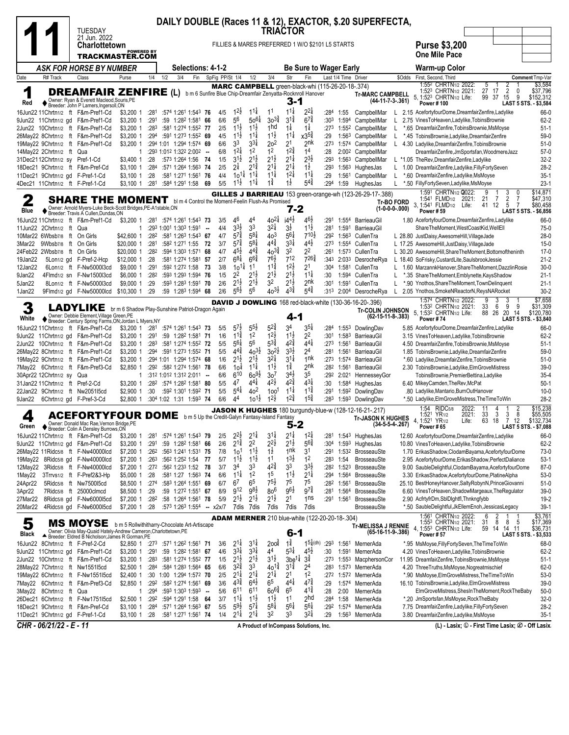| <b>TUESDAY</b>                                                                                                                                                              |                                                                                     |                                                                                                                   | <b>TRIACTOR</b>                                                                  | DAILY DOUBLE (Races 11 & 12), EXACTOR, \$.20 SUPERFECTA,                                                 |                                                          |                                                                                                                                                                                                                        |
|-----------------------------------------------------------------------------------------------------------------------------------------------------------------------------|-------------------------------------------------------------------------------------|-------------------------------------------------------------------------------------------------------------------|----------------------------------------------------------------------------------|----------------------------------------------------------------------------------------------------------|----------------------------------------------------------|------------------------------------------------------------------------------------------------------------------------------------------------------------------------------------------------------------------------|
| 21 Jun. 2022<br><b>Charlottetown</b>                                                                                                                                        | <b>POWERED BY</b>                                                                   |                                                                                                                   |                                                                                  | FILLIES & MARES PREFERRED 1 W/O \$2101 L5 STARTS                                                         |                                                          | <b>Purse \$3,200</b>                                                                                                                                                                                                   |
| <b>TRACKMASTER.COM</b>                                                                                                                                                      |                                                                                     |                                                                                                                   |                                                                                  |                                                                                                          |                                                          | <b>One Mile Pace</b>                                                                                                                                                                                                   |
| <b>ASK FOR HORSE BY NUMBER</b>                                                                                                                                              |                                                                                     | <b>Selections: 4-1-2</b>                                                                                          |                                                                                  | <b>Be Sure to Wager Early</b>                                                                            |                                                          | Warm-up Color                                                                                                                                                                                                          |
| R# Track<br>Class<br>Date<br>Purse                                                                                                                                          | 1/2<br>3/4<br>1/4                                                                   | Fin<br>SpFig PP/St 1/4                                                                                            | 1/2<br>3/4                                                                       | Str<br>Fin<br>Last 1/4 Time Driver<br>MARC CAMPBELL green-black-whi (115-26-20-18-.374)                  | \$Odds                                                   | First, Second, Third<br>Comment Tmp-Var<br>1:552 CHRTN <sub>1/2</sub> 2022:<br>\$3,584<br>2<br>5                                                                                                                       |
| 1<br><b>DREAMFAIR ZENFIRE (L)</b><br>◆ Owner: Ryan & Everett Macleod, Souris, PE<br>◆ Breeder: John P Lamers, Ingersoll, ON<br>Red                                          |                                                                                     | b m 6 Sunfire Blue Chip-Dreamfair Zenyatta-Rocknroll Hanover                                                      |                                                                                  | 3-1                                                                                                      | <b>Tr-MARC CAMPBELL</b><br>$(44-11-7-3-.361)$            | 27 17<br>$\overline{2}$<br>\$37,796<br>1:523 CHRTN <sub>1/2</sub> 2021:<br>0<br>5, 1:523 CHRTN1/2 Life:<br>99 37<br>9<br>\$152,312<br>15<br>Power #100<br>LAST 5 STS. - \$3,584                                        |
| 16Jun22 11Chrtn1/2 ft F&m-Pref1-Cd<br>\$3,200 1<br>9Jun22 11Chrtn1/2 gd F&m-Pref1-Cd<br>\$3,200 1                                                                           | :281<br>:291                                                                        | $1^{2}\frac{1}{2}$<br>:574 1:261 1:543 76<br>4/5<br>56<br>6/6<br>:59 1:282 1:581 66                               | $11\frac{1}{4}$<br>11<br>$30^{3}\frac{3}{4}$<br>$50^{61}$                        | $11\frac{1}{4}$<br>$2^{2}$<br>:284 1:55<br>$3^{1\frac{3}{4}}$<br>$6^{7\frac{3}{4}}$                      | CampbellMar<br>L.<br>:303 1:594 CampbellMar<br>L         | 2.15 AcefortyfourDome, DreamfairZenfire, Ladylike<br>66-0<br>$62 - 2$                                                                                                                                                  |
| 2Jun22 10Chrtn1/2 ft F&m-Pref1-Cd<br>\$3,200 1                                                                                                                              | :283                                                                                | $11\frac{1}{2}$<br>2/5<br>:581 1:274 1:552 77                                                                     | $11\frac{1}{2}$<br>1hd                                                           | $1\frac{1}{4}$<br>$1\frac{1}{4}$                                                                         | :273 1:552 CampbellMar                                   | 2.75 VinesToHeaven, Ladylike, Tobins Brownie<br>*.65 DreamfairZenfire,TobinsBrownie,MsMoyse<br>$51-1$                                                                                                                  |
| 26May22 8Chrtn1/2 ft F&m-Pref1-Cd<br>\$3,200 1                                                                                                                              | :294                                                                                | $11\frac{1}{2}$<br>:591 1:273 1:552 69<br>4/5                                                                     | $11\frac{1}{2}$<br>$11\frac{1}{4}$                                               | $11\frac{1}{4}$<br>$x3^{5}\frac{3}{4}$<br>:29<br>1:56 <sup>3</sup>                                       | CampbellMar<br>L                                         | 59-0<br>*.45 TobinsBrownie, Ladylike, DreamfairZenfire                                                                                                                                                                 |
| 19May22 9Chrtn1/2 ft F&m-Pref1-Cd<br>\$3,200 1<br>14May22 2Chrtn1/2 ft Qua                                                                                                  | :294 1:01 1:294 1:574 69<br>:293 1:012 1:322 2:002 --<br>1                          | 3 <sup>3</sup><br>6/6<br>$12\frac{1}{4}$<br>6/8                                                                   | 33‡<br>2 <sup>o</sup><br>2 <sup>1</sup><br>12<br>1 <sup>2</sup>                  | 2 <sup>nk</sup><br>:273<br>$12\frac{3}{4}$<br>14<br>:28                                                  | 1:574 CampbellMar<br>L.<br>2:00 <sup>2</sup> CampbellMar | $51-0$<br>4.30 Ladylike, Dreamfair Zenfire, Tobins Brownie<br>$57-0$<br>DreamfairZenfire,JmSportsfan,WoodmereJazz                                                                                                      |
| 31Dec2112Chrtn1/2 sy Pref-1-Cd<br>\$3,400 1                                                                                                                                 | :28<br>:573 1:264 1:56                                                              | $3^{1}\frac{1}{2}$<br>1/5<br>- 74                                                                                 | $2^{1\frac{1}{2}}$<br>$2^{1\frac{1}{2}}$                                         | $2^{1\frac{1}{4}}$<br>$2^{3\frac{1}{2}}$<br>:293<br>1:563                                                | CampbellMar                                              | $32 - 2$<br>L *1.05 TheRev, Dreamfair Zenfire, Ladylike                                                                                                                                                                |
| 18Dec21 9Chrtn1/2 ft F&m-Pref-Cd<br>$$3,100$ 1                                                                                                                              | :284                                                                                | $2^{1}$<br>2/5<br>:571 1:264 1:563 74                                                                             | $2^{1\frac{1}{4}}$<br>$2^{1\frac{3}{4}}$                                         | $1\frac{1}{2}$<br>$2^{11}$<br>:293                                                                       | 1:563 HughesJas                                          | $28-2$<br>L 1.00 DreamfairZenfire,Ladylike,FillyFortySeven                                                                                                                                                             |
| 11Dec21 9Chrtn1/2 gd F-Pref-1-Cd<br>\$3,100 1<br>4Dec21 11Chrtn1/2 ft F-Pref-1-Cd<br>\$3,100 1                                                                              | :28<br>:281<br>:584 1:291 1:58                                                      | 4/4<br>:581 1:271 1:561 76<br>$10^{11}$<br>69<br>5/5<br>$11\frac{1}{2}$                                           | $11\frac{1}{4}$<br>$11\frac{1}{4}$<br>$11\frac{1}{4}$<br>$1\frac{3}{4}$          | $12\frac{1}{4}$<br>$11\frac{1}{4}$<br>:29<br>1:561<br>$5^{4^{3}_{4}}$<br>$1\overline{2}$<br>:294<br>1:59 | CampbellMar<br>L.<br>HughesJas                           | $35-1$<br>*.60 DreamfairZenfire,Ladylike,MsMoyse<br>$23-1$<br>*.50 FillyFortySeven,Ladylike,MsMoyse                                                                                                                    |
|                                                                                                                                                                             |                                                                                     |                                                                                                                   |                                                                                  | GILLES J BARRIEAU 153 green-orange-wh (123-26-29-17-.388)                                                |                                                          | 1:591 CHRTN1/2 2022:<br>\$14,871<br>9<br>3<br>$\Omega$                                                                                                                                                                 |
| $\mathbf 2$<br>SHARE THE MOMENT                                                                                                                                             |                                                                                     | bl m 4 Control the Moment-Feelin Flush-As Promised                                                                |                                                                                  |                                                                                                          | <b>Tr-BO FORD</b>                                        | $\overline{2}$<br>$\overline{7}$<br>7<br>1:541 FLMD <sub>1/2</sub> 2021:<br>21<br>\$47,310<br>3, 1:541 FLMD <sub>1/2</sub> Life:<br>5<br>$\overline{7}$<br>\$80,458<br>41 12                                           |
| Owner: Arnold Myers-Luke Beck-Scott Bridges, PE-A1stable, ON<br>Blue<br>Breeder: Travis A Cullen, Dundas, ON                                                                |                                                                                     |                                                                                                                   |                                                                                  | 7-2                                                                                                      | $(1-0-0-0-0.000)$                                        | <b>Power #59</b><br>LAST 5 STS. - \$6,856                                                                                                                                                                              |
| 16Jun22 11Chrtn1/2 ft F&m-Pref1-Cd<br>\$3,200 1                                                                                                                             | $:28^1$ $:57^4$ 1:26 <sup>1</sup> 1:54 <sup>3</sup> 73                              | 46<br>3/5                                                                                                         | $40^{21}$<br>44                                                                  | $14^{4}$<br>462<br>:291 1:554 BarrieauGil                                                                |                                                          | 1.80 AcefortyfourDome, DreamfairZenfire, Ladylike<br>66-0                                                                                                                                                              |
| 11Jun22 2Chrtn1/2 ft Qua<br>10Mar22 6Wbsb7/8 ft On Girls<br>\$42,600 1                                                                                                      | :293 1:001 1:303 1:591<br>1<br>:282                                                 | $3^{3}\frac{1}{2}$<br>4/4<br>$\sim$<br>$5^{7\frac{3}{4}}$<br>4/7<br>:581 1:263 1:543 67                           | 33<br>$3^{21}$<br>$3\frac{1}{2}$<br>4 <sup>o</sup><br>$5^{8\frac{1}{4}}$         | $11\frac{1}{2}$<br>:281<br>$5^{6}$<br>710술<br>:29 <sup>2</sup> 1:56 <sup>3</sup> CullenTra               | 1:591 BarrieauGil                                        | ShareTheMoment,WestCoastKid,WellEll<br>$75-0$<br>L 28.80 JustDaisy, AwesomeHill, VillageJade<br>$28-0$                                                                                                                 |
| 3Mar22 9Wbsb7/8 ft On Girls<br>\$20,000 1                                                                                                                                   | :281<br>:582 1:271 1:55                                                             | $5^{7\frac{3}{4}}$<br>3/7<br>- 72                                                                                 | $4^{4^{3}_{4}}$<br>$5^{81}$                                                      | $3^{3}$<br>$4^{4}$<br>:273 1:554 CullenTra                                                               |                                                          | L 17.25 AwesomeHill, JustDaisy, VillageJade<br>$15-0$                                                                                                                                                                  |
| 24Feb22 2Wbsb7/8 ft On Girls<br>\$20,000 1                                                                                                                                  | :282                                                                                | $45\frac{1}{2}$<br>4/7<br>:594 1:303 1:571 68                                                                     | $44\frac{3}{4}$<br>$40^{3}\frac{3}{4}$                                           | 32<br>22<br>:261                                                                                         | 1:573 CullenTra                                          | L 30.20 AwesomeHill.ShareTheMoment.Bottomoftheninth<br>$17-0$                                                                                                                                                          |
| 5Lon1/2 gd F-Pref-2-Hcp<br>\$12,000 1<br>19Jan22                                                                                                                            | :28                                                                                 | $6^{8\frac{1}{4}}$<br>2/7<br>:581 1:274 1:581 57                                                                  | $6^{6}$<br>76}<br>$1^{1\frac{3}{4}}$<br>11                                       | $7^{26\frac{3}{4}}$<br>712<br>$1^{2\frac{1}{2}}$                                                         | :343 2:033 DesrocheRya                                   | L 18.40 SoFrisky, CustardLite, SaulsbrookJessie<br>$21 - 2$                                                                                                                                                            |
| 6Lon1/2 ft F-Nw5000l3cd<br>\$9,000 1<br>12Jan22<br>9Jan22<br>4Flmd1/2 sn F-Nw1500l3cd<br>\$6,000 1                                                                          | :291<br>:592 1:272 1:58<br>:282                                                     | 3/8<br>$10^{11}$<br>- 73<br>2 <sup>2</sup><br>1/5<br>:593 1:293 1:594 76                                          | $2^{1\frac{1}{2}}$<br>$2^{1\frac{1}{2}}$                                         | 2 <sup>1</sup><br>:304<br>1:581<br>$2^{1\frac{1}{2}}$<br>$11\frac{1}{4}$<br>:30<br>1:594                 | CullenTra<br>CullenTra<br>L                              | L 1.60 MarzannkHanover, Share The Moment, Dazzlin Rosie<br>$30-0$<br>$21 - 1$<br>*.35 ShareTheMoment, Emblynette, KaysShadow                                                                                           |
| 8Lon1/2 ft F-Nw5000l3cd<br>\$9,000 1<br>5Jan22                                                                                                                              | :29                                                                                 | $2^{1\frac{1}{2}}$<br>2/6<br>:593 1:283 1:591 70                                                                  | 3 <sup>2</sup><br>$2^{1\frac{1}{2}}$                                             | 2nk<br>$2^{1}\frac{1}{2}$<br>:301                                                                        | 1:591 CullenTra<br>L                                     | *.90 Ynothos, Share The Moment, Town Delinquent<br>$21 - 1$                                                                                                                                                            |
| 9Flmd1/2 gd F-Nw50000lcd<br>\$10,300 1<br>1Jan22                                                                                                                            | :29                                                                                 | $56\frac{1}{2}$<br>2/6<br>$:59$ 1:28 <sup>3</sup> 1:59 <sup>4</sup> 68                                            | $40^{3}\frac{1}{2}$<br>56                                                        | $5^{4}$<br>$4^{3}\frac{3}{4}$                                                                            | :313 2:004 DesrocheRya                                   | L 2.05 Ynothos, SmokeNReactorN, ReysNARocket<br>$30 - 2$                                                                                                                                                               |
| 3<br>LADYLIKE br m 6 Shadow Play-Sunshine Patriot-Dragon Again<br>Owner: Debbie Element, Village Green, PE                                                                  |                                                                                     |                                                                                                                   |                                                                                  | <b>DAVID J DOWLING</b> 168 red-black-white (130-36-16-20-.396)<br>$4 - 1$                                | <b>Tr-COLIN JOHNSON</b><br>$(62-15-11-8-383)$            | \$7,658<br>1:574 CHRTN1/2 2022:<br>9<br>3<br>3<br>6<br>1:532 CHRTN1/2 2021:<br>33<br>-9<br>- 9<br>\$31,309<br>5, 1:532 CHRTN1/2 Life:<br>88 26<br>20 14<br>\$120,780                                                   |
| White<br>♦ Breeder: Century Spring Farms, ON;Jordan L Myers, NY                                                                                                             |                                                                                     |                                                                                                                   | $5^{5}\frac{1}{2}$<br>$5^{24}$<br>34                                             | $3^{5\frac{1}{4}}$                                                                                       |                                                          | Power #74<br>LAST 5 STS. - \$3,840                                                                                                                                                                                     |
| 16Jun22 11Chrtn1/2 ft F&m-Pref1-Cd<br>\$3,200 1<br>9Jun22 11Chrtn1/2 gd F&m-Pref1-Cd<br>\$3,200 1                                                                           | :281<br>:291                                                                        | $5^{7}$<br>:574 1:261 1:543 73<br>5/5<br>$11\frac{3}{4}$<br>:59 1:282 1:581 71<br>1/6                             | $1^{2}\frac{1}{2}$<br>1 <sup>2</sup>                                             | :284<br>$11\frac{1}{2}$<br>2 <sup>2</sup><br>:301 1:583 BarrieauGil                                      | 1:553 DowlingDav                                         | 66-0<br>5.85 AcefortyfourDome, DreamfairZenfire, Ladylike<br>$62 - 2$<br>3.15 VinesToHeaven, Ladylike, Tobins Brownie                                                                                                  |
| 2Jun22 10Chrtn1/2 ft F&m-Pref1-Cd<br>\$3,200 1                                                                                                                              | :283                                                                                | $5^{61}$<br>5/5<br>:581 1:274 1:552 72                                                                            | $5^{3\frac{3}{4}}$<br>56                                                         | $4^{2}\frac{3}{4}$<br>$4^{4}$<br>:273 1:561                                                              | BarrieauGil                                              | 4.50 DreamfairZenfire,TobinsBrownie,MsMoyse<br>$51-1$                                                                                                                                                                  |
| 26May22 8Chrtn1/2 ft F&m-Pref1-Cd<br>\$3,200 1                                                                                                                              | :294                                                                                | $4^{4}$<br>:591 1:273 1:552 71<br>5/5                                                                             | $40^{3}\frac{1}{2}$<br>$30^{21}$                                                 | $3^{3}\frac{1}{2}$<br>24<br>:281                                                                         | 1:561 BarrieauGil                                        | $59-0$<br>1.85 TobinsBrownie, Ladylike, DreamfairZenfire                                                                                                                                                               |
| \$3,200 1<br>19May22 9Chrtn1/2 ft F&m-Pref1-Cd<br>7May22 6Chrtn1/2 ft F&m-Pref3-Cd<br>\$2,850 1                                                                             | :294 1:01 1:294 1:574 68<br>:29 <sup>2</sup> :58 <sup>2</sup> 1:274 1:561 <b>78</b> | $2^{1\frac{1}{2}}$<br>1/6<br>6/6<br>104                                                                           | 21호<br>32‡<br>$1^{1\frac{1}{2}}$<br>$11\frac{1}{4}$                              | $3^{11}$<br>1nk<br>:273 1:574 BarrieauGil<br>$1\frac{3}{4}$<br>2 <sup>nk</sup><br>:282 1:561             | BarrieauGil                                              | *.60 Ladylike, DreamfairZenfire, TobinsBrownie<br>$51-0$<br>2.30 TobinsBrownie,Ladylike,ElmGroveMistress<br>$39-0$                                                                                                     |
| 30Apr22 12Chrtn1/2 sy Qua                                                                                                                                                   | :312 1:012 1:312 2:011 --<br>1                                                      | 610<br>6/6                                                                                                        | $60^{91}$<br>30 <sup>7</sup>                                                     | $3^{4}$<br>35<br>:292                                                                                    | 2:021 HennesseyGor                                       | $35 - 4$<br>TobinsBrownie, PremierBettina, Ladylike                                                                                                                                                                    |
| 31Jan22 11Chrtn1/2 ft Pref-2-Cd<br>\$3,200 1                                                                                                                                | :282 :574 1:282 1:581 80                                                            | 47<br>5/5                                                                                                         | 44‡<br>$4^{2}\frac{1}{2}$                                                        | $42\frac{3}{4}$<br>$4^{3}$<br>:30                                                                        | 1:584 HughesJas                                          | 6.40 MikeyCamden, TheRev, McPat<br>$50-1$                                                                                                                                                                              |
| 22Jan22 9Chrtn1/2 ft Nw205115cd<br>\$2,900 1                                                                                                                                | :30                                                                                 | $5^{4}$<br>5/5<br>:592 1:301 1:592 71                                                                             | 40 <sup>2</sup><br>100 <sup>1</sup><br>$10^{11}$<br>$1^{2}\frac{1}{2}$           | $1^{1\frac{3}{4}}$<br>$11\frac{1}{4}$<br>:291<br>$1^{5\frac{3}{4}}$<br>$1^{2^{3}_{4}}$                   | 1:592 DowlingDav                                         | .80 Ladylike, Mantario, BurnOutHanover<br>$10 - 0$                                                                                                                                                                     |
| 6Chrtn1/2 gd F-Pref-3-Cd<br>\$2,800 1<br>9Jan22                                                                                                                             | :304 1:02 1:31 1:593 74                                                             | 44<br>6/6                                                                                                         |                                                                                  | :283                                                                                                     | 1:593 DowlingDav                                         | $28-2$<br>*.50 Ladylike, Elm Grove Mistress, The Time To Win<br>\$15,238<br>1:54 RIDC5/8<br>2022:<br>11                                                                                                                |
| <b>ACEFORTYFOUR DOME</b> bm 5 Up the Credit-Galyn Fantasy-Island Fantasy<br>4<br>Owner: Donald Mac Rae, Vernon Bridge, PE<br>Green<br>▼ Breeder: Colin A Densley Burrows,ON |                                                                                     |                                                                                                                   |                                                                                  | <b>JASON K HUGHES</b> 180 burgundy-blue-w (128-12-16-21-.217)                                            | <b>Tr-JASON K HUGHES</b><br>$(34-5-5-4, 267)$            | 2021:<br>33<br>3<br>3<br>8<br>1:521<br>\$55,505<br>YR <sub>1/2</sub><br>$\overline{7}$<br>12<br>\$132,734<br>4, 1:52 <sup>1</sup> YR <sub>1/2</sub><br>Life:<br>63<br>18<br>Power # 65<br><b>LAST 5 STS. - \$7,088</b> |
| 16Jun22 11Chrtn1/2 ft F&m-Pref1-Cd<br>\$3,200 1                                                                                                                             | :281                                                                                | $2^{2}\frac{1}{2}$<br>:574 1:261 1:543 79<br>2/5                                                                  | $2^{1\frac{1}{4}}$<br>$3^{11}$                                                   | $1^{21}$<br>$2^{1\frac{1}{4}}$<br>:281                                                                   | 1:543 HughesJas                                          | 12.60 AcefortyfourDome, DreamfairZenfire, Ladylike<br>66-0                                                                                                                                                             |
| 9Jun22 11Chrtn1/2 gd F&m-Pref1-Cd<br>\$3,200 1<br>26May22 11Ridc5/8 ft F-Nw40000lcd<br>\$7,200 1                                                                            | :291<br>:262                                                                        | $2^{1\frac{3}{4}}$<br>2/6<br>:59 1:282 1:581 66<br>7/8<br>10 <sup>1</sup><br>:563 1:241 1:531 75                  | $2^{2}\frac{1}{2}$<br>2 <sup>2</sup><br>$1^{1}\frac{1}{2}$<br>$1\frac{1}{2}$     | $2^{1\frac{1}{2}}$<br>$56\frac{3}{4}$<br>:304 1:593 HughesJas<br>1 <sup>nk</sup><br>31<br>:291           | 1:53 <sup>2</sup> BrosseauSte                            | 10.80 VinesToHeaven, Ladylike, Tobins Brownie<br>62-2<br>1.70 ErikasShadow, ClodamBayama, AcefortyfourDome<br>73-0                                                                                                     |
| 19May22 8Ridc5/8 gd F-Nw40000lcd<br>\$7,200 1                                                                                                                               | :263                                                                                | :562 1:252 1:54 77<br>5/7<br>$1^{1}\frac{1}{2}$                                                                   | $11\frac{1}{2}$<br>1 <sup>1</sup>                                                | $1^{3}\frac{1}{2}$<br>1 <sup>2</sup><br>:283 1:54                                                        | <b>BrosseauSte</b>                                       | $53-1$<br>2.95 AcefortyfourDome, Erikas Shadow, PerfectDaliance                                                                                                                                                        |
| 12May22 3Ridc5/8 ft F-Nw40000lcd<br>\$7,200 1                                                                                                                               | :272                                                                                | 34<br>:562 1:233 1:52 78<br>3/7                                                                                   | 33<br>$42\frac{3}{4}$                                                            | 33<br>$3^{3}\frac{1}{2}$                                                                                 | :28 <sup>2</sup> 1:52 <sup>3</sup> BrosseauSte           | $87-0$<br>9.00 SaubleDelightful,ClodamBayama,AcefortyfourDome                                                                                                                                                          |
| \$5,000 1<br>1May22<br>3Trrvs1/2 ft F-Pref2&3-Hp                                                                                                                            | :28                                                                                 | $1^{11}$<br>:581 1:27 1:563 74<br>6/6                                                                             | 1 <sup>2</sup><br>15                                                             | $1^{1\frac{1}{2}}$<br>$2^{1\frac{1}{4}}$<br>:294 1:564                                                   | BrosseauSte                                              | 3.30 ErikasShadow, AcefortyfourDome, PlatineAlpha<br>53-0                                                                                                                                                              |
| 24Apr22<br>5Ridc5/8 ft Nw750015cd<br>\$8,500 1<br>3Apr22<br>7Ridc5/8 ft 25000clmcd<br>\$8,500 1                                                                             | :274<br>:29                                                                         | 6 <sup>7</sup><br>6/7<br>:583 1:264 1:551 69<br>912<br>8/9<br>:59 1:272 1:551 67                                  | $7^{5}\frac{1}{2}$<br>6 <sup>5</sup><br>$98\frac{1}{2}$<br>8o <sup>6</sup>       | 75<br>75<br>:282 1:561<br>$97\frac{3}{4}$<br>$96\frac{1}{2}$<br>:281                                     | BrosseauSte<br>1:564 BrosseauSte                         | 25.10 BestHoneyHanover,SaltyRobynN,PrinceGiovanni<br>$51-0$<br>$39-0$<br>6.60 VinesToHeaven, ShadowMargeaux, TheRegulator                                                                                              |
| 27Mar22<br>8Ridc5/8 gd F-Nw600015cd<br>\$7,200 1                                                                                                                            | :282                                                                                | $2^{1\frac{1}{2}}$<br>:58 1:264 1:561 78<br>5/9                                                                   | $2^{1\frac{1}{2}}$<br>2 <sup>1</sup><br>$2^{1\frac{1}{2}}$                       | 1 <sub>ns</sub><br>:291 1:561                                                                            | BrosseauSte                                              | 2.90 AcfrtyfrDm, SbIDlghtfl, Thnkngfybb<br>19-2                                                                                                                                                                        |
| 20Mar22<br>4Ridc5/8 gd F-Nw600015cd<br>\$7,200 1                                                                                                                            | :28                                                                                 | :573 1:263 1:554 - x2x/7                                                                                          | 7dis 7dis<br>7dis                                                                | 7dis<br>7dis                                                                                             | BrosseauSte                                              | *.50 SaubleDelightful,JkEllemEnoh,JessicasLegacy<br>$39-1$                                                                                                                                                             |
| 5<br>MS MOYSE b m 5 Rollwithitharry-Chocolate Art-Artiscape                                                                                                                 |                                                                                     |                                                                                                                   |                                                                                  | <b>ADAM MERNER</b> 210 blue-white (122-20-20-18-.304)                                                    | <b>Tr-MELISSA J RENNIE</b>                               | \$3,761<br>1:561 CHRTN1/2 2022:<br>6<br>2<br>\$17,369<br>1:553 CHRTN1/2 2021:<br>31<br>8<br>8<br>-5<br>1:553 CHRTN1/2 Life:<br>\$36,731<br>14 11<br>14<br>59                                                           |
| Owner: Olivia May-Quaid Hately-Andrew Cameron, Charlottetown, PE<br>Black<br>Breeder: Eldred B Nicholson; James R Gorman, PE                                                |                                                                                     |                                                                                                                   |                                                                                  | 6-1                                                                                                      | (65-16-11-9-.386)                                        | <b>Power #57</b><br>LAST 5 STS. - \$3,533                                                                                                                                                                              |
| 16Jun22 8Chrtn1/2 ft F-Pref-2-Cd                                                                                                                                            | \$2,850 1 :273                                                                      | 3/6<br>$2^{11}$<br>:571 1:262 1:561 71                                                                            | $1\frac{3}{4}$<br>$3^{11}$<br>200 <sup>1</sup>                                   | $15\frac{1}{4}$ (dh)<br>:293 1:561 MernerAda                                                             |                                                          | *.95 MsMoyse, FillyFortySeven, The Time ToWin<br>68-0                                                                                                                                                                  |
| 9Jun22 11Chrtn1/2 gd F&m-Pref1-Cd<br>\$3,200 1<br>2Jun22 10Chrtn1/2 ft F&m-Pref1-Cd<br>\$3,200 1                                                                            | :291<br>:28 <sup>3</sup>                                                            | $3^{31}$<br>4/6<br>:59 1:28 <sup>2</sup> 1:58 <sup>1</sup> 67<br>$2^{1\frac{1}{2}}$<br>1/5<br>:581 1:274 1:552 77 | $3^{3\frac{1}{4}}$<br>4 <sup>4</sup><br>$3^{1\frac{1}{2}}$<br>$2^{1\frac{1}{2}}$ | $5^{3\frac{1}{4}}$<br>$4^{5}\frac{1}{2}$<br>:30<br>$3^{3}$<br>3be <sup>1</sup>                           | 1:591 MernerAda<br>:273 1:553 MacphersonCor              | 4.20 VinesToHeaven, Ladylike, TobinsBrownie<br>$62 - 2$<br>11.95 DreamfairZenfire,TobinsBrownie,MsMoyse<br>$51-1$                                                                                                      |
| 28May22 7Chrtn1/2 ft Nw1551l5cd<br>\$2,500 1                                                                                                                                | :284                                                                                | $3^{2*}$<br>:584 1:283 1:564 65<br>6/6                                                                            | 33<br>$40^{12}$                                                                  | $3^{12}$<br>24<br>:283                                                                                   | 1:573 MernerAda                                          | 4.20 ThreeTruths, MsMoyse, Nogreatmischief<br>62-0                                                                                                                                                                     |
| 19May22 6Chrtn1/2 ft F-Nw155115cd<br>\$2,400 1                                                                                                                              | :30 1:00 1:294 1:572 70                                                             | $2^{1\frac{1}{4}}$<br>2/5                                                                                         | $2^{1\frac{1}{4}}$<br>$2^{1\frac{1}{4}}$<br>2 <sup>1</sup>                       | 12<br>:272 1:572 MernerAda                                                                               |                                                          | *.90 MsMoyse, ElmGroveMistress, The Time ToWin<br>53-0                                                                                                                                                                 |
| 7May22 6Chrtn1/2 ft F&m-Pref3-Cd<br>\$2,850 1                                                                                                                               | :292                                                                                | $4^{3}\frac{3}{4}$<br>:582 1:274 1:561 69<br>3/6<br>611                                                           | 6 <sup>5</sup><br>$6^{4}$<br>$60^{6}\frac{3}{4}$<br>611<br>65                    | $4^{4}$<br>$4^{7\frac{3}{4}}$<br>:29<br>1:574<br>$4^{1\frac{3}{4}}$                                      | MernerAda                                                | 16.10 TobinsBrownie, Ladylike, ElmGroveMistress<br>$39-0$                                                                                                                                                              |
| 3May22 8Chrtn1/2 ft Qua<br>\$2,500 1<br>26Dec21 6Chrtn1/2 ft F-Nw1751l5cd                                                                                                   | :294<br>1<br>:292                                                                   | :593 1:303 1:593 -<br>5/6<br>$11\frac{1}{4}$<br>:594 1:291 1:58 64<br>3/7                                         | $11\frac{1}{2}$<br>$1^{1}\frac{1}{2}$<br>1 <sup>1</sup>                          | :28<br>2:00<br>2 <sub>hd</sub><br>:284<br>1:58                                                           | MernerAda<br>MernerAda                                   | $50-0$<br>ElmGroveMistress, ShesInTheMoment, RockTheBaby<br>*.20 JmSportsfan, MsMoyse, RockTheBaby<br>$32-0$                                                                                                           |
| 18Dec21 9Chrtn1/2 ft F&m-Pref-Cd<br>\$3,100 1                                                                                                                               | :284                                                                                | $5^{9}\frac{1}{2}$<br>5/5<br>:571 1:264 1:563 67                                                                  | $5^{8\frac{1}{4}}$<br>$5^{7}$                                                    | $5^{61}$<br>$5^{61}$<br>:292                                                                             | 1:574 MernerAda                                          | 7.75 DreamfairZenfire,Ladylike,FillyFortySeven<br>28-2                                                                                                                                                                 |
| 11Dec21 9Chrtn1/2 gd F-Pref-1-Cd                                                                                                                                            | \$3,100 1 :28                                                                       | $2^{1\frac{1}{4}}$<br>:581 1:271 1:561 74<br>1/4                                                                  | 32<br>$2^{11}$                                                                   | $3^{21}$<br>33<br>:29                                                                                    | 1:563 MernerAda                                          | 3.80 DreamfairZenfire,Ladylike,MsMoyse<br>$35-1$                                                                                                                                                                       |
| CHR - 06/21/22 - E - 11                                                                                                                                                     |                                                                                     |                                                                                                                   | A Product of InCompass Solutions, Inc.                                           |                                                                                                          |                                                          | (L) - Lasix; ① - First Time Lasix; ② - Off Lasix.                                                                                                                                                                      |